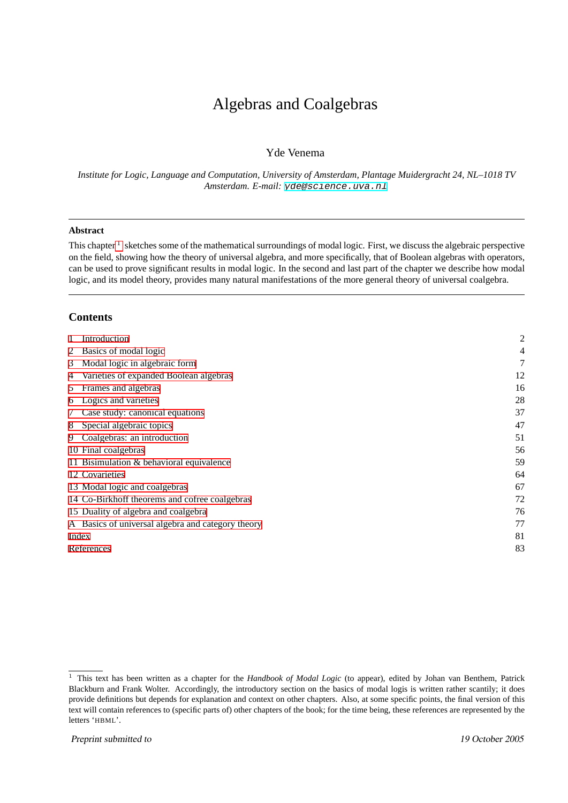# Algebras and Coalgebras

# Yde Venema

*Institute for Logic, Language and Computation, University of Amsterdam, Plantage Muidergracht 24, NL–1018 TV Amsterdam. E-mail:* <yde@science.uva.nl>

### **Abstract**

This chapter  $1$  sketches some of the mathematical surroundings of modal logic. First, we discuss the algebraic perspective on the field, showing how the theory of universal algebra, and more specifically, that of Boolean algebras with operators, can be used to prove significant results in modal logic. In the second and last part of the chapter we describe how modal logic, and its model theory, provides many natural manifestations of the more general theory of universal coalgebra.

# **Contents**

| 1     | Introduction                                      | $\overline{c}$ |
|-------|---------------------------------------------------|----------------|
| 2     | Basics of modal logic                             | 4              |
| 3     | Modal logic in algebraic form                     | 7              |
| 4     | Varieties of expanded Boolean algebras            | 12             |
| 5.    | Frames and algebras                               | 16             |
| 6     | Logics and varieties                              | 28             |
| 7     | Case study: canonical equations                   | 37             |
| 8     | Special algebraic topics                          | 47             |
| 9     | Coalgebras: an introduction                       | 51             |
|       | 10 Final coalgebras                               | 56             |
|       | 11 Bisimulation & behavioral equivalence          | 59             |
|       | 12 Covarieties                                    | 64             |
|       | 13 Modal logic and coalgebras                     | 67             |
|       | 14 Co-Birkhoff theorems and cofree coalgebras     | 72             |
|       | 15 Duality of algebra and coalgebra               | 76             |
|       | A Basics of universal algebra and category theory | 77             |
| Index |                                                   | 81             |
|       | References                                        | 83             |
|       |                                                   |                |

<span id="page-0-0"></span><sup>1</sup> This text has been written as a chapter for the *Handbook of Modal Logic* (to appear), edited by Johan van Benthem, Patrick Blackburn and Frank Wolter. Accordingly, the introductory section on the basics of modal logis is written rather scantily; it does provide definitions but depends for explanation and context on other chapters. Also, at some specific points, the final version of this text will contain references to (specific parts of) other chapters of the book; for the time being, these references are represented by the letters 'HBML'.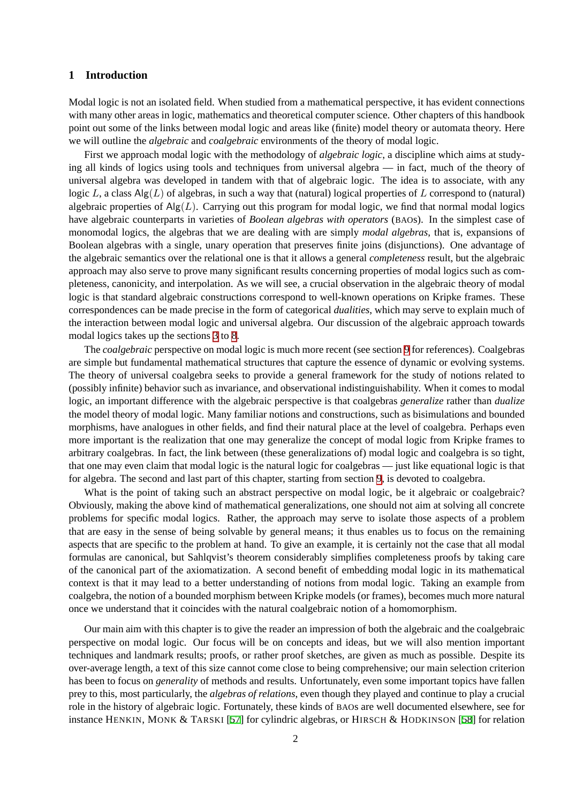# **1 Introduction**

Modal logic is not an isolated field. When studied from a mathematical perspective, it has evident connections with many other areas in logic, mathematics and theoretical computer science. Other chapters of this handbook point out some of the links between modal logic and areas like (finite) model theory or automata theory. Here we will outline the *algebraic* and *coalgebraic* environments of the theory of modal logic.

First we approach modal logic with the methodology of *algebraic logic*, a discipline which aims at studying all kinds of logics using tools and techniques from universal algebra — in fact, much of the theory of universal algebra was developed in tandem with that of algebraic logic. The idea is to associate, with any logic L, a class  $\text{Alg}(L)$  of algebras, in such a way that (natural) logical properties of L correspond to (natural) algebraic properties of  $\text{Alg}(L)$ . Carrying out this program for modal logic, we find that normal modal logics have algebraic counterparts in varieties of *Boolean algebras with operators* (BAOs). In the simplest case of monomodal logics, the algebras that we are dealing with are simply *modal algebras*, that is, expansions of Boolean algebras with a single, unary operation that preserves finite joins (disjunctions). One advantage of the algebraic semantics over the relational one is that it allows a general *completeness* result, but the algebraic approach may also serve to prove many significant results concerning properties of modal logics such as completeness, canonicity, and interpolation. As we will see, a crucial observation in the algebraic theory of modal logic is that standard algebraic constructions correspond to well-known operations on Kripke frames. These correspondences can be made precise in the form of categorical *dualities*, which may serve to explain much of the interaction between modal logic and universal algebra. Our discussion of the algebraic approach towards modal logics takes up the sections [3](#page-6-0) to [8](#page-46-0).

The *coalgebraic* perspective on modal logic is much more recent (see section [9](#page-50-0) for references). Coalgebras are simple but fundamental mathematical structures that capture the essence of dynamic or evolving systems. The theory of universal coalgebra seeks to provide a general framework for the study of notions related to (possibly infinite) behavior such as invariance, and observational indistinguishability. When it comes to modal logic, an important difference with the algebraic perspective is that coalgebras *generalize* rather than *dualize* the model theory of modal logic. Many familiar notions and constructions, such as bisimulations and bounded morphisms, have analogues in other fields, and find their natural place at the level of coalgebra. Perhaps even more important is the realization that one may generalize the concept of modal logic from Kripke frames to arbitrary coalgebras. In fact, the link between (these generalizations of) modal logic and coalgebra is so tight, that one may even claim that modal logic is the natural logic for coalgebras — just like equational logic is that for algebra. The second and last part of this chapter, starting from section [9](#page-50-0), is devoted to coalgebra.

What is the point of taking such an abstract perspective on modal logic, be it algebraic or coalgebraic? Obviously, making the above kind of mathematical generalizations, one should not aim at solving all concrete problems for specific modal logics. Rather, the approach may serve to isolate those aspects of a problem that are easy in the sense of being solvable by general means; it thus enables us to focus on the remaining aspects that are specific to the problem at hand. To give an example, it is certainly not the case that all modal formulas are canonical, but Sahlqvist's theorem considerably simplifies completeness proofs by taking care of the canonical part of the axiomatization. A second benefit of embedding modal logic in its mathematical context is that it may lead to a better understanding of notions from modal logic. Taking an example from coalgebra, the notion of a bounded morphism between Kripke models (or frames), becomes much more natural once we understand that it coincides with the natural coalgebraic notion of a homomorphism.

Our main aim with this chapter is to give the reader an impression of both the algebraic and the coalgebraic perspective on modal logic. Our focus will be on concepts and ideas, but we will also mention important techniques and landmark results; proofs, or rather proof sketches, are given as much as possible. Despite its over-average length, a text of this size cannot come close to being comprehensive; our main selection criterion has been to focus on *generality* of methods and results. Unfortunately, even some important topics have fallen prey to this, most particularly, the *algebras of relations*, even though they played and continue to play a crucial role in the history of algebraic logic. Fortunately, these kinds of BAOs are well documented elsewhere, see for instance HENKIN, MONK & TARSKI [\[57](#page-83-0)] for cylindric algebras, or HIRSCH & HODKINSON [\[58](#page-83-1)] for relation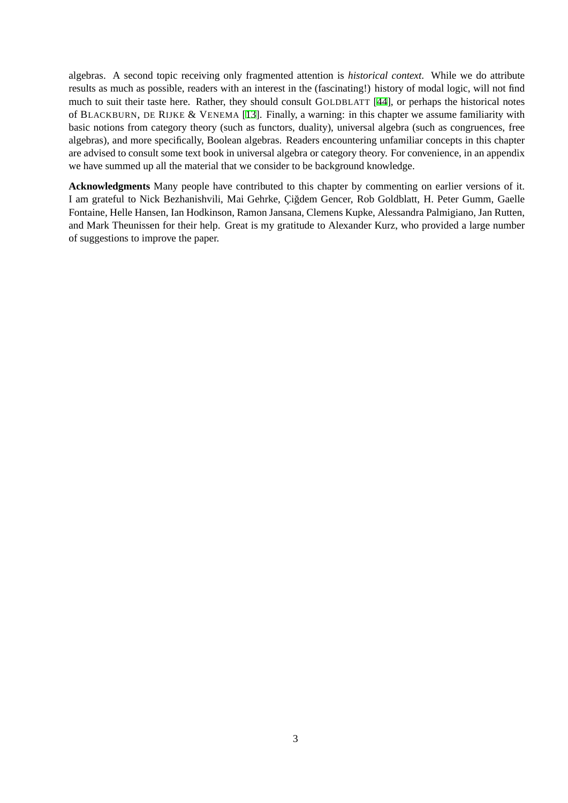algebras. A second topic receiving only fragmented attention is *historical context*. While we do attribute results as much as possible, readers with an interest in the (fascinating!) history of modal logic, will not find much to suit their taste here. Rather, they should consult GOLDBLATT [\[44](#page-83-2)], or perhaps the historical notes of BLACKBURN, DE RIJKE & VENEMA [[13\]](#page-82-1). Finally, a warning: in this chapter we assume familiarity with basic notions from category theory (such as functors, duality), universal algebra (such as congruences, free algebras), and more specifically, Boolean algebras. Readers encountering unfamiliar concepts in this chapter are advised to consult some text book in universal algebra or category theory. For convenience, in an appendix we have summed up all the material that we consider to be background knowledge.

**Acknowledgments** Many people have contributed to this chapter by commenting on earlier versions of it. I am grateful to Nick Bezhanishvili, Mai Gehrke, Çiğdem Gencer, Rob Goldblatt, H. Peter Gumm, Gaelle Fontaine, Helle Hansen, Ian Hodkinson, Ramon Jansana, Clemens Kupke, Alessandra Palmigiano, Jan Rutten, and Mark Theunissen for their help. Great is my gratitude to Alexander Kurz, who provided a large number of suggestions to improve the paper.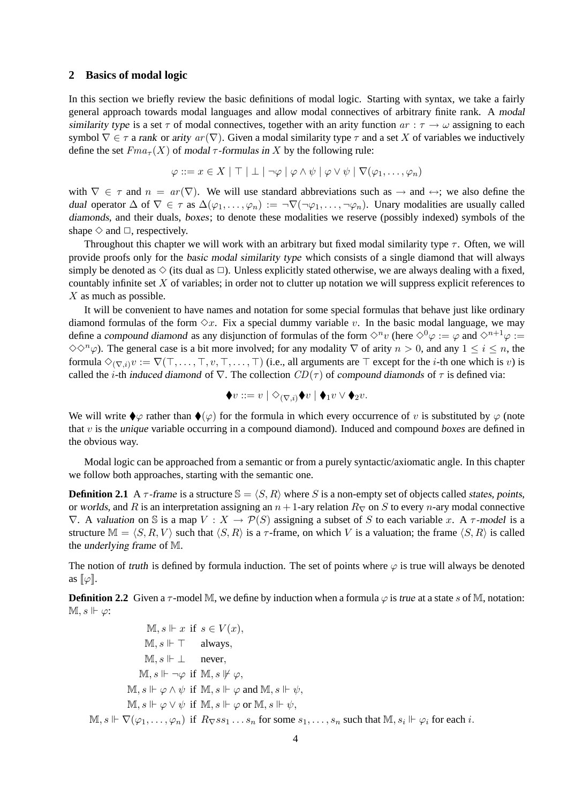### <span id="page-3-0"></span>**2 Basics of modal logic**

In this section we briefly review the basic definitions of modal logic. Starting with syntax, we take a fairly general approach towards modal languages and allow modal connectives of arbitrary finite rank. A modal similarity type is a set  $\tau$  of modal connectives, together with an arity function  $ar : \tau \to \omega$  assigning to each symbol  $\nabla \in \tau$  a rank or arity  $ar(\nabla)$ . Given a modal similarity type  $\tau$  and a set X of variables we inductively define the set  $Fma_\tau(X)$  of modal  $\tau$ -formulas in X by the following rule:

$$
\varphi ::= x \in X \mid \top \mid \bot \mid \neg \varphi \mid \varphi \wedge \psi \mid \varphi \vee \psi \mid \nabla(\varphi_1, \ldots, \varphi_n)
$$

with  $\nabla \in \tau$  and  $n = ar(\nabla)$ . We will use standard abbreviations such as  $\rightarrow$  and  $\leftrightarrow$ ; we also define the dual operator  $\Delta$  of  $\nabla \in \tau$  as  $\Delta(\varphi_1, \ldots, \varphi_n) := \neg \nabla(\neg \varphi_1, \ldots, \neg \varphi_n)$ . Unary modalities are usually called diamonds, and their duals, boxes; to denote these modalities we reserve (possibly indexed) symbols of the shape  $\diamond$  and  $\Box$ , respectively.

Throughout this chapter we will work with an arbitrary but fixed modal similarity type  $\tau$ . Often, we will provide proofs only for the basic modal similarity type which consists of a single diamond that will always simply be denoted as  $\Diamond$  (its dual as  $\Box$ ). Unless explicitly stated otherwise, we are always dealing with a fixed, countably infinite set  $X$  of variables; in order not to clutter up notation we will suppress explicit references to  $X$  as much as possible.

It will be convenient to have names and notation for some special formulas that behave just like ordinary diamond formulas of the form  $\Diamond x$ . Fix a special dummy variable v. In the basic modal language, we may define a compound diamond as any disjunction of formulas of the form  $\Diamond^n v$  (here  $\Diamond^0 \varphi := \varphi$  and  $\Diamond^{n+1} \varphi := \varphi$  $\Diamond \Diamond^n \varphi$ ). The general case is a bit more involved; for any modality  $\nabla$  of arity  $n > 0$ , and any  $1 \le i \le n$ , the formula  $\Diamond_{(\nabla,i)} v := \nabla(\top, \ldots, \top, v, \top, \ldots, \top)$  (i.e., all arguments are  $\top$  except for the *i*-th one which is *v*) is called the *i*-th induced diamond of  $\nabla$ . The collection  $CD(\tau)$  of compound diamonds of  $\tau$  is defined via:

$$
\blacklozenge v ::= v \mid \diamondsuit_{(\nabla,i)} \blacklozenge v \mid \blacklozenge_1 v \vee \blacklozenge_2 v.
$$

We will write  $\blacklozenge \varphi$  rather than  $\blacklozenge(\varphi)$  for the formula in which every occurrence of v is substituted by  $\varphi$  (note that v is the *unique* variable occurring in a compound diamond). Induced and compound *boxes* are defined in the obvious way.

Modal logic can be approached from a semantic or from a purely syntactic/axiomatic angle. In this chapter we follow both approaches, starting with the semantic one.

**Definition 2.1** A  $\tau$ -frame is a structure  $\mathbb{S} = \langle S, R \rangle$  where S is a non-empty set of objects called states, points, or worlds, and R is an interpretation assigning an  $n+1$ -ary relation  $R_{\nabla}$  on S to every n-ary modal connective  $\nabla$ . A valuation on S is a map  $V : X \to \mathcal{P}(S)$  assigning a subset of S to each variable x. A  $\tau$ -model is a structure  $\mathbb{M} = \langle S, R, V \rangle$  such that  $\langle S, R \rangle$  is a  $\tau$ -frame, on which V is a valuation; the frame  $\langle S, R \rangle$  is called the underlying frame of M.

The notion of truth is defined by formula induction. The set of points where  $\varphi$  is true will always be denoted as  $\llbracket \varphi \rrbracket$ .

**Definition 2.2** Given a  $\tau$ -model M, we define by induction when a formula  $\varphi$  is true at a state s of M, notation:  $M, s \Vdash \varphi$ :

$$
M, s \Vdash x \text{ if } s \in V(x),
$$
  
\n
$$
M, s \Vdash \top \text{ always,}
$$
  
\n
$$
M, s \Vdash \bot \text{ never,}
$$
  
\n
$$
M, s \Vdash \neg \varphi \text{ if } M, s \not \Vdash \varphi,
$$
  
\n
$$
M, s \Vdash \varphi \land \psi \text{ if } M, s \Vdash \varphi \text{ and } M, s \Vdash \psi,
$$
  
\n
$$
M, s \Vdash \varphi \lor \psi \text{ if } M, s \Vdash \varphi \text{ or } M, s \Vdash \psi,
$$

 $\mathbb{M}, s \Vdash \nabla(\varphi_1, \ldots, \varphi_n)$  if  $R_{\nabla} s s_1 \ldots s_n$  for some  $s_1, \ldots, s_n$  such that  $\mathbb{M}, s_i \Vdash \varphi_i$  for each i.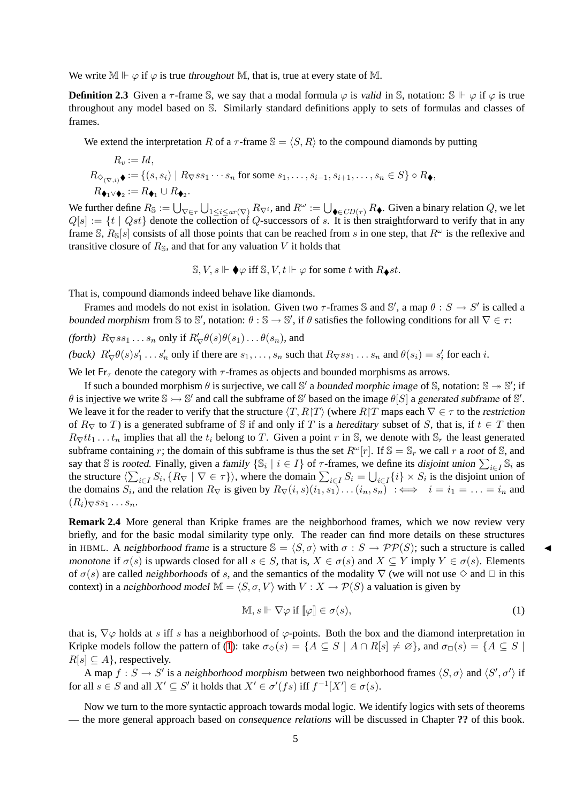We write  $M \Vdash \varphi$  if  $\varphi$  is true throughout M, that is, true at every state of M.

**Definition 2.3** Given a  $\tau$ -frame S, we say that a modal formula  $\varphi$  is valid in S, notation: S  $\Vdash \varphi$  if  $\varphi$  is true throughout any model based on S. Similarly standard definitions apply to sets of formulas and classes of frames.

We extend the interpretation R of a  $\tau$ -frame  $\mathcal{S} = \langle S, R \rangle$  to the compound diamonds by putting

$$
R_v := Id,
$$
  
\n
$$
R_{\diamondsuit(\nabla, i)} \bullet := \{ (s, s_i) \mid R_{\nabla} s s_1 \cdots s_n \text{ for some } s_1, \ldots, s_{i-1}, s_{i+1}, \ldots, s_n \in S \} \circ R_{\spadesuit},
$$
  
\n
$$
R_{\spadesuit_1 \vee \spadesuit_2} := R_{\spadesuit_1} \cup R_{\spadesuit_2}.
$$

We further define  $R_{\mathbb{S}} := \bigcup_{\nabla \in \tau} \bigcup_{1 \leq i \leq ar(\nabla)} R_{\nabla^i}$ , and  $R^{\omega} := \bigcup_{\nabla \in CD(\tau)} R_{\nabla \cdot}$ . Given a binary relation Q, we let  $Q[s] := \{t \mid Qst\}$  denote the collection of Q-successors of s. It is then straightforward to verify that in any frame S,  $R_{\mathbb{S}}[s]$  consists of all those points that can be reached from s in one step, that  $R^{\omega}$  is the reflexive and transitive closure of  $R_s$ , and that for any valuation V it holds that

 $\mathbb{S}, V, s \Vdash \blacklozenge \varphi$  iff  $\mathbb{S}, V, t \Vdash \varphi$  for some t with  $R_{\blacklozenge} st$ .

That is, compound diamonds indeed behave like diamonds.

Frames and models do not exist in isolation. Given two  $\tau$ -frames S and S', a map  $\theta : S \to S'$  is called a bounded morphism from S to S', notation:  $\theta : \mathbb{S} \to \mathbb{S}'$ , if  $\theta$  satisfies the following conditions for all  $\nabla \in \tau$ :

*(forth)* 
$$
R_{\nabla}ss_1...s_n
$$
 only if  $R'_{\nabla}\theta(s)\theta(s_1)... \theta(s_n)$ , and

(back)  $R'_{\nabla}\theta(s)s'_1$  $s_1' \ldots s_n'$  only if there are  $s_1, \ldots, s_n$  such that  $R_{\nabla} s s_1 \ldots s_n$  and  $\theta(s_i) = s_i'$  $i_i$  for each *i*.

We let Fr<sub> $\tau$ </sub> denote the category with  $\tau$ -frames as objects and bounded morphisms as arrows.

If such a bounded morphism  $\theta$  is surjective, we call S' a bounded morphic image of S, notation: S  $\rightarrow$  S'; if  $\theta$  is injective we write  $\mathbb{S} \to \mathbb{S}'$  and call the subframe of  $\mathbb{S}'$  based on the image  $\theta[S]$  a generated subframe of  $\mathbb{S}'$ . We leave it for the reader to verify that the structure  $\langle T, R \nvert T \rangle$  (where  $R \nvert T$  maps each  $\nabla \in \tau$  to the restriction of  $R_{\nabla}$  to T) is a generated subframe of S if and only if T is a hereditary subset of S, that is, if  $t \in T$  then  $R_{\nabla}tt_1 \ldots t_n$  implies that all the  $t_i$  belong to T. Given a point r in S, we denote with  $S_r$  the least generated subframe containing r; the domain of this subframe is thus the set  $R^{\omega}[r]$ . If  $\mathbb{S} = \mathbb{S}_r$  we call r a root of  $\mathbb{S}$ , and say that S is rooted. Finally, given a family  $\{\mathbb{S}_i \mid i \in I\}$  of  $\tau$ -frames, we define its disjoint union  $\sum_{i \in I} \mathbb{S}_i$  as the structure  $\langle \sum_{i\in I} S_i, \{R_{\nabla} \mid \nabla \in \tau\} \rangle$ , where the domain  $\sum_{i\in I} S_i = \bigcup_{i\in I} \{i\} \times S_i$  is the disjoint union of the domains  $S_i$ , and the relation  $R_{\nabla}$  is given by  $R_{\nabla}(i,s)(i_1,s_1)\dots(i_n,s_n)$  :  $\iff i = i_1 = \dots = i_n$  and  $(R_i)_{\nabla}$ ss<sub>1</sub>...s<sub>n</sub>.

**Remark 2.4** More general than Kripke frames are the neighborhood frames, which we now review very briefly, and for the basic modal similarity type only. The reader can find more details on these structures in HBML. A neighborhood frame is a structure  $\mathbb{S} = \langle S, \sigma \rangle$  with  $\sigma : S \to \mathcal{PP}(S)$ ; such a structure is called monotone if  $\sigma(s)$  is upwards closed for all  $s \in S$ , that is,  $X \in \sigma(s)$  and  $X \subseteq Y$  imply  $Y \in \sigma(s)$ . Elements of  $\sigma(s)$  are called neighborhoods of s, and the semantics of the modality  $\nabla$  (we will not use  $\diamond$  and  $\Box$  in this context) in a neighborhood model  $\mathbb{M} = \langle S, \sigma, V \rangle$  with  $V : X \to \mathcal{P}(S)$  a valuation is given by

<span id="page-4-0"></span>
$$
\mathbb{M}, s \Vdash \nabla \varphi \text{ if } \lVert \varphi \rVert \in \sigma(s),\tag{1}
$$

that is,  $\nabla\varphi$  holds at s iff s has a neighborhood of  $\varphi$ -points. Both the box and the diamond interpretation in Kripke models follow the pattern of ([1](#page-4-0)): take  $\sigma_{\diamond}(s) = \{A \subseteq S \mid A \cap R[s] \neq \emptyset\}$ , and  $\sigma_{\Box}(s) = \{A \subseteq S \mid A \cap R[s] \neq \emptyset\}$  $R[s] \subseteq A$ , respectively.

A map  $f : S \to S'$  is a neighborhood morphism between two neighborhood frames  $\langle S, \sigma \rangle$  and  $\langle S', \sigma' \rangle$  if for all  $s \in S$  and all  $X' \subseteq S'$  it holds that  $X' \in \sigma'(fs)$  iff  $f^{-1}[X'] \in \sigma(s)$ .

Now we turn to the more syntactic approach towards modal logic. We identify logics with sets of theorems — the more general approach based on *consequence relations* will be discussed in Chapter **??** of this book.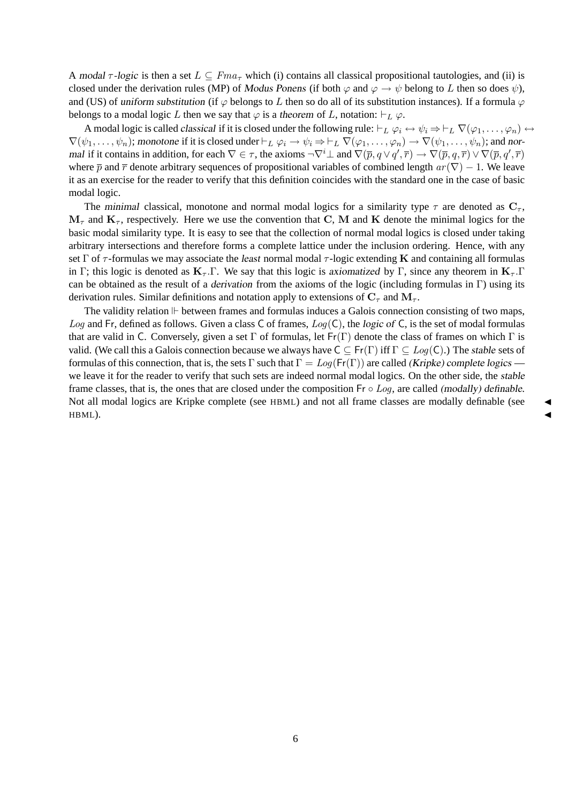A modal  $\tau$ -logic is then a set  $L \subseteq Fma_{\tau}$  which (i) contains all classical propositional tautologies, and (ii) is closed under the derivation rules (MP) of Modus Ponens (if both  $\varphi$  and  $\varphi \to \psi$  belong to L then so does  $\psi$ ), and (US) of uniform substitution (if  $\varphi$  belongs to L then so do all of its substitution instances). If a formula  $\varphi$ belongs to a modal logic L then we say that  $\varphi$  is a theorem of L, notation:  $\vdash_L \varphi$ .

A modal logic is called *classical* if it is closed under the following rule:  $\vdash_L \varphi_i \leftrightarrow \psi_i \Rightarrow \vdash_L \nabla(\varphi_1, \ldots, \varphi_n) \leftrightarrow$  $\nabla(\psi_1,\ldots,\psi_n)$ ; monotone if it is closed under  $\vdash_L \varphi_i \to \psi_i \Rightarrow \vdash_L \nabla(\varphi_1,\ldots,\varphi_n) \to \nabla(\psi_1,\ldots,\psi_n)$ ; and normal if it contains in addition, for each  $\nabla \in \tau$ , the axioms  $\nabla^i \perp$  and  $\nabla(\overline{p}, q \vee q', \overline{r}) \to \nabla(\overline{p}, q, \overline{r}) \vee \nabla(\overline{p}, q', \overline{r})$ where  $\bar{p}$  and  $\bar{r}$  denote arbitrary sequences of propositional variables of combined length  $ar(\nabla) - 1$ . We leave it as an exercise for the reader to verify that this definition coincides with the standard one in the case of basic modal logic.

The minimal classical, monotone and normal modal logics for a similarity type  $\tau$  are denoted as  $C_{\tau}$ ,  $M_{\tau}$  and  $K_{\tau}$ , respectively. Here we use the convention that C, M and K denote the minimal logics for the basic modal similarity type. It is easy to see that the collection of normal modal logics is closed under taking arbitrary intersections and therefore forms a complete lattice under the inclusion ordering. Hence, with any set Γ of  $\tau$ -formulas we may associate the least normal modal  $\tau$ -logic extending K and containing all formulas in Γ; this logic is denoted as  $K_{\tau}$ .Γ. We say that this logic is axiomatized by Γ, since any theorem in  $K_{\tau}$ .Γ can be obtained as the result of a derivation from the axioms of the logic (including formulas in Γ) using its derivation rules. Similar definitions and notation apply to extensions of  $C_\tau$  and  $M_\tau$ .

The validity relation  $\mathbb H$  between frames and formulas induces a Galois connection consisting of two maps, Log and Fr, defined as follows. Given a class C of frames,  $Log(C)$ , the logic of C, is the set of modal formulas that are valid in C. Conversely, given a set  $\Gamma$  of formulas, let  $\Gamma(\Gamma)$  denote the class of frames on which  $\Gamma$  is valid. (We call this a Galois connection because we always have  $C \subseteq Fr(\Gamma)$  iff  $\Gamma \subseteq Log(C)$ .) The stable sets of formulas of this connection, that is, the sets Γ such that  $\Gamma = Log(F(\Gamma))$  are called (Kripke) complete logics we leave it for the reader to verify that such sets are indeed normal modal logics. On the other side, the stable frame classes, that is, the ones that are closed under the composition  $Fr \circ Log$ , are called (modally) definable. Not all modal logics are Kripke complete (see HBML) and not all frame classes are modally definable (see  $H$ BML).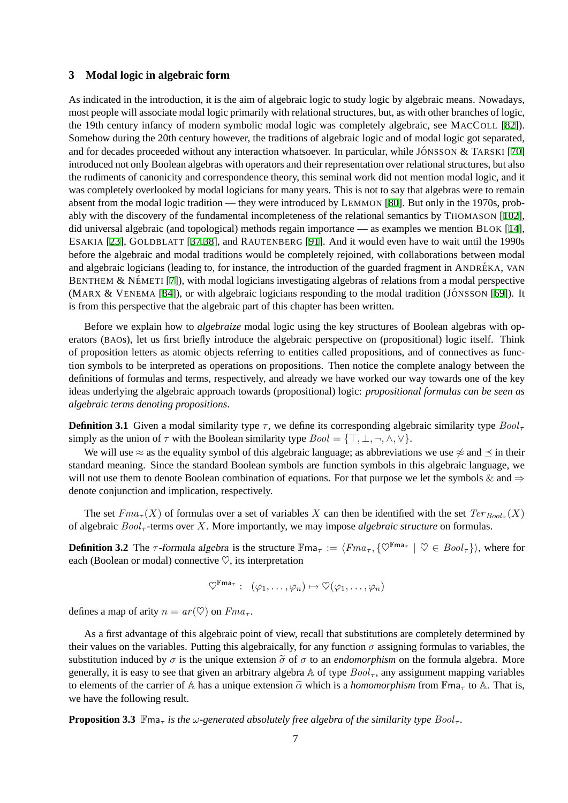### <span id="page-6-0"></span>**3 Modal logic in algebraic form**

As indicated in the introduction, it is the aim of algebraic logic to study logic by algebraic means. Nowadays, most people will associate modal logic primarily with relational structures, but, as with other branches of logic, the 19th century infancy of modern symbolic modal logic was completely algebraic, see MACCOLL [\[82](#page-84-0)]). Somehow during the 20th century however, the traditions of algebraic logic and of modal logic got separated, and for decades proceeded without any interaction whatsoever. In particular, while JÓNSSON  $&$  TARSKI [[70\]](#page-84-1) introduced not only Boolean algebras with operators and their representation over relational structures, but also the rudiments of canonicity and correspondence theory, this seminal work did not mention modal logic, and it was completely overlooked by modal logicians for many years. This is not to say that algebras were to remain absent from the modal logic tradition — they were introduced by LEMMON [\[80](#page-84-2)]. But only in the 1970s, probably with the discovery of the fundamental incompleteness of the relational semantics by THOMASON [\[102\]](#page-85-0), did universal algebraic (and topological) methods regain importance — as examples we mention BLOK [[14\]](#page-82-2), ESAKIA [\[23](#page-82-3)], GOLDBLATT [[37,](#page-83-3)[38](#page-83-4)], and RAUTENBERG [[91\]](#page-85-1). And it would even have to wait until the 1990s before the algebraic and modal traditions would be completely rejoined, with collaborations between modal and algebraic logicians (leading to, for instance, the introduction of the guarded fragment in ANDRÉKA, VAN BENTHEM & NÉMETI  $[7]$  $[7]$  $[7]$ ), with modal logicians investigating algebras of relations from a modal perspective (MARX & VENEMA  $[84]$  $[84]$ ), or with algebraic logicians responding to the modal tradition (JÓNSSON  $[69]$ ). It is from this perspective that the algebraic part of this chapter has been written.

Before we explain how to *algebraize* modal logic using the key structures of Boolean algebras with operators (BAOs), let us first briefly introduce the algebraic perspective on (propositional) logic itself. Think of proposition letters as atomic objects referring to entities called propositions, and of connectives as function symbols to be interpreted as operations on propositions. Then notice the complete analogy between the definitions of formulas and terms, respectively, and already we have worked our way towards one of the key ideas underlying the algebraic approach towards (propositional) logic: *propositional formulas can be seen as algebraic terms denoting propositions*.

**Definition 3.1** Given a modal similarity type  $\tau$ , we define its corresponding algebraic similarity type  $Bool_{\tau}$ simply as the union of  $\tau$  with the Boolean similarity type  $Bool = {\top, \bot, \neg, \wedge, \vee}.$ 

We will use  $\approx$  as the equality symbol of this algebraic language; as abbreviations we use  $\approx$  and  $\prec$  in their standard meaning. Since the standard Boolean symbols are function symbols in this algebraic language, we will not use them to denote Boolean combination of equations. For that purpose we let the symbols & and  $\Rightarrow$ denote conjunction and implication, respectively.

The set  $Fma_\tau(X)$  of formulas over a set of variables X can then be identified with the set  $Ter_{Bool_{\tau}}(X)$ of algebraic  $Bool_{\tau}$ -terms over X. More importantly, we may impose *algebraic structure* on formulas.

**Definition 3.2** The  $\tau$ -formula algebra is the structure  $\mathbb{F}$ ma<sub> $\tau$ </sub> :=  $\langle Fma_{\tau}, \{\heartsuit^{\mathbb{F}ma_{\tau}} \mid \heartsuit \in Bool_{\tau}\}\rangle$ , where for each (Boolean or modal) connective  $\heartsuit$ , its interpretation

$$
\heartsuit^{\mathbb{F}_{\mathsf{ma}_{\tau}}}:\ (\varphi_1,\ldots,\varphi_n)\mapsto \heartsuit(\varphi_1,\ldots,\varphi_n)
$$

defines a map of arity  $n = ar(\heartsuit)$  on  $Fma_\tau$ .

As a first advantage of this algebraic point of view, recall that substitutions are completely determined by their values on the variables. Putting this algebraically, for any function  $\sigma$  assigning formulas to variables, the substitution induced by  $\sigma$  is the unique extension  $\tilde{\sigma}$  of  $\sigma$  to an *endomorphism* on the formula algebra. More generally, it is easy to see that given an arbitrary algebra  $\mathbb A$  of type  $Bool_{\tau}$ , any assignment mapping variables to elements of the carrier of A has a unique extension  $\tilde{\alpha}$  which is a *homomorphism* from  $\mathbb{F}_{\text{ma}_{\tau}}$  to A. That is, we have the following result.

**Proposition 3.3**  $\mathbb{F}_{\text{ma}_{\tau}}$  *is the*  $\omega$ -generated absolutely free algebra of the similarity type  $Bool_{\tau}$ .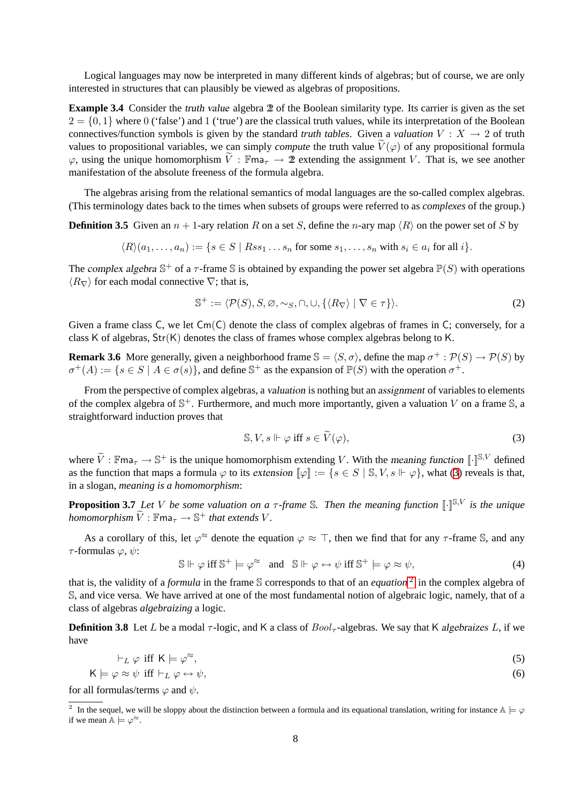Logical languages may now be interpreted in many different kinds of algebras; but of course, we are only interested in structures that can plausibly be viewed as algebras of propositions.

<span id="page-7-5"></span>**Example 3.4** Consider the truth value algebra 2 of the Boolean similarity type. Its carrier is given as the set  $2 = \{0, 1\}$  where 0 ('false') and 1 ('true') are the classical truth values, while its interpretation of the Boolean connectives/function symbols is given by the standard *truth tables*. Given a *valuation*  $V : X \rightarrow 2$  of truth values to propositional variables, we can simply *compute* the truth value  $\tilde{V}(\varphi)$  of any propositional formula  $\varphi$ , using the unique homomorphism  $\tilde{V}$ : Fma<sub> $\tau \to 2$ </sub> extending the assignment V. That is, we see another manifestation of the absolute freeness of the formula algebra.

The algebras arising from the relational semantics of modal languages are the so-called complex algebras. (This terminology dates back to the times when subsets of groups were referred to as *complexes* of the group.)

<span id="page-7-6"></span>**Definition 3.5** Given an  $n + 1$ -ary relation R on a set S, define the n-ary map  $\langle R \rangle$  on the power set of S by

 $\langle R \rangle (a_1, \ldots, a_n) := \{ s \in S \mid Rss_1 \ldots s_n \text{ for some } s_1, \ldots, s_n \text{ with } s_i \in a_i \text{ for all } i \}.$ 

The complex algebra  $\mathbb{S}^+$  of a  $\tau$ -frame  $\mathbb S$  is obtained by expanding the power set algebra  $\mathbb P(S)$  with operations  $\langle R_{\nabla} \rangle$  for each modal connective  $\nabla$ ; that is,

$$
\mathbb{S}^+ := \langle \mathcal{P}(S), S, \varnothing, \sim_S, \cap, \cup, \{ \langle R_{\nabla} \rangle \mid \nabla \in \tau \} \rangle.
$$
 (2)

Given a frame class C, we let  $Cm(C)$  denote the class of complex algebras of frames in C; conversely, for a class K of algebras,  $Str(K)$  denotes the class of frames whose complex algebras belong to K.

<span id="page-7-4"></span>**Remark 3.6** More generally, given a neighborhood frame  $\mathbb{S} = \langle S, \sigma \rangle$ , define the map  $\sigma^+ : \mathcal{P}(S) \to \mathcal{P}(S)$  by  $\sigma^+(A) := \{ s \in S \mid A \in \sigma(s) \},\$ and define  $\mathbb{S}^+$  as the expansion of  $\mathbb{P}(S)$  with the operation  $\sigma^+$ .

From the perspective of complex algebras, a valuation is nothing but an assignment of variables to elements of the complex algebra of  $\mathbb{S}^+$ . Furthermore, and much more importantly, given a valuation V on a frame  $\mathbb{S}$ , a straightforward induction proves that

<span id="page-7-0"></span>
$$
\mathbb{S}, V, s \Vdash \varphi \text{ iff } s \in \widetilde{V}(\varphi), \tag{3}
$$

where  $\widetilde{V}: \mathbb{F}m\mathsf{a}_{\tau} \to \mathbb{S}^+$  is the unique homomorphism extending V. With the meaning function  $[\![\cdot]\!]^{\mathbb{S},V}$  defined as the function that maps a formula  $\varphi$  to its extension  $[\varphi] := \{s \in S \mid \mathbb{S}, V, s \Vdash \varphi\}$ , what [\(3\)](#page-7-0) reveals is that, in a slogan, *meaning is a homomorphism*:

**Proposition 3.7** Let V be some valuation on a  $\tau$ -frame S. Then the meaning function  $\lbrack \cdot \rbrack^{\mathbb{S},V}$  is the unique *homomorphism*  $\widetilde{V}$  :  $\mathbb{F}$ ma<sub> $\tau$ </sub>  $\rightarrow$   $\mathbb{S}^+$  *that extends* V.

As a corollary of this, let  $\varphi^{\approx}$  denote the equation  $\varphi \approx \top$ , then we find that for any  $\tau$ -frame S, and any  $\tau$ -formulas  $\varphi, \psi$ :

<span id="page-7-3"></span>
$$
\mathbb{S} \Vdash \varphi \text{ iff } \mathbb{S}^+ \models \varphi^{\approx} \text{ and } \mathbb{S} \Vdash \varphi \leftrightarrow \psi \text{ iff } \mathbb{S}^+ \models \varphi \approx \psi,
$$
 (4)

that is, the validity of a *formula* in the frame S corresponds to that of an *equation* [2](#page-7-1) in the complex algebra of S, and vice versa. We have arrived at one of the most fundamental notion of algebraic logic, namely, that of a class of algebras *algebraizing* a logic.

<span id="page-7-2"></span>**Definition 3.8** Let L be a modal  $\tau$ -logic, and K a class of  $Bool_{\tau}$ -algebras. We say that K algebraizes L, if we have

$$
\vdash_L \varphi \text{ iff } \mathsf{K} \models \varphi^{\approx}, \tag{5}
$$

$$
K \models \varphi \approx \psi \text{ iff } \vdash_L \varphi \leftrightarrow \psi,\tag{6}
$$

for all formulas/terms  $\varphi$  and  $\psi$ .

<span id="page-7-1"></span><sup>&</sup>lt;sup>2</sup> In the sequel, we will be sloppy about the distinction between a formula and its equational translation, writing for instance  $A \models \varphi$ if we mean  $\mathbb{A} \models \varphi^{\approx}$ .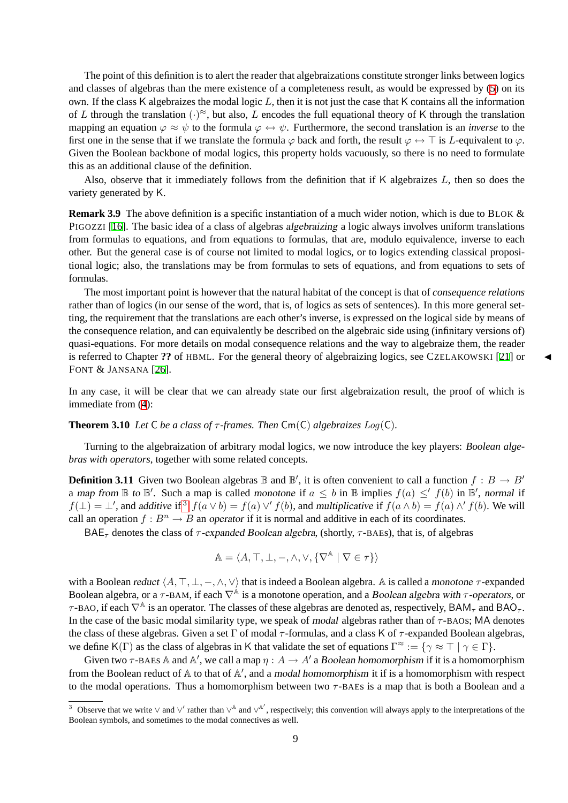The point of this definition is to alert the reader that algebraizations constitute stronger links between logics and classes of algebras than the mere existence of a completeness result, as would be expressed by ([5](#page-7-2)) on its own. If the class K algebraizes the modal logic  $L$ , then it is not just the case that K contains all the information of L through the translation  $(\cdot)^\approx$ , but also, L encodes the full equational theory of K through the translation mapping an equation  $\varphi \approx \psi$  to the formula  $\varphi \leftrightarrow \psi$ . Furthermore, the second translation is an *inverse* to the first one in the sense that if we translate the formula  $\varphi$  back and forth, the result  $\varphi \leftrightarrow \top$  is L-equivalent to  $\varphi$ . Given the Boolean backbone of modal logics, this property holds vacuously, so there is no need to formulate this as an additional clause of the definition.

Also, observe that it immediately follows from the definition that if K algebraizes L, then so does the variety generated by K.

**Remark 3.9** The above definition is a specific instantiation of a much wider notion, which is due to BLOK & PIGOZZI [\[16](#page-82-5)]. The basic idea of a class of algebras algebraizing a logic always involves uniform translations from formulas to equations, and from equations to formulas, that are, modulo equivalence, inverse to each other. But the general case is of course not limited to modal logics, or to logics extending classical propositional logic; also, the translations may be from formulas to sets of equations, and from equations to sets of formulas.

The most important point is however that the natural habitat of the concept is that of *consequence relations* rather than of logics (in our sense of the word, that is, of logics as sets of sentences). In this more general setting, the requirement that the translations are each other's inverse, is expressed on the logical side by means of the consequence relation, and can equivalently be described on the algebraic side using (infinitary versions of) quasi-equations. For more details on modal consequence relations and the way to algebraize them, the reader is referred to Chapter **??** of HBML. For the general theory of algebraizing logics, see CZELAKOWSKI [[21](#page-82-6)] or FONT & JANSANA [\[26](#page-82-7)].

In any case, it will be clear that we can already state our first algebraization result, the proof of which is immediate from [\(4\)](#page-7-3):

### **Theorem 3.10** *Let* C *be a class of* τ *-frames. Then* Cm(C) *algebraizes* Log(C)*.*

Turning to the algebraization of arbitrary modal logics, we now introduce the key players: *Boolean algebras with operators*, together with some related concepts.

<span id="page-8-1"></span>**Definition 3.11** Given two Boolean algebras  $\mathbb{B}$  and  $\mathbb{B}'$ , it is often convenient to call a function  $f : B \to B'$ a map from  $\mathbb B$  to  $\mathbb B'$ . Such a map is called monotone if  $a \leq b$  in  $\mathbb B$  implies  $f(a) \leq f(b)$  in  $\mathbb B'$ , normal if  $f(\perp) = \perp'$ , and additive if  $3 f(a \vee b) = f(a) \vee' f(b)$  $3 f(a \vee b) = f(a) \vee' f(b)$ , and multiplicative if  $f(a \wedge b) = f(a) \wedge' f(b)$ . We will call an operation  $f : B^n \to B$  an operator if it is normal and additive in each of its coordinates.

BAE<sub> $\tau$ </sub> denotes the class of  $\tau$ -expanded Boolean algebra, (shortly,  $\tau$ -BAEs), that is, of algebras

$$
\mathbb{A} = \langle A, \top, \bot, -, \wedge, \vee, \{ \nabla^{\mathbb{A}} \mid \nabla \in \tau \} \rangle
$$

with a Boolean reduct  $\langle A, \top, \bot, -, \wedge, \vee \rangle$  that is indeed a Boolean algebra. A is called a monotone  $\tau$ -expanded Boolean algebra, or a  $\tau$ -BAM, if each  $\nabla^{\mathbb{A}}$  is a monotone operation, and a Boolean algebra with  $\tau$ -operators, or  $\tau$ -BAO, if each  $\nabla^{\mathbb{A}}$  is an operator. The classes of these algebras are denoted as, respectively, BAM<sub> $\tau$ </sub> and BAO<sub> $\tau$ </sub>. In the case of the basic modal similarity type, we speak of modal algebras rather than of  $\tau$ -BAOs; MA denotes the class of these algebras. Given a set Γ of modal  $\tau$ -formulas, and a class K of  $\tau$ -expanded Boolean algebras, we define K(Γ) as the class of algebras in K that validate the set of equations  $\Gamma^{\approx} := \{ \gamma \approx \top \mid \gamma \in \Gamma \}.$ 

Given two  $\tau$ -BAEs A and A', we call a map  $\eta : A \to A'$  a Boolean homomorphism if it is a homomorphism from the Boolean reduct of  $A$  to that of  $A'$ , and a modal homomorphism it if is a homomorphism with respect to the modal operations. Thus a homomorphism between two  $\tau$ -BAEs is a map that is both a Boolean and a

<span id="page-8-0"></span><sup>&</sup>lt;sup>3</sup> Observe that we write  $\vee$  and  $\vee'$  rather than  $\vee^{\mathbb{A}}$  and  $\vee^{\mathbb{A}'}$ , respectively; this convention will always apply to the interpretations of the Boolean symbols, and sometimes to the modal connectives as well.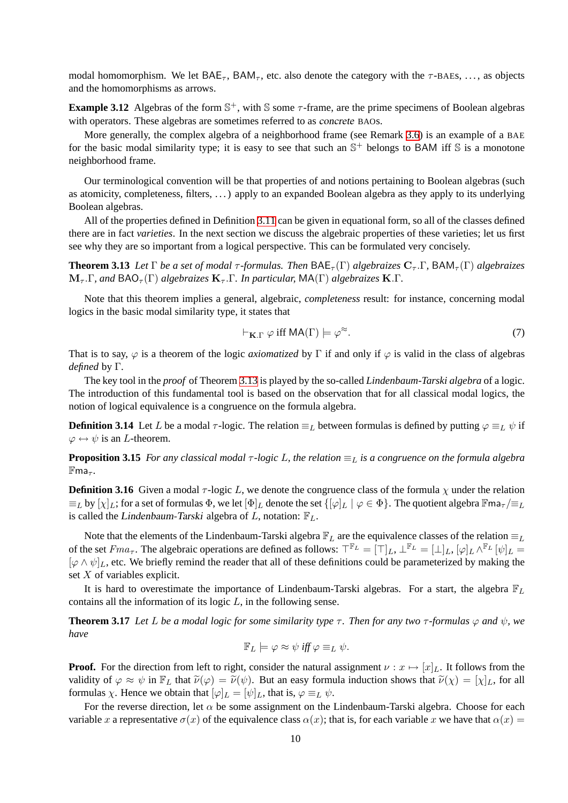modal homomorphism. We let  $BAE_{\tau}$ ,  $BAM_{\tau}$ , etc. also denote the category with the  $\tau$ -BAEs, ..., as objects and the homomorphisms as arrows.

**Example 3.12** Algebras of the form  $\mathbb{S}^+$ , with  $\mathbb{S}$  some  $\tau$ -frame, are the prime specimens of Boolean algebras with operators. These algebras are sometimes referred to as concrete BAOs.

More generally, the complex algebra of a neighborhood frame (see Remark [3.6\)](#page-7-4) is an example of a BAE for the basic modal similarity type; it is easy to see that such an  $\mathbb{S}^+$  belongs to BAM iff  $\mathbb S$  is a monotone neighborhood frame.

Our terminological convention will be that properties of and notions pertaining to Boolean algebras (such as atomicity, completeness, filters, . . . ) apply to an expanded Boolean algebra as they apply to its underlying Boolean algebras.

All of the properties defined in Definition [3.11](#page-8-1) can be given in equational form, so all of the classes defined there are in fact *varieties*. In the next section we discuss the algebraic properties of these varieties; let us first see why they are so important from a logical perspective. This can be formulated very concisely.

<span id="page-9-0"></span>**Theorem 3.13** *Let*  $\Gamma$  *be a set of modal*  $\tau$ -formulas. Then  $BAE_{\tau}(\Gamma)$  algebraizes  $C_{\tau}.\Gamma$ ,  $BAM_{\tau}(\Gamma)$  algebraizes M<sup>τ</sup> .Γ*, and* BAO<sup>τ</sup> (Γ) *algebraizes* K<sup>τ</sup> .Γ*. In particular,* MA(Γ) *algebraizes* K.Γ*.*

Note that this theorem implies a general, algebraic, *completeness* result: for instance, concerning modal logics in the basic modal similarity type, it states that

$$
\vdash_{\mathbf{K},\Gamma} \varphi \text{ iff } \mathsf{MA}(\Gamma) \models \varphi^{\approx}.\tag{7}
$$

That is to say,  $\varphi$  is a theorem of the logic *axiomatized* by Γ if and only if  $\varphi$  is valid in the class of algebras *defined* by Γ.

The key tool in the *proof* of Theorem [3.13](#page-9-0) is played by the so-called *Lindenbaum-Tarski algebra* of a logic. The introduction of this fundamental tool is based on the observation that for all classical modal logics, the notion of logical equivalence is a congruence on the formula algebra.

**Definition 3.14** Let L be a modal  $\tau$ -logic. The relation  $\equiv_L$  between formulas is defined by putting  $\varphi \equiv_L \psi$  if  $\varphi \leftrightarrow \psi$  is an *L*-theorem.

**Proposition 3.15** *For any classical modal*  $\tau$ -logic L, the relation  $\equiv_L$  *is a congruence on the formula algebra*  $\mathbb{F}_{\text{ma}_{\tau}}$ .

**Definition 3.16** Given a modal  $\tau$ -logic L, we denote the congruence class of the formula  $\chi$  under the relation  $\equiv_L$  by  $[\chi]_L$ ; for a set of formulas  $\Phi$ , we let  $[\Phi]_L$  denote the set  $\{[\varphi]_L | \varphi \in \Phi\}$ . The quotient algebra  $\mathbb{F}_{\mathsf{ma}_\tau}/\equiv_L$ is called the Lindenbaum-Tarski algebra of L, notation:  $\mathbb{F}_L$ .

Note that the elements of the Lindenbaum-Tarski algebra  $\mathbb{F}_L$  are the equivalence classes of the relation  $\equiv_L$ of the set  $Fma_\tau$ . The algebraic operations are defined as follows:  $\top^{\mathbb{F}_L} = [\top]_L$ ,  $\bot^{\mathbb{F}_L} = [\bot]_L$ ,  $[\varphi]_L \wedge^{\mathbb{F}_L} [\psi]_L =$  $[\varphi \wedge \psi]_L$ , etc. We briefly remind the reader that all of these definitions could be parameterized by making the set  $X$  of variables explicit.

It is hard to overestimate the importance of Lindenbaum-Tarski algebras. For a start, the algebra  $\mathbb{F}_L$ contains all the information of its logic  $L$ , in the following sense.

<span id="page-9-1"></span>**Theorem 3.17** Let L be a modal logic for some similarity type  $\tau$ . Then for any two  $\tau$ -formulas  $\varphi$  and  $\psi$ , we *have*

$$
\mathbb{F}_L \models \varphi \approx \psi \text{ iff } \varphi \equiv_L \psi.
$$

**Proof.** For the direction from left to right, consider the natural assignment  $\nu : x \mapsto [x]_L$ . It follows from the validity of  $\varphi \approx \psi$  in  $\mathbb{F}_L$  that  $\tilde{\nu}(\varphi) = \tilde{\nu}(\psi)$ . But an easy formula induction shows that  $\tilde{\nu}(\chi) = [\chi]_L$ , for all formulas  $\chi$ . Hence we obtain that  $[\varphi]_L = [\psi]_L$ , that is,  $\varphi \equiv_L \psi$ .

For the reverse direction, let  $\alpha$  be some assignment on the Lindenbaum-Tarski algebra. Choose for each variable x a representative  $\sigma(x)$  of the equivalence class  $\alpha(x)$ ; that is, for each variable x we have that  $\alpha(x)$  =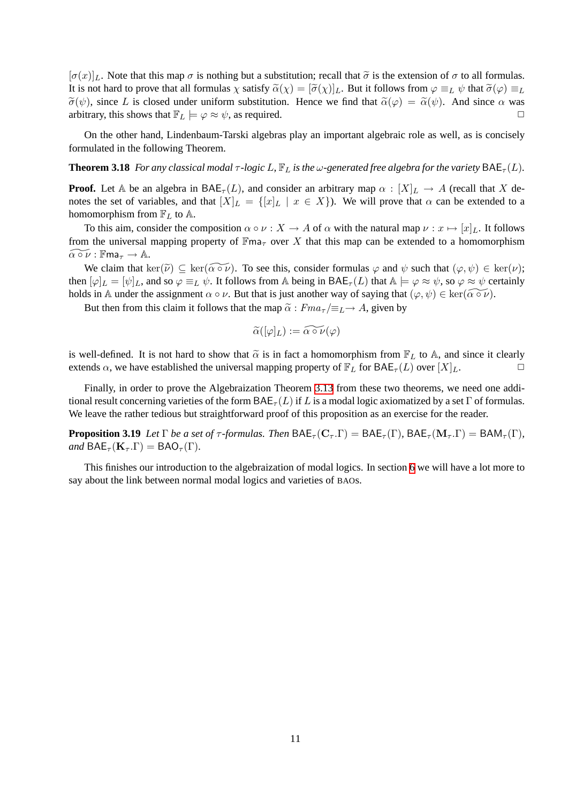$[\sigma(x)]_L$ . Note that this map  $\sigma$  is nothing but a substitution; recall that  $\tilde{\sigma}$  is the extension of  $\sigma$  to all formulas. It is not hard to prove that all formulas  $\chi$  satisfy  $\tilde{\alpha}(\chi) = [\tilde{\sigma}(\chi)]_L$ . But it follows from  $\varphi \equiv_L \psi$  that  $\tilde{\sigma}(\varphi) \equiv_L$  $\tilde{\sigma}(\psi)$ , since L is closed under uniform substitution. Hence we find that  $\tilde{\alpha}(\varphi) = \tilde{\alpha}(\psi)$ . And since  $\alpha$  was arbitrary, this shows that  $\mathbb{F}_L \models \varphi \approx \psi$ , as required. arbitrary, this shows that  $\mathbb{F}_L \models \varphi \approx \psi$ , as required.

On the other hand, Lindenbaum-Tarski algebras play an important algebraic role as well, as is concisely formulated in the following Theorem.

<span id="page-10-0"></span>**Theorem 3.18** *For any classical modal*  $\tau$ -logic L,  $\mathbb{F}_L$  *is the*  $\omega$ -generated free algebra for the variety  $BAE_{\tau}(L)$ *.* 

**Proof.** Let A be an algebra in  $\text{BAE}_{\tau}(L)$ , and consider an arbitrary map  $\alpha : [X]_L \to A$  (recall that X denotes the set of variables, and that  $[X]_L = \{ [x]_L | x \in X \}$ . We will prove that  $\alpha$  can be extended to a homomorphism from  $\mathbb{F}_L$  to  $\mathbb{A}$ .

To this aim, consider the composition  $\alpha \circ \nu : X \to A$  of  $\alpha$  with the natural map  $\nu : x \mapsto [x]_L$ . It follows from the universal mapping property of  $\mathbb{F}_{\text{ma}_{\tau}}$  over X that this map can be extended to a homomorphism  $\widetilde{\alpha \circ \nu} : \mathbb{F}$ ma $\tau \to \mathbb{A}$ .

We claim that ker( $\widetilde{\nu}$ ) ⊆ ker( $\widetilde{\alpha \circ \nu}$ ). To see this, consider formulas  $\varphi$  and  $\psi$  such that  $(\varphi, \psi) \in \ker(\nu)$ ; then  $[\varphi]_L = [\psi]_L$ , and so  $\varphi \equiv_L \psi$ . It follows from A being in BAE<sub> $\tau$ </sub>(L) that  $A \models \varphi \approx \psi$ , so  $\varphi \approx \psi$  certainly holds in A under the assignment  $\alpha \circ \nu$ . But that is just another way of saying that  $(\varphi, \psi) \in \text{ker}(\widetilde{\alpha \circ \nu})$ .

But then from this claim it follows that the map  $\tilde{\alpha}$ :  $Fma_\tau/\equiv_L \rightarrow A$ , given by

$$
\widetilde{\alpha}([\varphi]_L) := \widetilde{\alpha \circ \nu}(\varphi)
$$

is well-defined. It is not hard to show that  $\tilde{\alpha}$  is in fact a homomorphism from  $\mathbb{F}_L$  to A, and since it clearly extends  $\alpha$  we have established the universal manning property of  $\mathbb{F}_L$  for BAF<sub>-</sub>(L) over [X] extends  $\alpha$ , we have established the universal mapping property of  $\mathbb{F}_L$  for  $\mathsf{BAE}_{\tau}(L)$  over  $[X]_L$ .

Finally, in order to prove the Algebraization Theorem [3.13](#page-9-0) from these two theorems, we need one additional result concerning varieties of the form  $BAE_{\tau}(L)$  if L is a modal logic axiomatized by a set Γ of formulas. We leave the rather tedious but straightforward proof of this proposition as an exercise for the reader.

**Proposition 3.19** *Let*  $\Gamma$  *be a set of*  $\tau$ *-formulas. Then*  $BAE_{\tau}(C_{\tau}.\Gamma) = BAE_{\tau}(T)$ *,*  $BAE_{\tau}(M_{\tau}.\Gamma) = BAM_{\tau}(T)$ *, and*  $\mathsf{BAE}_{\tau}(\mathbf{K}_{\tau}.\Gamma) = \mathsf{BAO}_{\tau}(\Gamma)$ .

This finishes our introduction to the algebraization of modal logics. In section [6](#page-27-0) we will have a lot more to say about the link between normal modal logics and varieties of BAOs.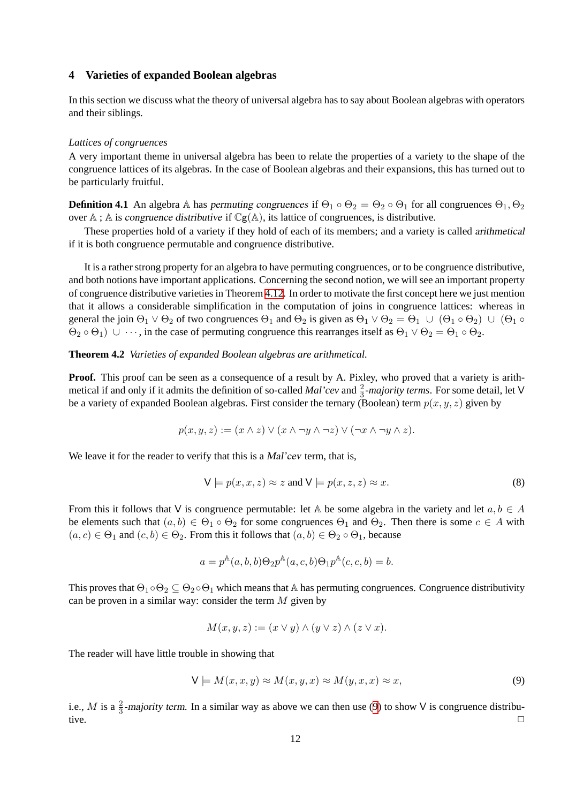# <span id="page-11-0"></span>**4 Varieties of expanded Boolean algebras**

In this section we discuss what the theory of universal algebra has to say about Boolean algebras with operators and their siblings.

### *Lattices of congruences*

A very important theme in universal algebra has been to relate the properties of a variety to the shape of the congruence lattices of its algebras. In the case of Boolean algebras and their expansions, this has turned out to be particularly fruitful.

**Definition 4.1** An algebra A has permuting congruences if  $\Theta_1 \circ \Theta_2 = \Theta_2 \circ \Theta_1$  for all congruences  $\Theta_1, \Theta_2$ over  $A$ ;  $A$  is congruence distributive if  $Cg(A)$ , its lattice of congruences, is distributive.

These properties hold of a variety if they hold of each of its members; and a variety is called arithmetical if it is both congruence permutable and congruence distributive.

It is a rather strong property for an algebra to have permuting congruences, or to be congruence distributive, and both notions have important applications. Concerning the second notion, we will see an important property of congruence distributive varieties in Theorem [4.12](#page-13-0). In order to motivate the first concept here we just mention that it allows a considerable simplification in the computation of joins in congruence lattices: whereas in general the join  $\Theta_1 \vee \Theta_2$  of two congruences  $\Theta_1$  and  $\Theta_2$  is given as  $\Theta_1 \vee \Theta_2 = \Theta_1 \cup (\Theta_1 \circ \Theta_2) \cup (\Theta_1 \circ \Theta_2)$  $\Theta_2 \circ \Theta_1$ )  $\cup \cdots$ , in the case of permuting congruence this rearranges itself as  $\Theta_1 \vee \Theta_2 = \Theta_1 \circ \Theta_2$ .

# **Theorem 4.2** *Varieties of expanded Boolean algebras are arithmetical.*

**Proof.** This proof can be seen as a consequence of a result by A. Pixley, who proved that a variety is arithmetical if and only if it admits the definition of so-called *Mal'cev* and  $\frac{2}{3}$ -majority terms. For some detail, let V be a variety of expanded Boolean algebras. First consider the ternary (Boolean) term  $p(x, y, z)$  given by

$$
p(x, y, z) := (x \wedge z) \vee (x \wedge \neg y \wedge \neg z) \vee (\neg x \wedge \neg y \wedge z).
$$

We leave it for the reader to verify that this is a Mal'cev term, that is,

$$
\mathsf{V} \models p(x, x, z) \approx z \text{ and } \mathsf{V} \models p(x, z, z) \approx x. \tag{8}
$$

From this it follows that V is congruence permutable: let A be some algebra in the variety and let  $a, b \in A$ be elements such that  $(a, b) \in \Theta_1 \circ \Theta_2$  for some congruences  $\Theta_1$  and  $\Theta_2$ . Then there is some  $c \in A$  with  $(a, c) \in \Theta_1$  and  $(c, b) \in \Theta_2$ . From this it follows that  $(a, b) \in \Theta_2 \circ \Theta_1$ , because

$$
a = p^{\mathbb{A}}(a,b,b)\Theta_2 p^{\mathbb{A}}(a,c,b)\Theta_1 p^{\mathbb{A}}(c,c,b) = b.
$$

This proves that  $\Theta_1 \circ \Theta_2 \subseteq \Theta_2 \circ \Theta_1$  which means that A has permuting congruences. Congruence distributivity can be proven in a similar way: consider the term  $M$  given by

<span id="page-11-1"></span>
$$
M(x, y, z) := (x \vee y) \wedge (y \vee z) \wedge (z \vee x).
$$

The reader will have little trouble in showing that

$$
\mathsf{V} \models M(x, x, y) \approx M(x, y, x) \approx M(y, x, x) \approx x,\tag{9}
$$

i.e., M is a  $\frac{2}{3}$ -majority term. In a similar way as above we can then use ([9](#page-11-1)) to show V is congruence distributive.  $\Box$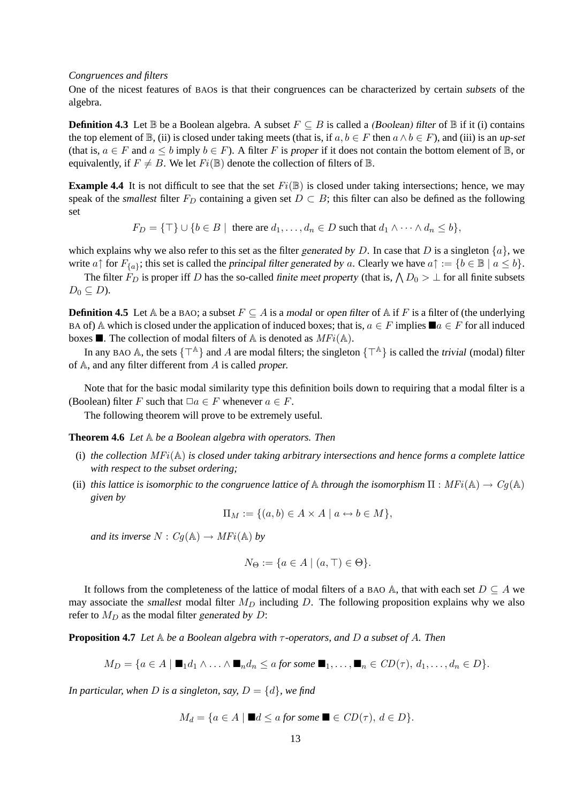### *Congruences and filters*

One of the nicest features of BAOs is that their congruences can be characterized by certain *subsets* of the algebra.

**Definition 4.3** Let  $\mathbb{B}$  be a Boolean algebra. A subset  $F \subseteq B$  is called a *(Boolean) filter of*  $\mathbb{B}$  if it (i) contains the top element of  $\mathbb{B}$ , (ii) is closed under taking meets (that is, if  $a, b \in F$  then  $a \land b \in F$ ), and (iii) is an up-set (that is,  $a \in F$  and  $a \leq b$  imply  $b \in F$ ). A filter F is proper if it does not contain the bottom element of  $\mathbb{B}$ , or equivalently, if  $F \neq B$ . We let  $Fi(\mathbb{B})$  denote the collection of filters of  $\mathbb{B}$ .

<span id="page-12-2"></span>**Example 4.4** It is not difficult to see that the set  $Fi(\mathbb{B})$  is closed under taking intersections; hence, we may speak of the *smallest* filter  $F_D$  containing a given set  $D \subset B$ ; this filter can also be defined as the following set

 $F_D = \{\top\} \cup \{b \in B \mid \text{ there are } d_1, \ldots, d_n \in D \text{ such that } d_1 \wedge \cdots \wedge d_n \leq b\},\$ 

which explains why we also refer to this set as the filter generated by D. In case that D is a singleton  $\{a\}$ , we write  $a \uparrow$  for  $F_{\{a\}}$ ; this set is called the principal filter generated by a. Clearly we have  $a \uparrow := \{b \in \mathbb{B} \mid a \leq b\}.$ 

The filter  $F_D$  is proper iff D has the so-called finite meet property (that is,  $\Lambda D_0 > \bot$  for all finite subsets  $D_0 \subseteq D$ ).

**Definition 4.5** Let A be a BAO; a subset  $F \subseteq A$  is a modal or open filter of A if F is a filter of (the underlying BA of) A which is closed under the application of induced boxes; that is,  $a \in F$  implies  $\blacksquare a \in F$  for all induced boxes  $\blacksquare$ . The collection of modal filters of  $\mathbb A$  is denoted as  $MFi(\mathbb A)$ .

In any BAO A, the sets  $\{\top^A\}$  and A are modal filters; the singleton  $\{\top^A\}$  is called the trivial (modal) filter of A, and any filter different from A is called proper.

Note that for the basic modal similarity type this definition boils down to requiring that a modal filter is a (Boolean) filter F such that  $\Box a \in F$  whenever  $a \in F$ .

The following theorem will prove to be extremely useful.

<span id="page-12-0"></span>**Theorem 4.6** *Let* A *be a Boolean algebra with operators. Then*

- (i) *the collection* MFi(A) *is closed under taking arbitrary intersections and hence forms a complete lattice with respect to the subset ordering;*
- (ii) *this lattice is isomorphic to the congruence lattice of* A *through the isomorphism*  $\Pi : MFi(\mathbb{A}) \to Cg(\mathbb{A})$ *given by*

$$
\Pi_M := \{ (a, b) \in A \times A \mid a \leftrightarrow b \in M \},\
$$

*and its inverse*  $N: Cg(\mathbb{A}) \to MFi(\mathbb{A})$  *by* 

$$
N_{\Theta} := \{ a \in A \mid (a, \top) \in \Theta \}.
$$

It follows from the completeness of the lattice of modal filters of a BAO A, that with each set  $D \subseteq A$  we may associate the smallest modal filter  $M_D$  including D. The following proposition explains why we also refer to  $M_D$  as the modal filter generated by  $D$ :

<span id="page-12-1"></span>**Proposition 4.7** *Let* A *be a Boolean algebra with* τ *-operators, and* D *a subset of* A*. Then*

$$
M_D = \{a \in A \mid \blacksquare_1 d_1 \wedge \ldots \wedge \blacksquare_n d_n \leq a \text{ for some } \blacksquare_1, \ldots, \blacksquare_n \in CD(\tau), d_1, \ldots, d_n \in D\}.
$$

*In particular, when D is a singleton, say,*  $D = \{d\}$ *, we find* 

 $M_d = \{a \in A \mid \blacksquare d \le a \text{ for some } \blacksquare \in CD(\tau), d \in D\}.$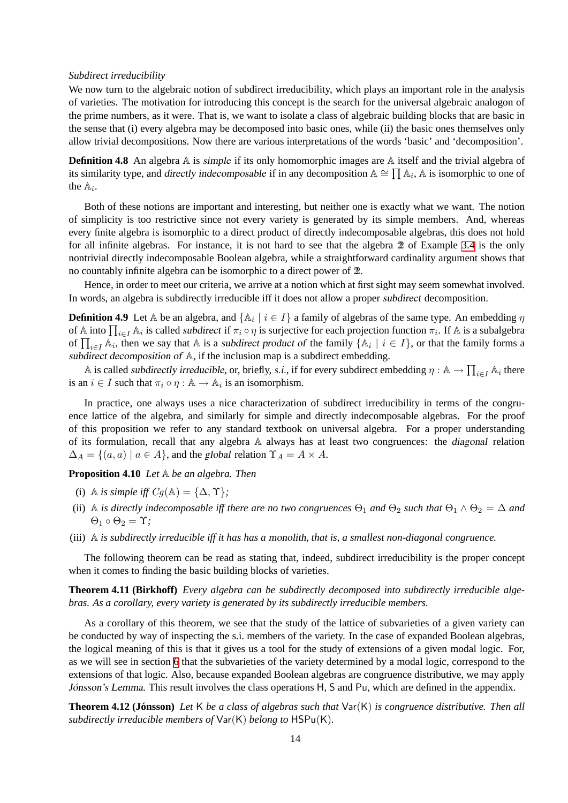### *Subdirect irreducibility*

We now turn to the algebraic notion of subdirect irreducibility, which plays an important role in the analysis of varieties. The motivation for introducing this concept is the search for the universal algebraic analogon of the prime numbers, as it were. That is, we want to isolate a class of algebraic building blocks that are basic in the sense that (i) every algebra may be decomposed into basic ones, while (ii) the basic ones themselves only allow trivial decompositions. Now there are various interpretations of the words 'basic' and 'decomposition'.

**Definition 4.8** An algebra  $\mathbb A$  is simple if its only homomorphic images are  $\mathbb A$  itself and the trivial algebra of its similarity type, and directly indecomposable if in any decomposition  $A \cong \prod A_i$ , A is isomorphic to one of the  $\mathbb{A}_i$ .

Both of these notions are important and interesting, but neither one is exactly what we want. The notion of simplicity is too restrictive since not every variety is generated by its simple members. And, whereas every finite algebra is isomorphic to a direct product of directly indecomposable algebras, this does not hold for all infinite algebras. For instance, it is not hard to see that the algebra 22 of Example [3.4](#page-7-5) is the only nontrivial directly indecomposable Boolean algebra, while a straightforward cardinality argument shows that no countably infinite algebra can be isomorphic to a direct power of 22.

Hence, in order to meet our criteria, we arrive at a notion which at first sight may seem somewhat involved. In words, an algebra is subdirectly irreducible iff it does not allow a proper subdirect decomposition.

**Definition 4.9** Let A be an algebra, and  $\{A_i \mid i \in I\}$  a family of algebras of the same type. An embedding  $\eta$ of A into  $\prod_{i\in I} A_i$  is called subdirect if  $\pi_i \circ \eta$  is surjective for each projection function  $\pi_i$ . If A is a subalgebra of  $\prod_{i\in I}\mathbb{A}_i$ , then we say that  $\mathbb{A}$  is a subdirect product of the family  $\{\mathbb{A}_i \mid i \in I\}$ , or that the family forms a subdirect decomposition of  $A$ , if the inclusion map is a subdirect embedding.

A is called subdirectly irreducible, or, briefly, s.i., if for every subdirect embedding  $\eta : A \to \prod_{i \in I} A_i$  there is an  $i \in I$  such that  $\pi_i \circ \eta : \mathbb{A} \to \mathbb{A}_i$  is an isomorphism.

In practice, one always uses a nice characterization of subdirect irreducibility in terms of the congruence lattice of the algebra, and similarly for simple and directly indecomposable algebras. For the proof of this proposition we refer to any standard textbook on universal algebra. For a proper understanding of its formulation, recall that any algebra A always has at least two congruences: the diagonal relation  $\Delta_A = \{(a, a) \mid a \in A\}$ , and the global relation  $\Upsilon_A = A \times A$ .

**Proposition 4.10** *Let* A *be an algebra. Then*

- (i) A *is simple iff*  $Cg(\mathbb{A}) = {\Delta, \Upsilon};$
- (ii) A *is directly indecomposable iff there are no two congruences*  $\Theta_1$  *and*  $\Theta_2$  *such that*  $\Theta_1 \wedge \Theta_2 = \Delta$  *and*  $\Theta_1 \circ \Theta_2 = \Upsilon$ ;
- (iii) A *is subdirectly irreducible iff it has has a* monolith*, that is, a smallest non-diagonal congruence.*

The following theorem can be read as stating that, indeed, subdirect irreducibility is the proper concept when it comes to finding the basic building blocks of varieties.

**Theorem 4.11 (Birkhoff)** *Every algebra can be subdirectly decomposed into subdirectly irreducible algebras. As a corollary, every variety is generated by its subdirectly irreducible members.*

As a corollary of this theorem, we see that the study of the lattice of subvarieties of a given variety can be conducted by way of inspecting the s.i. members of the variety. In the case of expanded Boolean algebras, the logical meaning of this is that it gives us a tool for the study of extensions of a given modal logic. For, as we will see in section [6](#page-27-0) that the subvarieties of the variety determined by a modal logic, correspond to the extensions of that logic. Also, because expanded Boolean algebras are congruence distributive, we may apply Jónsson's Lemma. This result involves the class operations H, S and Pu, which are defined in the appendix.

<span id="page-13-0"></span>**Theorem 4.12 (Jonsson) ´** *Let* K *be a class of algebras such that* Var(K) *is congruence distributive. Then all subdirectly irreducible members of* Var(K) *belong to* HSPu(K)*.*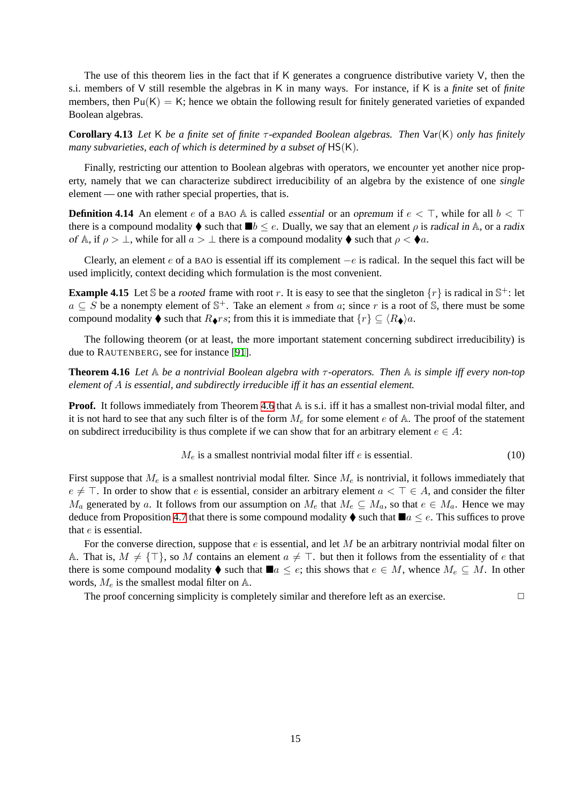The use of this theorem lies in the fact that if  $K$  generates a congruence distributive variety  $V$ , then the s.i. members of V still resemble the algebras in K in many ways. For instance, if K is a *finite* set of *finite* members, then  $Pu(K) = K$ ; hence we obtain the following result for finitely generated varieties of expanded Boolean algebras.

**Corollary 4.13** *Let* K *be a finite set of finite* τ *-expanded Boolean algebras. Then* Var(K) *only has finitely many subvarieties, each of which is determined by a subset of* HS(K)*.*

Finally, restricting our attention to Boolean algebras with operators, we encounter yet another nice property, namely that we can characterize subdirect irreducibility of an algebra by the existence of one *single* element — one with rather special properties, that is.

**Definition 4.14** An element e of a BAO A is called essential or an opremum if  $e < \top$ , while for all  $b < \top$ there is a compound modality  $\bullet$  such that  $\blacksquare b \leq e$ . Dually, we say that an element  $\rho$  is radical in A, or a radix of A, if  $\rho > \perp$ , while for all  $a > \perp$  there is a compound modality  $\blacklozenge$  such that  $\rho < \blacklozenge a$ .

Clearly, an element e of a BAO is essential iff its complement  $-e$  is radical. In the sequel this fact will be used implicitly, context deciding which formulation is the most convenient.

<span id="page-14-0"></span>**Example 4.15** Let S be a rooted frame with root r. It is easy to see that the singleton  $\{r\}$  is radical in  $\mathbb{S}^+$ : let  $a \subseteq S$  be a nonempty element of  $\mathbb{S}^+$ . Take an element s from a; since r is a root of  $\mathbb{S}$ , there must be some compound modality  $\blacklozenge$  such that  $R\blacklozenge r$ ; from this it is immediate that  $\{r\} \subseteq \langle R_{\blacklozenge} \rangle a$ .

The following theorem (or at least, the more important statement concerning subdirect irreducibility) is due to RAUTENBERG, see for instance [\[91](#page-85-1)].

<span id="page-14-1"></span>**Theorem 4.16** *Let* A *be a nontrivial Boolean algebra with*  $τ$ -*operators. Then* A *is simple iff every non-top element of* A *is essential, and subdirectly irreducible iff it has an essential element.*

**Proof.** It follows immediately from Theorem [4.6](#page-12-0) that A is s.i. iff it has a smallest non-trivial modal filter, and it is not hard to see that any such filter is of the form  $M_e$  for some element e of  $A$ . The proof of the statement on subdirect irreducibility is thus complete if we can show that for an arbitrary element  $e \in A$ :

$$
M_e
$$
 is a smallest nontrivial modal filter iff e is essential. (10)

First suppose that  $M_e$  is a smallest nontrivial modal filter. Since  $M_e$  is nontrivial, it follows immediately that  $e \neq \top$ . In order to show that e is essential, consider an arbitrary element  $a < \top \in A$ , and consider the filter  $M_a$  generated by a. It follows from our assumption on  $M_e$  that  $M_e \subseteq M_a$ , so that  $e \in M_a$ . Hence we may deduce from Proposition [4.7](#page-12-1) that there is some compound modality  $\blacklozenge$  such that  $\blacksquare a \leq e$ . This suffices to prove that e is essential.

For the converse direction, suppose that e is essential, and let M be an arbitrary nontrivial modal filter on A. That is,  $M \neq {\{\top\}}$ , so M contains an element  $a \neq {\top}$ . but then it follows from the essentiality of e that there is some compound modality  $\blacklozenge$  such that  $\blacksquare a \le e$ ; this shows that  $e \in M$ , whence  $M_e \subseteq M$ . In other words,  $M_e$  is the smallest modal filter on  $\mathbb{A}$ .

The proof concerning simplicity is completely similar and therefore left as an exercise.  $\Box$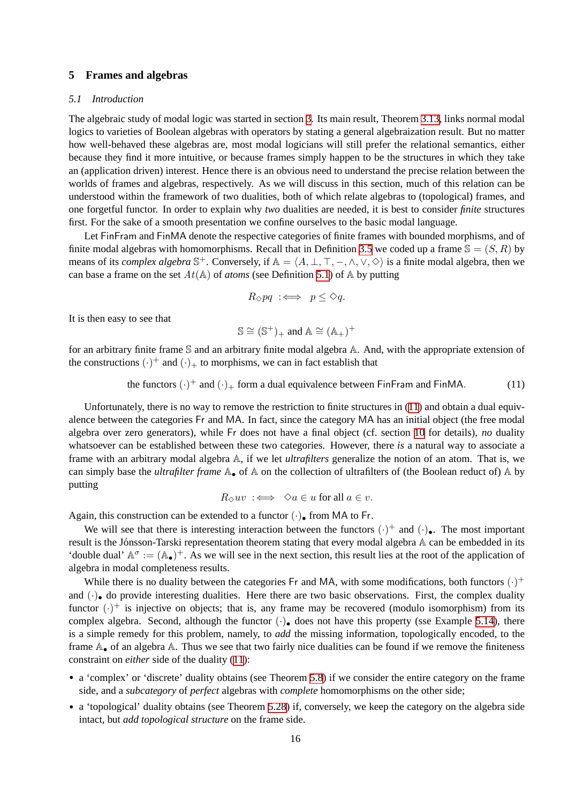### <span id="page-15-0"></span>**5 Frames and algebras**

### *5.1 Introduction*

The algebraic study of modal logic was started in section [3](#page-6-0). Its main result, Theorem [3.13,](#page-9-0) links normal modal logics to varieties of Boolean algebras with operators by stating a general algebraization result. But no matter how well-behaved these algebras are, most modal logicians will still prefer the relational semantics, either because they find it more intuitive, or because frames simply happen to be the structures in which they take an (application driven) interest. Hence there is an obvious need to understand the precise relation between the worlds of frames and algebras, respectively. As we will discuss in this section, much of this relation can be understood within the framework of two dualities, both of which relate algebras to (topological) frames, and one forgetful functor. In order to explain why *two* dualities are needed, it is best to consider *finite* structures first. For the sake of a smooth presentation we confine ourselves to the basic modal language.

Let FinFram and FinMA denote the respective categories of finite frames with bounded morphisms, and of finite modal algebras with homomorphisms. Recall that in Definition [3.5](#page-7-6) we coded up a frame  $\mathbb{S} = (S, R)$  by means of its *complex algebra*  $\mathbb{S}^+$ . Conversely, if  $\mathbb{A} = \langle A, \bot, \top, -, \wedge, \vee, \diamond \rangle$  is a finite modal algebra, then we can base a frame on the set  $At(A)$  of *atoms* (see Definition [5.1](#page-16-0)) of A by putting

$$
R_{\diamond}pq \; : \iff \; p \leq \diamondsuit q.
$$

It is then easy to see that

<span id="page-15-1"></span>
$$
\mathbb{S} \cong (\mathbb{S}^+)_+ \text{ and } \mathbb{A} \cong (\mathbb{A}_+)^+
$$

for an arbitrary finite frame S and an arbitrary finite modal algebra A. And, with the appropriate extension of the constructions  $(\cdot)^+$  and  $(\cdot)_+$  to morphisms, we can in fact establish that

the functors 
$$
(\cdot)^+
$$
 and  $(\cdot)_+$  form a dual equivalence between FinFram and FinMA. (11)

Unfortunately, there is no way to remove the restriction to finite structures in [\(11](#page-15-1)) and obtain a dual equivalence between the categories Fr and MA. In fact, since the category MA has an initial object (the free modal algebra over zero generators), while Fr does not have a final object (cf. section [10](#page-55-0) for details), *no* duality whatsoever can be established between these two categories. However, there *is* a natural way to associate a frame with an arbitrary modal algebra A, if we let *ultrafilters* generalize the notion of an atom. That is, we can simply base the *ultrafilter frame*  $A_{\bullet}$  of  $A$  on the collection of ultrafilters of (the Boolean reduct of)  $A$  by putting

$$
R_{\diamondsuit}uv \; : \Longleftrightarrow \; \diamondsuit a \in u \text{ for all } a \in v.
$$

Again, this construction can be extended to a functor  $(\cdot)$  from MA to Fr.

We will see that there is interesting interaction between the functors  $(\cdot)^+$  and  $(\cdot)_\bullet$ . The most important result is the Jónsson-Tarski representation theorem stating that every modal algebra  $\mathbb A$  can be embedded in its 'double dual'  $\mathbb{A}^{\sigma} := (\mathbb{A}_{\bullet})^+$ . As we will see in the next section, this result lies at the root of the application of algebra in modal completeness results.

While there is no duality between the categories Fr and MA, with some modifications, both functors  $(\cdot)^+$ and  $(\cdot)$ , do provide interesting dualities. Here there are two basic observations. First, the complex duality functor  $(\cdot)^+$  is injective on objects; that is, any frame may be recovered (modulo isomorphism) from its complex algebra. Second, although the functor  $\langle \cdot \rangle_{\bullet}$  does not have this property (sse Example [5.14\)](#page-19-0), there is a simple remedy for this problem, namely, to *add* the missing information, topologically encoded, to the frame  $A_{\bullet}$  of an algebra  $A$ . Thus we see that two fairly nice dualities can be found if we remove the finiteness constraint on *either* side of the duality ([11\)](#page-15-1):

- a 'complex' or 'discrete' duality obtains (see Theorem [5.8\)](#page-17-0) if we consider the entire category on the frame side, and a *subcategory* of *perfect* algebras with *complete* homomorphisms on the other side;
- a 'topological' duality obtains (see Theorem [5.28](#page-22-0)) if, conversely, we keep the category on the algebra side intact, but *add topological structure* on the frame side.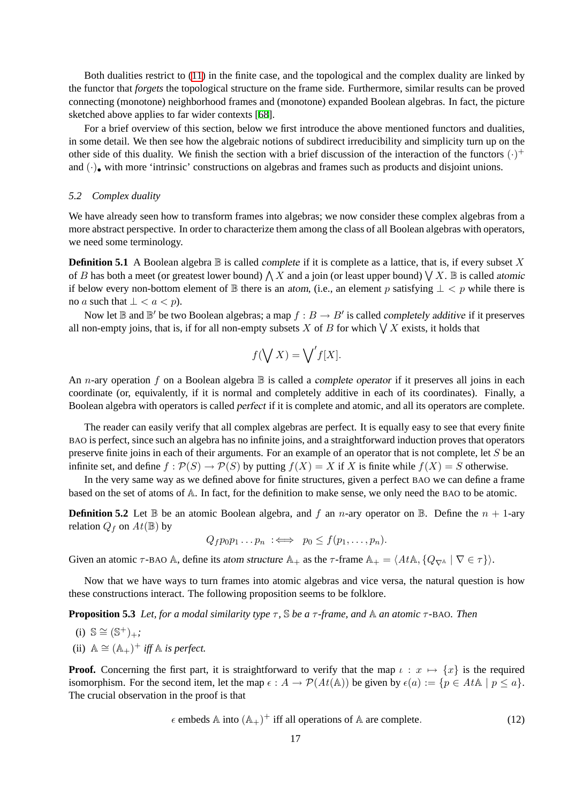Both dualities restrict to [\(11\)](#page-15-1) in the finite case, and the topological and the complex duality are linked by the functor that *forgets* the topological structure on the frame side. Furthermore, similar results can be proved connecting (monotone) neighborhood frames and (monotone) expanded Boolean algebras. In fact, the picture sketched above applies to far wider contexts [[68\]](#page-84-5).

For a brief overview of this section, below we first introduce the above mentioned functors and dualities, in some detail. We then see how the algebraic notions of subdirect irreducibility and simplicity turn up on the other side of this duality. We finish the section with a brief discussion of the interaction of the functors  $(\cdot)^+$ and  $(\cdot)$  with more 'intrinsic' constructions on algebras and frames such as products and disjoint unions.

### <span id="page-16-2"></span>*5.2 Complex duality*

We have already seen how to transform frames into algebras; we now consider these complex algebras from a more abstract perspective. In order to characterize them among the class of all Boolean algebras with operators, we need some terminology.

<span id="page-16-0"></span>**Definition 5.1** A Boolean algebra  $\mathbb B$  is called *complete* if it is complete as a lattice, that is, if every subset X of B has both a meet (or greatest lower bound)  $\bigwedge X$  and a join (or least upper bound)  $\bigvee X$ . B is called atomic if below every non-bottom element of  $\mathbb B$  there is an atom, (i.e., an element p satisfying ⊥ < p while there is no a such that  $\perp < a < p$ ).

Now let  $\mathbb B$  and  $\mathbb B'$  be two Boolean algebras; a map  $f : B \to B'$  is called *completely additive* if it preserves all non-empty joins, that is, if for all non-empty subsets X of B for which  $\bigvee X$  exists, it holds that

$$
f(\bigvee X) = \bigvee' f[X].
$$

An *n*-ary operation f on a Boolean algebra  $\mathbb B$  is called a complete operator if it preserves all joins in each coordinate (or, equivalently, if it is normal and completely additive in each of its coordinates). Finally, a Boolean algebra with operators is called perfect if it is complete and atomic, and all its operators are complete.

The reader can easily verify that all complex algebras are perfect. It is equally easy to see that every finite BAO is perfect, since such an algebra has no infinite joins, and a straightforward induction proves that operators preserve finite joins in each of their arguments. For an example of an operator that is not complete, let S be an infinite set, and define  $f : \mathcal{P}(S) \to \mathcal{P}(S)$  by putting  $f(X) = X$  if X is finite while  $f(X) = S$  otherwise.

In the very same way as we defined above for finite structures, given a perfect BAO we can define a frame based on the set of atoms of A. In fact, for the definition to make sense, we only need the BAO to be atomic.

**Definition 5.2** Let  $\mathbb B$  be an atomic Boolean algebra, and f an n-ary operator on  $\mathbb B$ . Define the  $n + 1$ -ary relation  $Q_f$  on  $At(\mathbb{B})$  by

 $Q_f p_0 p_1 \ldots p_n \iff p_0 \leq f(p_1, \ldots, p_n).$ 

Given an atomic  $\tau$ -BAO A, define its atom structure  $A_+$  as the  $\tau$ -frame  $A_+ = \langle AtA, \{Q_{\nabla^A} \mid \nabla \in \tau\} \rangle$ .

Now that we have ways to turn frames into atomic algebras and vice versa, the natural question is how these constructions interact. The following proposition seems to be folklore.

<span id="page-16-1"></span>**Proposition 5.3** *Let, for a modal similarity type*  $\tau$ , *S be a*  $\tau$ -*frame, and*  $\mathbb{A}$  *an atomic*  $\tau$ -BAO*. Then* 

(i)  $\mathbb{S} \cong (\mathbb{S}^+)_+$ ; (ii)  $\mathbb{A} \cong (\mathbb{A}_{+})^{+}$  *iff*  $\mathbb{A}$  *is perfect.* 

**Proof.** Concerning the first part, it is straightforward to verify that the map  $\iota : x \mapsto \{x\}$  is the required isomorphism. For the second item, let the map  $\epsilon : A \to \mathcal{P}(At(\mathbb{A}))$  be given by  $\epsilon(a) := \{p \in At\mathbb{A} \mid p \leq a\}.$ The crucial observation in the proof is that

$$
\epsilon \text{ embeds } \mathbb{A} \text{ into } (\mathbb{A}_+)^+ \text{ iff all operations of } \mathbb{A} \text{ are complete.}
$$
 (12)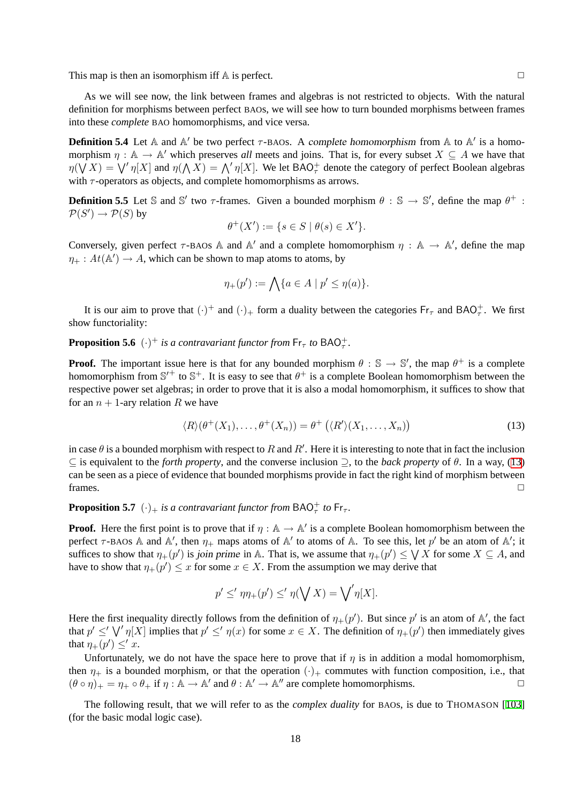This map is then an isomorphism iff  $A$  is perfect.  $\square$ 

As we will see now, the link between frames and algebras is not restricted to objects. With the natural definition for morphisms between perfect BAOs, we will see how to turn bounded morphisms between frames into these *complete* BAO homomorphisms, and vice versa.

**Definition 5.4** Let  $A$  and  $A'$  be two perfect  $\tau$ -BAOs. A complete homomorphism from  $A$  to  $A'$  is a homomorphism  $\eta : A \to A'$  which preserves *all* meets and joins. That is, for every subset  $X \subseteq A$  we have that  $\eta(\bigvee X) = \bigvee' \eta[X]$  and  $\eta(\bigwedge X) = \bigwedge' \eta[X]$ . We let BAO<sub>7</sub><sup>+</sup> denote the category of perfect Boolean algebras with  $\tau$ -operators as objects, and complete homomorphisms as arrows.

**Definition 5.5** Let S and S' two  $\tau$ -frames. Given a bounded morphism  $\theta : S \to S'$ , define the map  $\theta^+$ :  $\mathcal{P}(S') \to \mathcal{P}(S)$  by

$$
\theta^+(X') := \{ s \in S \mid \theta(s) \in X' \}.
$$

Conversely, given perfect  $\tau$ -BAOs A and A' and a complete homomorphism  $\eta : A \to A'$ , define the map  $\eta_+ : At(A') \to A$ , which can be shown to map atoms to atoms, by

$$
\eta_+(p') := \bigwedge \{ a \in A \mid p' \le \eta(a) \}.
$$

It is our aim to prove that  $(\cdot)^+$  and  $(\cdot)_+$  form a duality between the categories  $Fr_\tau$  and BAO<sup>+</sup>. We first show functoriality:

**Proposition 5.6**  $(\cdot)^+$  *is a contravariant functor from*  $Fr_\tau$  *to*  $BAO_\tau^+$ *.* 

**Proof.** The important issue here is that for any bounded morphism  $\theta : \mathbb{S} \to \mathbb{S}'$ , the map  $\theta^+$  is a complete homomorphism from  $\mathbb{S}^{+}$  to  $\mathbb{S}^{+}$ . It is easy to see that  $\theta^{+}$  is a complete Boolean homomorphism between the respective power set algebras; in order to prove that it is also a modal homomorphism, it suffices to show that for an  $n + 1$ -ary relation R we have

<span id="page-17-1"></span>
$$
\langle R \rangle (\theta^+(X_1), \dots, \theta^+(X_n)) = \theta^+ \left( \langle R' \rangle (X_1, \dots, X_n) \right) \tag{13}
$$

in case  $\theta$  is a bounded morphism with respect to R and R'. Here it is interesting to note that in fact the inclusion  $\subseteq$  is equivalent to the *forth property*, and the converse inclusion  $\supset$ , to the *back property* of  $\theta$ . In a way, ([13\)](#page-17-1) can be seen as a piece of evidence that bounded morphisms provide in fact the right kind of morphism between frames.  $\Box$ 

# **Proposition 5.7**  $(\cdot)_+$  *is a contravariant functor from*  $\textsf{BAO}_\tau^+$  *to*  $\textsf{Fr}_\tau$ *.*

**Proof.** Here the first point is to prove that if  $\eta : A \to A'$  is a complete Boolean homomorphism between the perfect  $\tau$ -BAOs A and A', then  $\eta_+$  maps atoms of A' to atoms of A. To see this, let p' be an atom of A'; it suffices to show that  $\eta_+(p')$  is join prime in A. That is, we assume that  $\eta_+(p') \le \bigvee X$  for some  $X \subseteq A$ , and have to show that  $\eta_+(p') \leq x$  for some  $x \in X$ . From the assumption we may derive that

$$
p' \leq' \eta \eta_+(p') \leq' \eta(\bigvee X) = \bigvee' \eta[X].
$$

Here the first inequality directly follows from the definition of  $\eta_+(p')$ . But since  $p'$  is an atom of A', the fact that  $p' \leq' \bigvee' \eta[X]$  implies that  $p' \leq' \eta(x)$  for some  $x \in X$ . The definition of  $\eta_+(p')$  then immediately gives that  $\eta_+(p') \leq' x$ .

Unfortunately, we do not have the space here to prove that if  $\eta$  is in addition a modal homomorphism, then  $\eta_+$  is a bounded morphism, or that the operation  $(\cdot)_+$  commutes with function composition, i.e., that  $(\theta \circ \eta)_+ = \eta_+ \circ \theta_+$  if  $\eta : \mathbb{A} \to \mathbb{A}'$  and  $\theta : \mathbb{A}' \to \mathbb{A}''$  are complete homomorphisms.

<span id="page-17-0"></span>The following result, that we will refer to as the *complex duality* for BAOs, is due to THOMASON [\[103\]](#page-85-2) (for the basic modal logic case).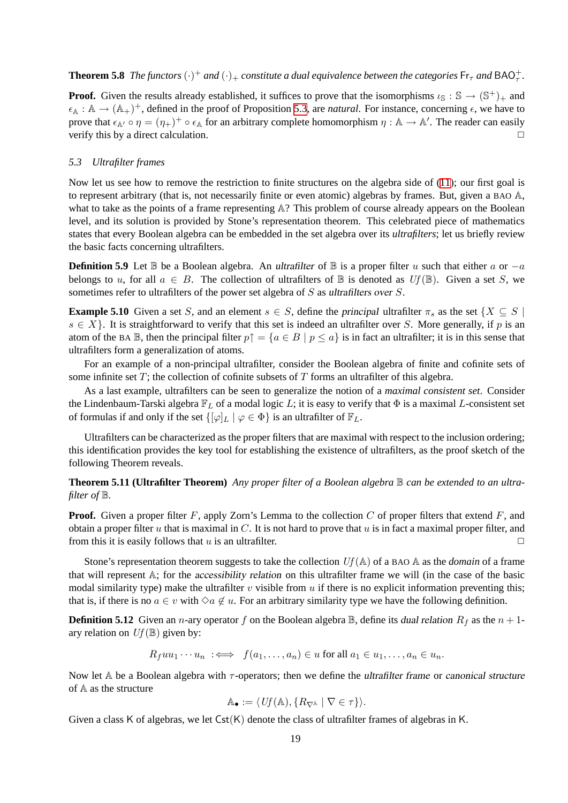# **Theorem 5.8** *The functors*  $(\cdot)^+$  *and*  $(\cdot)_+$  *constitute a dual equivalence between the categories*  $Fr_\tau$  *and*  $BAO_\tau^+$ *.*

**Proof.** Given the results already established, it suffices to prove that the isomorphisms  $\iota_S : S \to (S^+)_+$  and  $\epsilon_A : A \to (A_+)^+$ , defined in the proof of Proposition [5.3,](#page-16-1) are *natural*. For instance, concerning  $\epsilon$ , we have to prove that  $\epsilon_{A'} \circ \eta = (\eta_+)^+ \circ \epsilon_A$  for an arbitrary complete homomorphism  $\eta : A \to A'$ . The reader can easily verify this by a direct calculation.  $\Box$ 

# *5.3 Ultrafilter frames*

Now let us see how to remove the restriction to finite structures on the algebra side of [\(11](#page-15-1)); our first goal is to represent arbitrary (that is, not necessarily finite or even atomic) algebras by frames. But, given a BAO A, what to take as the points of a frame representing A? This problem of course already appears on the Boolean level, and its solution is provided by Stone's representation theorem. This celebrated piece of mathematics states that every Boolean algebra can be embedded in the set algebra over its *ultrafilters*; let us briefly review the basic facts concerning ultrafilters.

**Definition 5.9** Let  $\mathbb B$  be a Boolean algebra. An ultrafilter of  $\mathbb B$  is a proper filter u such that either a or  $-a$ belongs to u, for all  $a \in B$ . The collection of ultrafilters of  $\mathbb B$  is denoted as  $Uf(\mathbb B)$ . Given a set S, we sometimes refer to ultrafilters of the power set algebra of S as ultrafilters over S.

<span id="page-18-0"></span>**Example 5.10** Given a set S, and an element  $s \in S$ , define the principal ultrafilter  $\pi_s$  as the set  $\{X \subseteq S \mid$  $s \in X$ . It is straightforward to verify that this set is indeed an ultrafilter over S. More generally, if p is an atom of the BA B, then the principal filter  $p \uparrow = \{a \in B \mid p \leq a\}$  is in fact an ultrafilter; it is in this sense that ultrafilters form a generalization of atoms.

For an example of a non-principal ultrafilter, consider the Boolean algebra of finite and cofinite sets of some infinite set  $T$ ; the collection of cofinite subsets of  $T$  forms an ultrafilter of this algebra.

As a last example, ultrafilters can be seen to generalize the notion of a *maximal consistent set*. Consider the Lindenbaum-Tarski algebra  $\mathbb{F}_L$  of a modal logic L; it is easy to verify that  $\Phi$  is a maximal L-consistent set of formulas if and only if the set  $\{[\varphi]_L | \varphi \in \Phi\}$  is an ultrafilter of  $\mathbb{F}_L$ .

Ultrafilters can be characterized as the proper filters that are maximal with respect to the inclusion ordering; this identification provides the key tool for establishing the existence of ultrafilters, as the proof sketch of the following Theorem reveals.

# <span id="page-18-1"></span>**Theorem 5.11 (Ultrafilter Theorem)** *Any proper filter of a Boolean algebra* B *can be extended to an ultrafilter of* B*.*

**Proof.** Given a proper filter F, apply Zorn's Lemma to the collection C of proper filters that extend F, and obtain a proper filter  $u$  that is maximal in  $C$ . It is not hard to prove that  $u$  is in fact a maximal proper filter, and from this it is easily follows that u is an ultrafilter.  $\square$ 

Stone's representation theorem suggests to take the collection  $Uf(\mathbb{A})$  of a BAO  $\mathbb{A}$  as the *domain* of a frame that will represent A; for the accessibility relation on this ultrafilter frame we will (in the case of the basic modal similarity type) make the ultrafilter  $v$  visible from  $u$  if there is no explicit information preventing this; that is, if there is no  $a \in v$  with  $\diamond a \notin u$ . For an arbitrary similarity type we have the following definition.

**Definition 5.12** Given an *n*-ary operator f on the Boolean algebra  $\mathbb{B}$ , define its dual relation  $R_f$  as the  $n + 1$ ary relation on  $Uf(\mathbb{B})$  given by:

$$
R_f uu_1 \cdots u_n \iff f(a_1, \ldots, a_n) \in u \text{ for all } a_1 \in u_1, \ldots, a_n \in u_n.
$$

Now let A be a Boolean algebra with  $\tau$ -operators; then we define the *ultrafilter frame* or canonical structure of A as the structure

$$
\mathbb{A}_{\bullet} := \langle Uf(\mathbb{A}), \{ R_{\nabla^{\mathbb{A}}} \mid \nabla \in \tau \} \rangle.
$$

Given a class K of algebras, we let  $Cst(K)$  denote the class of ultrafilter frames of algebras in K.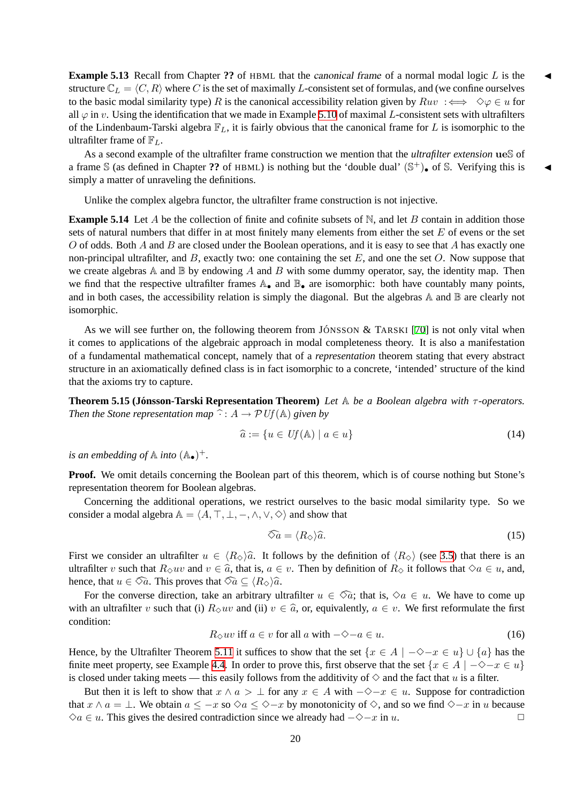<span id="page-19-4"></span>**Example 5.13** Recall from Chapter ?? of HBML that the canonical frame of a normal modal logic L is the structure  $\mathbb{C}_L = \langle C, R \rangle$  where C is the set of maximally L-consistent set of formulas, and (we confine ourselves to the basic modal similarity type) R is the canonical accessibility relation given by  $Ruv : \iff \Diamond \varphi \in u$  for all  $\varphi$  in v. Using the identification that we made in Example [5.10](#page-18-0) of maximal L-consistent sets with ultrafilters of the Lindenbaum-Tarski algebra  $\mathbb{F}_L$ , it is fairly obvious that the canonical frame for L is isomorphic to the ultrafilter frame of  $\mathbb{F}_L$ .

As a second example of the ultrafilter frame construction we mention that the *ultrafilter extension* ueS of a frame S (as defined in Chapter ?? of HBML) is nothing but the 'double dual'  $(\mathbb{S}^+)$  of S. Verifying this is simply a matter of unraveling the definitions.

Unlike the complex algebra functor, the ultrafilter frame construction is not injective.

<span id="page-19-0"></span>**Example 5.14** Let A be the collection of finite and cofinite subsets of N, and let B contain in addition those sets of natural numbers that differ in at most finitely many elements from either the set  $E$  of evens or the set  $O$  of odds. Both  $A$  and  $B$  are closed under the Boolean operations, and it is easy to see that  $A$  has exactly one non-principal ultrafilter, and  $B$ , exactly two: one containing the set  $E$ , and one the set  $O$ . Now suppose that we create algebras  $A$  and  $B$  by endowing  $A$  and  $B$  with some dummy operator, say, the identity map. Then we find that the respective ultrafilter frames  $A_{\bullet}$  and  $\mathbb{B}_{\bullet}$  are isomorphic: both have countably many points, and in both cases, the accessibility relation is simply the diagonal. But the algebras  $A$  and  $B$  are clearly not isomorphic.

As we will see further on, the following theorem from JÓNSSON  $&$  TARSKI [\[70\]](#page-84-1) is not only vital when it comes to applications of the algebraic approach in modal completeness theory. It is also a manifestation of a fundamental mathematical concept, namely that of a *representation* theorem stating that every abstract structure in an axiomatically defined class is in fact isomorphic to a concrete, 'intended' structure of the kind that the axioms try to capture.

<span id="page-19-3"></span>**Theorem 5.15 (Jonsson-Tarski Representation Theorem) ´** *Let* A *be a Boolean algebra with* τ *-operators. Then the Stone representation map*  $\hat{\cdot}$  :  $A \rightarrow \mathcal{P} Uf(\mathbb{A})$  *given by* 

<span id="page-19-2"></span>
$$
\widehat{a} := \{ u \in \text{Uf}(\mathbb{A}) \mid a \in u \} \tag{14}
$$

*is an embedding of*  $\mathbb A$  *into*  $(\mathbb A_{\bullet})^{+}$ *.* 

**Proof.** We omit details concerning the Boolean part of this theorem, which is of course nothing but Stone's representation theorem for Boolean algebras.

Concerning the additional operations, we restrict ourselves to the basic modal similarity type. So we consider a modal algebra  $\mathbb{A} = \langle A, \top, \bot, -, \wedge, \vee, \diamond \rangle$  and show that

<span id="page-19-1"></span>
$$
\widehat{\Diamond a} = \langle R_{\diamondsuit} \rangle \widehat{a}.\tag{15}
$$

First we consider an ultrafilter  $u \in \langle R_{\diamond} \rangle \hat{a}$ . It follows by the definition of  $\langle R_{\diamond} \rangle$  (see [3.5](#page-7-6)) that there is an ultrafilter v such that  $R_{\Diamond}uv$  and  $v \in \hat{a}$ , that is,  $a \in v$ . Then by definition of  $R_{\Diamond}$  it follows that  $\Diamond a \in u$ , and, hence, that  $u \in \widehat{\Im a}$ . This proves that  $\widehat{\Im a} \subseteq \langle R_{\diamond} \rangle \widehat{a}$ .

For the converse direction, take an arbitrary ultrafilter  $u \in \Im a$ ; that is,  $\diamond a \in u$ . We have to come up with an ultrafilter v such that (i)  $R_{\diamond}uv$  and (ii)  $v \in \hat{a}$ , or, equivalently,  $a \in v$ . We first reformulate the first condition:

$$
R_{\diamondsuit}uv \text{ iff } a \in v \text{ for all } a \text{ with } -\diamondsuit - a \in u. \tag{16}
$$

Hence, by the Ultrafilter Theorem [5.11](#page-18-1) it suffices to show that the set  $\{x \in A \mid -\Diamond - x \in u\} \cup \{a\}$  has the finite meet property, see Example [4.4.](#page-12-2) In order to prove this, first observe that the set  $\{x \in A \mid -\Diamond - x \in u\}$ is closed under taking meets — this easily follows from the additivity of  $\diamond$  and the fact that u is a filter.

But then it is left to show that  $x \wedge a > \perp$  for any  $x \in A$  with  $-\lozenge -x \in u$ . Suppose for contradiction that  $x \wedge a = \bot$ . We obtain  $a \leq -x$  so  $\diamond a \leq \diamond -x$  by monotonicity of  $\diamond$ , and so we find  $\diamond -x$  in u because  $\diamond a \in u$ . This gives the desired contradiction since we already had  $-\diamond -x$  in u.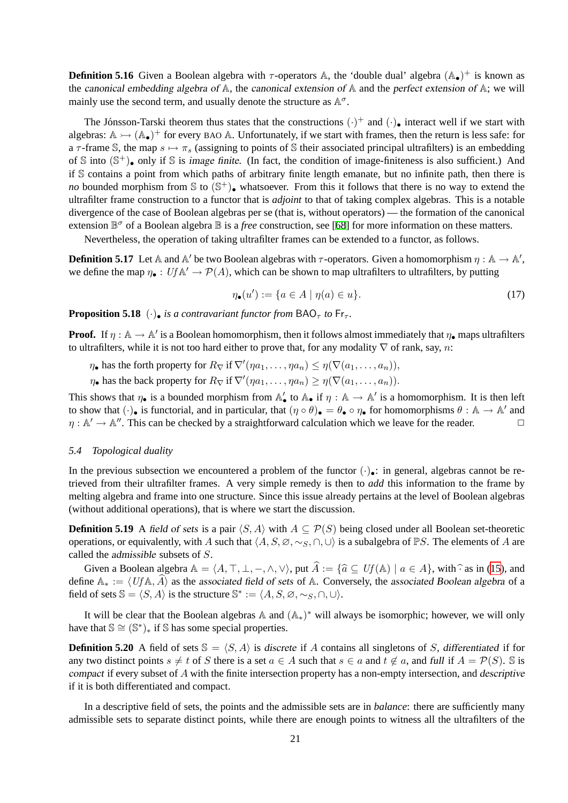**Definition 5.16** Given a Boolean algebra with  $\tau$ -operators A, the 'double dual' algebra  $(A_{\bullet})^+$  is known as the canonical embedding algebra of A, the canonical extension of A and the perfect extension of A; we will mainly use the second term, and usually denote the structure as  $A^{\sigma}$ .

The Jónsson-Tarski theorem thus states that the constructions  $(\cdot)^+$  and  $(\cdot)$ , interact well if we start with algebras:  $A \rightarrow (A_{\bullet})^{+}$  for every BAO A. Unfortunately, if we start with frames, then the return is less safe: for a  $\tau$ -frame S, the map  $s \mapsto \pi_s$  (assigning to points of S their associated principal ultrafilters) is an embedding of  $\mathbb S$  into  $(\mathbb S^+)$ , only if  $\mathbb S$  is *image finite*. (In fact, the condition of image-finiteness is also sufficient.) And if S contains a point from which paths of arbitrary finite length emanate, but no infinite path, then there is *no* bounded morphism from S to  $(S^+)$ , whatsoever. From this it follows that there is no way to extend the ultrafilter frame construction to a functor that is *adjoint* to that of taking complex algebras. This is a notable divergence of the case of Boolean algebras per se (that is, without operators) — the formation of the canonical extension  $\mathbb{B}^{\sigma}$  of a Boolean algebra  $\mathbb{B}$  is a *free* construction, see [[68\]](#page-84-5) for more information on these matters.

Nevertheless, the operation of taking ultrafilter frames can be extended to a functor, as follows.

**Definition 5.17** Let A and A' be two Boolean algebras with  $\tau$ -operators. Given a homomorphism  $\eta : A \to A'$ , we define the map  $\eta_{\bullet}: Uf \mathbb{A}' \to \mathcal{P}(A)$ , which can be shown to map ultrafilters to ultrafilters, by putting

$$
\eta_{\bullet}(u') := \{ a \in A \mid \eta(a) \in u \}. \tag{17}
$$

**Proposition 5.18**  $(\cdot)$  *is a contravariant functor from* BAO<sub> $\tau$ </sub> *to* Fr<sub> $\tau$ </sub>.

**Proof.** If  $\eta : \mathbb{A} \to \mathbb{A}'$  is a Boolean homomorphism, then it follows almost immediately that  $\eta_{\bullet}$  maps ultrafilters to ultrafilters, while it is not too hard either to prove that, for any modality  $\nabla$  of rank, say, n:

- $\eta_{\bullet}$  has the forth property for  $R_{\nabla}$  if  $\nabla'(\eta a_1, \dots, \eta a_n) \leq \eta(\nabla(a_1, \dots, a_n)),$
- $\eta_{\bullet}$  has the back property for  $R_{\nabla}$  if  $\nabla'(\eta a_1, \dots, \eta a_n) \geq \eta(\nabla(a_1, \dots, a_n)).$

This shows that  $\eta_{\bullet}$  is a bounded morphism from  $\mathbb{A}'_{\bullet}$  to  $\mathbb{A}_{\bullet}$  if  $\eta : \mathbb{A} \to \mathbb{A}'$  is a homomorphism. It is then left to show that  $(\cdot)$ , is functorial, and in particular, that  $(\eta \circ \theta)$ ,  $= \theta$ ,  $\circ \eta$ , for homomorphisms  $\theta : \mathbb{A} \to \mathbb{A}'$  and  $\eta : \mathbb{A}' \to \mathbb{A}''$ . This can be checked by a straightforward calculation which we leave for the reader.

### <span id="page-20-0"></span>*5.4 Topological duality*

In the previous subsection we encountered a problem of the functor  $(\cdot)_\bullet$ : in general, algebras cannot be retrieved from their ultrafilter frames. A very simple remedy is then to *add* this information to the frame by melting algebra and frame into one structure. Since this issue already pertains at the level of Boolean algebras (without additional operations), that is where we start the discussion.

**Definition 5.19** A field of sets is a pair  $\langle S, A \rangle$  with  $A \subseteq \mathcal{P}(S)$  being closed under all Boolean set-theoretic operations, or equivalently, with A such that  $\langle A, S, \emptyset, \sim_S, \cap, \cup \rangle$  is a subalgebra of PS. The elements of A are called the admissible subsets of S.

Given a Boolean algebra  $A = \langle A, \top, \bot, -, \wedge, \vee \rangle$ , put  $\widehat{A} := \{\widehat{a} \subseteq Uf(\mathbb{A}) \mid a \in A\}$ , with  $\widehat{\cdot}$  as in [\(15](#page-19-1)), and define  $A_* := \langle Uf \mathbb{A}, \hat{A} \rangle$  as the associated field of sets of A. Conversely, the associated Boolean algebra of a field of sets  $\mathbb{S} = \langle S, A \rangle$  is the structure  $\mathbb{S}^* := \langle A, S, \emptyset, \sim_S, \cap, \cup \rangle$ .

It will be clear that the Boolean algebras  $\mathbb A$  and  $(\mathbb A_*)^*$  will always be isomorphic; however, we will only have that  $\mathbb{S} \cong (\mathbb{S}^*)_*$  if  $\mathbb S$  has some special properties.

**Definition 5.20** A field of sets  $\mathcal{S} = \langle S, A \rangle$  is discrete if A contains all singletons of S, differentiated if for any two distinct points  $s \neq t$  of S there is a set  $a \in A$  such that  $s \in a$  and  $t \notin a$ , and full if  $A = \mathcal{P}(S)$ . S is compact if every subset of  $A$  with the finite intersection property has a non-empty intersection, and descriptive if it is both differentiated and compact.

In a descriptive field of sets, the points and the admissible sets are in *balance*: there are sufficiently many admissible sets to separate distinct points, while there are enough points to witness all the ultrafilters of the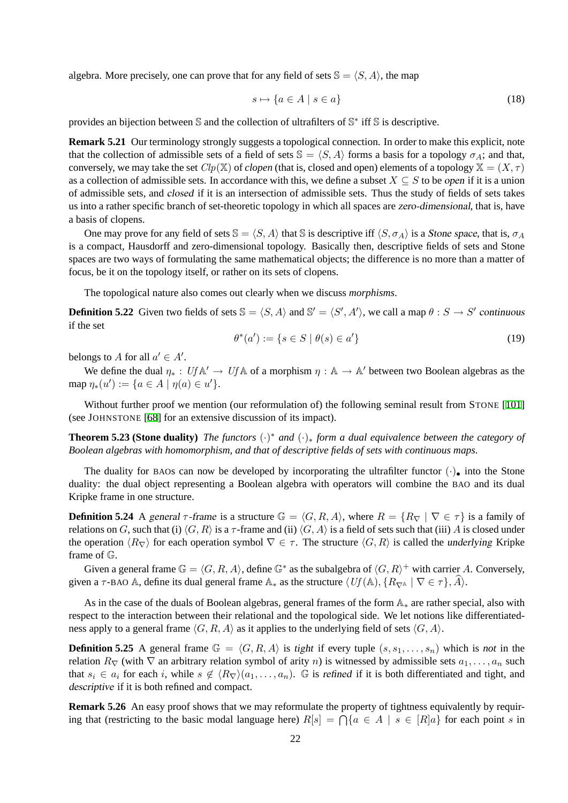algebra. More precisely, one can prove that for any field of sets  $\mathcal{S} = \langle S, A \rangle$ , the map

<span id="page-21-2"></span>
$$
s \mapsto \{a \in A \mid s \in a\} \tag{18}
$$

provides an bijection between  $\mathbb S$  and the collection of ultrafilters of  $\mathbb S^*$  iff  $\mathbb S$  is descriptive.

**Remark 5.21** Our terminology strongly suggests a topological connection. In order to make this explicit, note that the collection of admissible sets of a field of sets  $\mathcal{S} = \langle S, A \rangle$  forms a basis for a topology  $\sigma_A$ ; and that, conversely, we may take the set  $Clp(\mathbb{X})$  of *clopen* (that is, closed and open) elements of a topology  $\mathbb{X} = (X, \tau)$ as a collection of admissible sets. In accordance with this, we define a subset  $X \subseteq S$  to be open if it is a union of admissible sets, and closed if it is an intersection of admissible sets. Thus the study of fields of sets takes us into a rather specific branch of set-theoretic topology in which all spaces are zero-dimensional, that is, have a basis of clopens.

One may prove for any field of sets  $\mathbb{S} = \langle S, A \rangle$  that  $\mathbb{S}$  is descriptive iff  $\langle S, \sigma_A \rangle$  is a Stone space, that is,  $\sigma_A$ is a compact, Hausdorff and zero-dimensional topology. Basically then, descriptive fields of sets and Stone spaces are two ways of formulating the same mathematical objects; the difference is no more than a matter of focus, be it on the topology itself, or rather on its sets of clopens.

<span id="page-21-0"></span>The topological nature also comes out clearly when we discuss *morphisms*.

<span id="page-21-1"></span>**Definition 5.22** Given two fields of sets  $\mathbb{S} = \langle S, A \rangle$  and  $\mathbb{S}' = \langle S', A' \rangle$ , we call a map  $\theta : S \to S'$  continuous if the set

$$
\theta^*(a') := \{ s \in S \mid \theta(s) \in a' \}
$$
\n(19)

belongs to A for all  $a' \in A'$ .

We define the dual  $\eta_* : Uf \mathbb{A}' \to Uf \mathbb{A}$  of a morphism  $\eta : \mathbb{A} \to \mathbb{A}'$  between two Boolean algebras as the map  $\eta_*(u') := \{ a \in A \mid \eta(a) \in u' \}.$ 

Without further proof we mention (our reformulation of) the following seminal result from STONE [\[101\]](#page-85-3) (see JOHNSTONE [[68\]](#page-84-5) for an extensive discussion of its impact).

**Theorem 5.23 (Stone duality)** *The functors* (·)<sup>\*</sup> and (·)<sub>\*</sub> form a dual equivalence between the category of *Boolean algebras with homomorphism, and that of descriptive fields of sets with continuous maps.*

The duality for BAOs can now be developed by incorporating the ultrafilter functor  $(\cdot)$ . into the Stone duality: the dual object representing a Boolean algebra with operators will combine the BAO and its dual Kripke frame in one structure.

**Definition 5.24** A general  $\tau$ -frame is a structure  $\mathbb{G} = \langle G, R, A \rangle$ , where  $R = \{R_{\nabla} \mid \nabla \in \tau\}$  is a family of relations on G, such that (i)  $\langle G, R \rangle$  is a  $\tau$ -frame and (ii)  $\langle G, A \rangle$  is a field of sets such that (iii) A is closed under the operation  $\langle R_{\nabla} \rangle$  for each operation symbol  $\nabla \in \tau$ . The structure  $\langle G, R \rangle$  is called the underlying Kripke frame of G.

Given a general frame  $\mathbb{G} = \langle G, R, A \rangle$ , define  $\mathbb{G}^*$  as the subalgebra of  $\langle G, R \rangle^+$  with carrier A. Conversely, given a  $\tau$ -BAO A, define its dual general frame  $A_*$  as the structure  $\langle Uf(\mathbb{A}), \{R_{\nabla A} \mid \nabla \in \tau\}, \hat{A}\rangle$ .

As in the case of the duals of Boolean algebras, general frames of the form A<sup>∗</sup> are rather special, also with respect to the interaction between their relational and the topological side. We let notions like differentiatedness apply to a general frame  $\langle G, R, A \rangle$  as it applies to the underlying field of sets  $\langle G, A \rangle$ .

**Definition 5.25** A general frame  $\mathbb{G} = \langle G, R, A \rangle$  is tight if every tuple  $(s, s_1, \ldots, s_n)$  which is *not* in the relation  $R_{\nabla}$  (with  $\nabla$  an arbitrary relation symbol of arity n) is witnessed by admissible sets  $a_1, \ldots, a_n$  such that  $s_i \in a_i$  for each i, while  $s \notin \langle R_{\nabla} \rangle (a_1, \ldots, a_n)$ . G is refined if it is both differentiated and tight, and descriptive if it is both refined and compact.

**Remark 5.26** An easy proof shows that we may reformulate the property of tightness equivalently by requiring that (restricting to the basic modal language here)  $R[s] = \bigcap \{a \in A \mid s \in [R]a\}$  for each point s in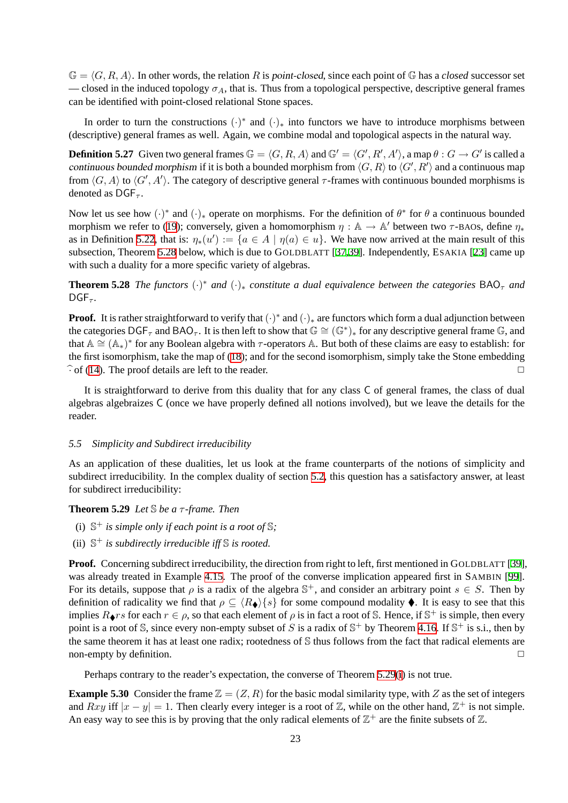$\mathbb{G} = \langle G, R, A \rangle$ . In other words, the relation R is point-closed, since each point of  $\mathbb{G}$  has a *closed* successor set — closed in the induced topology  $\sigma_A$ , that is. Thus from a topological perspective, descriptive general frames can be identified with point-closed relational Stone spaces.

In order to turn the constructions  $(\cdot)^*$  and  $(\cdot)_*$  into functors we have to introduce morphisms between (descriptive) general frames as well. Again, we combine modal and topological aspects in the natural way.

**Definition 5.27** Given two general frames  $\mathbb{G} = \langle G, R, A \rangle$  and  $\mathbb{G}' = \langle G', R', A' \rangle$ , a map  $\theta : G \to G'$  is called a continuous bounded morphism if it is both a bounded morphism from  $\langle G, R \rangle$  to  $\langle G', R' \rangle$  and a continuous map from  $\langle G, A \rangle$  to  $\langle G', A' \rangle$ . The category of descriptive general  $\tau$ -frames with continuous bounded morphisms is denoted as  $\mathsf{DGF}_{\tau}$ .

Now let us see how  $(\cdot)^*$  and  $(\cdot)_*$  operate on morphisms. For the definition of  $\theta^*$  for  $\theta$  a continuous bounded morphism we refer to [\(19](#page-21-0)); conversely, given a homomorphism  $\eta : A \to A'$  between two  $\tau$ -BAOs, define  $\eta_*$ as in Definition [5.22](#page-21-1), that is:  $\eta_*(u') := \{a \in A \mid \eta(a) \in u\}$ . We have now arrived at the main result of this subsection, Theorem [5.28](#page-22-0) below, which is due to GOLDBLATT [[37,](#page-83-3)[39](#page-83-5)]. Independently, ESAKIA [\[23](#page-82-3)] came up with such a duality for a more specific variety of algebras.

<span id="page-22-0"></span>**Theorem 5.28** *The functors*  $(\cdot)^*$  *and*  $(\cdot)_*$  *constitute a dual equivalence between the categories* BAO<sub> $\tau$ </sub> *and*  $\mathsf{DGF}_{\tau}$ .

**Proof.** It is rather straightforward to verify that  $(\cdot)^*$  and  $(\cdot)_*$  are functors which form a dual adjunction between the categories DGF<sub>τ</sub> and BAO<sub>τ</sub>. It is then left to show that  $\mathbb{G} \cong (\mathbb{G}^*)_*$  for any descriptive general frame  $\mathbb{G}$ , and that  $A \cong (A_*)^*$  for any Boolean algebra with  $\tau$ -operators A. But both of these claims are easy to establish: for the first isomorphism, take the map of ([18\)](#page-21-2); and for the second isomorphism, simply take the Stone embedding  $\hat{\cdot}$  of [\(14](#page-19-2)). The proof details are left to the reader.  $\Box$ 

It is straightforward to derive from this duality that for any class C of general frames, the class of dual algebras algebraizes C (once we have properly defined all notions involved), but we leave the details for the reader.

### *5.5 Simplicity and Subdirect irreducibility*

As an application of these dualities, let us look at the frame counterparts of the notions of simplicity and subdirect irreducibility. In the complex duality of section [5.2,](#page-16-2) this question has a satisfactory answer, at least for subdirect irreducibility:

# <span id="page-22-1"></span>**Theorem 5.29** *Let* S *be a* τ *-frame. Then*

- <span id="page-22-2"></span>(i)  $\mathbb{S}^+$  *is simple only if each point is a root of*  $\mathbb{S}$ *;*
- (ii)  $\mathbb{S}^+$  *is subdirectly irreducible iff*  $\mathbb{S}$  *is rooted.*

**Proof.** Concerning subdirect irreducibility, the direction from right to left, first mentioned in GOLDBLATT [[39\]](#page-83-5), was already treated in Example [4.15.](#page-14-0) The proof of the converse implication appeared first in SAMBIN [[99\]](#page-85-4). For its details, suppose that  $\rho$  is a radix of the algebra  $\mathbb{S}^+$ , and consider an arbitrary point  $s \in S$ . Then by definition of radicality we find that  $\rho \subseteq \langle R_{\bullet} \rangle \{ s \}$  for some compound modality  $\bullet$ . It is easy to see that this implies  $R_{\blacklozenge}$  rs for each  $r \in \rho$ , so that each element of  $\rho$  is in fact a root of S. Hence, if S<sup>+</sup> is simple, then every point is a root of S, since every non-empty subset of S is a radix of  $\mathbb{S}^+$  by Theorem [4.16](#page-14-1). If  $\mathbb{S}^+$  is s.i., then by the same theorem it has at least one radix; rootedness of S thus follows from the fact that radical elements are non-empty by definition.  $\Box$ 

Perhaps contrary to the reader's expectation, the converse of Theorem [5.29](#page-22-1)[\(i](#page-22-2)) is not true.

**Example 5.30** Consider the frame  $\mathbb{Z} = (Z, R)$  for the basic modal similarity type, with Z as the set of integers and  $Rxy$  iff  $|x-y|=1$ . Then clearly every integer is a root of Z, while on the other hand,  $\mathbb{Z}^+$  is not simple. An easy way to see this is by proving that the only radical elements of  $\mathbb{Z}^+$  are the finite subsets of  $\mathbb{Z}$ .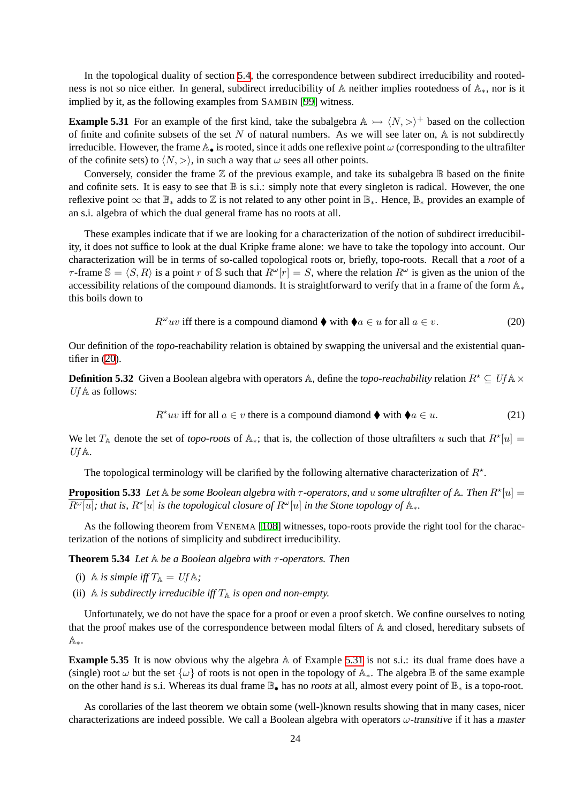In the topological duality of section [5.4,](#page-20-0) the correspondence between subdirect irreducibility and rootedness is not so nice either. In general, subdirect irreducibility of A neither implies rootedness of A∗, nor is it implied by it, as the following examples from SAMBIN [\[99](#page-85-4)] witness.

<span id="page-23-1"></span>**Example 5.31** For an example of the first kind, take the subalgebra  $\mathbb{A} \rightarrow \langle N, \rangle$ <sup>+</sup> based on the collection of finite and cofinite subsets of the set  $N$  of natural numbers. As we will see later on,  $A$  is not subdirectly irreducible. However, the frame  $\mathbb{A}_{\bullet}$  is rooted, since it adds one reflexive point  $\omega$  (corresponding to the ultrafilter of the cofinite sets) to  $\langle N, \rangle$ , in such a way that  $\omega$  sees all other points.

Conversely, consider the frame  $\mathbb Z$  of the previous example, and take its subalgebra  $\mathbb B$  based on the finite and cofinite sets. It is easy to see that  $\mathbb B$  is s.i.: simply note that every singleton is radical. However, the one reflexive point ∞ that B<sup>∗</sup> adds to Z is not related to any other point in B∗. Hence, B<sup>∗</sup> provides an example of an s.i. algebra of which the dual general frame has no roots at all.

These examples indicate that if we are looking for a characterization of the notion of subdirect irreducibility, it does not suffice to look at the dual Kripke frame alone: we have to take the topology into account. Our characterization will be in terms of so-called topological roots or, briefly, topo-roots. Recall that a *root* of a  $\tau$ -frame  $\mathbb{S} = \langle S, R \rangle$  is a point r of  $\mathbb{S}$  such that  $R^{\omega}[r] = S$ , where the relation  $R^{\omega}$  is given as the union of the accessibility relations of the compound diamonds. It is straightforward to verify that in a frame of the form  $\mathbb{A}_*$ this boils down to

<span id="page-23-0"></span>
$$
R^{\omega}uv \text{ iff there is a compound diamond } \blacklozenge \text{ with } \blacklozenge a \in u \text{ for all } a \in v. \tag{20}
$$

Our definition of the *topo*-reachability relation is obtained by swapping the universal and the existential quantifier in [\(20](#page-23-0)).

**Definition 5.32** Given a Boolean algebra with operators A, define the *topo-reachability* relation  $R^* \subseteq Uf \mathbb{A} \times$  $Uf$  A as follows:

$$
R^*uv
$$
 iff for all  $a \in v$  there is a compound diamond  $\blacklozenge$  with  $\blacklozenge a \in u$ . (21)

We let  $T_A$  denote the set of *topo-roots* of  $A_*$ ; that is, the collection of those ultrafilters u such that  $R^*[u] =$  $Uf$ Å.

The topological terminology will be clarified by the following alternative characterization of  $R^*$ .

**Proposition 5.33** Let  $\mathbb A$  be some Boolean algebra with  $\tau$ -operators, and u some ultrafilter of  $\mathbb A$ . Then  $R^{\star}[u]=0$  $\overline{R^{\omega}[u]}$ ; that is,  $R^{\star}[u]$  is the topological closure of  $R^{\omega}[u]$  in the Stone topology of  $\mathbb{A}_{*}$ .

As the following theorem from VENEMA [[108](#page-85-5)] witnesses, topo-roots provide the right tool for the characterization of the notions of simplicity and subdirect irreducibility.

<span id="page-23-2"></span>**Theorem 5.34** *Let* A *be a Boolean algebra with* τ *-operators. Then*

- (i) A *is simple iff*  $T_A = UfA$ ;
- (ii)  $\mathbb A$  *is subdirectly irreducible iff*  $T_{\mathbb A}$  *is open and non-empty.*

Unfortunately, we do not have the space for a proof or even a proof sketch. We confine ourselves to noting that the proof makes use of the correspondence between modal filters of A and closed, hereditary subsets of A∗.

**Example 5.35** It is now obvious why the algebra  $\mathbb A$  of Example [5.31](#page-23-1) is not s.i.: its dual frame does have a (single) root  $\omega$  but the set  $\{\omega\}$  of roots is not open in the topology of  $\mathbb{A}_*$ . The algebra  $\mathbb B$  of the same example on the other hand *is* s.i. Whereas its dual frame B• has no *roots* at all, almost every point of B<sup>∗</sup> is a topo-root.

As corollaries of the last theorem we obtain some (well-)known results showing that in many cases, nicer characterizations are indeed possible. We call a Boolean algebra with operators ω-transitive if it has a master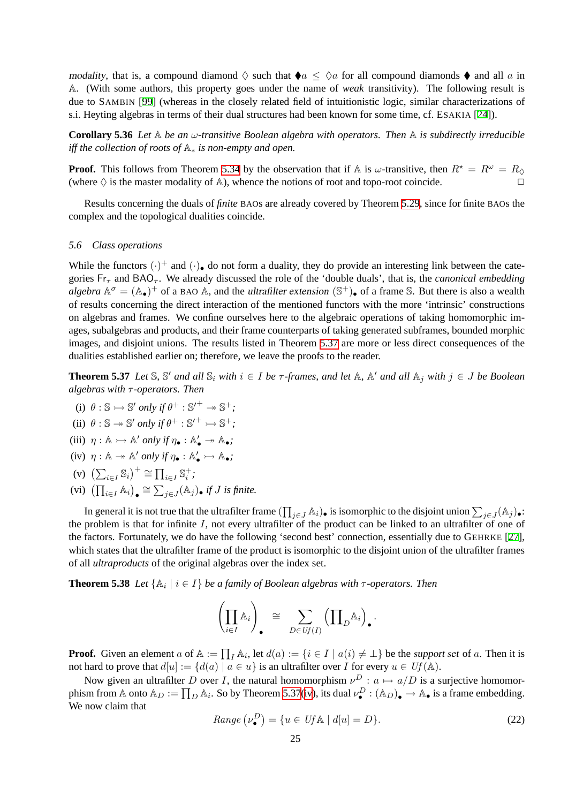modality, that is, a compound diamond  $\Diamond$  such that  $\blacklozenge a \le \Diamond a$  for all compound diamonds  $\blacklozenge$  and all a in A. (With some authors, this property goes under the name of *weak* transitivity). The following result is due to SAMBIN [\[99\]](#page-85-4) (whereas in the closely related field of intuitionistic logic, similar characterizations of s.i. Heyting algebras in terms of their dual structures had been known for some time, cf. ESAKIA [\[24](#page-82-8)]).

**Corollary 5.36** *Let* A *be an* ω*-transitive Boolean algebra with operators. Then* A *is subdirectly irreducible iff the collection of roots of*  $\mathbb{A}$ <sup>∗</sup> *is non-empty and open.* 

**Proof.** This follows from Theorem [5.34](#page-23-2) by the observation that if A is  $\omega$ -transitive, then  $R^* = R^{\omega} = R_{\varphi}$ (where  $\Diamond$  is the master modality of  $\Diamond$ ), whence the notions of root and topo-root coincide.

Results concerning the duals of *finite* BAOs are already covered by Theorem [5.29](#page-22-1), since for finite BAOs the complex and the topological dualities coincide.

### *5.6 Class operations*

While the functors  $(\cdot)^+$  and  $(\cdot)$ , do not form a duality, they do provide an interesting link between the categories  $Fr_{\tau}$  and BAO<sub> $\tau$ </sub>. We already discussed the role of the 'double duals', that is, the *canonical embedding algebra*  $\mathbb{A}^{\sigma} = (\mathbb{A}_{\bullet})^+$  of a BAO  $\mathbb{A}$ , and the *ultrafilter* extension  $(\mathbb{S}^+)_{\bullet}$  of a frame S. But there is also a wealth of results concerning the direct interaction of the mentioned functors with the more 'intrinsic' constructions on algebras and frames. We confine ourselves here to the algebraic operations of taking homomorphic images, subalgebras and products, and their frame counterparts of taking generated subframes, bounded morphic images, and disjoint unions. The results listed in Theorem [5.37](#page-24-0) are more or less direct consequences of the dualities established earlier on; therefore, we leave the proofs to the reader.

<span id="page-24-0"></span>**Theorem 5.37** Let S, S' and all S<sub>i</sub> with  $i \in I$  be  $\tau$ -frames, and let A, A' and all A<sub>j</sub> with  $j \in J$  be Boolean *algebras with* τ *-operators. Then*

- <span id="page-24-4"></span>(i)  $\theta : \mathbb{S} \rightarrowtail \mathbb{S}'$  only if  $\theta^+ : \mathbb{S}'^+ \rightarrowtail \mathbb{S}^+$ ;
- <span id="page-24-5"></span>(ii)  $\theta : \mathbb{S} \to \mathbb{S}'$  only if  $\theta^+ : \mathbb{S}'^+ \to \mathbb{S}^+$ ;
- <span id="page-24-7"></span>(iii)  $\eta : \mathbb{A} \rightarrowtail \mathbb{A}'$  only if  $\eta_{\bullet} : \mathbb{A}'_{\bullet} \rightarrowtail \mathbb{A}_{\bullet}$ ;
- <span id="page-24-1"></span>(iv)  $\eta : \mathbb{A} \to \mathbb{A}'$  only if  $\eta_{\bullet} : \mathbb{A}'_{\bullet} \to \mathbb{A}_{\bullet}$ ;
- <span id="page-24-6"></span>(v)  $\left(\sum_{i\in I} \mathbb{S}_i\right)^+ \cong \prod_{i\in I} \mathbb{S}_i^+;$
- (vi)  $\left(\prod_{i\in I}\mathbb{A}_i\right)_\bullet\cong\sum_{j\in J}(\mathbb{A}_j)_\bullet$  if *J* is finite.

In general it is not true that the ultrafilter frame  $(\prod_{j\in J}\mathbb{A}_i)_\bullet$  is isomorphic to the disjoint union  $\sum_{j\in J}(\mathbb{A}_j)_\bullet$ : the problem is that for infinite I, not every ultrafilter of the product can be linked to an ultrafilter of one of the factors. Fortunately, we do have the following 'second best' connection, essentially due to GEHRKE [[27\]](#page-82-9), which states that the ultrafilter frame of the product is isomorphic to the disjoint union of the ultrafilter frames of all *ultraproducts* of the original algebras over the index set.

<span id="page-24-3"></span>**Theorem 5.38** *Let*  $\{A_i \mid i \in I\}$  *be a family of Boolean algebras with*  $\tau$ -operators. Then

$$
\left(\prod_{i\in I}\mathbb{A}_i\right)_\bullet\cong\sum_{D\in\mathit{Uf}(I)}\left(\prod_{D}\mathbb{A}_i\right)_\bullet.
$$

**Proof.** Given an element a of  $\mathbb{A} := \prod_I \mathbb{A}_i$ , let  $d(a) := \{i \in I \mid a(i) \neq \bot\}$  be the support set of a. Then it is not hard to prove that  $d[u] := \{d(a) | a \in u\}$  is an ultrafilter over I for every  $u \in Uf(\mathbb{A})$ .

Now given an ultrafilter D over I, the natural homomorphism  $\nu^D : a \mapsto a/D$  is a surjective homomorphism from A onto  $\mathbb{A}_D := \prod_D \mathbb{A}_i$ . So by Theorem [5.37\(](#page-24-0)[iv](#page-24-1)), its dual  $\nu^D_{\bullet} : (\mathbb{A}_D)_{\bullet} \to \mathbb{A}_{\bullet}$  is a frame embedding. We now claim that

<span id="page-24-2"></span>Range 
$$
(\nu^D_{\bullet}) = \{ u \in Uf \mathbb{A} \mid d[u] = D \}.
$$
 (22)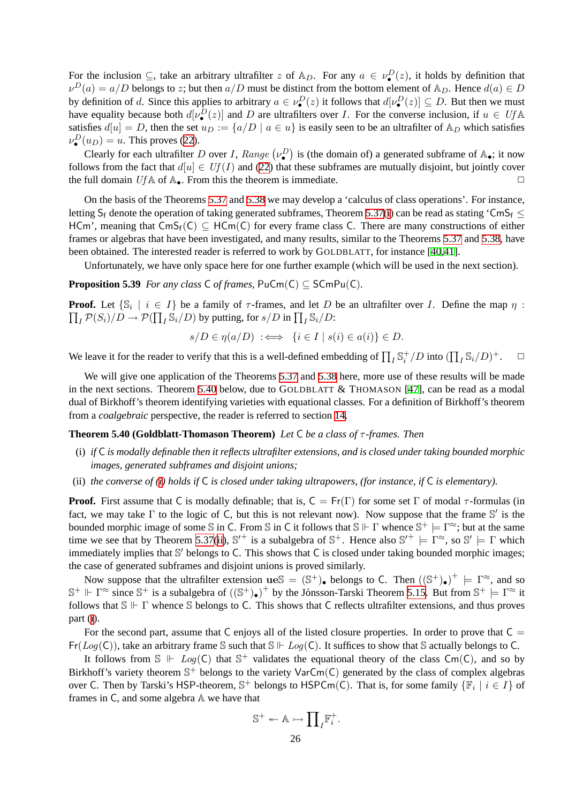For the inclusion  $\subseteq$ , take an arbitrary ultrafilter z of  $\mathbb{A}_D$ . For any  $a \in \nu^D_{\bullet}(z)$ , it holds by definition that  $\nu^D(a) = a/D$  belongs to z; but then  $a/D$  must be distinct from the bottom element of  $\mathbb{A}_D$ . Hence  $d(a) \in D$ by definition of d. Since this applies to arbitrary  $a \in \nu_{\bullet}^{D}(z)$  it follows that  $d[\nu_{\bullet}^{D}(z)] \subseteq D$ . But then we must have equality because both  $d[\overline{\nu}_{\bullet}^D(z)]$  and D are ultrafilters over I. For the converse inclusion, if  $u \in Uf$  A satisfies  $d[u] = D$ , then the set  $u_D := \{a/D \mid a \in u\}$  is easily seen to be an ultrafilter of  $A_D$  which satisfies  $\nu_{\bullet}^{D}(u_{D}) = u$ . This proves [\(22](#page-24-2)).

Clearly for each ultrafilter D over I,  $Range(\nu^D_{\bullet})$  is (the domain of) a generated subframe of  $\mathbb{A}_{\bullet}$ ; it now follows from the fact that  $d[u] \in Uf(I)$  and ([22\)](#page-24-2) that these subframes are mutually disjoint, but jointly cover the full domain  $Uf \mathbb{A}$  of  $\mathbb{A}_{\bullet}$ . From this the theorem is immediate.

On the basis of the Theorems [5.37](#page-24-0) and [5.38](#page-24-3) we may develop a 'calculus of class operations'. For instance, letting S<sub>f</sub> denote the operation of taking generated subframes, Theorem [5.37](#page-24-0)[\(i](#page-24-4)) can be read as stating 'CmS<sub>f</sub>  $\leq$ HCm', meaning that  $\text{CmS}_{f}(C) \subseteq \text{HCm}(C)$  for every frame class C. There are many constructions of either frames or algebras that have been investigated, and many results, similar to the Theorems [5.37](#page-24-0) and [5.38](#page-24-3), have been obtained. The interested reader is referred to work by GOLDBLATT, for instance [[40](#page-83-6)[,41](#page-83-7)].

Unfortunately, we have only space here for one further example (which will be used in the next section).

<span id="page-25-2"></span>**Proposition 5.39** *For any class*  $C$  *of frames,*  $PuCm(C) \subseteq S CmPu(C)$ *.* 

**Proof.** Let  $\{\mathbb{S}_i \mid i \in I\}$  be a family of  $\tau$ -frames, and let D be an ultrafilter over I. Define the map  $\eta$ :  $\prod_I \mathcal{P}(S_i)/D \to \mathcal{P}(\prod_I \bar{S}_i/D)$  by putting, for  $s/D$  in  $\prod_I \bar{S}_i/D$ :

$$
s/D \in \eta(a/D) \iff \{i \in I \mid s(i) \in a(i)\} \in D.
$$

We leave it for the reader to verify that this is a well-defined embedding of  $\prod_I \mathbb{S}_i^+ / D$  into  $(\prod_I \mathbb{S}_i / D)^+$ .  $\Box$ 

We will give one application of the Theorems [5.37](#page-24-0) and [5.38](#page-24-3) here, more use of these results will be made in the next sections. Theorem [5.40](#page-25-0) below, due to GOLDBLATT & THOMASON [[47\]](#page-83-8), can be read as a modal dual of Birkhoff's theorem identifying varieties with equational classes. For a definition of Birkhoff's theorem from a *coalgebraic* perspective, the reader is referred to section [14.](#page-71-0)

<span id="page-25-0"></span>**Theorem 5.40 (Goldblatt-Thomason Theorem)** *Let* C *be a class of* τ *-frames. Then*

- <span id="page-25-1"></span>(i) *if* C *is modally definable then it reflects ultrafilter extensions, and is closed under taking bounded morphic images, generated subframes and disjoint unions;*
- (ii) *the converse of ([i\)](#page-25-1) holds if* C *is closed under taking ultrapowers, (for instance, if* C *is elementary).*

**Proof.** First assume that C is modally definable; that is,  $C = Fr(\Gamma)$  for some set  $\Gamma$  of modal  $\tau$ -formulas (in fact, we may take  $\Gamma$  to the logic of C, but this is not relevant now). Now suppose that the frame S' is the bounded morphic image of some S in C. From S in C it follows that  $\mathbb{S} \Vdash \Gamma$  whence  $\mathbb{S}^+ \models \Gamma^{\approx}$ ; but at the same time we see that by Theorem [5.37](#page-24-0)([ii\)](#page-24-5),  $\mathbb{S}^{+}$  is a subalgebra of  $\mathbb{S}^{+}$ . Hence also  $\mathbb{S}^{+} \models \Gamma^{\approx}$ , so  $\mathbb{S}^{'} \models \Gamma$  which immediately implies that S' belongs to C. This shows that C is closed under taking bounded morphic images; the case of generated subframes and disjoint unions is proved similarly.

Now suppose that the ultrafilter extension  $\mathbf{u} \in \mathbb{S}^+$ ). belongs to C. Then  $((\mathbb{S}^+)_\bullet)^+ \models \Gamma^\approx$ , and so  $\mathbb{S}^+ \Vdash \Gamma^{\approx}$  since  $\mathbb{S}^+$  is a subalgebra of  $((\mathbb{S}^+)_\bullet)^+$  by the Jónsson-Tarski Theorem [5.15](#page-19-3). But from  $\mathbb{S}^+ \models \Gamma^{\approx}$  it follows that  $\mathbb{S} \Vdash \Gamma$  whence  $\mathbb{S}$  belongs to C. This shows that C reflects ultrafilter extensions, and thus proves part [\(i](#page-25-1)).

For the second part, assume that C enjoys all of the listed closure properties. In order to prove that  $C =$  $Fr(Log(C))$ , take an arbitrary frame S such that  $S \Vdash Log(C)$ . It suffices to show that S actually belongs to C.

It follows from  $\mathbb{S} \Vdash Log(C)$  that  $\mathbb{S}^+$  validates the equational theory of the class  $\mathsf{Cm}(C)$ , and so by Birkhoff's variety theorem  $\mathbb{S}^+$  belongs to the variety VarCm(C) generated by the class of complex algebras over C. Then by Tarski's HSP-theorem,  $\mathbb{S}^+$  belongs to HSPCm(C). That is, for some family  $\{\mathbb{F}_i \mid i \in I\}$  of frames in C, and some algebra A we have that

$$
\mathbb{S}^+ \leftarrow \mathbb{A} \rightarrowtail \prod_{I} \mathbb{F}^+_i.
$$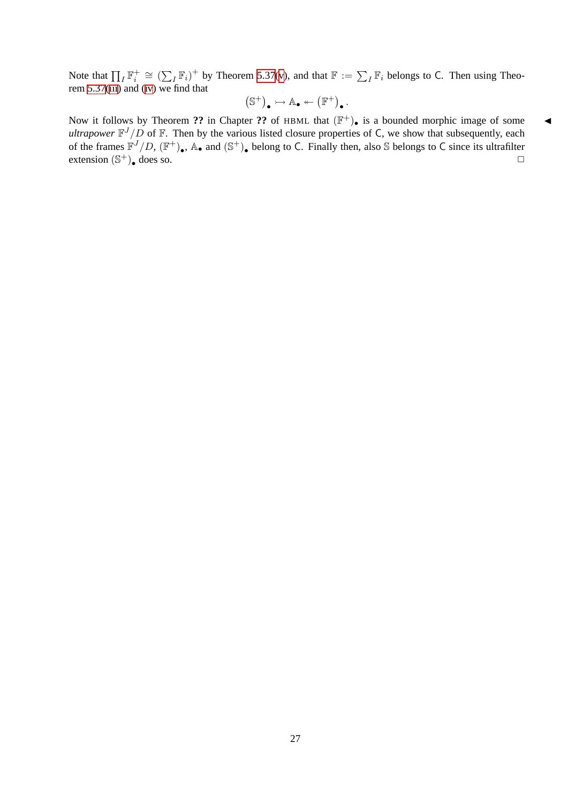Note that  $\prod_I \mathbb{F}_i^+ \cong (\sum_I \mathbb{F}_i)^+$  by Theorem [5.37\(](#page-24-0)[v\)](#page-24-6), and that  $\mathbb{F} := \sum_I \mathbb{F}_i$  belongs to C. Then using Theorem [5.37](#page-24-0)[\(iii\)](#page-24-7) and ([iv](#page-24-1)) we find that

$$
\left(\mathbb{S}^{+}\right)_{\bullet}\rightarrowtail\mathbb{A}_{\bullet}\twoheadleftarrow\left(\mathbb{F}^{+}\right)_{\bullet}.
$$

Now it follows by Theorem **??** in Chapter **??** of HBML that  $(\mathbb{F}^+)_{\bullet}$  is a bounded morphic image of some *ultrapower*  $\mathbb{F}^{J}/D$  of  $\mathbb{F}$ . Then by the various listed closure properties of C, we show that subsequently, each of the frames  $\mathbb{F}^{J}/D$ ,  $(\mathbb{F}^{+})_{\bullet}$ , A<sub>o</sub> and  $(\mathbb{S}^{+})_{\bullet}$  belong to C. Finally then, also S belongs to C since its ultrafilter extension  $(\mathbb{S}^+)$ .  $\Box$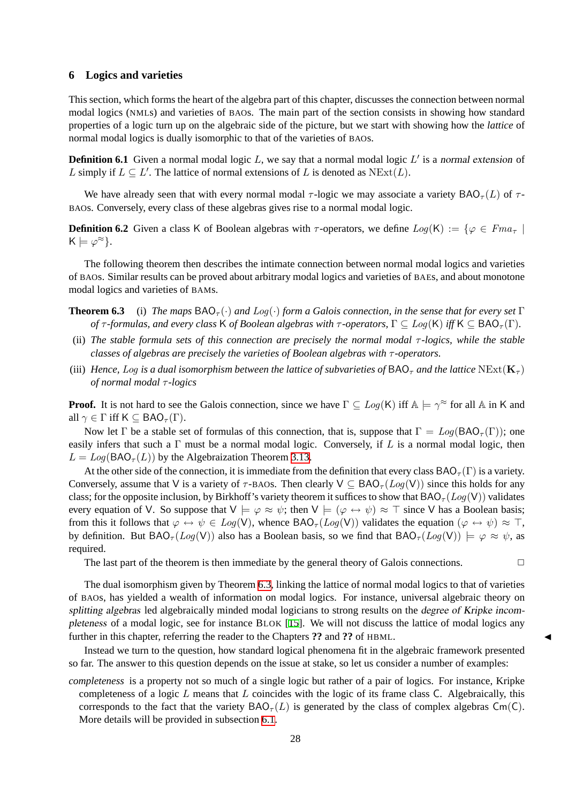### <span id="page-27-0"></span>**6 Logics and varieties**

This section, which forms the heart of the algebra part of this chapter, discusses the connection between normal modal logics (NMLs) and varieties of BAOs. The main part of the section consists in showing how standard properties of a logic turn up on the algebraic side of the picture, but we start with showing how the *lattice* of normal modal logics is dually isomorphic to that of the varieties of BAOs.

**Definition 6.1** Given a normal modal logic  $L$ , we say that a normal modal logic  $L'$  is a normal extension of L simply if  $L \subseteq L'$ . The lattice of normal extensions of L is denoted as  $NExt(L)$ .

We have already seen that with every normal modal  $\tau$ -logic we may associate a variety BAO<sub> $\tau$ </sub>(L) of  $\tau$ -BAOs. Conversely, every class of these algebras gives rise to a normal modal logic.

**Definition 6.2** Given a class K of Boolean algebras with  $\tau$ -operators, we define  $Log(K) := \{ \varphi \in Fma_{\tau} \mid \tau \in Fma_{\tau} \}$  $\mathsf{K}\models \varphi^{\approx}\}.$ 

The following theorem then describes the intimate connection between normal modal logics and varieties of BAOs. Similar results can be proved about arbitrary modal logics and varieties of BAEs, and about monotone modal logics and varieties of BAMs.

- <span id="page-27-1"></span>**Theorem 6.3** (i) *The maps*  $\text{BAO}_{\tau}(\cdot)$  *and*  $\text{Log}(\cdot)$  *form a Galois connection, in the sense that for every set* Γ *of*  $\tau$ -formulas, and every class K of Boolean algebras with  $\tau$ -operators,  $\Gamma \subseteq Log(K)$  *iff*  $K \subseteq BAO_{\tau}(\Gamma)$ *.*
- (ii) *The stable formula sets of this connection are precisely the normal modal* τ-*logics, while the stable classes of algebras are precisely the varieties of Boolean algebras with* τ *-operators.*
- (iii) *Hence, Log is a dual isomorphism between the lattice of subvarieties of*  $BAO_\tau$  *and the lattice*  $NExt(K_\tau)$ *of normal modal* τ *-logics*

**Proof.** It is not hard to see the Galois connection, since we have  $\Gamma \subseteq Log(K)$  iff  $A \models \gamma^{\approx}$  for all A in K and all  $\gamma \in \Gamma$  iff  $K \subseteq BAO_{\tau}(\Gamma)$ .

Now let Γ be a stable set of formulas of this connection, that is, suppose that  $\Gamma = Log(BAO<sub>\tau</sub>(\Gamma))$ ; one easily infers that such a  $\Gamma$  must be a normal modal logic. Conversely, if  $L$  is a normal modal logic, then  $L = Log(BAO<sub>\tau</sub>(L))$  by the Algebraization Theorem [3.13](#page-9-0).

At the other side of the connection, it is immediate from the definition that every class  $BAO<sub>\tau</sub>(\Gamma)$  is a variety. Conversely, assume that V is a variety of  $\tau$ -BAOs. Then clearly V ⊆ BAO<sub> $\tau$ </sub>(Log(V)) since this holds for any class; for the opposite inclusion, by Birkhoff's variety theorem it suffices to show that  $BAO<sub>\tau</sub>(Log(V))$  validates every equation of V. So suppose that  $V \models \varphi \approx \psi$ ; then  $V \models (\varphi \leftrightarrow \psi) \approx \top$  since V has a Boolean basis; from this it follows that  $\varphi \leftrightarrow \psi \in Log(V)$ , whence  $BAO_{\tau}(Log(V))$  validates the equation  $(\varphi \leftrightarrow \psi) \approx \top$ , by definition. But  $BAO_{\tau}(Log(V))$  also has a Boolean basis, so we find that  $BAO_{\tau}(Log(V)) \models \varphi \approx \psi$ , as required.

The last part of the theorem is then immediate by the general theory of Galois connections.  $\Box$ 

The dual isomorphism given by Theorem [6.3](#page-27-1), linking the lattice of normal modal logics to that of varieties of BAOs, has yielded a wealth of information on modal logics. For instance, universal algebraic theory on splitting algebras led algebraically minded modal logicians to strong results on the degree of Kripke incompleteness of a modal logic, see for instance BLOK [[15](#page-82-10)]. We will not discuss the lattice of modal logics any further in this chapter, referring the reader to the Chapters **??** and **??** of HBML. J

Instead we turn to the question, how standard logical phenomena fit in the algebraic framework presented so far. The answer to this question depends on the issue at stake, so let us consider a number of examples:

*completeness* is a property not so much of a single logic but rather of a pair of logics. For instance, Kripke completeness of a logic  $L$  means that  $L$  coincides with the logic of its frame class  $C$ . Algebraically, this corresponds to the fact that the variety  $BAO<sub>\tau</sub>(L)$  is generated by the class of complex algebras  $Cm(C)$ . More details will be provided in subsection [6.1](#page-28-0).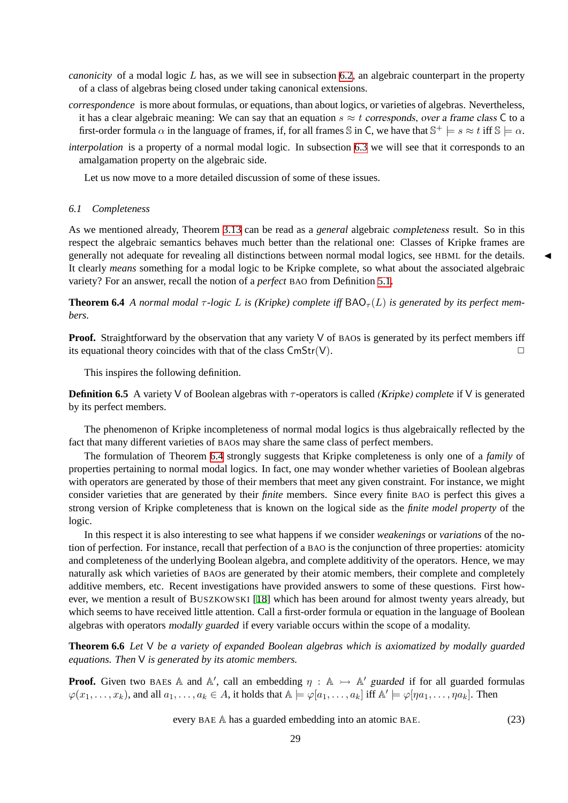- *canonicity* of a modal logic L has, as we will see in subsection [6.2,](#page-30-0) an algebraic counterpart in the property of a class of algebras being closed under taking canonical extensions.
- *correspondence* is more about formulas, or equations, than about logics, or varieties of algebras. Nevertheless, it has a clear algebraic meaning: We can say that an equation  $s \approx t$  corresponds, over a frame class C to a first-order formula  $\alpha$  in the language of frames, if, for all frames S in C, we have that  $\mathbb{S}^+ \models s \approx t$  iff  $\mathbb{S} \models \alpha$ .
- *interpolation* is a property of a normal modal logic. In subsection [6.3](#page-33-0) we will see that it corresponds to an amalgamation property on the algebraic side.

Let us now move to a more detailed discussion of some of these issues.

### <span id="page-28-0"></span>*6.1 Completeness*

As we mentioned already, Theorem [3.13](#page-9-0) can be read as a *general* algebraic completeness result. So in this respect the algebraic semantics behaves much better than the relational one: Classes of Kripke frames are generally not adequate for revealing all distinctions between normal modal logics, see HBML for the details. It clearly *means* something for a modal logic to be Kripke complete, so what about the associated algebraic variety? For an answer, recall the notion of a *perfect* BAO from Definition [5.1.](#page-16-0)

<span id="page-28-1"></span>**Theorem 6.4** *A normal modal*  $\tau$ -logic *L* is (*Kripke*) complete iff  $\text{BAO}_{\tau}(L)$  is generated by its perfect mem*bers.*

**Proof.** Straightforward by the observation that any variety  $\vee$  of BAOs is generated by its perfect members iff its equational theory coincides with that of the class  $\text{CmStr}(V)$ .

This inspires the following definition.

**Definition 6.5** A variety V of Boolean algebras with  $\tau$ -operators is called (Kripke) complete if V is generated by its perfect members.

The phenomenon of Kripke incompleteness of normal modal logics is thus algebraically reflected by the fact that many different varieties of BAOs may share the same class of perfect members.

The formulation of Theorem [6.4](#page-28-1) strongly suggests that Kripke completeness is only one of a *family* of properties pertaining to normal modal logics. In fact, one may wonder whether varieties of Boolean algebras with operators are generated by those of their members that meet any given constraint. For instance, we might consider varieties that are generated by their *finite* members. Since every finite BAO is perfect this gives a strong version of Kripke completeness that is known on the logical side as the *finite model property* of the logic.

In this respect it is also interesting to see what happens if we consider *weakenings* or *variations* of the notion of perfection. For instance, recall that perfection of a BAO is the conjunction of three properties: atomicity and completeness of the underlying Boolean algebra, and complete additivity of the operators. Hence, we may naturally ask which varieties of BAOs are generated by their atomic members, their complete and completely additive members, etc. Recent investigations have provided answers to some of these questions. First however, we mention a result of BUSZKOWSKI [[18\]](#page-82-11) which has been around for almost twenty years already, but which seems to have received little attention. Call a first-order formula or equation in the language of Boolean algebras with operators modally guarded if every variable occurs within the scope of a modality.

<span id="page-28-3"></span>**Theorem 6.6** *Let* V *be a variety of expanded Boolean algebras which is axiomatized by modally guarded equations. Then* V *is generated by its atomic members.*

**Proof.** Given two BAEs  $\mathbb A$  and  $\mathbb A'$ , call an embedding  $\eta : \mathbb A \rightarrow \mathbb A'$  guarded if for all guarded formulas  $\varphi(x_1,\ldots,x_k)$ , and all  $a_1,\ldots,a_k\in A$ , it holds that  $\mathbb{A}\models \varphi[a_1,\ldots,a_k]$  iff  $\mathbb{A}'\models \varphi[\eta a_1,\ldots,\eta a_k]$ . Then

<span id="page-28-2"></span>every BAE A has a guarded embedding into an atomic BAE. (23)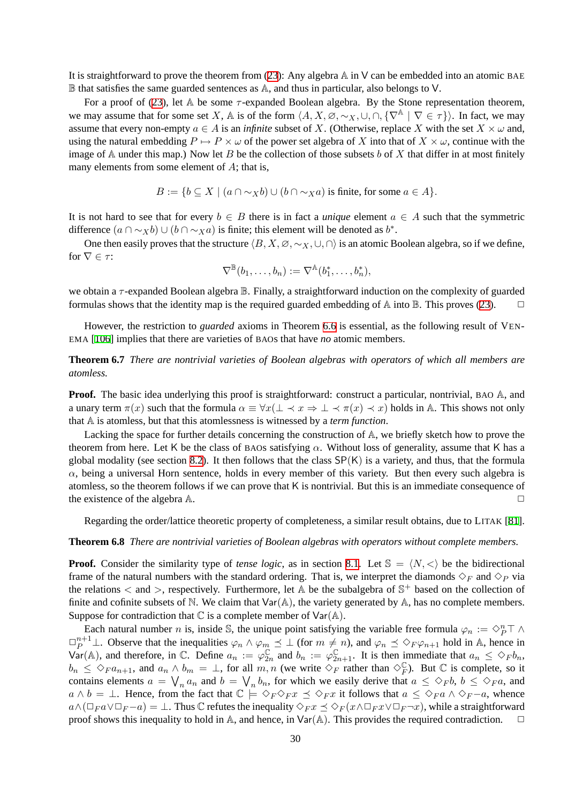It is straightforward to prove the theorem from ([23](#page-28-2)): Any algebra  $\mathbb A$  in V can be embedded into an atomic BAE B that satisfies the same guarded sentences as A, and thus in particular, also belongs to V.

For a proof of [\(23](#page-28-2)), let  $A$  be some  $\tau$ -expanded Boolean algebra. By the Stone representation theorem, we may assume that for some set X, A is of the form  $\langle A, X, \emptyset, \sim_X, \cup, \cap, \{ \nabla^{\mathbb{A}} \mid \nabla \in \tau \} \rangle$ . In fact, we may assume that every non-empty  $a \in A$  is an *infinite* subset of X. (Otherwise, replace X with the set  $X \times \omega$  and, using the natural embedding  $P \mapsto P \times \omega$  of the power set algebra of X into that of  $X \times \omega$ , continue with the image of  $A$  under this map.) Now let B be the collection of those subsets b of X that differ in at most finitely many elements from some element of  $A$ ; that is,

$$
B := \{ b \subseteq X \mid (a \cap \sim_X b) \cup (b \cap \sim_X a) \text{ is finite, for some } a \in A \}.
$$

It is not hard to see that for every  $b \in B$  there is in fact a *unique* element  $a \in A$  such that the symmetric difference  $(a \cap \sim_X b) \cup (b \cap \sim_X a)$  is finite; this element will be denoted as  $b^*$ .

One then easily proves that the structure  $\langle B, X, \emptyset, \sim_X, \cup, \cap \rangle$  is an atomic Boolean algebra, so if we define, for  $\nabla \in \tau$ :

$$
\nabla^{\mathbb{B}}(b_1,\ldots,b_n):=\nabla^{\mathbb{A}}(b_1^*,\ldots,b_n^*),
$$

we obtain a  $\tau$ -expanded Boolean algebra B. Finally, a straightforward induction on the complexity of guarded formulas shows that the identity map is the required guarded embedding of  $\mathbb A$  into  $\mathbb B$ . This proves ([23\)](#page-28-2).  $\Box$ 

However, the restriction to *guarded* axioms in Theorem [6.6](#page-28-3) is essential, as the following result of VEN-EMA [\[106\]](#page-85-6) implies that there are varieties of BAOs that have *no* atomic members.

**Theorem 6.7** *There are nontrivial varieties of Boolean algebras with operators of which all members are atomless.*

**Proof.** The basic idea underlying this proof is straightforward: construct a particular, nontrivial, BAO  $\mathbb{A}$ , and a unary term  $\pi(x)$  such that the formula  $\alpha \equiv \forall x (\perp \prec x \Rightarrow \perp \prec \pi(x) \prec x)$  holds in A. This shows not only that A is atomless, but that this atomlessness is witnessed by a *term function*.

Lacking the space for further details concerning the construction of A, we briefly sketch how to prove the theorem from here. Let K be the class of BAOs satisfying  $\alpha$ . Without loss of generality, assume that K has a global modality (see section [8.2\)](#page-47-0). It then follows that the class  $SP(K)$  is a variety, and thus, that the formula  $\alpha$ , being a universal Horn sentence, holds in every member of this variety. But then every such algebra is atomless, so the theorem follows if we can prove that K is nontrivial. But this is an immediate consequence of the existence of the algebra  $\mathbb A$ .  $\Box$ 

Regarding the order/lattice theoretic property of completeness, a similar result obtains, due to LITAK [[81\]](#page-84-6).

#### **Theorem 6.8** *There are nontrivial varieties of Boolean algebras with operators without complete members.*

**Proof.** Consider the similarity type of *tense logic*, as in section [8.1](#page-46-1). Let  $\mathbb{S} = \langle N, \langle \rangle$  be the bidirectional frame of the natural numbers with the standard ordering. That is, we interpret the diamonds  $\Diamond_F$  and  $\Diamond_P$  via the relations  $\lt$  and  $gt$ , respectively. Furthermore, let  $\mathbb A$  be the subalgebra of  $\mathbb S^+$  based on the collection of finite and cofinite subsets of N. We claim that  $\text{Var}(\mathbb{A})$ , the variety generated by  $\mathbb{A}$ , has no complete members. Suppose for contradiction that  $\mathbb C$  is a complete member of  $\text{Var}(\mathbb A)$ .

Each natural number n is, inside S, the unique point satisfying the variable free formula  $\varphi_n := \Diamond_p^n \top \wedge$  $\Box_p^{n+1} \bot$ . Observe that the inequalities  $\varphi_n \wedge \varphi_m \preceq \bot$  (for  $m \neq n$ ), and  $\varphi_n \preceq \Diamond_F \varphi_{n+1}$  hold in A, hence in  $\text{Var}(\mathbb{A})$ , and therefore, in  $\mathbb{C}$ . Define  $a_n := \varphi_{2n}^{\mathbb{C}}$  and  $b_n := \varphi_{2n+1}^{\mathbb{C}}$ . It is then immediate that  $a_n \leq \varphi_F b_n$ ,  $b_n \leq \Diamond_F a_{n+1}$ , and  $a_n \wedge b_m = \bot$ , for all  $m, n$  (we write  $\Diamond_F$  rather than  $\Diamond_F^{\mathbb{C}}$ ). But  $\mathbb{C}$  is complete, so it contains elements  $a = \bigvee_n a_n$  and  $b = \bigvee_n b_n$ , for which we easily derive that  $a \leq \Diamond_F b$ ,  $b \leq \Diamond_F a$ , and  $a \wedge b = \bot$ . Hence, from the fact that  $\mathbb{C} \models \Diamond_F \Diamond_F x \preceq \Diamond_F x$  it follows that  $a \leq \Diamond_F a \wedge \Diamond_F - a$ , whence  $a \wedge (\Box_F a \vee \Box_F - a) = \bot$ . Thus C refutes the inequality  $\diamond_{F} x \preceq \diamond_F (x \wedge \Box_F x \vee \Box_F - x)$ , while a straightforward proof shows this inequality to hold in A, and hence, in  $\text{Var}(\mathbb{A})$ . This provides the required contradiction.  $\Box$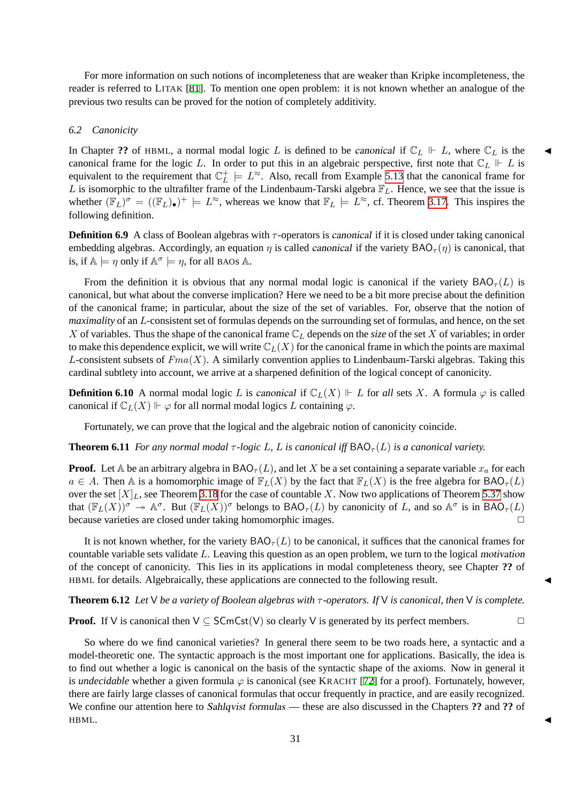For more information on such notions of incompleteness that are weaker than Kripke incompleteness, the reader is referred to LITAK [\[81](#page-84-6)]. To mention one open problem: it is not known whether an analogue of the previous two results can be proved for the notion of completely additivity.

### <span id="page-30-0"></span>*6.2 Canonicity*

In Chapter ?? of HBML, a normal modal logic L is defined to be canonical if  $\mathbb{C}_L$   $\Vdash L$ , where  $\mathbb{C}_L$  is the canonical frame for the logic L. In order to put this in an algebraic perspective, first note that  $\mathbb{C}_L \Vdash L$  is equivalent to the requirement that  $\mathbb{C}_L^+$  $L^+$   $\models$   $L^{\approx}$ . Also, recall from Example [5.13](#page-19-4) that the canonical frame for L is isomorphic to the ultrafilter frame of the Lindenbaum-Tarski algebra  $\mathbb{F}_L$ . Hence, we see that the issue is whether  $(\mathbb{F}_L)^\sigma = ((\mathbb{F}_L)_{\bullet})^+ \models L^\infty$ , whereas we know that  $\mathbb{F}_L \models L^\infty$ , cf. Theorem [3.17](#page-9-1). This inspires the following definition.

**Definition 6.9** A class of Boolean algebras with  $\tau$ -operators is canonical if it is closed under taking canonical embedding algebras. Accordingly, an equation  $\eta$  is called canonical if the variety BAO<sub> $\tau(\eta)$ </sub> is canonical, that is, if  $\mathbb{A} \models \eta$  only if  $\mathbb{A}^{\sigma} \models \eta$ , for all BAOs  $\mathbb{A}$ .

From the definition it is obvious that any normal modal logic is canonical if the variety  $BAO<sub>\tau</sub>(L)$  is canonical, but what about the converse implication? Here we need to be a bit more precise about the definition of the canonical frame; in particular, about the size of the set of variables. For, observe that the notion of *maximality* of an L-consistent set of formulas depends on the surrounding set of formulas, and hence, on the set X of variables. Thus the shape of the canonical frame  $\mathbb{C}_L$  depends on the *size* of the set X of variables; in order to make this dependence explicit, we will write  $\mathbb{C}_L(X)$  for the canonical frame in which the points are maximal L-consistent subsets of  $Fma(X)$ . A similarly convention applies to Lindenbaum-Tarski algebras. Taking this cardinal subtlety into account, we arrive at a sharpened definition of the logical concept of canonicity.

**Definition 6.10** A normal modal logic L is canonical if  $\mathbb{C}_L(X) \Vdash L$  for all sets X. A formula  $\varphi$  is called canonical if  $\mathbb{C}_L(X) \Vdash \varphi$  for all normal modal logics L containing  $\varphi$ .

Fortunately, we can prove that the logical and the algebraic notion of canonicity coincide.

**Theorem 6.11** *For any normal modal*  $\tau$ -logic L, L is canonical iff  $\text{BAO}_{\tau}(L)$  is a canonical variety.

**Proof.** Let A be an arbitrary algebra in BAO<sub> $\tau$ </sub>(L), and let X be a set containing a separate variable  $x_a$  for each  $a \in A$ . Then A is a homomorphic image of  $\mathbb{F}_L(X)$  by the fact that  $\mathbb{F}_L(X)$  is the free algebra for BAO<sub> $\tau$ </sub>(L) over the set  $[X]_L$ , see Theorem [3.18](#page-10-0) for the case of countable X. Now two applications of Theorem [5.37](#page-24-0) show that  $(\mathbb{F}_L(X))^{\sigma} \to \mathbb{A}^{\sigma}$ . But  $(\mathbb{F}_L(X))^{\sigma}$  belongs to BAO<sub> $\tau$ </sub>(*L*) by canonicity of *L*, and so  $\mathbb{A}^{\sigma}$  is in BAO<sub> $\tau$ </sub>(*L*) because varieties are closed under taking homomorphic images.

It is not known whether, for the variety  $BAO<sub>\tau</sub>(L)$  to be canonical, it suffices that the canonical frames for countable variable sets validate L. Leaving this question as an open problem, we turn to the logical motivation of the concept of canonicity. This lies in its applications in modal completeness theory, see Chapter **??** of HBML for details. Algebraically, these applications are connected to the following result. J

**Theorem 6.12** Let V be a variety of Boolean algebras with  $\tau$ -operators. If V is canonical, then V is complete.

**Proof.** If V is canonical then  $V \subseteq SCMCst(V)$  so clearly V is generated by its perfect members.

So where do we find canonical varieties? In general there seem to be two roads here, a syntactic and a model-theoretic one. The syntactic approach is the most important one for applications. Basically, the idea is to find out whether a logic is canonical on the basis of the syntactic shape of the axioms. Now in general it is *undecidable* whether a given formula  $\varphi$  is canonical (see KRACHT [[72\]](#page-84-7) for a proof). Fortunately, however, there are fairly large classes of canonical formulas that occur frequently in practice, and are easily recognized. We confine our attention here to Sahlqvist formulas — these are also discussed in the Chapters **??** and **??** of  $H$ BML.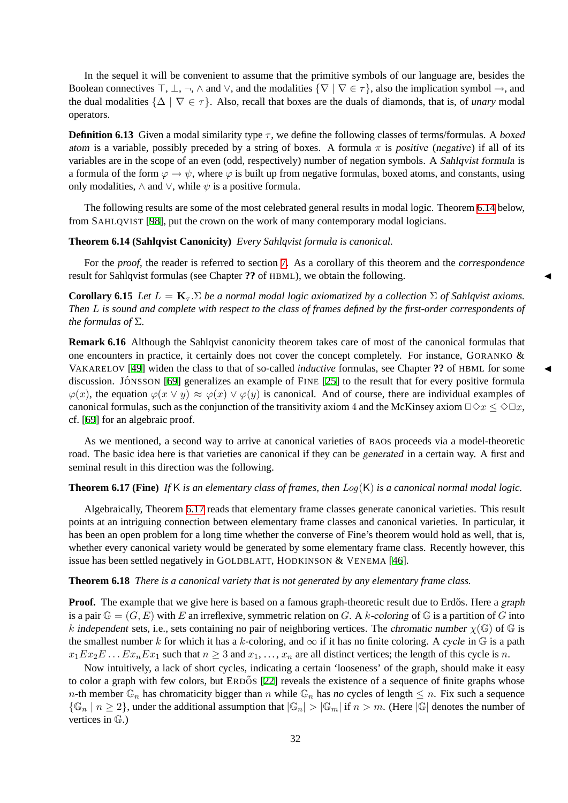In the sequel it will be convenient to assume that the primitive symbols of our language are, besides the Boolean connectives  $\top$ ,  $\bot$ ,  $\neg$ ,  $\wedge$  and  $\vee$ , and the modalities  $\{\nabla \mid \nabla \in \tau\}$ , also the implication symbol  $\rightarrow$ , and the dual modalities  $\{\Delta \mid \nabla \in \tau\}$ . Also, recall that boxes are the duals of diamonds, that is, of *unary* modal operators.

**Definition 6.13** Given a modal similarity type  $\tau$ , we define the following classes of terms/formulas. A boxed atom is a variable, possibly preceded by a string of boxes. A formula  $\pi$  is positive (negative) if all of its variables are in the scope of an even (odd, respectively) number of negation symbols. A Sahlqvist formula is a formula of the form  $\varphi \to \psi$ , where  $\varphi$  is built up from negative formulas, boxed atoms, and constants, using only modalities,  $\land$  and  $\lor$ , while  $\psi$  is a positive formula.

The following results are some of the most celebrated general results in modal logic. Theorem [6.14](#page-31-0) below, from SAHLQVIST [[98\]](#page-85-7), put the crown on the work of many contemporary modal logicians.

# <span id="page-31-0"></span>**Theorem 6.14 (Sahlqvist Canonicity)** *Every Sahlqvist formula is canonical.*

For the *proof*, the reader is referred to section [7](#page-36-0). As a corollary of this theorem and the *correspondence* result for Sahlqvist formulas (see Chapter **??** of HBML), we obtain the following. J

**Corollary 6.15** *Let*  $L = \mathbf{K}_{\tau}$ .  $\Sigma$  *be a normal modal logic axiomatized by a collection*  $\Sigma$  *of Sahlqvist axioms. Then* L *is sound and complete with respect to the class of frames defined by the first-order correspondents of the formulas of* Σ*.*

**Remark 6.16** Although the Sahlqvist canonicity theorem takes care of most of the canonical formulas that one encounters in practice, it certainly does not cover the concept completely. For instance, GORANKO & VAKARELOV [[49\]](#page-83-9) widen the class to that of so-called *inductive* formulas, see Chapter **??** of HBML for some J discussion. JÓNSSON  $[69]$  $[69]$  generalizes an example of FINE  $[25]$  $[25]$  to the result that for every positive formula  $\varphi(x)$ , the equation  $\varphi(x \vee y) \approx \varphi(x) \vee \varphi(y)$  is canonical. And of course, there are individual examples of canonical formulas, such as the conjunction of the transitivity axiom 4 and the McKinsey axiom  $\Box \Diamond x \leq \Diamond \Box x$ , cf. [[69](#page-84-4)] for an algebraic proof.

As we mentioned, a second way to arrive at canonical varieties of BAOs proceeds via a model-theoretic road. The basic idea here is that varieties are canonical if they can be generated in a certain way. A first and seminal result in this direction was the following.

# <span id="page-31-1"></span>**Theorem 6.17 (Fine)** *If* K *is an elementary class of frames, then* Log(K) *is a canonical normal modal logic.*

Algebraically, Theorem [6.17](#page-31-1) reads that elementary frame classes generate canonical varieties. This result points at an intriguing connection between elementary frame classes and canonical varieties. In particular, it has been an open problem for a long time whether the converse of Fine's theorem would hold as well, that is, whether every canonical variety would be generated by some elementary frame class. Recently however, this issue has been settled negatively in GOLDBLATT, HODKINSON & VENEMA [\[46](#page-83-10)].

### **Theorem 6.18** *There is a canonical variety that is not generated by any elementary frame class.*

**Proof.** The example that we give here is based on a famous graph-theoretic result due to Erdős. Here a graph is a pair  $\mathbb{G} = (G, E)$  with E an irreflexive, symmetric relation on G. A k-coloring of  $\mathbb{G}$  is a partition of G into k independent sets, i.e., sets containing no pair of neighboring vertices. The chromatic number  $\chi(\mathbb{G})$  of  $\mathbb{G}$  is the smallest number k for which it has a k-coloring, and  $\infty$  if it has no finite coloring. A cycle in  $\mathbb G$  is a path  $x_1Ex_2E \ldots Ex_nEx_1$  such that  $n \geq 3$  and  $x_1, \ldots, x_n$  are all distinct vertices; the length of this cycle is n.

Now intuitively, a lack of short cycles, indicating a certain 'looseness' of the graph, should make it easy to color a graph with few colors, but ERDŐS [[22\]](#page-82-13) reveals the existence of a sequence of finite graphs whose n-th member  $\mathbb{G}_n$  has chromaticity bigger than n while  $\mathbb{G}_n$  has no cycles of length  $\leq n$ . Fix such a sequence  $\{\mathbb{G}_n \mid n \geq 2\}$ , under the additional assumption that  $|\mathbb{G}_n| > |\mathbb{G}_m|$  if  $n > m$ . (Here  $|\mathbb{G}|$  denotes the number of vertices in  $\mathbb{G}$ .)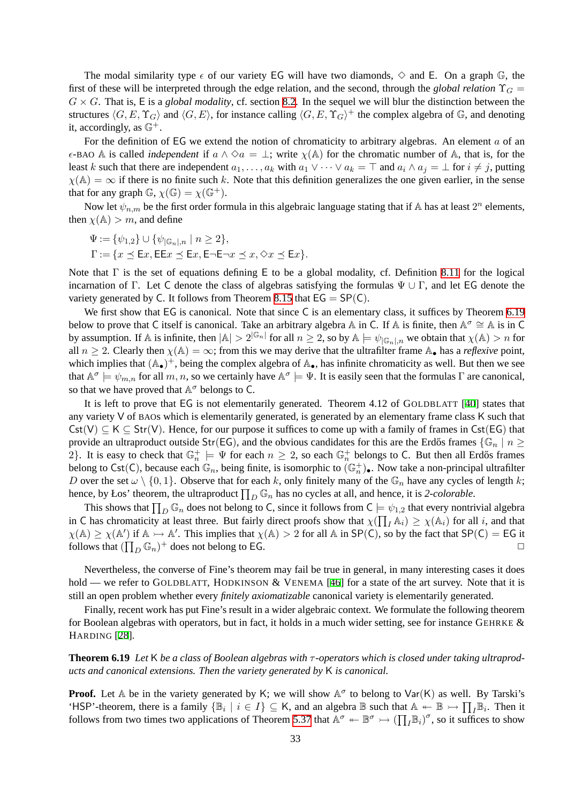The modal similarity type  $\epsilon$  of our variety EG will have two diamonds,  $\diamond$  and E. On a graph  $\mathbb{G}$ , the first of these will be interpreted through the edge relation, and the second, through the *global relation*  $\Upsilon_G$  $G \times G$ . That is, E is a *global modality*, cf. section [8.2.](#page-47-0) In the sequel we will blur the distinction between the structures  $\langle G, E, \Upsilon_G \rangle$  and  $\langle G, E \rangle$ , for instance calling  $\langle G, E, \Upsilon_G \rangle^+$  the complex algebra of G, and denoting it, accordingly, as  $\mathbb{G}^+$ .

For the definition of EG we extend the notion of chromaticity to arbitrary algebras. An element  $\alpha$  of an  $\epsilon$ -BAO A is called independent if  $a \wedge \Diamond a = \bot$ ; write  $\chi(A)$  for the chromatic number of A, that is, for the least k such that there are independent  $a_1, \ldots, a_k$  with  $a_1 \vee \cdots \vee a_k = \top$  and  $a_i \wedge a_j = \bot$  for  $i \neq j$ , putting  $\chi(A) = \infty$  if there is no finite such k. Note that this definition generalizes the one given earlier, in the sense that for any graph  $\mathbb{G}, \chi(\mathbb{G}) = \chi(\mathbb{G}^+).$ 

Now let  $\psi_{n,m}$  be the first order formula in this algebraic language stating that if A has at least  $2^n$  elements, then  $\chi$ ( $\mathbb{A}$ ) > m, and define

$$
\Psi := \{ \psi_{1,2} \} \cup \{ \psi_{|\mathbb{G}_n|, n} \mid n \ge 2 \},
$$
  

$$
\Gamma := \{ x \le \mathbb{E}x, \mathbb{E} \in \mathbb{E}x \le \mathbb{E}x, \mathbb{E} \neg \mathbb{E} \neg x \preceq x, \Diamond x \preceq \mathbb{E}x \}.
$$

Note that Γ is the set of equations defining E to be a global modality, cf. Definition [8.11](#page-48-0) for the logical incarnation of Γ. Let C denote the class of algebras satisfying the formulas  $\Psi \cup \Gamma$ , and let EG denote the variety generated by C. It follows from Theorem [8.15](#page-49-0) that  $EG = SP(C)$ .

We first show that EG is canonical. Note that since C is an elementary class, it suffices by Theorem [6.19](#page-32-0) below to prove that C itself is canonical. Take an arbitrary algebra A in C. If A is finite, then  $A^{\sigma} \cong A$  is in C by assumption. If A is infinite, then  $|A| > 2^{|{\mathbb{G}}_n|}$  for all  $n \geq 2$ , so by  $A \models \psi_{|{\mathbb{G}}_n|,n}$  we obtain that  $\chi(A) > n$  for all  $n \geq 2$ . Clearly then  $\chi(A) = \infty$ ; from this we may derive that the ultrafilter frame  $A_{\bullet}$  has a *reflexive* point, which implies that  $(A_{\bullet})^+$ , being the complex algebra of  $A_{\bullet}$ , has infinite chromaticity as well. But then we see that  $\mathbb{A}^{\sigma} \models \psi_{m,n}$  for all  $m, n$ , so we certainly have  $\mathbb{A}^{\sigma} \models \Psi$ . It is easily seen that the formulas  $\Gamma$  are canonical, so that we have proved that  $A^{\sigma}$  belongs to C.

It is left to prove that EG is not elementarily generated. Theorem 4.12 of GOLDBLATT [[40\]](#page-83-6) states that any variety V of BAOs which is elementarily generated, is generated by an elementary frame class K such that  $Cst(V) \subseteq K \subseteq Str(V)$ . Hence, for our purpose it suffices to come up with a family of frames in Cst(EG) that provide an ultraproduct outside Str(EG), and the obvious candidates for this are the Erdős frames  $\{\mathbb{G}_n \mid n \geq 1\}$ 2}. It is easy to check that  $\mathbb{G}_n^+ \models \Psi$  for each  $n \geq 2$ , so each  $\mathbb{G}_n^+$  belongs to C. But then all Erdős frames belong to Cst(C), because each  $\mathbb{G}_n$ , being finite, is isomorphic to  $(\mathbb{G}_n^+)$ . Now take a non-principal ultrafilter D over the set  $\omega \setminus \{0, 1\}$ . Observe that for each k, only finitely many of the  $\mathbb{G}_n$  have any cycles of length k; hence, by Łos' theorem, the ultraproduct  $\prod_D \mathbb{G}_n$  has no cycles at all, and hence, it is *2-colorable*.

This shows that  $\prod_D \mathbb{G}_n$  does not belong to C, since it follows from  $\mathsf{C} \models \psi_{1,2}$  that every nontrivial algebra in C has chromaticity at least three. But fairly direct proofs show that  $\chi(\prod_I \mathbb{A}_i) \geq \chi(\mathbb{A}_i)$  for all i, and that  $\chi(A) \ge \chi(A')$  if  $A \rightarrow A'$ . This implies that  $\chi(A) > 2$  for all A in SP(C), so by the fact that SP(C) = EG it follows that  $(\prod_D \mathbb{G}_n)^+$  does not belong to EG.

Nevertheless, the converse of Fine's theorem may fail be true in general, in many interesting cases it does hold — we refer to GOLDBLATT, HODKINSON & VENEMA [\[46](#page-83-10)] for a state of the art survey. Note that it is still an open problem whether every *finitely axiomatizable* canonical variety is elementarily generated.

Finally, recent work has put Fine's result in a wider algebraic context. We formulate the following theorem for Boolean algebras with operators, but in fact, it holds in a much wider setting, see for instance GEHRKE & HARDING [[28\]](#page-82-14).

<span id="page-32-0"></span>**Theorem 6.19** Let K be a class of Boolean algebras with τ-operators which is closed under taking ultraprod*ucts and canonical extensions. Then the variety generated by* K *is canonical.*

**Proof.** Let A be in the variety generated by K; we will show  $A^{\sigma}$  to belong to  $Var(K)$  as well. By Tarski's 'HSP'-theorem, there is a family  $\{\mathbb{B}_i \mid i \in I\} \subseteq K$ , and an algebra  $\mathbb{B}$  such that  $\mathbb{A} \leftarrow \mathbb{B} \rightarrow \prod_I \mathbb{B}_i$ . Then it follows from two times two applications of Theorem [5.37](#page-24-0) that  $\mathbb{A}^{\sigma} \leftarrow \mathbb{B}^{\sigma} \rightarrow (\prod_{I} \mathbb{B}_{i})^{\sigma}$ , so it suffices to show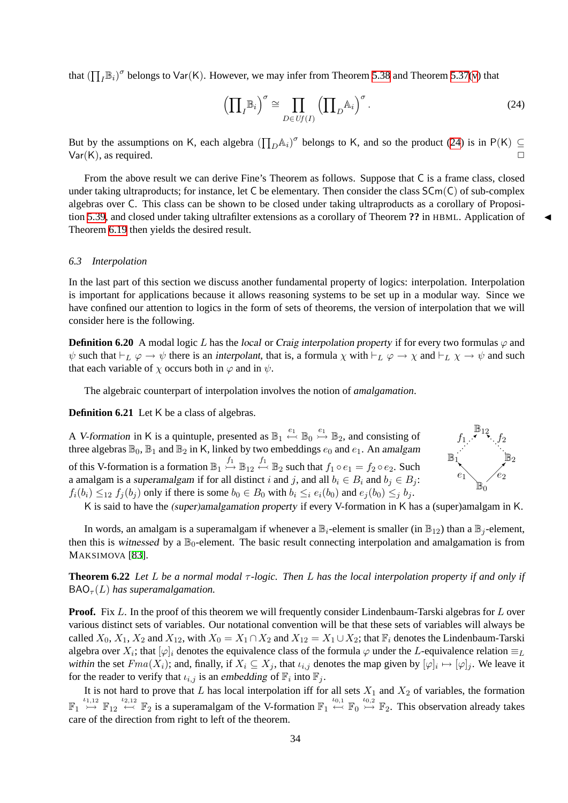that  $(\prod_I \mathbb{B}_i)^\sigma$  belongs to  $\text{Var}(K)$ . However, we may infer from Theorem [5.38](#page-24-3) and Theorem [5.37\(](#page-24-0)[v\)](#page-24-6) that

<span id="page-33-1"></span>
$$
\left(\prod_{I} \mathbb{B}_{i}\right)^{\sigma} \cong \prod_{D \in Uf(I)} \left(\prod_{D} \mathbb{A}_{i}\right)^{\sigma}.
$$
\n(24)

But by the assumptions on K, each algebra  $(\prod_D A_i)^\sigma$  belongs to K, and so the product [\(24\)](#page-33-1) is in P(K)  $\subseteq$  $Var(K)$ , as required.  $\square$ 

From the above result we can derive Fine's Theorem as follows. Suppose that C is a frame class, closed under taking ultraproducts; for instance, let C be elementary. Then consider the class SCm(C) of sub-complex algebras over C. This class can be shown to be closed under taking ultraproducts as a corollary of Proposi-tion [5.39,](#page-25-2) and closed under taking ultrafilter extensions as a corollary of Theorem ?? in HBML. Application of Theorem [6.19](#page-32-0) then yields the desired result.

### <span id="page-33-0"></span>*6.3 Interpolation*

In the last part of this section we discuss another fundamental property of logics: interpolation. Interpolation is important for applications because it allows reasoning systems to be set up in a modular way. Since we have confined our attention to logics in the form of sets of theorems, the version of interpolation that we will consider here is the following.

**Definition 6.20** A modal logic L has the local or Craig interpolation property if for every two formulas  $\varphi$  and  $\psi$  such that  $\vdash_L \varphi \to \psi$  there is an interpolant, that is, a formula  $\chi$  with  $\vdash_L \varphi \to \chi$  and  $\vdash_L \chi \to \psi$  and such that each variable of  $\chi$  occurs both in  $\varphi$  and in  $\psi$ .

The algebraic counterpart of interpolation involves the notion of *amalgamation*.

**Definition 6.21** Let K be a class of algebras.

A V-formation in K is a quintuple, presented as  $\mathbb{B}_1 \stackrel{e_1}{\leftarrow} \mathbb{B}_0 \stackrel{e_1}{\rightarrow} \mathbb{B}_2$ , and consisting of three algebras  $\mathbb{B}_0$ ,  $\mathbb{B}_1$  and  $\mathbb{B}_2$  in K, linked by two embeddings  $e_0$  and  $e_1$ . An amalgam of this V-formation is a formation  $\mathbb{B}_1 \stackrel{f_1}{\rightarrow} \mathbb{B}_{12} \stackrel{f_1}{\leftarrow} \mathbb{B}_2$  such that  $f_1 \circ e_1 = f_2 \circ e_2$ . Such a amalgam is a superamalgam if for all distinct i and j, and all  $b_i \in B_i$  and  $b_j \in B_j$ :  $f_i(b_i) \leq_{12} f_j(b_j)$  only if there is some  $b_0 \in B_0$  with  $b_i \leq_i e_i(b_0)$  and  $e_j(b_0) \leq_j b_j$ .



K is said to have the (super)amalgamation property if every V-formation in K has a (super)amalgam in K.

In words, an amalgam is a superamalgam if whenever a  $\mathbb{B}_i$ -element is smaller (in  $\mathbb{B}_{12}$ ) than a  $\mathbb{B}_i$ -element, then this is witnessed by a  $\mathbb{B}_0$ -element. The basic result connecting interpolation and amalgamation is from MAKSIMOVA [\[83](#page-84-8)].

**Theorem 6.22** *Let L be a normal modal*  $τ$ -logic. Then *L* has the local interpolation property if and only if  $BAO<sub>\tau</sub>(L)$  *has superamalgamation.* 

**Proof.** Fix L. In the proof of this theorem we will frequently consider Lindenbaum-Tarski algebras for L over various distinct sets of variables. Our notational convention will be that these sets of variables will always be called  $X_0, X_1, X_2$  and  $X_{12}$ , with  $X_0 = X_1 \cap X_2$  and  $X_{12} = X_1 \cup X_2$ ; that  $\mathbb{F}_i$  denotes the Lindenbaum-Tarski algebra over  $X_i$ ; that  $[\varphi]_i$  denotes the equivalence class of the formula  $\varphi$  under the L-equivalence relation  $\equiv_L$ *within* the set  $Fma(X_i)$ ; and, finally, if  $X_i \subseteq X_j$ , that  $\iota_{i,j}$  denotes the map given by  $[\varphi]_i \mapsto [\varphi]_j$ . We leave it for the reader to verify that  $\iota_{i,j}$  is an embedding of  $\mathbb{F}_i$  into  $\mathbb{F}_j$ .

It is not hard to prove that L has local interpolation iff for all sets  $X_1$  and  $X_2$  of variables, the formation  $\mathbb{F}_1 \stackrel{\iota_{1,12}}{\rightarrow} \mathbb{F}_{12} \stackrel{\iota_{2,12}}{\leftarrow} \mathbb{F}_2$  is a superamalgam of the V-formation  $\mathbb{F}_1 \stackrel{\iota_{0,1}}{\leftarrow} \mathbb{F}_0 \stackrel{\iota_{0,2}}{\rightarrow} \mathbb{F}_2$ . This observation already takes care of the direction from right to left of the theorem.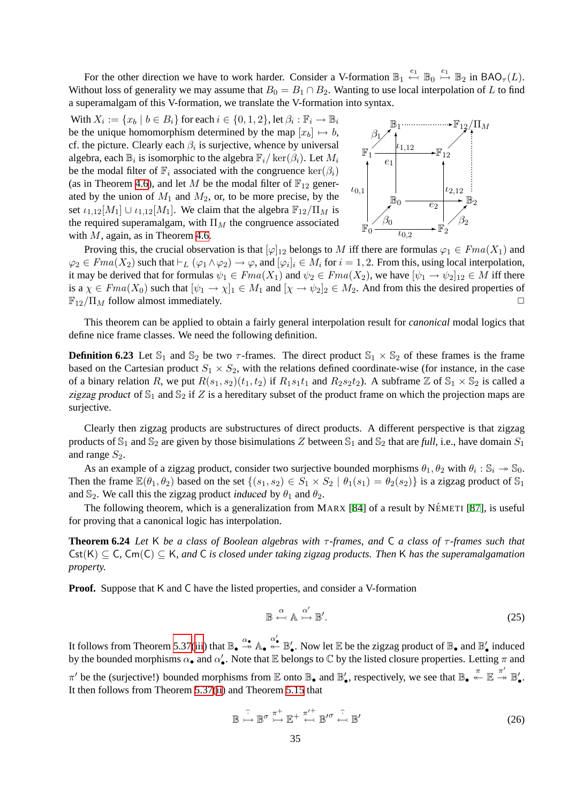For the other direction we have to work harder. Consider a V-formation  $\mathbb{B}_1 \stackrel{e_1}{\leftarrow} \mathbb{B}_0 \stackrel{e_1}{\rightarrow} \mathbb{B}_2$  in  $\mathsf{BAO}_\tau(L)$ . Without loss of generality we may assume that  $B_0 = B_1 \cap B_2$ . Wanting to use local interpolation of L to find a superamalgam of this V-formation, we translate the V-formation into syntax.

With  $X_i := \{x_b \mid b \in B_i\}$  for each  $i \in \{0, 1, 2\}$ , let  $\beta_i : \mathbb{F}_i \to \mathbb{B}_i$ be the unique homomorphism determined by the map  $[x_b] \mapsto b$ , cf. the picture. Clearly each  $\beta_i$  is surjective, whence by universal algebra, each  $\mathbb{B}_i$  is isomorphic to the algebra  $\mathbb{F}_i/\ker(\beta_i)$ . Let  $M_i$ be the modal filter of  $\mathbb{F}_i$  associated with the congruence  $\ker(\beta_i)$ (as in Theorem [4.6\)](#page-12-0), and let M be the modal filter of  $\mathbb{F}_{12}$  generated by the union of  $M_1$  and  $M_2$ , or, to be more precise, by the set  $\iota_{1,12}[M_1] \cup \iota_{1,12}[M_1]$ . We claim that the algebra  $\mathbb{F}_{12}/\Pi_M$  is the required superamalgam, with  $\Pi_M$  the congruence associated with  $M$ , again, as in Theorem [4.6](#page-12-0).



Proving this, the crucial observation is that  $[\varphi]_{12}$  belongs to M iff there are formulas  $\varphi_1 \in Fma(X_1)$  and  $\varphi_2 \in Fma(X_2)$  such that  $\vdash_L (\varphi_1 \wedge \varphi_2) \to \varphi$ , and  $[\varphi_i]_i \in M_i$  for  $i = 1, 2$ . From this, using local interpolation, it may be derived that for formulas  $\psi_1 \in Fma(X_1)$  and  $\psi_2 \in Fma(X_2)$ , we have  $[\psi_1 \to \psi_2]_{12} \in M$  iff there is a  $\chi \in Fma(X_0)$  such that  $[\psi_1 \to \chi]_1 \in M_1$  and  $[\chi \to \psi_2]_2 \in M_2$ . And from this the desired properties of  $\mathbb{F}_{12}/\Pi_M$  follow almost immediately.  $\square$ 

This theorem can be applied to obtain a fairly general interpolation result for *canonical* modal logics that define nice frame classes. We need the following definition.

**Definition 6.23** Let  $\mathbb{S}_1$  and  $\mathbb{S}_2$  be two  $\tau$ -frames. The direct product  $\mathbb{S}_1 \times \mathbb{S}_2$  of these frames is the frame based on the Cartesian product  $S_1 \times S_2$ , with the relations defined coordinate-wise (for instance, in the case of a binary relation R, we put  $R(s_1, s_2)(t_1, t_2)$  if  $R_1s_1t_1$  and  $R_2s_2t_2$ . A subframe  $\mathbb{Z}$  of  $\mathbb{S}_1 \times \mathbb{S}_2$  is called a zigzag product of  $\mathbb{S}_1$  and  $\mathbb{S}_2$  if Z is a hereditary subset of the product frame on which the projection maps are surjective.

Clearly then zigzag products are substructures of direct products. A different perspective is that zigzag products of  $\mathbb{S}_1$  and  $\mathbb{S}_2$  are given by those bisimulations Z between  $\mathbb{S}_1$  and  $\mathbb{S}_2$  that are *full*, i.e., have domain  $S_1$ and range  $S_2$ .

As an example of a zigzag product, consider two surjective bounded morphisms  $\theta_1, \theta_2$  with  $\theta_i : \mathbb{S}_i \to \mathbb{S}_0$ . Then the frame  $\mathbb{E}(\theta_1, \theta_2)$  based on the set  $\{(s_1, s_2) \in S_1 \times S_2 \mid \theta_1(s_1) = \theta_2(s_2)\}\)$  is a zigzag product of  $\mathbb{S}_1$ and  $\mathbb{S}_2$ . We call this the zigzag product induced by  $\theta_1$  and  $\theta_2$ .

The following theorem, which is a generalization from MARX  $[84]$  $[84]$  of a result by NÉMETI  $[87]$  $[87]$ , is useful for proving that a canonical logic has interpolation.

**Theorem 6.24** *Let* K *be a class of Boolean algebras with* τ *-frames, and* C *a class of* τ *-frames such that* Cst(K) ⊆ C*,* Cm(C) ⊆ K*, and* C *is closed under taking zigzag products. Then* K *has the superamalgamation property.*

**Proof.** Suppose that K and C have the listed properties, and consider a V-formation

<span id="page-34-1"></span><span id="page-34-0"></span>
$$
\mathbb{B} \stackrel{\alpha}{\leftarrow} \mathbb{A} \stackrel{\alpha'}{\rightarrow} \mathbb{B}'. \tag{25}
$$

It follows from Theorem [5.37](#page-24-0)[\(iii](#page-24-7)) that  $\mathbb{B}_{\bullet} \stackrel{\alpha_{\bullet}}{\twoheadrightarrow} \mathbb{A}_{\bullet} \stackrel{\alpha_{\bullet}'}{\twoheadrightarrow} \mathbb{B}_{\bullet}'$ . Now let  $\mathbb{E}$  be the zigzag product of  $\mathbb{B}_{\bullet}$  and  $\mathbb{B}_{\bullet}'$  induced by the bounded morphisms  $\alpha_{\bullet}$  and  $\alpha'_{\bullet}$ . Note that  $\mathbb E$  belongs to  $\mathbb C$  by the listed closure properties. Letting  $\pi$  and

π' be the (surjective!) bounded morphisms from  $\mathbb E$  onto  $\mathbb B_{\bullet}$  and  $\mathbb B'_{\bullet}$ , respectively, we see that  $\mathbb B_{\bullet} \stackrel{\pi}{\leftarrow} \mathbb E \stackrel{\pi'}{\rightarrow} \mathbb B'_{\bullet}$ . It then follows from Theorem [5.37](#page-24-0)([ii\)](#page-24-5) and Theorem [5.15](#page-19-3) that

$$
\mathbb{B} \stackrel{\widehat{\cdot}}{\rightarrow} \mathbb{B}^{\sigma} \stackrel{\pi^{+}}{\rightarrow} \mathbb{E}^{+} \stackrel{\pi'^{+}}{\leftarrow} \mathbb{B}'^{\sigma} \stackrel{\widehat{\cdot}}{\leftarrow} \mathbb{B}'
$$
 (26)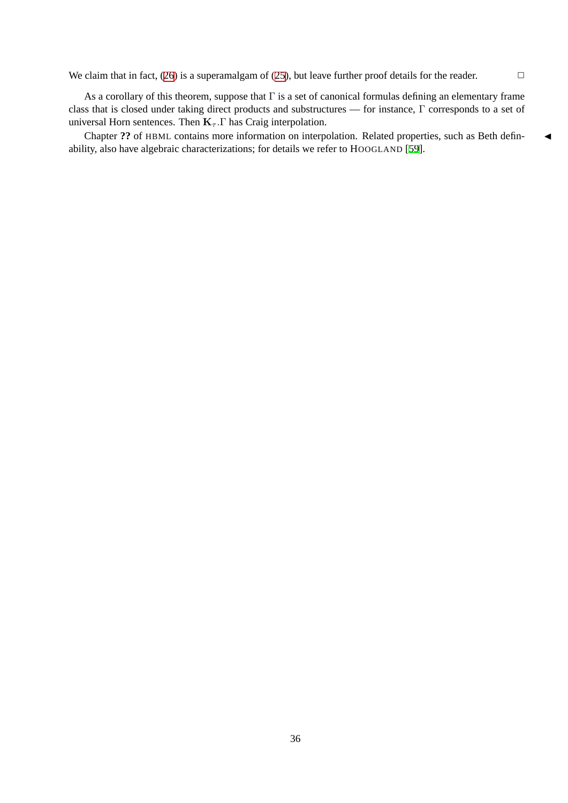We claim that in fact,  $(26)$  $(26)$  is a superamalgam of  $(25)$  $(25)$ , but leave further proof details for the reader.

As a corollary of this theorem, suppose that  $\Gamma$  is a set of canonical formulas defining an elementary frame class that is closed under taking direct products and substructures — for instance, Γ corresponds to a set of universal Horn sentences. Then  $\mathbf{K}_{\tau}$ . Γ has Craig interpolation.

Chapter ?? of HBML contains more information on interpolation. Related properties, such as Beth definability, also have algebraic characterizations; for details we refer to HOOGLAND [[59](#page-83-11)].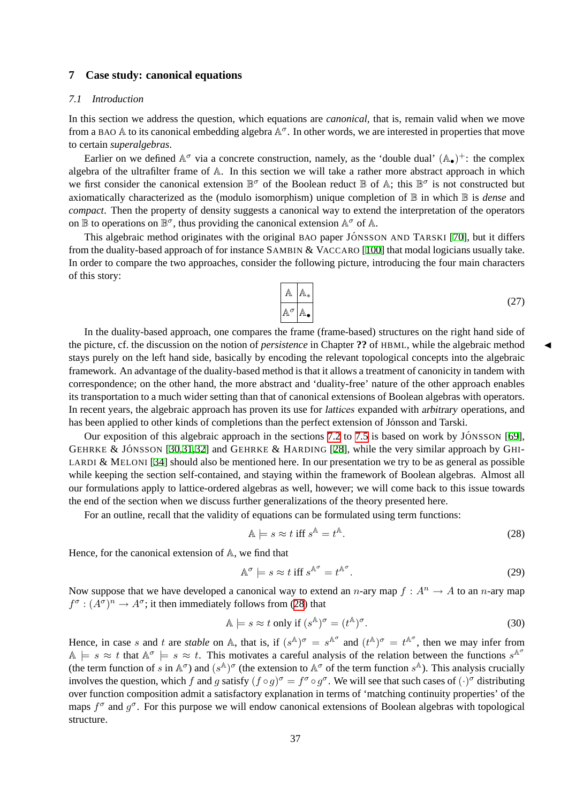# <span id="page-36-1"></span>**7 Case study: canonical equations**

## *7.1 Introduction*

In this section we address the question, which equations are *canonical*, that is, remain valid when we move from a BAO  $\mathbb A$  to its canonical embedding algebra  $\mathbb A^\sigma$ . In other words, we are interested in properties that move to certain *superalgebras*.

Earlier on we defined  $A^{\sigma}$  via a concrete construction, namely, as the 'double dual'  $(A_{\bullet})^{+}$ : the complex algebra of the ultrafilter frame of A. In this section we will take a rather more abstract approach in which we first consider the canonical extension  $\mathbb{B}^{\sigma}$  of the Boolean reduct  $\mathbb{B}$  of A; this  $\mathbb{B}^{\sigma}$  is not constructed but axiomatically characterized as the (modulo isomorphism) unique completion of B in which B is *dense* and *compact*. Then the property of density suggests a canonical way to extend the interpretation of the operators on  $\mathbb B$  to operations on  $\mathbb B^{\sigma}$ , thus providing the canonical extension  $\mathbb A^{\sigma}$  of  $\mathbb A$ .

This algebraic method originates with the original BAO paper JÓNSSON AND TARSKI [\[70\]](#page-84-0), but it differs from the duality-based approach of for instance SAMBIN & VACCARO [\[100\]](#page-85-0) that modal logicians usually take. In order to compare the two approaches, consider the following picture, introducing the four main characters of this story:

$$
\begin{array}{c|c}\n\mathbb{A} & \mathbb{A}_* \\
\hline\n\mathbb{A}^\sigma & \mathbb{A}_\bullet\n\end{array}
$$
\n(27)

In the duality-based approach, one compares the frame (frame-based) structures on the right hand side of the picture, cf. the discussion on the notion of *persistence* in Chapter **??** of HBML, while the algebraic method J stays purely on the left hand side, basically by encoding the relevant topological concepts into the algebraic framework. An advantage of the duality-based method is that it allows a treatment of canonicity in tandem with correspondence; on the other hand, the more abstract and 'duality-free' nature of the other approach enables its transportation to a much wider setting than that of canonical extensions of Boolean algebras with operators. In recent years, the algebraic approach has proven its use for lattices expanded with arbitrary operations, and has been applied to other kinds of completions than the perfect extension of Jónsson and Tarski.

Our exposition of this algebraic approach in the sections [7.2](#page-37-0) to [7.5](#page-42-0) is based on work by JÓNSSON  $[69]$  $[69]$ , GEHRKE & JÓNSSON [\[30](#page-83-0)[,31,](#page-83-1)[32\]](#page-83-2) and GEHRKE & HARDING [\[28](#page-82-0)], while the very similar approach by GHI-LARDI & MELONI [\[34](#page-83-3)] should also be mentioned here. In our presentation we try to be as general as possible while keeping the section self-contained, and staying within the framework of Boolean algebras. Almost all our formulations apply to lattice-ordered algebras as well, however; we will come back to this issue towards the end of the section when we discuss further generalizations of the theory presented here.

For an outline, recall that the validity of equations can be formulated using term functions:

<span id="page-36-0"></span>
$$
\mathbb{A} \models s \approx t \text{ iff } s^{\mathbb{A}} = t^{\mathbb{A}}.\tag{28}
$$

Hence, for the canonical extension of A, we find that

$$
\mathbb{A}^{\sigma} \models s \approx t \text{ iff } s^{\mathbb{A}^{\sigma}} = t^{\mathbb{A}^{\sigma}}.
$$
\n(29)

Now suppose that we have developed a canonical way to extend an n-ary map  $f : A^n \to A$  to an n-ary map  $f^{\sigma}: (A^{\sigma})^n \to A^{\sigma}$ ; it then immediately follows from [\(28\)](#page-36-0) that

$$
\mathbb{A} \models s \approx t \text{ only if } (s^{\mathbb{A}})^{\sigma} = (t^{\mathbb{A}})^{\sigma}.
$$
\n(30)

Hence, in case s and t are *stable* on A, that is, if  $(s^{\mathbb{A}})^{\sigma} = s^{\mathbb{A}^{\sigma}}$  and  $(t^{\mathbb{A}})^{\sigma} = t^{\mathbb{A}^{\sigma}}$ , then we may infer from  $A \models s \approx t$  that  $A^{\sigma} \models s \approx t$ . This motivates a careful analysis of the relation between the functions  $s^{A^{\sigma}}$ (the term function of s in  $\mathbb{A}^{\sigma}$ ) and  $(s^{\mathbb{A}})^{\sigma}$  (the extension to  $\mathbb{A}^{\sigma}$  of the term function  $s^{\mathbb{A}}$ ). This analysis crucially involves the question, which f and g satisfy  $(f \circ g)^\sigma = f^\sigma \circ g^\sigma$ . We will see that such cases of  $(\cdot)^\sigma$  distributing over function composition admit a satisfactory explanation in terms of 'matching continuity properties' of the maps  $f^{\sigma}$  and  $g^{\sigma}$ . For this purpose we will endow canonical extensions of Boolean algebras with topological structure.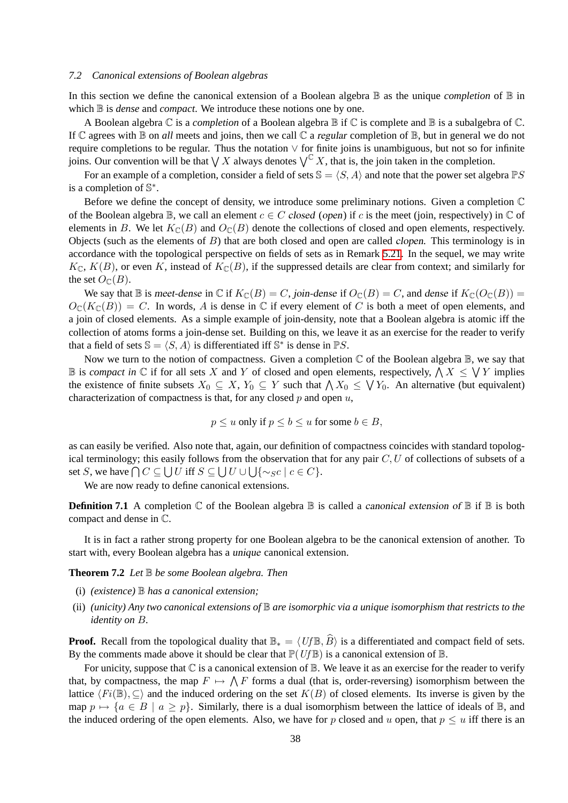#### <span id="page-37-0"></span>*7.2 Canonical extensions of Boolean algebras*

In this section we define the canonical extension of a Boolean algebra B as the unique *completion* of B in which  $\mathbb B$  is *dense* and *compact*. We introduce these notions one by one.

A Boolean algebra  $\mathbb C$  is a *completion* of a Boolean algebra  $\mathbb B$  if  $\mathbb C$  is complete and  $\mathbb B$  is a subalgebra of  $\mathbb C$ . If  $\mathbb C$  agrees with  $\mathbb B$  on *all* meets and joins, then we call  $\mathbb C$  a regular completion of  $\mathbb B$ , but in general we do not require completions to be regular. Thus the notation ∨ for finite joins is unambiguous, but not so for infinite joins. Our convention will be that  $\bigvee X$  always denotes  $\bigvee^{\mathbb{C}} X$ , that is, the join taken in the completion.

For an example of a completion, consider a field of sets  $\mathcal{S} = \langle S, A \rangle$  and note that the power set algebra PS is a completion of  $\mathbb{S}^*$ .

Before we define the concept of density, we introduce some preliminary notions. Given a completion C of the Boolean algebra  $\mathbb{B}$ , we call an element  $c \in C$  closed (open) if c is the meet (join, respectively) in  $\mathbb C$  of elements in B. We let  $K_{\mathbb{C}}(B)$  and  $O_{\mathbb{C}}(B)$  denote the collections of closed and open elements, respectively. Objects (such as the elements of  $B$ ) that are both closed and open are called *clopen*. This terminology is in accordance with the topological perspective on fields of sets as in Remark [5.21](#page-21-0). In the sequel, we may write  $K_{\mathbb{C}}$ ,  $K(B)$ , or even K, instead of  $K_{\mathbb{C}}(B)$ , if the suppressed details are clear from context; and similarly for the set  $O_{\mathbb{C}}(B)$ .

We say that  $\mathbb B$  is meet-dense in  $\mathbb C$  if  $K_{\mathbb C}(B) = C$ , join-dense if  $O_{\mathbb C}(B) = C$ , and dense if  $K_{\mathbb C}(O_{\mathbb C}(B)) =$  $O_{\mathbb{C}}(K_{\mathbb{C}}(B)) = C$ . In words, A is dense in  $\mathbb{C}$  if every element of C is both a meet of open elements, and a join of closed elements. As a simple example of join-density, note that a Boolean algebra is atomic iff the collection of atoms forms a join-dense set. Building on this, we leave it as an exercise for the reader to verify that a field of sets  $\mathcal{S} = \langle S, A \rangle$  is differentiated iff  $\mathcal{S}^*$  is dense in  $\mathbb{P}S$ .

Now we turn to the notion of compactness. Given a completion  $\mathbb C$  of the Boolean algebra  $\mathbb B$ , we say that B is *compact in*  $\mathbb C$  if for all sets X and Y of closed and open elements, respectively,  $\bigwedge X \leq \bigvee Y$  implies the existence of finite subsets  $X_0 \subseteq X$ ,  $Y_0 \subseteq Y$  such that  $\bigwedge X_0 \subseteq \bigvee Y_0$ . An alternative (but equivalent) characterization of compactness is that, for any closed  $p$  and open  $u$ ,

$$
p \le u
$$
 only if  $p \le b \le u$  for some  $b \in B$ ,

as can easily be verified. Also note that, again, our definition of compactness coincides with standard topological terminology; this easily follows from the observation that for any pair  $C, U$  of collections of subsets of a set S, we have  $\bigcap C \subseteq \bigcup U$  iff  $S \subseteq \bigcup U \cup \bigcup \{\sim_{S} c \mid c \in C\}.$ 

We are now ready to define canonical extensions.

**Definition 7.1** A completion  $\mathbb C$  of the Boolean algebra  $\mathbb B$  is called a *canonical extension of*  $\mathbb B$  if  $\mathbb B$  is both compact and dense in C.

It is in fact a rather strong property for one Boolean algebra to be the canonical extension of another. To start with, every Boolean algebra has a unique canonical extension.

<span id="page-37-1"></span>**Theorem 7.2** *Let* B *be some Boolean algebra. Then*

- (i) *(existence)* B *has a canonical extension;*
- (ii) *(unicity) Any two canonical extensions of* B *are isomorphic via a unique isomorphism that restricts to the identity on* B*.*

**Proof.** Recall from the topological duality that  $\mathbb{B}_* = \langle Uf \mathbb{B}, \widehat{B} \rangle$  is a differentiated and compact field of sets. By the comments made above it should be clear that  $\mathbb{P}(Uf \mathbb{B})$  is a canonical extension of  $\mathbb{B}$ .

For unicity, suppose that  $\mathbb C$  is a canonical extension of  $\mathbb B$ . We leave it as an exercise for the reader to verify that, by compactness, the map  $F \mapsto \bigwedge F$  forms a dual (that is, order-reversing) isomorphism between the lattice  $\langle Fi(\mathbb{B}), \subset \rangle$  and the induced ordering on the set  $K(B)$  of closed elements. Its inverse is given by the map  $p \mapsto \{a \in B \mid a \geq p\}$ . Similarly, there is a dual isomorphism between the lattice of ideals of  $\mathbb{B}$ , and the induced ordering of the open elements. Also, we have for p closed and u open, that  $p \leq u$  iff there is an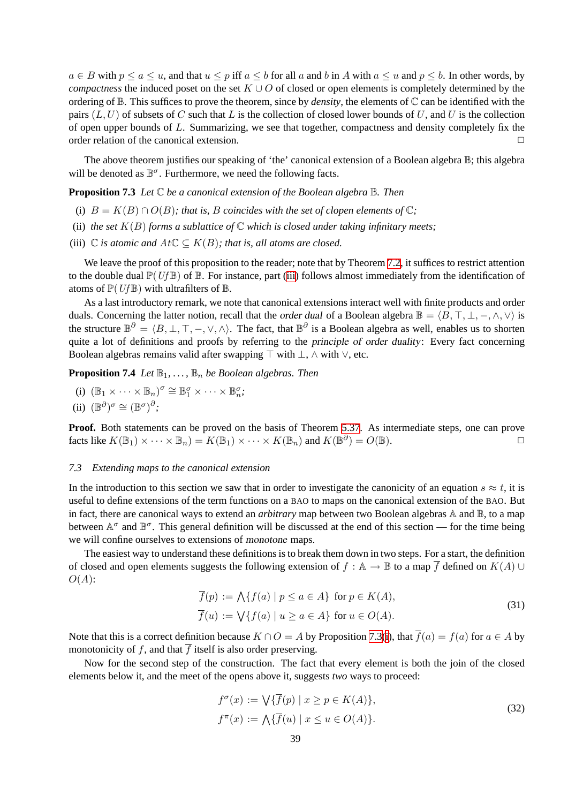$a \in B$  with  $p \le a \le u$ , and that  $u \le p$  iff  $a \le b$  for all a and b in A with  $a \le u$  and  $p \le b$ . In other words, by *compactness* the induced poset on the set  $K ∪ O$  of closed or open elements is completely determined by the ordering of  $\mathbb B$ . This suffices to prove the theorem, since by *density*, the elements of  $\mathbb C$  can be identified with the pairs  $(L, U)$  of subsets of C such that L is the collection of closed lower bounds of U, and U is the collection of open upper bounds of L. Summarizing, we see that together, compactness and density completely fix the order relation of the canonical extension.  $\Box$ 

The above theorem justifies our speaking of 'the' canonical extension of a Boolean algebra B; this algebra will be denoted as  $\mathbb{B}^{\sigma}$ . Furthermore, we need the following facts.

<span id="page-38-1"></span>**Proposition 7.3** *Let* C *be a canonical extension of the Boolean algebra* B*. Then*

- <span id="page-38-2"></span>(i)  $B = K(B) \cap O(B)$ ; that is, B coincides with the set of clopen elements of  $\mathbb{C}$ ;
- <span id="page-38-3"></span>(ii) *the set*  $K(B)$  *forms a sublattice of*  $\mathbb C$  *which is closed under taking infinitary meets;*
- <span id="page-38-0"></span>(iii)  $\mathbb C$  *is atomic and*  $At\mathbb C \subseteq K(B)$ ; that is, all atoms are closed.

We leave the proof of this proposition to the reader; note that by Theorem [7.2,](#page-37-1) it suffices to restrict attention to the double dual  $\mathbb{P}(Uf \mathbb{B})$  of  $\mathbb{B}$ . For instance, part ([iii\)](#page-38-0) follows almost immediately from the identification of atoms of  $\mathbb{P}(Uf \mathbb{B})$  with ultrafilters of  $\mathbb{B}$ .

As a last introductory remark, we note that canonical extensions interact well with finite products and order duals. Concerning the latter notion, recall that the order dual of a Boolean algebra  $\mathbb{B} = \langle B, \top, \bot, -, \wedge, \vee \rangle$  is the structure  $\mathbb{B}^{\partial} = \langle B, \bot, \top, -, \vee, \wedge \rangle$ . The fact, that  $\mathbb{B}^{\partial}$  is a Boolean algebra as well, enables us to shorten quite a lot of definitions and proofs by referring to the principle of order duality: Every fact concerning Boolean algebras remains valid after swapping  $\top$  with  $\bot$ ,  $\wedge$  with  $\vee$ , etc.

**Proposition 7.4** *Let*  $\mathbb{B}_1$ , ...,  $\mathbb{B}_n$  *be Boolean algebras. Then* 

- (i)  $(\mathbb{B}_1 \times \cdots \times \mathbb{B}_n)^\sigma \cong \mathbb{B}_1^\sigma \times \cdots \times \mathbb{B}_n^\sigma;$
- (ii)  $(\mathbb{B}^{\partial})^{\sigma} \cong (\mathbb{B}^{\sigma})^{\partial}$ ;

**Proof.** Both statements can be proved on the basis of Theorem [5.37](#page-24-0). As intermediate steps, one can prove facts like  $K(\mathbb{B}_1) \times \cdots \times \mathbb{B}_n) = K(\mathbb{B}_1) \times \cdots \times K(\mathbb{B}_n)$  and  $K(\mathbb{B}^{\partial}) = O(\mathbb{B})$ .

## *7.3 Extending maps to the canonical extension*

In the introduction to this section we saw that in order to investigate the canonicity of an equation  $s \approx t$ , it is useful to define extensions of the term functions on a BAO to maps on the canonical extension of the BAO. But in fact, there are canonical ways to extend an *arbitrary* map between two Boolean algebras A and  $\mathbb{B}$ , to a map between  $A^{\sigma}$  and  $B^{\sigma}$ . This general definition will be discussed at the end of this section — for the time being we will confine ourselves to extensions of monotone maps.

The easiest way to understand these definitions is to break them down in two steps. For a start, the definition of closed and open elements suggests the following extension of  $f : \mathbb{A} \to \mathbb{B}$  to a map  $\overline{f}$  defined on  $K(A) \cup$  $O(A)$ :

$$
\overline{f}(p) := \bigwedge \{ f(a) \mid p \le a \in A \} \text{ for } p \in K(A),
$$
  

$$
\overline{f}(u) := \bigvee \{ f(a) \mid u \ge a \in A \} \text{ for } u \in O(A).
$$
 (31)

Note that th[i](#page-38-2)s is a correct definition because  $K \cap O = A$  by Proposition [7.3\(](#page-38-1)i), that  $\overline{f}(a) = f(a)$  for  $a \in A$  by monotonicity of  $f$ , and that  $f$  itself is also order preserving.

Now for the second step of the construction. The fact that every element is both the join of the closed elements below it, and the meet of the opens above it, suggests *two* ways to proceed:

<span id="page-38-4"></span>
$$
f^{\sigma}(x) := \sqrt{\{f}(p) \mid x \ge p \in K(A)\},
$$
  

$$
f^{\pi}(x) := \sqrt{\{f}(u) \mid x \le u \in O(A)\}.
$$
 (32)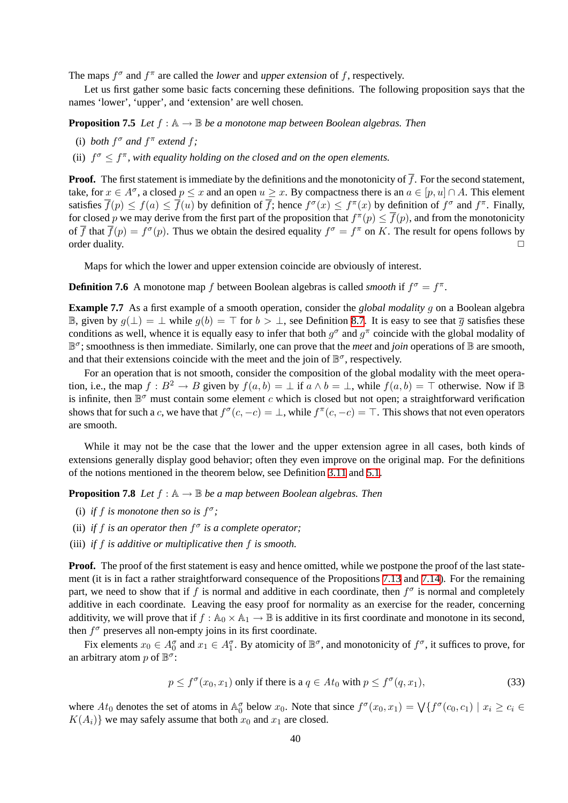The maps  $f^{\sigma}$  and  $f^{\pi}$  are called the lower and upper extension of f, respectively.

Let us first gather some basic facts concerning these definitions. The following proposition says that the names 'lower', 'upper', and 'extension' are well chosen.

<span id="page-39-1"></span>**Proposition 7.5** *Let*  $f : A \rightarrow B$  *be a monotone map between Boolean algebras. Then* 

- (i) *both*  $f^{\sigma}$  *and*  $f^{\pi}$  *extend*  $f$ *;*
- <span id="page-39-3"></span>(ii)  $f^{\sigma} \leq f^{\pi}$ , with equality holding on the closed and on the open elements.

**Proof.** The first statement is immediate by the definitions and the monotonicity of  $\overline{f}$ . For the second statement, take, for  $x \in A^{\sigma}$ , a closed  $p \leq x$  and an open  $u \geq x$ . By compactness there is an  $a \in [p, u] \cap A$ . This element satisfies  $\overline{f}(p) \le f(a) \le \overline{f}(u)$  by definition of  $\overline{f}$ ; hence  $f^{\sigma}(x) \le f^{\pi}(x)$  by definition of  $f^{\sigma}$  and  $f^{\pi}$ . Finally, for closed p we may derive from the first part of the proposition that  $f^{\pi}(p) \leq \overline{f}(p)$ , and from the monotonicity of  $\overline{f}$  that  $\overline{f}(p) = f^{\sigma}(p)$ . Thus we obtain the desired equality  $f^{\sigma} = f^{\pi}$  on K. The result for opens follows by  $\Box$  order duality.  $\Box$ 

Maps for which the lower and upper extension coincide are obviously of interest.

**Definition 7.6** A monotone map f between Boolean algebras is called *smooth* if  $f^{\sigma} = f^{\pi}$ .

<span id="page-39-5"></span>**Example 7.7** As a first example of a smooth operation, consider the *global modality* g on a Boolean algebra B, given by  $q(\perp) = \perp$  while  $q(b) = \top$  for  $b > \perp$ , see Definition [8.7.](#page-47-0) It is easy to see that  $\overline{q}$  satisfies these conditions as well, whence it is equally easy to infer that both  $g^{\sigma}$  and  $g^{\pi}$  coincide with the global modality of B σ ; smoothness is then immediate. Similarly, one can prove that the *meet* and *join* operations of B are smooth, and that their extensions coincide with the meet and the join of  $\mathbb{B}^{\sigma}$ , respectively.

For an operation that is not smooth, consider the composition of the global modality with the meet operation, i.e., the map  $f : B^2 \to B$  given by  $f(a, b) = \bot$  if  $a \wedge b = \bot$ , while  $f(a, b) = \top$  otherwise. Now if  $\mathbb B$ is infinite, then  $\mathbb{B}^{\sigma}$  must contain some element c which is closed but not open; a straightforward verification shows that for such a c, we have that  $f^{\sigma}(c, -c) = \bot$ , while  $f^{\pi}(c, -c) = \top$ . This shows that not even operators are smooth.

While it may not be the case that the lower and the upper extension agree in all cases, both kinds of extensions generally display good behavior; often they even improve on the original map. For the definitions of the notions mentioned in the theorem below, see Definition [3.11](#page-8-0) and [5.1.](#page-16-0)

<span id="page-39-2"></span>**Proposition 7.8** *Let*  $f : A \rightarrow B$  *be a map between Boolean algebras. Then* 

- (i) *if f* is monotone then so is  $f^{\sigma}$ ;
- <span id="page-39-4"></span>(ii) *if f* is an operator then  $f^{\sigma}$  is a complete operator;
- (iii) *if* f *is additive or multiplicative then* f *is smooth.*

**Proof.** The proof of the first statement is easy and hence omitted, while we postpone the proof of the last statement (it is in fact a rather straightforward consequence of the Propositions [7.13](#page-41-0) and [7.14](#page-41-1)). For the remaining part, we need to show that if f is normal and additive in each coordinate, then  $f^{\sigma}$  is normal and completely additive in each coordinate. Leaving the easy proof for normality as an exercise for the reader, concerning additivity, we will prove that if  $f : \mathbb{A}_0 \times \mathbb{A}_1 \to \mathbb{B}$  is additive in its first coordinate and monotone in its second, then  $f^{\sigma}$  preserves all non-empty joins in its first coordinate.

Fix elements  $x_0 \in A_0^{\sigma}$  and  $x_1 \in A_1^{\sigma}$ . By atomicity of  $\mathbb{B}^{\sigma}$ , and monotonicity of  $f^{\sigma}$ , it suffices to prove, for an arbitrary atom p of  $\mathbb{B}^{\sigma}$ :

<span id="page-39-0"></span>
$$
p \le f^{\sigma}(x_0, x_1) \text{ only if there is a } q \in At_0 \text{ with } p \le f^{\sigma}(q, x_1),
$$
\n(33)

where  $At_0$  denotes the set of atoms in  $\mathbb{A}_0^{\sigma}$  below  $x_0$ . Note that since  $f^{\sigma}(x_0, x_1) = \bigvee \{f^{\sigma}(c_0, c_1) \mid x_i \geq c_i \in$  $K(A_i)$  we may safely assume that both  $x_0$  and  $x_1$  are closed.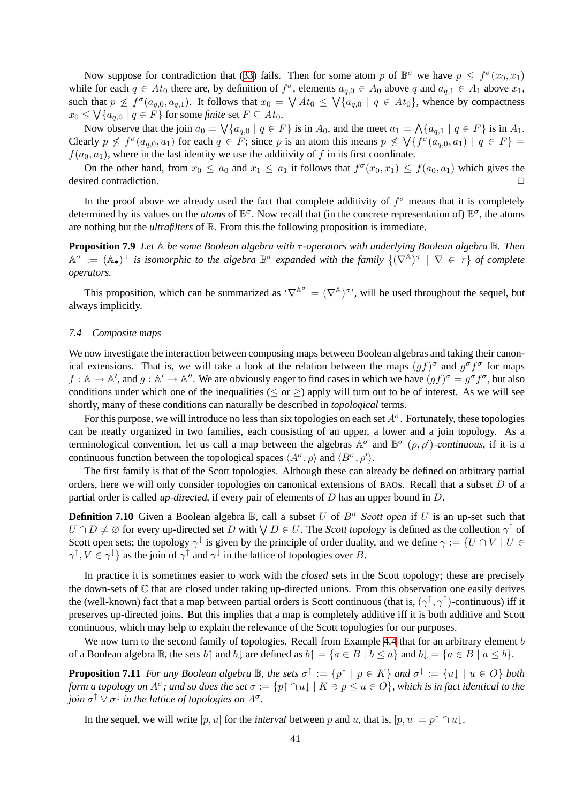Now suppose for contradiction that ([33\)](#page-39-0) fails. Then for some atom p of  $\mathbb{B}^{\sigma}$  we have  $p \leq f^{\sigma}(x_0, x_1)$ while for each  $q \in At_0$  there are, by definition of  $f^{\sigma}$ , elements  $a_{q,0} \in A_0$  above q and  $a_{q,1} \in A_1$  above  $x_1$ , such that  $p \nleq f^{\sigma}(a_{q,0}, a_{q,1})$ . It follows that  $x_0 = \bigvee At_0 \leq \bigvee \{a_{q,0} \mid q \in At_0\}$ , whence by compactness  $x_0 \le \bigvee \{a_{q,0} \mid q \in F\}$  for some *finite* set  $F \subseteq At_0$ .

Now observe that the join  $a_0 = \bigvee \{a_{q,0} \mid q \in F\}$  is in  $A_0$ , and the meet  $a_1 = \bigwedge \{a_{q,1} \mid q \in F\}$  is in  $A_1$ . Clearly  $p \nleq f^{\sigma}(a_{q,0}, a_1)$  for each  $q \in F$ ; since p is an atom this means  $p \nleq \sqrt{\{f^{\sigma}(a_{q,0}, a_1) \mid q \in F\}}$  $f(a_0, a_1)$ , where in the last identity we use the additivity of f in its first coordinate.

On the other hand, from  $x_0 \le a_0$  and  $x_1 \le a_1$  it follows that  $f^{\sigma}(x_0, x_1) \le f(a_0, a_1)$  which gives the desired contradiction.

In the proof above we already used the fact that complete additivity of  $f^{\sigma}$  means that it is completely determined by its values on the *atoms* of  $\mathbb{B}^{\sigma}$ . Now recall that (in the concrete representation of)  $\mathbb{B}^{\sigma}$ , the atoms are nothing but the *ultrafilters* of B. From this the following proposition is immediate.

**Proposition 7.9** *Let* A *be some Boolean algebra with* τ *-operators with underlying Boolean algebra* B*. Then*  $\mathbb{A}^{\sigma} := (\mathbb{A}_{\bullet})^{+}$  *is isomorphic to the algebra*  $\mathbb{B}^{\sigma}$  *expanded with the family*  $\{(\nabla^{\mathbb{A}})^{\sigma} | \nabla \in \tau\}$  *of complete operators.*

This proposition, which can be summarized as ' $\nabla^{A^{\sigma}} = (\nabla^{A})^{\sigma}$ ', will be used throughout the sequel, but always implicitly.

#### *7.4 Composite maps*

We now investigate the interaction between composing maps between Boolean algebras and taking their canonical extensions. That is, we will take a look at the relation between the maps  $(gf)^\sigma$  and  $g^\sigma f^\sigma$  for maps  $f: A \to A'$ , and  $g: A' \to A''$ . We are obviously eager to find cases in which we have  $(gf)^\sigma = g^\sigma f^\sigma$ , but also conditions under which one of the inequalities ( $\leq$  or  $\geq$ ) apply will turn out to be of interest. As we will see shortly, many of these conditions can naturally be described in *topological* terms.

For this purpose, we will introduce no less than six topologies on each set  $A^{\sigma}$ . Fortunately, these topologies can be neatly organized in two families, each consisting of an upper, a lower and a join topology. As a terminological convention, let us call a map between the algebras  $A^{\sigma}$  and  $B^{\sigma}$  ( $\rho$ ,  $\rho'$ )-continuous, if it is a continuous function between the topological spaces  $\langle A^{\sigma}, \rho \rangle$  and  $\langle B^{\sigma}, \rho' \rangle$ .

The first family is that of the Scott topologies. Although these can already be defined on arbitrary partial orders, here we will only consider topologies on canonical extensions of BAOs. Recall that a subset D of a partial order is called up-directed, if every pair of elements of  $D$  has an upper bound in  $D$ .

**Definition 7.10** Given a Boolean algebra  $\mathbb{B}$ , call a subset U of  $B^{\sigma}$  Scott open if U is an up-set such that  $U \cap D \neq \emptyset$  for every up-directed set D with  $\bigvee D \in U$ . The Scott topology is defined as the collection  $\gamma^{\uparrow}$  of Scott open sets; the topology  $\gamma^{\downarrow}$  is given by the principle of order duality, and we define  $\gamma := \{U \cap V \mid U \in$  $\gamma^{\uparrow}$ ,  $V \in \gamma^{\downarrow}$  as the join of  $\gamma^{\uparrow}$  and  $\gamma^{\downarrow}$  in the lattice of topologies over B.

In practice it is sometimes easier to work with the *closed* sets in the Scott topology; these are precisely the down-sets of C that are closed under taking up-directed unions. From this observation one easily derives the (well-known) fact that a map between partial orders is Scott continuous (that is,  $(\gamma^{\uparrow}, \gamma^{\uparrow})$ -continuous) iff it preserves up-directed joins. But this implies that a map is completely additive iff it is both additive and Scott continuous, which may help to explain the relevance of the Scott topologies for our purposes.

We now turn to the second family of topologies. Recall from Example [4.4](#page-12-0) that for an arbitrary element b of a Boolean algebra  $\mathbb B$ , the sets  $b\uparrow$  and  $b\downarrow$  are defined as  $b\uparrow = \{a \in B \mid b \leq a\}$  and  $b\downarrow = \{a \in B \mid a \leq b\}.$ 

**Proposition 7.11** *For any Boolean algebra*  $\mathbb{B}$ *, the sets*  $\sigma^{\uparrow} := \{p\uparrow \mid p \in K\}$  *and*  $\sigma^{\downarrow} := \{u\mid \mid u \in O\}$  *both form a topology on A<sup>* $\sigma$ *</sup>; and so does the set*  $\sigma := \{p\uparrow\cap u\downarrow\mid K\ni p\leq u\in O\}$ *, which is in fact identical to the*  $\int$ *join*  $\sigma^{\dagger} \vee \sigma^{\dagger}$  *in the lattice of topologies on*  $A^{\sigma}$ *.* 

In the sequel, we will write [p, u] for the interval between p and u, that is,  $[p, u] = p \uparrow \cap u \downarrow$ .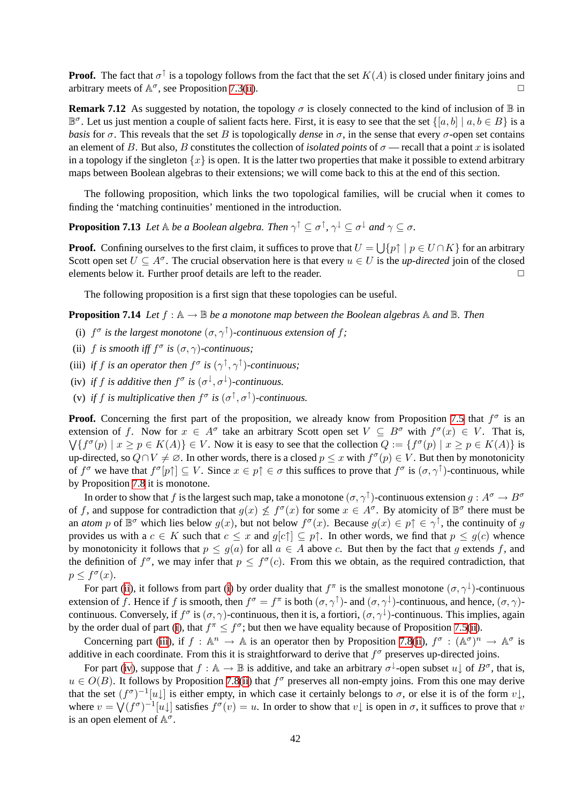**Proof.** The fact that  $\sigma^{\uparrow}$  is a topology follows from the fact that the set  $K(A)$  is closed under finitary joins and arbitrary meets of  $\mathbb{A}^{\sigma}$ , see Proposition [7.3\(](#page-38-1)[ii](#page-38-3)).

<span id="page-41-7"></span>**Remark 7.12** As suggested by notation, the topology  $\sigma$  is closely connected to the kind of inclusion of  $\mathbb{B}$  in  $\mathbb{B}^{\sigma}$ . Let us just mention a couple of salient facts here. First, it is easy to see that the set  $\{[a,b] \mid a,b \in B\}$  is a *basis* for  $\sigma$ . This reveals that the set B is topologically *dense* in  $\sigma$ , in the sense that every  $\sigma$ -open set contains an element of B. But also, B constitutes the collection of *isolated points* of  $\sigma$  — recall that a point x is isolated in a topology if the singleton  ${x}$  is open. It is the latter two properties that make it possible to extend arbitrary maps between Boolean algebras to their extensions; we will come back to this at the end of this section.

The following proposition, which links the two topological families, will be crucial when it comes to finding the 'matching continuities' mentioned in the introduction.

<span id="page-41-0"></span>**Proposition 7.13** *Let*  $\mathbb A$  *be a Boolean algebra. Then*  $\gamma^{\uparrow} \subseteq \sigma^{\uparrow}$ ,  $\gamma^{\downarrow} \subseteq \sigma^{\downarrow}$  *and*  $\gamma \subseteq \sigma$ .

**Proof.** Confining ourselves to the first claim, it suffices to prove that  $U = \bigcup \{p \uparrow | p \in U \cap K\}$  for an arbitrary Scott open set  $U \subseteq A^{\sigma}$ . The crucial observation here is that every  $u \in U$  is the *up-directed* join of the closed elements below it. Further proof details are left to the reader.  $\Box$ 

The following proposition is a first sign that these topologies can be useful.

<span id="page-41-1"></span>**Proposition 7.14** *Let*  $f : \mathbb{A} \to \mathbb{B}$  *be a monotone map between the Boolean algebras*  $\mathbb{A}$  *and*  $\mathbb{B}$ *. Then* 

- <span id="page-41-3"></span>(i)  $f^{\sigma}$  is the largest monotone  $(\sigma, \gamma^{\uparrow})$ -continuous extension of f;
- <span id="page-41-2"></span>(ii) *f* is smooth iff  $f^{\sigma}$  is  $(\sigma, \gamma)$ -continuous;
- <span id="page-41-4"></span>(iii) *if f* is an operator then  $f^{\sigma}$  is  $(\gamma^{\uparrow}, \gamma^{\uparrow})$ -continuous;
- <span id="page-41-5"></span>(iv) *if f* is additive then  $f^{\sigma}$  is  $(\sigma^{\downarrow}, \sigma^{\downarrow})$ -continuous.
- <span id="page-41-6"></span>(v) *if f* is multiplicative then  $f^{\sigma}$  is  $(\sigma^{\uparrow}, \sigma^{\uparrow})$ -continuous.

**Proof.** Concerning the first part of the proposition, we already know from Proposition [7.5](#page-39-1) that  $f^{\sigma}$  is an extension of f. Now for  $x \in A^{\sigma}$  take an arbitrary Scott open set  $V \subseteq B^{\sigma}$  with  $f^{\sigma}(x) \in V$ . That is,  $\bigvee \{ f^{\sigma}(p) \mid x \geq p \in K(A) \} \in V$ . Now it is easy to see that the collection  $Q := \{ f^{\sigma}(p) \mid x \geq p \in K(A) \}$  is up-directed, so  $Q \cap V \neq \emptyset$ . In other words, there is a closed  $p \leq x$  with  $f^{\sigma}(p) \in V$ . But then by monotonicity of  $f^{\sigma}$  we have that  $f^{\sigma}[p\uparrow] \subseteq V$ . Since  $x \in p\uparrow \in \sigma$  this suffices to prove that  $f^{\sigma}$  is  $(\sigma, \gamma^{\uparrow})$ -continuous, while by Proposition [7.8](#page-39-2) it is monotone.

In order to show that f is the largest such map, take a monotone  $(\sigma, \gamma^{\uparrow})$ -continuous extension  $g: A^{\sigma} \to B^{\sigma}$ of f, and suppose for contradiction that  $g(x) \not\leq f^{\sigma}(x)$  for some  $x \in A^{\sigma}$ . By atomicity of  $\mathbb{B}^{\sigma}$  there must be an *atom* p of  $\mathbb{B}^{\sigma}$  which lies below  $g(x)$ , but not below  $f^{\sigma}(x)$ . Because  $g(x) \in p \uparrow \in \gamma^{\uparrow}$ , the continuity of g provides us with a  $c \in K$  such that  $c \leq x$  and  $g[c] \subseteq p$ <sup> $\uparrow$ </sup>. In other words, we find that  $p \leq g(c)$  whence by monotonicity it follows that  $p \leq g(a)$  for all  $a \in A$  above c. But then by the fact that g extends f, and the definition of  $f^{\sigma}$ , we may infer that  $p \leq f^{\sigma}(c)$ . From this we obtain, as the required contradiction, that  $p \leq f^{\sigma}(x)$ .

For part [\(ii](#page-41-2)), it follows from part [\(i](#page-41-3)) by order duality that  $f^{\pi}$  is the smallest monotone  $(\sigma, \gamma^{\downarrow})$ -continuous extension of f. Hence if f is smooth, then  $f^{\sigma} = f^{\pi}$  is both  $(\sigma, \gamma^{\dagger})$ - and  $(\sigma, \gamma^{\dagger})$ -continuous, and hence,  $(\sigma, \gamma)$ continuous. Conversely, if  $f^{\sigma}$  is  $(\sigma, \gamma)$ -continuous, then it is, a fortiori,  $(\sigma, \gamma^{\downarrow})$ -continuous. This implies, again by the order dual of part [\(i](#page-41-3)), that  $f^{\pi} \leq f^{\sigma}$ ; but then we have equality because of Proposition [7.5\(](#page-39-1)[ii\)](#page-39-3).

Concerning part [\(iii](#page-41-4)), if  $f : \mathbb{A}^n \to \mathbb{A}$  is an operator then by Proposition [7.8](#page-39-2)([ii](#page-39-4)),  $f^{\sigma} : (\mathbb{A}^{\sigma})^n \to \mathbb{A}^{\sigma}$  is additive in each coordinate. From this it is straightforward to derive that  $f^{\sigma}$  preserves up-directed joins.

For part [\(iv](#page-41-5)), suppose that  $f : A \to \mathbb{B}$  is additive, and take an arbitrary  $\sigma^{\downarrow}$ -open subset  $u \downarrow$  of  $B^{\sigma}$ , that is,  $u \in O(B)$ . It follows by Proposition [7.8\(](#page-39-2)[ii\)](#page-39-4) that  $f^{\sigma}$  preserves all non-empty joins. From this one may derive that the set  $(f^{\sigma})^{-1}[u]$  is either empty, in which case it certainly belongs to  $\sigma$ , or else it is of the form  $v\downarrow$ , where  $v = \mathcal{V}(f^{\sigma})^{-1}[u]$  satisfies  $f^{\sigma}(v) = u$ . In order to show that  $v \downarrow$  is open in  $\sigma$ , it suffices to prove that v is an open element of  $\mathbb{A}^{\sigma}$ .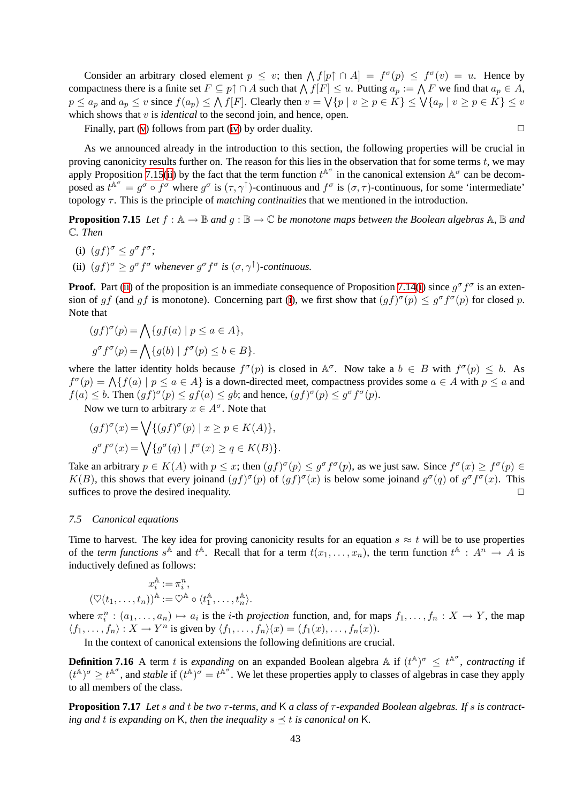Consider an arbitrary closed element  $p \leq v$ ; then  $\int f[p \uparrow \cap A] = f^{\sigma}(p) \leq f^{\sigma}(v) = u$ . Hence by compactness there is a finite set  $F \subseteq p \uparrow \cap A$  such that  $\bigwedge f[F] \leq u$ . Putting  $a_p := \bigwedge F$  we find that  $a_p \in A$ ,  $p \le a_p$  and  $a_p \le v$  since  $f(a_p) \le \bigwedge f[F]$ . Clearly then  $v = \bigvee \{p \mid v \ge p \in K\} \le \bigvee \{a_p \mid v \ge p \in K\} \le v$ which shows that *v* is *identical* to the second join, and hence, open.

Finally, part [\(v\)](#page-41-6) follows from part ([iv\)](#page-41-5) by order duality.  $\square$ 

As we announced already in the introduction to this section, the following properties will be crucial in proving canonicity results further on. The reason for this lies in the observation that for some terms  $t$ , we may apply Proposition [7.15](#page-42-1)[\(ii](#page-42-2)) by the fact that the term function  $t^{A^{\sigma}}$  in the canonical extension  $A^{\sigma}$  can be decomposed as  $t^{\mathbb{A}^{\sigma}} = g^{\sigma} \circ f^{\sigma}$  where  $g^{\sigma}$  is  $(\tau, \gamma^{\uparrow})$ -continuous and  $f^{\sigma}$  is  $(\sigma, \tau)$ -continuous, for some 'intermediate' topology  $\tau$ . This is the principle of *matching continuities* that we mentioned in the introduction.

<span id="page-42-1"></span>**Proposition 7.15** *Let*  $f : A \to B$  *and*  $g : B \to C$  *be monotone maps between the Boolean algebras* A, B *and* C*. Then*

- <span id="page-42-3"></span>(i)  $(gf)^\sigma \leq g^\sigma f^\sigma$ ;
- <span id="page-42-2"></span>(ii)  $(gf)^{\sigma} \geq g^{\sigma} f^{\sigma}$  whenever  $g^{\sigma} f^{\sigma}$  is  $(\sigma, \gamma^{\uparrow})$ -continuous.

**Proof.** Part ([ii\)](#page-42-2) of the proposition is an immediate consequence of Proposition [7.14](#page-41-1)([i\)](#page-41-3) since  $g^{\sigma} f^{\sigma}$  is an extension of gf (and gf is monotone). Concerning part ([i\)](#page-42-3), we first show that  $(gf)^\sigma(p) \leq g^\sigma f^\sigma(p)$  for closed p. Note that

$$
(gf)^{\sigma}(p) = \bigwedge \{ gf(a) \mid p \le a \in A \},
$$
  

$$
g^{\sigma} f^{\sigma}(p) = \bigwedge \{ g(b) \mid f^{\sigma}(p) \le b \in B \}.
$$

where the latter identity holds because  $f^{\sigma}(p)$  is closed in  $\mathbb{A}^{\sigma}$ . Now take a  $b \in B$  with  $f^{\sigma}(p) \leq b$ . As  $f^{\sigma}(p) = \bigwedge \{f(a) \mid p \le a \in A\}$  is a down-directed meet, compactness provides some  $a \in A$  with  $p \le a$  and  $f(a) \leq b$ . Then  $(gf)^\sigma(p) \leq gf(a) \leq gb$ ; and hence,  $(gf)^\sigma(p) \leq g^\sigma f^\sigma(p)$ .

Now we turn to arbitrary  $x \in A^{\sigma}$ . Note that

$$
(gf)^{\sigma}(x) = \bigvee \{ (gf)^{\sigma}(p) \mid x \ge p \in K(A) \},
$$
  

$$
g^{\sigma} f^{\sigma}(x) = \bigvee \{ g^{\sigma}(q) \mid f^{\sigma}(x) \ge q \in K(B) \}.
$$

Take an arbitrary  $p \in K(A)$  with  $p \leq x$ ; then  $(gf)^\sigma(p) \leq g^\sigma f^\sigma(p)$ , as we just saw. Since  $f^\sigma(x) \geq f^\sigma(p) \in$  $K(B)$ , this shows that every joinand  $(gf)^\sigma(p)$  of  $(gf)^\sigma(x)$  is below some joinand  $g^\sigma(q)$  of  $g^\sigma f^\sigma(x)$ . This suffices to prove the desired inequality.  $\Box$ 

## <span id="page-42-0"></span>*7.5 Canonical equations*

Time to harvest. The key idea for proving canonicity results for an equation  $s \approx t$  will be to use properties of the *term functions*  $s^{\mathbb{A}}$  and  $t^{\mathbb{A}}$ . Recall that for a term  $t(x_1,\ldots,x_n)$ , the term function  $t^{\mathbb{A}}$  :  $A^n \to A$  is inductively defined as follows:

$$
x_i^{\mathbb{A}} := \pi_i^n,
$$
  

$$
(\heartsuit(t_1, \ldots, t_n))^{\mathbb{A}} := \heartsuit^{\mathbb{A}} \circ \langle t_1^{\mathbb{A}}, \ldots, t_n^{\mathbb{A}} \rangle.
$$

where  $\pi_i^n : (a_1, \ldots, a_n) \mapsto a_i$  is the *i*-th projection function, and, for maps  $f_1, \ldots, f_n : X \to Y$ , the map  $\langle f_1, \ldots, f_n \rangle : X \to Y^n$  is given by  $\langle f_1, \ldots, f_n \rangle (x) = (f_1(x), \ldots, f_n(x)).$ 

In the context of canonical extensions the following definitions are crucial.

**Definition 7.16** A term t is expanding on an expanded Boolean algebra  $\mathbb{A}$  if  $(t^{\mathbb{A}})^\sigma \leq t^{\mathbb{A}^\sigma}$ , *contracting* if  $(t^{\mathbb{A}})^{\sigma} \geq t^{\mathbb{A}^{\sigma}}$ , and *stable* if  $(t^{\mathbb{A}})^{\sigma} = t^{\mathbb{A}^{\sigma}}$ . We let these properties apply to classes of algebras in case they apply to all members of the class.

<span id="page-42-4"></span>**Proposition 7.17** *Let* s *and* t *be two* τ *-terms, and* K *a class of* τ *-expanded Boolean algebras. If* s *is contracting and t is expanding on* K, then the inequality  $s \prec t$  is canonical on K.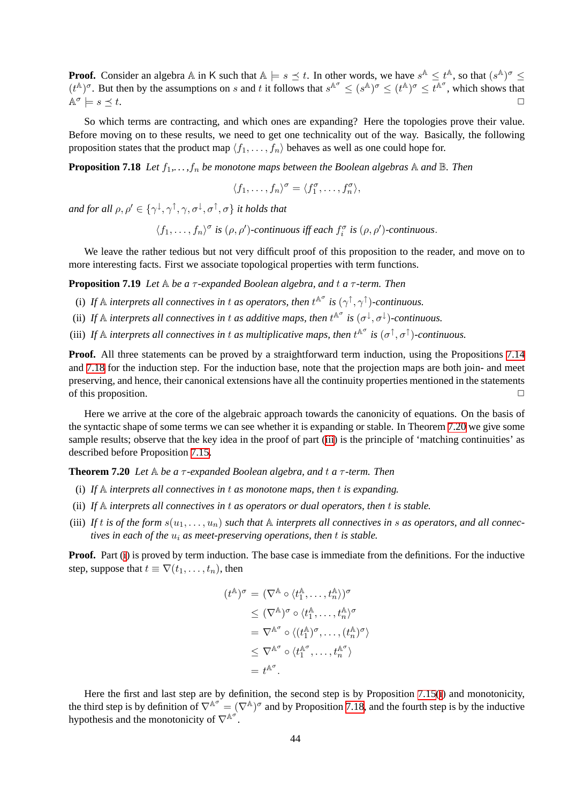**Proof.** Consider an algebra A in K such that  $A \models s \preceq t$ . In other words, we have  $s^A \leq t^A$ , so that  $(s^A)^\sigma \leq$  $(t^{\mathbb{A}})^{\sigma}$ . But then by the assumptions on s and t it follows that  $s^{\mathbb{A}^{\sigma}} \leq (s^{\mathbb{A}})^{\sigma} \leq (t^{\mathbb{A}})^{\sigma} \leq t^{\mathbb{A}^{\sigma}}$ , which shows that  $\mathbb{A}^{\sigma}$  $= s \leq t.$ 

So which terms are contracting, and which ones are expanding? Here the topologies prove their value. Before moving on to these results, we need to get one technicality out of the way. Basically, the following proposition states that the product map  $\langle f_1, \ldots, f_n \rangle$  behaves as well as one could hope for.

<span id="page-43-0"></span>**Proposition 7.18** *Let*  $f_1, \ldots, f_n$  *be monotone maps between the Boolean algebras*  $A$  *and*  $B$ *. Then* 

$$
\langle f_1,\ldots,f_n\rangle^\sigma=\langle f_1^\sigma,\ldots,f_n^\sigma\rangle,
$$

and for all  $\rho, \rho' \in \{\gamma^{\downarrow}, \gamma^{\uparrow}, \gamma, \sigma^{\downarrow}, \sigma^{\uparrow}, \sigma\}$  *it holds that* 

 $\langle f_1,\ldots,f_n\rangle^{\sigma}$  is  $(\rho,\rho')$ -continuous iff each  $f_i^{\sigma}$  is  $(\rho,\rho')$ -continuous.

We leave the rather tedious but not very difficult proof of this proposition to the reader, and move on to more interesting facts. First we associate topological properties with term functions.

**Proposition 7.19** *Let* A *be a* τ *-expanded Boolean algebra, and* t *a* τ *-term. Then*

- (i) If  $\mathbb A$  *interprets all connectives in t as operators, then*  $t^{\mathbb A^{\sigma}}$  *is*  $(\gamma^{\uparrow}, \gamma^{\uparrow})$ -continuous.
- (ii) If  $\mathbb A$  *interprets all connectives in t as additive maps, then*  $t^{\mathbb A^{\sigma}}$  *is*  $(\sigma^{\downarrow}, \sigma^{\downarrow})$ -continuous.
- (iii) If  $\mathbb A$  *interprets all connectives in t as multiplicative maps, then*  $t^{\mathbb A^\sigma}$  *is*  $(\sigma^\uparrow, \sigma^\uparrow)$ -continuous.

**Proof.** All three statements can be proved by a straightforward term induction, using the Propositions [7.14](#page-41-1) and [7.18](#page-43-0) for the induction step. For the induction base, note that the projection maps are both join- and meet preserving, and hence, their canonical extensions have all the continuity properties mentioned in the statements of this proposition.  $\Box$ 

Here we arrive at the core of the algebraic approach towards the canonicity of equations. On the basis of the syntactic shape of some terms we can see whether it is expanding or stable. In Theorem [7.20](#page-43-1) we give some sample results; observe that the key idea in the proof of part [\(iii](#page-43-2)) is the principle of 'matching continuities' as described before Proposition [7.15](#page-42-1).

<span id="page-43-1"></span>**Theorem 7.20** *Let* A *be a* τ *-expanded Boolean algebra, and* t *a* τ *-term. Then*

- <span id="page-43-3"></span>(i) *If* A *interprets all connectives in* t *as monotone maps, then* t *is expanding.*
- <span id="page-43-4"></span>(ii) *If* A *interprets all connectives in* t *as operators or dual operators, then* t *is stable.*
- <span id="page-43-2"></span>(iii) If t is of the form  $s(u_1, \ldots, u_n)$  such that  $\mathbb A$  interprets all connectives in s as operators, and all connec*tives in each of the* u<sup>i</sup> *as meet-preserving operations, then* t *is stable.*

**Proof.** Part [\(i](#page-43-3)) is proved by term induction. The base case is immediate from the definitions. For the inductive step, suppose that  $t \equiv \nabla(t_1, \ldots, t_n)$ , then

$$
(t^{\mathbb{A}})^{\sigma} = (\nabla^{\mathbb{A}} \circ \langle t_1^{\mathbb{A}}, \dots, t_n^{\mathbb{A}} \rangle)^{\sigma}
$$
  
\n
$$
\leq (\nabla^{\mathbb{A}})^{\sigma} \circ \langle t_1^{\mathbb{A}}, \dots, t_n^{\mathbb{A}} \rangle^{\sigma}
$$
  
\n
$$
= \nabla^{\mathbb{A}^{\sigma}} \circ \langle (t_1^{\mathbb{A}})^{\sigma}, \dots, (t_n^{\mathbb{A}})^{\sigma} \rangle
$$
  
\n
$$
\leq \nabla^{\mathbb{A}^{\sigma}} \circ \langle t_1^{\mathbb{A}^{\sigma}}, \dots, t_n^{\mathbb{A}^{\sigma}} \rangle
$$
  
\n
$$
= t^{\mathbb{A}^{\sigma}}.
$$

Here the first and last step are by definition, the second step is by Proposition [7.15](#page-42-1)([i\)](#page-42-3) and monotonicity, the third step is by definition of  $\nabla^{A^{\sigma}} = (\nabla^{A})^{\sigma}$  and by Proposition [7.18,](#page-43-0) and the fourth step is by the inductive hypothesis and the monotonicity of  $\nabla^{\mathbb{A}^{\sigma}}$ .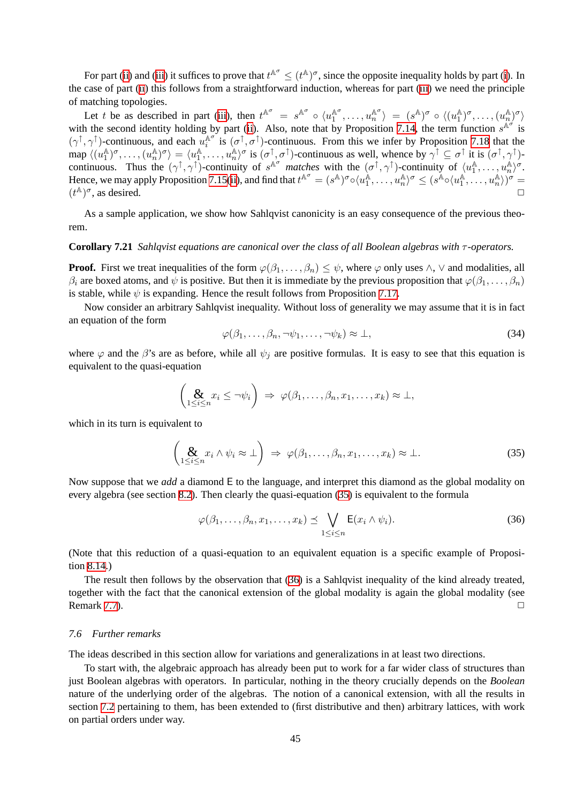For part [\(ii](#page-43-4)) and [\(iii](#page-43-2)) it suffices to prove that  $t^{A^{\sigma}} \leq (t^{A})^{\sigma}$ , since the opposite inequality holds by part [\(i](#page-43-3)). In the case of part ([ii\)](#page-43-4) this follows from a straightforward induction, whereas for part [\(iii](#page-43-2)) we need the principle of matching topologies.

Let t be as described in part [\(iii](#page-43-2)), then  $t^{A^{\sigma}} = s^{A^{\sigma}} \circ \langle u_1^{A^{\sigma}}, \dots, u_n^{A^{\sigma}} \rangle = (s^A)^{\sigma} \circ \langle (u_1^A)^{\sigma}, \dots, (u_n^A)^{\sigma} \rangle$ with the second identity holding by part [\(ii](#page-43-4)). Also, note that by Proposition [7.14](#page-41-1), the term function  $s^{\hat{A}^{\sigma}}$  is  $(\gamma^{\uparrow}, \gamma^{\uparrow})$ -continuous, and each  $u^{\mathbb{A}^{\sigma}}$  is  $(\sigma^{\uparrow}, \sigma^{\uparrow})$ -continuous. From this we infer by Proposition [7.18](#page-43-0) that the  $(\gamma^*, \gamma^*)$ -continuous, and each  $u_i$  is  $(\sigma^*, \sigma^*)$ -continuous. From this we fine by Froposition 7.16 that the map  $\langle (u_1^{\mathbb{A}})^\sigma, \ldots, (u_n^{\mathbb{A}})^\sigma \rangle = \langle u_1^{\mathbb{A}}, \ldots, u_n^{\mathbb{A}} \rangle^\sigma$  is  $(\sigma^{\uparrow}, \sigma^{\uparrow})$ -continuous as well continuous. Thus the  $(\gamma^{\uparrow}, \gamma^{\uparrow})$ -continuity of  $s^{\mathbb{A}^{\sigma}}$  matches with the  $(\sigma^{\uparrow}, \gamma^{\uparrow})$ -continuity of  $\langle u_1^{\mathbb{A}}, \dots, u_n^{\mathbb{A}} \rangle^{\sigma}$ . Hence, we may apply Proposition [7.15](#page-42-1)([ii\)](#page-42-2), and find that  $t^{A^{\sigma}} = (s^A)^{\sigma} \circ \langle u_1^{\hat{A}}, \dots, u_n^{\hat{A}} \rangle^{\sigma} \leq (s^{\hat{A}} \circ \langle u_1^{\hat{A}}, \dots, u_n^{\hat{A}} \rangle)^{\sigma} =$  $(t^{\mathbb{A}})^{\sigma}$ , as desired.  $\Box$ 

As a sample application, we show how Sahlqvist canonicity is an easy consequence of the previous theorem.

## **Corollary 7.21** *Sahlqvist equations are canonical over the class of all Boolean algebras with τ-operators.*

**Proof.** First we treat inequalities of the form  $\varphi(\beta_1, \ldots, \beta_n) \leq \psi$ , where  $\varphi$  only uses  $\wedge$ ,  $\vee$  and modalities, all  $\beta_i$  are boxed atoms, and  $\psi$  is positive. But then it is immediate by the previous proposition that  $\varphi(\beta_1, \ldots, \beta_n)$ is stable, while  $\psi$  is expanding. Hence the result follows from Proposition [7.17](#page-42-4).

Now consider an arbitrary Sahlqvist inequality. Without loss of generality we may assume that it is in fact an equation of the form

$$
\varphi(\beta_1,\ldots,\beta_n,\neg\psi_1,\ldots,\neg\psi_k)\approx \bot,\tag{34}
$$

where  $\varphi$  and the  $\beta$ 's are as before, while all  $\psi_i$  are positive formulas. It is easy to see that this equation is equivalent to the quasi-equation

<span id="page-44-0"></span>
$$
\left(\underset{1\leq i\leq n}{\mathcal{L}}x_i\leq \neg\psi_i\right)\ \Rightarrow\ \varphi(\beta_1,\ldots,\beta_n,x_1,\ldots,x_k)\approx \bot,
$$

which in its turn is equivalent to

$$
\left(\underset{1\leq i\leq n}{\mathcal{L}}x_i\wedge\psi_i\approx\bot\right)\;\Rightarrow\;\varphi(\beta_1,\ldots,\beta_n,x_1,\ldots,x_k)\approx\bot.
$$
\n(35)

Now suppose that we *add* a diamond E to the language, and interpret this diamond as the global modality on every algebra (see section [8.2\)](#page-47-1). Then clearly the quasi-equation ([35\)](#page-44-0) is equivalent to the formula

<span id="page-44-1"></span>
$$
\varphi(\beta_1,\ldots,\beta_n,x_1,\ldots,x_k) \preceq \bigvee_{1 \leq i \leq n} \mathsf{E}(x_i \wedge \psi_i).
$$
 (36)

(Note that this reduction of a quasi-equation to an equivalent equation is a specific example of Proposition [8.14.](#page-49-0))

The result then follows by the observation that ([36\)](#page-44-1) is a Sahlqvist inequality of the kind already treated, together with the fact that the canonical extension of the global modality is again the global modality (see Remark [7.7\)](#page-39-5).  $\square$ 

## *7.6 Further remarks*

The ideas described in this section allow for variations and generalizations in at least two directions.

To start with, the algebraic approach has already been put to work for a far wider class of structures than just Boolean algebras with operators. In particular, nothing in the theory crucially depends on the *Boolean* nature of the underlying order of the algebras. The notion of a canonical extension, with all the results in section [7.2](#page-37-0) pertaining to them, has been extended to (first distributive and then) arbitrary lattices, with work on partial orders under way.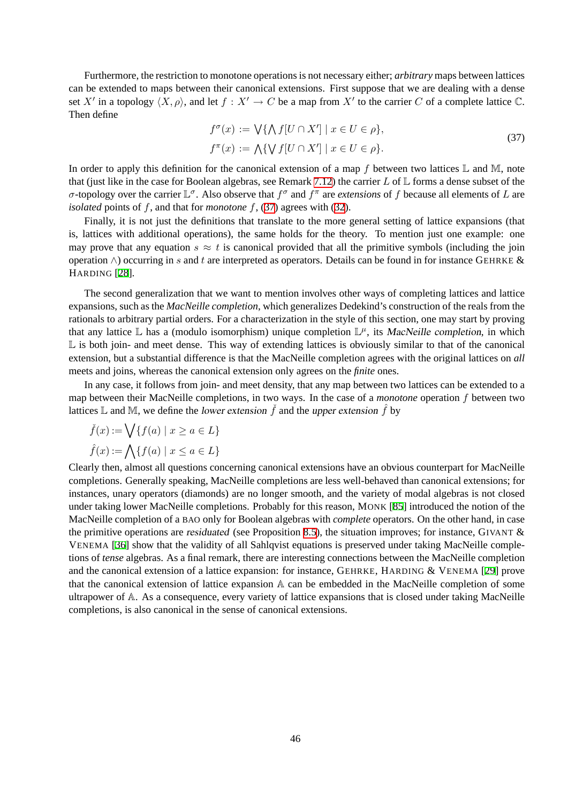<span id="page-45-0"></span>Furthermore, the restriction to monotone operations is not necessary either; *arbitrary* maps between lattices can be extended to maps between their canonical extensions. First suppose that we are dealing with a dense set X' in a topology  $\langle X, \rho \rangle$ , and let  $f : X' \to C$  be a map from X' to the carrier C of a complete lattice C. Then define

$$
f^{\sigma}(x) := \bigvee \{ \bigwedge f[U \cap X'] \mid x \in U \in \rho \},
$$
  

$$
f^{\pi}(x) := \bigwedge \{ \bigvee f[U \cap X'] \mid x \in U \in \rho \}.
$$
 (37)

In order to apply this definition for the canonical extension of a map  $f$  between two lattices  $\mathbb L$  and  $\mathbb M$ , note that (just like in the case for Boolean algebras, see Remark [7.12](#page-41-7)) the carrier L of  $\mathbb L$  forms a dense subset of the σ-topology over the carrier  $\mathbb{L}^{\sigma}$ . Also observe that  $f^{\sigma}$  and  $f^{\pi}$  are *extensions* of f because all elements of L are *isolated* points of f, and that for *monotone* f, [\(37](#page-45-0)) agrees with ([32\)](#page-38-4).

Finally, it is not just the definitions that translate to the more general setting of lattice expansions (that is, lattices with additional operations), the same holds for the theory. To mention just one example: one may prove that any equation  $s \approx t$  is canonical provided that all the primitive symbols (including the join operation  $\wedge$ ) occurring in s and t are interpreted as operators. Details can be found in for instance GEHRKE & HARDING [[28\]](#page-82-0).

The second generalization that we want to mention involves other ways of completing lattices and lattice expansions, such as the *MacNeille completion*, which generalizes Dedekind's construction of the reals from the rationals to arbitrary partial orders. For a characterization in the style of this section, one may start by proving that any lattice  $\mathbb L$  has a (modulo isomorphism) unique completion  $\mathbb L^{\mu}$ , its MacNeille completion, in which  $\mathbb L$  is both join- and meet dense. This way of extending lattices is obviously similar to that of the canonical extension, but a substantial difference is that the MacNeille completion agrees with the original lattices on *all* meets and joins, whereas the canonical extension only agrees on the *finite* ones.

In any case, it follows from join- and meet density, that any map between two lattices can be extended to a map between their MacNeille completions, in two ways. In the case of a *monotone* operation f between two lattices  $\mathbb L$  and  $\mathbb M$ , we define the lower extension  $\tilde f$  and the upper extension  $\tilde f$  by

$$
\check{f}(x) := \bigvee \{ f(a) \mid x \ge a \in L \}
$$

$$
\hat{f}(x) := \bigwedge \{ f(a) \mid x \le a \in L \}
$$

Clearly then, almost all questions concerning canonical extensions have an obvious counterpart for MacNeille completions. Generally speaking, MacNeille completions are less well-behaved than canonical extensions; for instances, unary operators (diamonds) are no longer smooth, and the variety of modal algebras is not closed under taking lower MacNeille completions. Probably for this reason, MONK [[85\]](#page-84-2) introduced the notion of the MacNeille completion of a BAO only for Boolean algebras with *complete* operators. On the other hand, in case the primitive operations are residuated (see Proposition [8.5\)](#page-46-0), the situation improves; for instance, GIVANT  $\&$ VENEMA [[36\]](#page-83-4) show that the validity of all Sahlqvist equations is preserved under taking MacNeille completions of *tense* algebras. As a final remark, there are interesting connections between the MacNeille completion and the canonical extension of a lattice expansion: for instance, GEHRKE, HARDING & VENEMA [\[29](#page-82-1)] prove that the canonical extension of lattice expansion A can be embedded in the MacNeille completion of some ultrapower of A. As a consequence, every variety of lattice expansions that is closed under taking MacNeille completions, is also canonical in the sense of canonical extensions.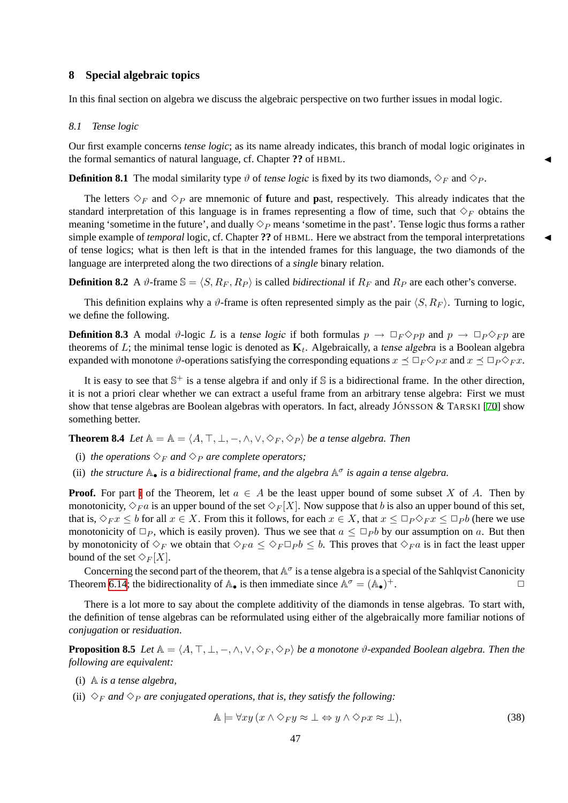## **8 Special algebraic topics**

In this final section on algebra we discuss the algebraic perspective on two further issues in modal logic.

#### <span id="page-46-3"></span>*8.1 Tense logic*

Our first example concerns *tense logic*; as its name already indicates, this branch of modal logic originates in the formal semantics of natural language, cf. Chapter **??** of HBML. J

**Definition 8.1** The modal similarity type  $\vartheta$  of tense logic is fixed by its two diamonds,  $\Diamond_F$  and  $\Diamond_P$ .

The letters  $\Diamond_F$  and  $\Diamond_P$  are mnemonic of future and **p**ast, respectively. This already indicates that the standard interpretation of this language is in frames representing a flow of time, such that  $\Diamond_F$  obtains the meaning 'sometime in the future', and dually  $\Diamond_P$  means 'sometime in the past'. Tense logic thus forms a rather simple example of *temporal* logic, cf. Chapter ?? of HBML. Here we abstract from the temporal interpretations of tense logics; what is then left is that in the intended frames for this language, the two diamonds of the language are interpreted along the two directions of a *single* binary relation.

**Definition 8.2** A  $\vartheta$ -frame  $\mathcal{S} = \langle S, R_F, R_P \rangle$  is called bidirectional if  $R_F$  and  $R_P$  are each other's converse.

This definition explains why a  $\vartheta$ -frame is often represented simply as the pair  $\langle S, R_F \rangle$ . Turning to logic, we define the following.

**Definition 8.3** A modal  $\vartheta$ -logic L is a tense logic if both formulas  $p \to \Box_F \Diamond_P p$  and  $p \to \Box_P \Diamond_F p$  are theorems of L; the minimal tense logic is denoted as  $\mathbf{K}_t$ . Algebraically, a tense algebra is a Boolean algebra expanded with monotone  $\vartheta$ -operations satisfying the corresponding equations  $x \prec \Box_F \Diamond_P x$  and  $x \prec \Box_P \Diamond_F x$ .

It is easy to see that  $\mathbb{S}^+$  is a tense algebra if and only if  $\mathbb S$  is a bidirectional frame. In the other direction, it is not a priori clear whether we can extract a useful frame from an arbitrary tense algebra: First we must show that tense algebras are Boolean algebras with operators. In fact, already JÓNSSON  $\&$  TARSKI [\[70](#page-84-0)] show something better.

<span id="page-46-2"></span>**Theorem 8.4** *Let*  $A = A = \langle A, \top, \bot, -, \wedge, \vee, \Diamond_F, \Diamond_P \rangle$  *be a tense algebra. Then* 

- <span id="page-46-1"></span>(i) the operations  $\Diamond_F$  and  $\Diamond_P$  are complete operators;
- (ii) the structure  $\mathbb{A}_{\bullet}$  is a bidirectional frame, and the algebra  $\mathbb{A}^{\sigma}$  is again a tense algebra.

**Proof.** For part [i](#page-46-1) of the Theorem, let  $a \in A$  be the least upper bound of some subset X of A. Then by monotonicity,  $\Diamond_F a$  is an upper bound of the set  $\Diamond_F[X]$ . Now suppose that b is also an upper bound of this set, that is,  $\Diamond_F x \leq b$  for all  $x \in X$ . From this it follows, for each  $x \in X$ , that  $x \leq \Box_P \Diamond_F x \leq \Box_P b$  (here we use monotonicity of  $\Box_P$ , which is easily proven). Thus we see that  $a \le \Box_P b$  by our assumption on a. But then by monotonicity of  $\Diamond_F$  we obtain that  $\Diamond_F a \leq \Diamond_F \Box_P b \leq b$ . This proves that  $\Diamond_F a$  is in fact the least upper bound of the set  $\Diamond_F[X]$ .

Concerning the second part of the theorem, that  $A^{\sigma}$  is a tense algebra is a special of the Sahlqvist Canonicity Theorem [6.14](#page-31-0); the bidirectionality of  $\mathbb{A}_{\bullet}$  is then immediate since  $\mathbb{A}^{\sigma} = (\mathbb{A}_{\bullet})$  $^+$ .  $\Box$ 

There is a lot more to say about the complete additivity of the diamonds in tense algebras. To start with, the definition of tense algebras can be reformulated using either of the algebraically more familiar notions of *conjugation* or *residuation*.

<span id="page-46-0"></span>**Proposition 8.5** *Let*  $A = \langle A, \top, \bot, -, \wedge, \vee, \Diamond_F, \Diamond_P \rangle$  *be a monotone*  $\vartheta$ -expanded Boolean algebra. Then the *following are equivalent:*

- (i) A *is a tense algebra,*
- (ii)  $\Diamond_F$  *and*  $\Diamond_P$  *are* conjugated *operations, that is, they satisfy the following:*

$$
\mathbb{A} \models \forall xy \, (x \land \Diamond_F y \approx \bot \Leftrightarrow y \land \Diamond_P x \approx \bot), \tag{38}
$$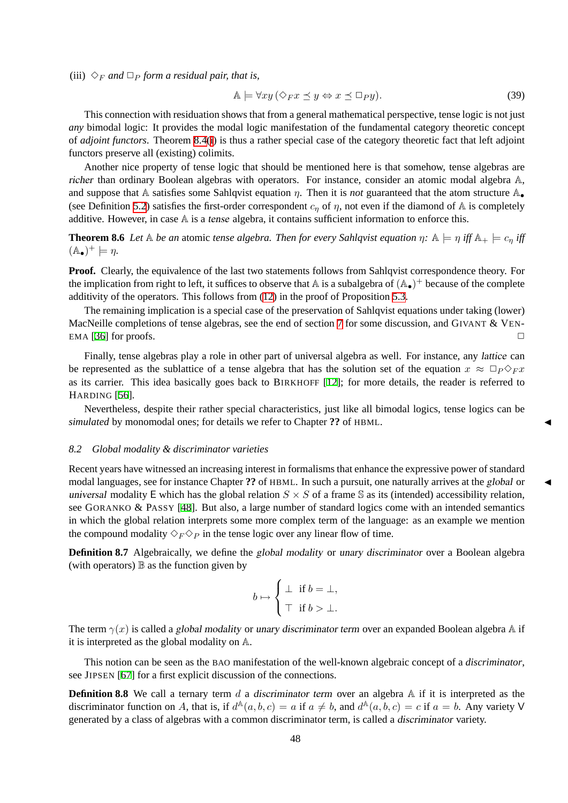(iii)  $\Diamond_F$  *and*  $\Box_P$  *form a residual pair, that is,* 

$$
\mathbb{A}\models \forall xy\ (\Diamond_F x \preceq y \Leftrightarrow x \preceq \Box_P y). \tag{39}
$$

This connection with residuation shows that from a general mathematical perspective, tense logic is not just *any* bimodal logic: It provides the modal logic manifestation of the fundamental category theoretic concept of *adjoint functors*. Theorem [8.4\(](#page-46-2)[i\)](#page-46-1) is thus a rather special case of the category theoretic fact that left adjoint functors preserve all (existing) colimits.

Another nice property of tense logic that should be mentioned here is that somehow, tense algebras are richer than ordinary Boolean algebras with operators. For instance, consider an atomic modal algebra A, and suppose that A satisfies some Sahlqvist equation  $\eta$ . Then it is *not* guaranteed that the atom structure  $A_{\bullet}$ (see Definition [5.2](#page-16-1)) satisfies the first-order correspondent  $c_n$  of  $\eta$ , not even if the diamond of A is completely additive. However, in case A is a tense algebra, it contains sufficient information to enforce this.

**Theorem 8.6** *Let* A *be an* atomic *tense algebra. Then for every Sahlqvist equation*  $\eta$ :  $A \models \eta$  *iff*  $A_+ \models c_n$  *iff*  $(A_{\bullet})^{+} \models \eta.$ 

**Proof.** Clearly, the equivalence of the last two statements follows from Sahlqvist correspondence theory. For the implication from right to left, it suffices to observe that A is a subalgebra of  $(A_{\bullet})^{+}$  because of the complete additivity of the operators. This follows from ([12\)](#page-16-2) in the proof of Proposition [5.3](#page-16-3).

The remaining implication is a special case of the preservation of Sahlqvist equations under taking (lower) MacNeille completions of tense algebras, see the end of section [7](#page-36-1) for some discussion, and GIVANT & VEN-EMA [\[36](#page-83-4)] for proofs.  $\square$ 

Finally, tense algebras play a role in other part of universal algebra as well. For instance, any lattice can be represented as the sublattice of a tense algebra that has the solution set of the equation  $x \approx \Box_P \Diamond_F x$ as its carrier. This idea basically goes back to BIRKHOFF [[12](#page-82-2)]; for more details, the reader is referred to HARDING [[56\]](#page-83-5).

Nevertheless, despite their rather special characteristics, just like all bimodal logics, tense logics can be *simulated* by monomodal ones; for details we refer to Chapter ?? of HBML.

#### <span id="page-47-1"></span>*8.2 Global modality & discriminator varieties*

Recent years have witnessed an increasing interest in formalisms that enhance the expressive power of standard modal languages, see for instance Chapter ?? of HBML. In such a pursuit, one naturally arrives at the global or universal modality E which has the global relation  $S \times S$  of a frame S as its (intended) accessibility relation, see GORANKO & PASSY [[48\]](#page-83-6). But also, a large number of standard logics come with an intended semantics in which the global relation interprets some more complex term of the language: as an example we mention the compound modality  $\Diamond_F \Diamond_P$  in the tense logic over any linear flow of time.

<span id="page-47-0"></span>**Definition 8.7** Algebraically, we define the global modality or unary discriminator over a Boolean algebra (with operators)  $\mathbb B$  as the function given by

$$
b \mapsto \begin{cases} \bot & \text{if } b = \bot, \\ \top & \text{if } b > \bot. \end{cases}
$$

The term  $\gamma(x)$  is called a global modality or unary discriminator term over an expanded Boolean algebra A if it is interpreted as the global modality on A.

This notion can be seen as the BAO manifestation of the well-known algebraic concept of a *discriminator*, see JIPSEN [[67\]](#page-84-3) for a first explicit discussion of the connections.

**Definition 8.8** We call a ternary term d a discriminator term over an algebra  $\mathbb{A}$  if it is interpreted as the discriminator function on A, that is, if  $d^{\mathbb{A}}(a, b, c) = a$  if  $a \neq b$ , and  $d^{\mathbb{A}}(a, b, c) = c$  if  $a = b$ . Any variety V generated by a class of algebras with a common discriminator term, is called a discriminator variety.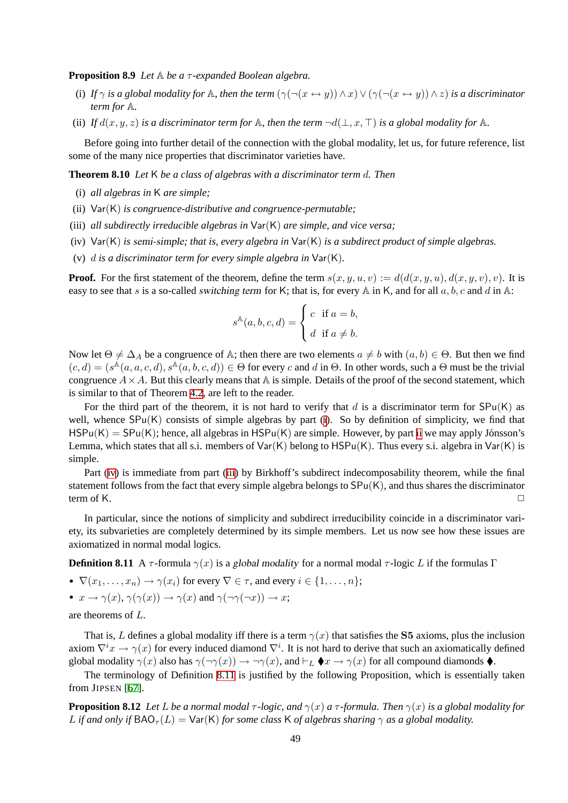**Proposition 8.9** *Let* A *be a* τ *-expanded Boolean algebra.*

- (i) *If*  $\gamma$  *is a global modality for* A, then the term  $(\gamma(\neg(x \leftrightarrow y)) \land x) \lor (\gamma(\neg(x \leftrightarrow y)) \land z)$  *is a discriminator term for* A*.*
- (ii) If  $d(x, y, z)$  *is a discriminator term for*  $\mathbb{A}$ *, then the term*  $\neg d(\bot, x, \top)$  *is a global modality for*  $\mathbb{A}$ *.*

Before going into further detail of the connection with the global modality, let us, for future reference, list some of the many nice properties that discriminator varieties have.

<span id="page-48-5"></span>**Theorem 8.10** *Let* K *be a class of algebras with a discriminator term* d*. Then*

- <span id="page-48-0"></span>(i) *all algebras in* K *are simple;*
- <span id="page-48-1"></span>(ii) Var(K) *is congruence-distributive and congruence-permutable;*
- <span id="page-48-3"></span>(iii) *all subdirectly irreducible algebras in* Var(K) *are simple, and vice versa;*
- <span id="page-48-2"></span>(iv) Var(K) *is* semi-simple*; that is, every algebra in* Var(K) *is a subdirect product of simple algebras.*
- (v) d *is a discriminator term for every simple algebra in* Var(K)*.*

**Proof.** For the first statement of the theorem, define the term  $s(x, y, u, v) := d(d(x, y, u), d(x, y, v), v)$ . It is easy to see that s is a so-called switching term for K; that is, for every  $\mathbb A$  in K, and for all  $a, b, c$  and  $d$  in  $\mathbb A$ :

$$
s^{\mathbb{A}}(a,b,c,d) = \begin{cases} c & \text{if } a = b, \\ d & \text{if } a \neq b. \end{cases}
$$

Now let  $\Theta \neq \Delta_A$  be a congruence of A; then there are two elements  $a \neq b$  with  $(a, b) \in \Theta$ . But then we find  $(c, d) = (s^{\mathbb{A}}(a, a, c, d), s^{\mathbb{A}}(a, b, c, d)) \in \Theta$  for every c and d in  $\Theta$ . In other words, such a  $\Theta$  must be the trivial congruence  $A \times A$ . But this clearly means that A is simple. Details of the proof of the second statement, which is similar to that of Theorem [4.2,](#page-11-0) are left to the reader.

For the third part of the theorem, it is not hard to verify that d is a discriminator term for  $SPu(K)$  as well, whence  $SPu(K)$  consists of simple algebras by part [\(i](#page-48-0)). So by definition of simplicity, we find that  $HSPu(K) = SPu(K)$ ; hence, all algebras in  $HSPu(K)$  are simple. However, by part [ii](#page-48-1) we may apply Jónsson's Lemma, which states that all s.i. members of  $Var(K)$  belong to  $HSPu(K)$ . Thus every s.i. algebra in  $Var(K)$  is simple.

Part ([iv](#page-48-2)) is immediate from part [\(iii](#page-48-3)) by Birkhoff's subdirect indecomposability theorem, while the final statement follows from the fact that every simple algebra belongs to  $SPu(K)$ , and thus shares the discriminator term of K.  $\Box$ 

In particular, since the notions of simplicity and subdirect irreducibility coincide in a discriminator variety, its subvarieties are completely determined by its simple members. Let us now see how these issues are axiomatized in normal modal logics.

<span id="page-48-4"></span>**Definition 8.11** A  $\tau$ -formula  $\gamma(x)$  is a global modality for a normal modal  $\tau$ -logic L if the formulas Γ

- $\nabla(x_1,\ldots,x_n) \to \gamma(x_i)$  for every  $\nabla \in \tau$ , and every  $i \in \{1,\ldots,n\}$ ;
- $x \to \gamma(x)$ ,  $\gamma(\gamma(x)) \to \gamma(x)$  and  $\gamma(\neg \gamma(\neg x)) \to x$ ;

are theorems of L.

That is, L defines a global modality iff there is a term  $\gamma(x)$  that satisfies the S5 axioms, plus the inclusion axiom  $\nabla^i x \to \gamma(x)$  for every induced diamond  $\nabla^i$ . It is not hard to derive that such an axiomatically defined global modality  $\gamma(x)$  also has  $\gamma(\neg \gamma(x)) \to \neg \gamma(x)$ , and  $\vdash_L \blacklozenge x \to \gamma(x)$  for all compound diamonds  $\blacklozenge$ .

The terminology of Definition [8.11](#page-48-4) is justified by the following Proposition, which is essentially taken from JIPSEN [\[67\]](#page-84-3).

<span id="page-48-6"></span>**Proposition 8.12** *Let* L *be a normal modal*  $\tau$ -logic, and  $\gamma(x)$  *a*  $\tau$ -formula. Then  $\gamma(x)$  is a global modality for L *if and only if*  $BAO<sub>\tau</sub>(L) = Var(K)$  *for some class* K *of algebras sharing*  $\gamma$  *as a global modality.*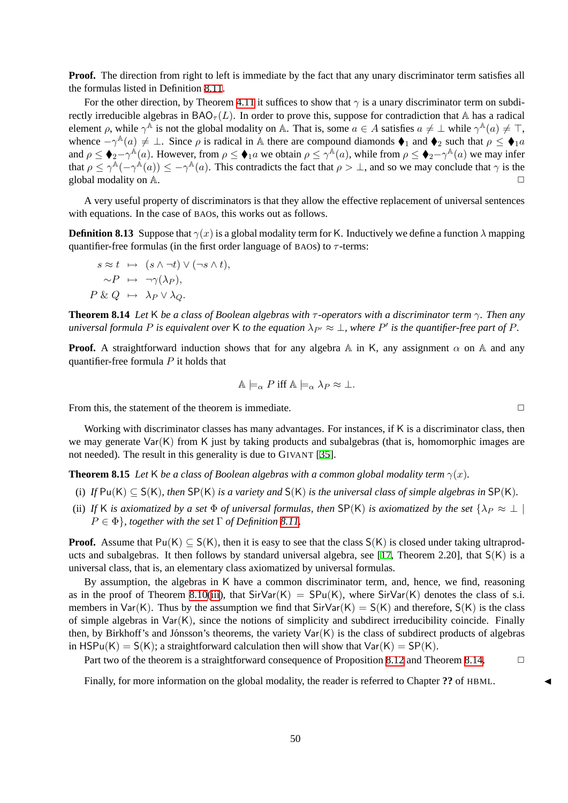**Proof.** The direction from right to left is immediate by the fact that any unary discriminator term satisfies all the formulas listed in Definition [8.11](#page-48-4).

For the other direction, by Theorem [4.11](#page-13-0) it suffices to show that  $\gamma$  is a unary discriminator term on subdirectly irreducible algebras in  $BAO<sub>\tau</sub>(L)$ . In order to prove this, suppose for contradiction that A has a radical element  $\rho$ , while  $\gamma^{\mathbb{A}}$  is not the global modality on A. That is, some  $a \in A$  satisfies  $a \neq \bot$  while  $\gamma^{\mathbb{A}}(a) \neq \top$ , whence  $-\gamma^{\mathbb{A}}(a) \neq \bot$ . Since  $\rho$  is radical in A there are compound diamonds  $\blacklozenge_1$  and  $\blacklozenge_2$  such that  $\rho \leq \blacklozenge_1 a$ and  $\rho \le \mathbf{\blacklozenge}_{2} - \gamma^{\mathbb{A}}(a)$ . However, from  $\rho \le \mathbf{\blacklozenge}_{1}a$  we obtain  $\rho \le \gamma^{\mathbb{A}}(a)$ , while from  $\rho \le \mathbf{\blacklozenge}_{2} - \gamma^{\mathbb{A}}(a)$  we may infer that  $\rho \le \gamma^{\mathbb{A}}(-\gamma^{\mathbb{A}}(a)) \le -\gamma^{\mathbb{A}}(a)$ . This contradicts the fact that  $\rho > \bot$ , and so we may conclude that  $\gamma$  is the global modality on  $A$ .

A very useful property of discriminators is that they allow the effective replacement of universal sentences with equations. In the case of BAOs, this works out as follows.

**Definition 8.13** Suppose that  $\gamma(x)$  is a global modality term for K. Inductively we define a function  $\lambda$  mapping quantifier-free formulas (in the first order language of BAOs) to  $\tau$ -terms:

$$
s \approx t \mapsto (s \wedge \neg t) \vee (\neg s \wedge t),
$$
  
\sim P \mapsto \neg \gamma(\lambda\_P),  
\nP \& Q \mapsto \lambda\_P \vee \lambda\_Q.

<span id="page-49-0"></span>**Theorem 8.14** *Let* K *be a class of Boolean algebras with* τ *-operators with a discriminator term* γ*. Then any*  $u$ niversal formula P is equivalent over K to the equation  $\lambda_{P'} \approx \bot$ , where P' is the quantifier-free part of P.

**Proof.** A straightforward induction shows that for any algebra A in K, any assignment  $\alpha$  on A and any quantifier-free formula  $P$  it holds that

$$
\mathbb{A}\models_{\alpha} P \text{ iff } \mathbb{A}\models_{\alpha} \lambda_P \approx \bot.
$$

From this, the statement of the theorem is immediate.  $\Box$ 

Working with discriminator classes has many advantages. For instances, if K is a discriminator class, then we may generate  $Var(K)$  from K just by taking products and subalgebras (that is, homomorphic images are not needed). The result in this generality is due to GIVANT [\[35](#page-83-7)].

**Theorem 8.15** *Let* K *be a class of Boolean algebras with a common global modality term*  $\gamma(x)$ *.* 

- (i) If  $Pu(K) \subseteq S(K)$ , then  $SP(K)$  is a variety and  $S(K)$  is the universal class of simple algebras in  $SP(K)$ .
- (ii) *If* K *is axiomatized by a set*  $\Phi$  *of universal formulas, then* SP(K) *is axiomatized by the set*  $\{\lambda_P \approx \bot \}$  $P \in \Phi$ , together with the set  $\Gamma$  of Definition [8.11](#page-48-4).

**Proof.** Assume that  $Pu(K) \subseteq S(K)$ , then it is easy to see that the class  $S(K)$  is closed under taking ultraproducts and subalgebras. It then follows by standard universal algebra, see [\[17](#page-82-3), Theorem 2.20], that S(K) is a universal class, that is, an elementary class axiomatized by universal formulas.

By assumption, the algebras in K have a common discriminator term, and, hence, we find, reasoning as in the proof of Theorem [8.10\(](#page-48-5)[iii](#page-48-3)), that  $SivVar(K) = SPu(K)$ , where  $SivVar(K)$  denotes the class of s.i. members in Var(K). Thus by the assumption we find that  $SirVar(K) = S(K)$  and therefore,  $S(K)$  is the class of simple algebras in  $\text{Var}(K)$ , since the notions of simplicity and subdirect irreducibility coincide. Finally then, by Birkhoff's and Jónsson's theorems, the variety  $\text{Var}(K)$  is the class of subdirect products of algebras in HSPu(K) =  $S(K)$ ; a straightforward calculation then will show that  $Var(K) = SP(K)$ .

Part two of the theorem is a straightforward consequence of Proposition [8.12](#page-48-6) and Theorem [8.14](#page-49-0). □

Finally, for more information on the global modality, the reader is referred to Chapter **??** of HBML.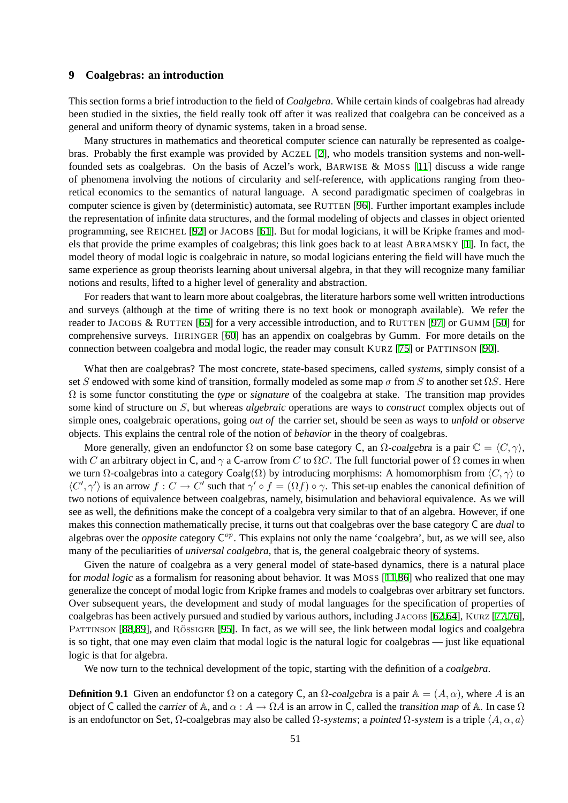## **9 Coalgebras: an introduction**

This section forms a brief introduction to the field of *Coalgebra*. While certain kinds of coalgebras had already been studied in the sixties, the field really took off after it was realized that coalgebra can be conceived as a general and uniform theory of dynamic systems, taken in a broad sense.

Many structures in mathematics and theoretical computer science can naturally be represented as coalgebras. Probably the first example was provided by ACZEL [[2](#page-82-4)], who models transition systems and non-wellfounded sets as coalgebras. On the basis of Aczel's work, BARWISE & MOSS [[11\]](#page-82-5) discuss a wide range of phenomena involving the notions of circularity and self-reference, with applications ranging from theoretical economics to the semantics of natural language. A second paradigmatic specimen of coalgebras in computer science is given by (deterministic) automata, see RUTTEN [\[96\]](#page-85-1). Further important examples include the representation of infinite data structures, and the formal modeling of objects and classes in object oriented programming, see REICHEL [[92\]](#page-85-2) or JACOBS [[61\]](#page-84-4). But for modal logicians, it will be Kripke frames and models that provide the prime examples of coalgebras; this link goes back to at least ABRAMSKY [\[1\]](#page-82-6). In fact, the model theory of modal logic is coalgebraic in nature, so modal logicians entering the field will have much the same experience as group theorists learning about universal algebra, in that they will recognize many familiar notions and results, lifted to a higher level of generality and abstraction.

For readers that want to learn more about coalgebras, the literature harbors some well written introductions and surveys (although at the time of writing there is no text book or monograph available). We refer the reader to JACOBS & RUTTEN [[65\]](#page-84-5) for a very accessible introduction, and to RUTTEN [[97](#page-85-3)] or GUMM [\[50](#page-83-8)] for comprehensive surveys. IHRINGER [\[60\]](#page-84-6) has an appendix on coalgebras by Gumm. For more details on the connection between coalgebra and modal logic, the reader may consult KURZ [\[75](#page-84-7)] or PATTINSON [\[90](#page-85-4)].

What then are coalgebras? The most concrete, state-based specimens, called systems, simply consist of a set S endowed with some kind of transition, formally modeled as some map  $\sigma$  from S to another set  $\Omega S$ . Here Ω is some functor constituting the *type* or *signature* of the coalgebra at stake. The transition map provides some kind of structure on S, but whereas *algebraic* operations are ways to *construct* complex objects out of simple ones, coalgebraic operations, going *out of* the carrier set, should be seen as ways to *unfold* or *observe* objects. This explains the central role of the notion of *behavior* in the theory of coalgebras.

More generally, given an endofunctor  $\Omega$  on some base category C, an  $\Omega$ -coalgebra is a pair  $\mathbb{C} = \langle C, \gamma \rangle$ , with C an arbitrary object in C, and  $\gamma$  a C-arrow from C to  $\Omega C$ . The full functorial power of  $\Omega$  comes in when we turn  $\Omega$ -coalgebras into a category Coalg( $\Omega$ ) by introducing morphisms: A homomorphism from  $\langle C, \gamma \rangle$  to  $\langle C', \gamma' \rangle$  is an arrow  $f : C \to C'$  such that  $\gamma' \circ f = (\Omega f) \circ \gamma$ . This set-up enables the canonical definition of two notions of equivalence between coalgebras, namely, bisimulation and behavioral equivalence. As we will see as well, the definitions make the concept of a coalgebra very similar to that of an algebra. However, if one makes this connection mathematically precise, it turns out that coalgebras over the base category C are *dual* to algebras over the *opposite* category C<sup>op</sup>. This explains not only the name 'coalgebra', but, as we will see, also many of the peculiarities of *universal coalgebra*, that is, the general coalgebraic theory of systems.

Given the nature of coalgebra as a very general model of state-based dynamics, there is a natural place for *modal logic* as a formalism for reasoning about behavior. It was MOSS [[11,](#page-82-5)[86](#page-84-8)] who realized that one may generalize the concept of modal logic from Kripke frames and models to coalgebras over arbitrary set functors. Over subsequent years, the development and study of modal languages for the specification of properties of coalgebras has been actively pursued and studied by various authors, including Jacobs [\[62](#page-84-9)[,64](#page-84-10)], Kurz [\[77](#page-84-11),[76\]](#page-84-12), PATTINSON [\[88](#page-85-5)[,89\]](#page-85-6), and RÖSSIGER [[95\]](#page-85-7). In fact, as we will see, the link between modal logics and coalgebra is so tight, that one may even claim that modal logic is the natural logic for coalgebras — just like equational logic is that for algebra.

We now turn to the technical development of the topic, starting with the definition of a *coalgebra*.

**Definition 9.1** Given an endofunctor  $\Omega$  on a category C, an  $\Omega$ -coalgebra is a pair  $\mathbb{A} = (A, \alpha)$ , where A is an object of C called the carrier of A, and  $\alpha$  :  $A \to \Omega A$  is an arrow in C, called the transition map of A. In case  $\Omega$ is an endofunctor on Set,  $\Omega$ -coalgebras may also be called  $\Omega$ -systems; a pointed  $\Omega$ -system is a triple  $\langle A, \alpha, \alpha \rangle$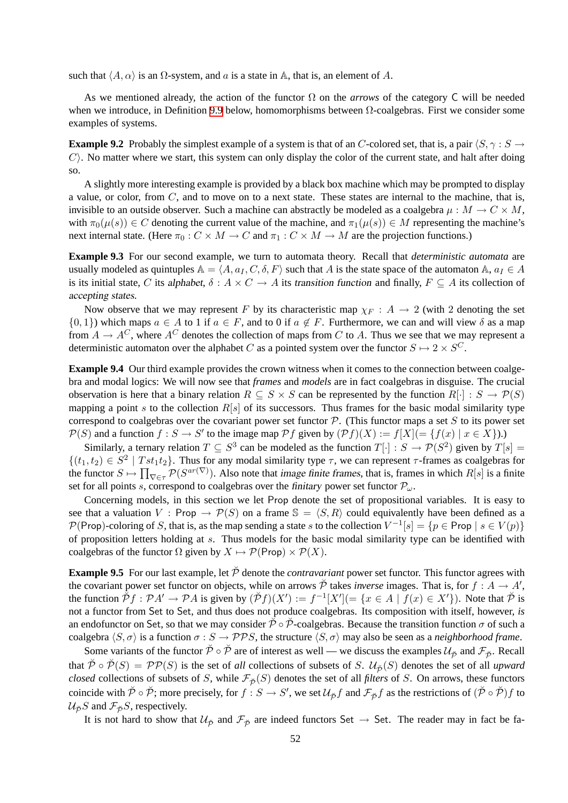such that  $\langle A, \alpha \rangle$  is an  $\Omega$ -system, and a is a state in A, that is, an element of A.

As we mentioned already, the action of the functor Ω on the *arrows* of the category C will be needed when we introduce, in Definition [9.9](#page-53-0) below, homomorphisms between  $\Omega$ -coalgebras. First we consider some examples of systems.

<span id="page-51-0"></span>**Example 9.2** Probably the simplest example of a system is that of an C-colored set, that is, a pair  $\langle S, \gamma : S \rightarrow \rangle$  $C$ . No matter where we start, this system can only display the color of the current state, and halt after doing so.

A slightly more interesting example is provided by a black box machine which may be prompted to display a value, or color, from  $C$ , and to move on to a next state. These states are internal to the machine, that is, invisible to an outside observer. Such a machine can abstractly be modeled as a coalgebra  $\mu : M \to C \times M$ , with  $\pi_0(\mu(s)) \in C$  denoting the current value of the machine, and  $\pi_1(\mu(s)) \in M$  representing the machine's next internal state. (Here  $\pi_0$  :  $C \times M \to C$  and  $\pi_1$  :  $C \times M \to M$  are the projection functions.)

<span id="page-51-1"></span>**Example 9.3** For our second example, we turn to automata theory. Recall that *deterministic automata* are usually modeled as quintuples  $A = \langle A, a_I, C, \delta, F \rangle$  such that A is the state space of the automaton A,  $a_I \in A$ is its initial state, C its alphabet,  $\delta: A \times C \to A$  its transition function and finally,  $F \subseteq A$  its collection of accepting states.

Now observe that we may represent F by its characteristic map  $\chi_F : A \to 2$  (with 2 denoting the set  $\{0, 1\}$ ) which maps  $a \in A$  to 1 if  $a \in F$ , and to 0 if  $a \notin F$ . Furthermore, we can and will view  $\delta$  as a map from  $A \to A^C$ , where  $A^C$  denotes the collection of maps from C to A. Thus we see that we may represent a deterministic automaton over the alphabet C as a pointed system over the functor  $S \mapsto 2 \times S^C$ .

<span id="page-51-2"></span>**Example 9.4** Our third example provides the crown witness when it comes to the connection between coalgebra and modal logics: We will now see that *frames* and *models* are in fact coalgebras in disguise. The crucial observation is here that a binary relation  $R \subseteq S \times S$  can be represented by the function  $R[\cdot] : S \to \mathcal{P}(S)$ mapping a point s to the collection  $R[s]$  of its successors. Thus frames for the basic modal similarity type correspond to coalgebras over the covariant power set functor  $P$ . (This functor maps a set  $S$  to its power set  $\mathcal{P}(S)$  and a function  $f : S \to S'$  to the image map  $\mathcal{P}f$  given by  $(\mathcal{P}f)(X) := f[X] = \{f(x) \mid x \in X\}$ .

Similarly, a ternary relation  $T \subseteq S^3$  can be modeled as the function  $T[\cdot] : S \to \mathcal{P}(S^2)$  given by  $T[s] =$  $\{(t_1, t_2) \in S^2 \mid Tst_1t_2\}$ . Thus for any modal similarity type  $\tau$ , we can represent  $\tau$ -frames as coalgebras for the functor  $S \mapsto \prod_{\nabla \in \tau} \mathcal{P}(S^{ar(\nabla)})$ . Also note that *image finite frames*, that is, frames in which  $R[s]$  is a finite set for all points s, correspond to coalgebras over the finitary power set functor  $\mathcal{P}_{\omega}$ .

Concerning models, in this section we let Prop denote the set of propositional variables. It is easy to see that a valuation V : Prop  $\rightarrow \mathcal{P}(S)$  on a frame  $\mathbb{S} = \langle S, R \rangle$  could equivalently have been defined as a  $\mathcal{P}(\mathsf{Prop})$ -coloring of S, that is, as the map sending a state s to the collection  $V^{-1}[s] = \{p \in \mathsf{Prop} \mid s \in V(p)\}$ of proposition letters holding at s. Thus models for the basic modal similarity type can be identified with coalgebras of the functor  $\Omega$  given by  $X \mapsto \mathcal{P}(\mathsf{Prop}) \times \mathcal{P}(X)$ .

<span id="page-51-3"></span>**Example 9.5** For our last example, let  $\tilde{P}$  denote the *contravariant* power set functor. This functor agrees with the covariant power set functor on objects, while on arrows  $\overrightarrow{p}$  takes *inverse* images. That is, for  $f : A \to A'$ , the function  $\tilde{\mathcal{P}}f: \mathcal{P}A' \to \mathcal{P}A$  is given by  $(\tilde{\mathcal{P}}f)(X') := f^{-1}[X'] (= \{x \in A \mid f(x) \in X'\})$ . Note that  $\tilde{\mathcal{P}}$  is not a functor from Set to Set, and thus does not produce coalgebras. Its composition with itself, however, *is* an endofunctor on Set, so that we may consider  $\tilde{\mathcal{P}} \circ \tilde{\mathcal{P}}$ -coalgebras. Because the transition function  $\sigma$  of such a coalgebra  $\langle S, \sigma \rangle$  is a function  $\sigma : S \to \mathcal{PP}S$ , the structure  $\langle S, \sigma \rangle$  may also be seen as a *neighborhood frame*.

Some variants of the functor  $\tilde{\mathcal{P}} \circ \tilde{\mathcal{P}}$  are of interest as well — we discuss the examples  $\mathcal{U}_{\tilde{\mathcal{P}}}$  and  $\mathcal{F}_{\tilde{\mathcal{P}}}$ . Recall that  $\tilde{\mathcal{P}} \circ \tilde{\mathcal{P}}(S) = \mathcal{PP}(S)$  is the set of *all* collections of subsets of S.  $\mathcal{U}_{\tilde{\mathcal{P}}}(S)$  denotes the set of all *upward closed* collections of subsets of S, while  $\mathcal{F}_{\phi}(S)$  denotes the set of all *filters* of S. On arrows, these functors coincide with  $\check{\mathcal{P}} \circ \check{\mathcal{P}}$ ; more precisely, for  $f : S \to S'$ , we set  $\mathcal{U}_{\check{\mathcal{P}}} f$  and  $\mathcal{F}_{\check{\mathcal{P}}} f$  as the restrictions of  $(\check{\mathcal{P}} \circ \check{\mathcal{P}}) f$  to  $\mathcal{U}_{\breve{\mathcal{D}}} S$  and  $\mathcal{F}_{\breve{\mathcal{D}}} S$ , respectively.

It is not hard to show that  $\mathcal{U}_{\phi}$  and  $\mathcal{F}_{\phi}$  are indeed functors Set  $\rightarrow$  Set. The reader may in fact be fa-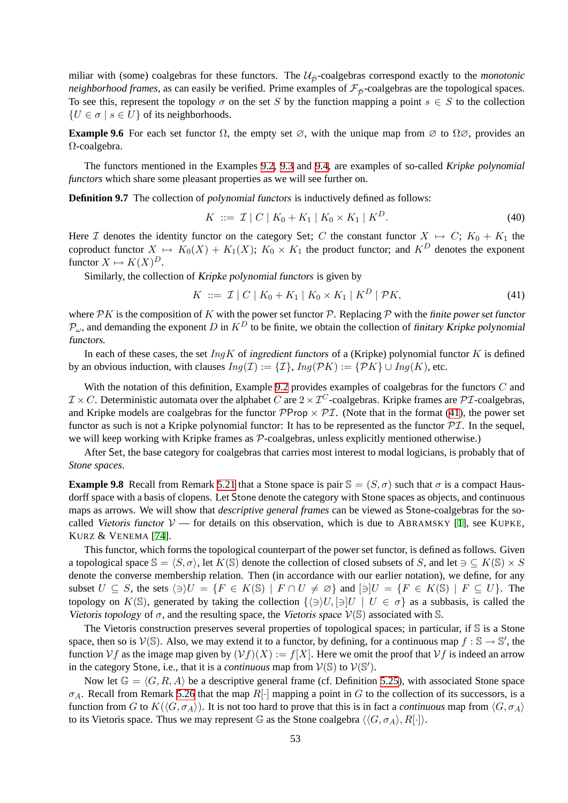miliar with (some) coalgebras for these functors. The  $\mathcal{U}_{\phi}$ -coalgebras correspond exactly to the *monotonic neighborhood frames*, as can easily be verified. Prime examples of  $\mathcal{F}_{\phi}$ -coalgebras are the topological spaces. To see this, represent the topology  $\sigma$  on the set S by the function mapping a point  $s \in S$  to the collection  ${U \in \sigma \mid s \in U}$  of its neighborhoods.

**Example 9.6** For each set functor  $\Omega$ , the empty set  $\varnothing$ , with the unique map from  $\varnothing$  to  $\Omega\varnothing$ , provides an Ω-coalgebra.

The functors mentioned in the Examples [9.2](#page-51-0), [9.3](#page-51-1) and [9.4](#page-51-2), are examples of so-called *Kripke polynomial functors* which share some pleasant properties as we will see further on.

**Definition 9.7** The collection of polynomial functors is inductively defined as follows:

<span id="page-52-0"></span>
$$
K ::= \mathcal{I} | C | K_0 + K_1 | K_0 \times K_1 | K^D.
$$
 (40)

Here I denotes the identity functor on the category Set; C the constant functor  $X \mapsto C$ ;  $K_0 + K_1$  the coproduct functor  $X \mapsto K_0(X) + K_1(X)$ ;  $K_0 \times K_1$  the product functor; and  $K^D$  denotes the exponent functor  $X \mapsto K(X)^D$ .

Similarly, the collection of Kripke polynomial functors is given by

$$
K ::= \mathcal{I} | C | K_0 + K_1 | K_0 \times K_1 | K^D | \mathcal{P} K,
$$
\n(41)

where  $\mathcal{P}K$  is the composition of K with the power set functor  $\mathcal{P}$ . Replacing  $\mathcal{P}$  with the finite power set functor  $\mathcal{P}_{\omega}$ , and demanding the exponent D in  $K^D$  to be finite, we obtain the collection of finitary Kripke polynomial functors.

In each of these cases, the set  $InqK$  of ingredient functors of a (Kripke) polynomial functor K is defined by an obvious induction, with clauses  $Ing(\mathcal{I}) := \{\mathcal{I}\}\$ ,  $Ing(\mathcal{P}K) := \{\mathcal{P}K\} \cup Ing(K)$ , etc.

With the notation of this definition, Example [9.2](#page-51-0) provides examples of coalgebras for the functors C and  $\mathcal{I} \times C$ . Deterministic automata over the alphabet C are  $2 \times \mathcal{I}^C$ -coalgebras. Kripke frames are P*I*-coalgebras, and Kripke models are coalgebras for the functor  $\mathcal{P}$ Prop  $\times \mathcal{PI}$ . (Note that in the format ([41\)](#page-52-0), the power set functor as such is not a Kripke polynomial functor: It has to be represented as the functor  $\mathcal{PI}$ . In the sequel, we will keep working with Kripke frames as  $P$ -coalgebras, unless explicitly mentioned otherwise.)

After Set, the base category for coalgebras that carries most interest to modal logicians, is probably that of *Stone spaces*.

<span id="page-52-1"></span>**Example 9.8** Recall from Remark [5.21](#page-21-0) that a Stone space is pair  $\mathbb{S} = (S, \sigma)$  such that  $\sigma$  is a compact Hausdorff space with a basis of clopens. Let Stone denote the category with Stone spaces as objects, and continuous maps as arrows. We will show that *descriptive general frames* can be viewed as Stone-coalgebras for the socalled Vietoris functor  $V$  — for details on this observation, which is due to ABRAMSKY [[1](#page-82-6)], see KUPKE, KURZ & VENEMA [\[74](#page-84-13)].

This functor, which forms the topological counterpart of the power set functor, is defined as follows. Given a topological space  $\mathcal{S} = \langle S, \sigma \rangle$ , let  $K(\mathcal{S})$  denote the collection of closed subsets of S, and let  $\ni \subseteq K(\mathcal{S}) \times S$ denote the converse membership relation. Then (in accordance with our earlier notation), we define, for any subset  $U \subseteq S$ , the sets  $\langle \exists \rangle U = \{F \in K(\mathbb{S}) \mid F \cap U \neq \emptyset\}$  and  $[\exists U = \{F \in K(\mathbb{S}) \mid F \subseteq U\}$ . The topology on  $K(\mathbb{S})$ , generated by taking the collection  $\{\{\ni\}U, [\ni]U \mid U \in \sigma\}$  as a subbasis, is called the Vietoris topology of  $\sigma$ , and the resulting space, the Vietoris space  $\mathcal{V}(\mathbb{S})$  associated with  $\mathbb{S}$ .

The Vietoris construction preserves several properties of topological spaces; in particular, if  $\mathbb S$  is a Stone space, then so is  $V(\mathbb{S})$ . Also, we may extend it to a functor, by defining, for a continuous map  $f : \mathbb{S} \to \mathbb{S}'$ , the function  $\mathcal{V}f$  as the image map given by  $(\mathcal{V}f)(X) := f[X]$ . Here we omit the proof that  $\mathcal{V}f$  is indeed an arrow in the category Stone, i.e., that it is a *continuous* map from  $V(\mathbb{S})$  to  $V(\mathbb{S}^{\prime})$ .

Now let  $\mathbb{G} = \langle G, R, A \rangle$  be a descriptive general frame (cf. Definition [5.25\)](#page-21-1), with associated Stone space  $\sigma_A$ . Recall from Remark [5.26](#page-21-2) that the map  $R[\cdot]$  mapping a point in G to the collection of its successors, is a function from G to  $K(\langle G, \sigma_A \rangle)$ . It is not too hard to prove that this is in fact a *continuous* map from  $\langle G, \sigma_A \rangle$ to its Vietoris space. Thus we may represent G as the Stone coalgebra  $\langle \langle G, \sigma_A \rangle, R[\cdot] \rangle$ .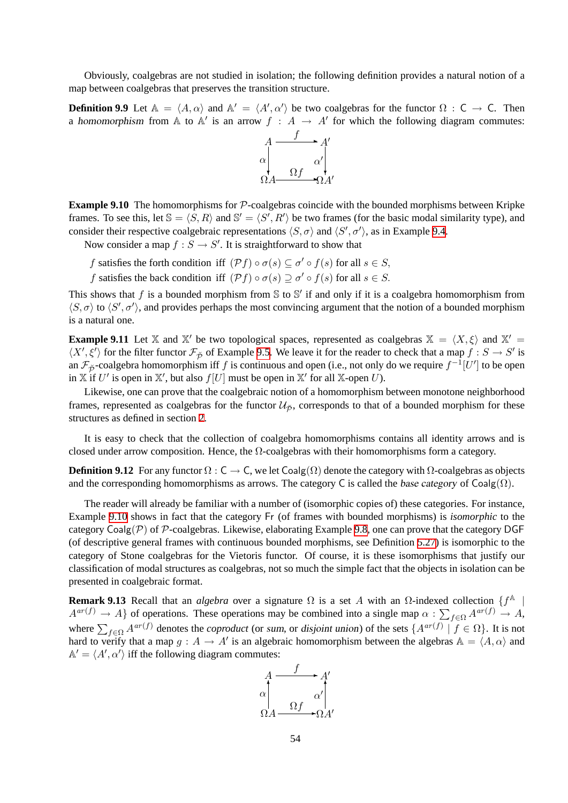Obviously, coalgebras are not studied in isolation; the following definition provides a natural notion of a map between coalgebras that preserves the transition structure.

<span id="page-53-0"></span>**Definition 9.9** Let  $\mathbb{A} = \langle A, \alpha \rangle$  and  $\mathbb{A}' = \langle A', \alpha' \rangle$  be two coalgebras for the functor  $\Omega : \mathbb{C} \to \mathbb{C}$ . Then a homomorphism from  $\mathbb A$  to  $\mathbb A'$  is an arrow  $f : A \to A'$  for which the following diagram commutes:



<span id="page-53-1"></span>**Example 9.10** The homomorphisms for P-coalgebras coincide with the bounded morphisms between Kripke frames. To see this, let  $\mathbb{S} = \langle S, R \rangle$  and  $\mathbb{S}' = \langle S', R' \rangle$  be two frames (for the basic modal similarity type), and consider their respective coalgebraic representations  $\langle S, \sigma \rangle$  and  $\langle S', \sigma' \rangle$ , as in Example [9.4](#page-51-2).

Now consider a map  $f : S \to S'$ . It is straightforward to show that

f satisfies the forth condition iff  $(\mathcal{P}f) \circ \sigma(s) \subseteq \sigma' \circ f(s)$  for all  $s \in S$ ,

f satisfies the back condition iff  $(\mathcal{P}f) \circ \sigma(s) \supseteq \sigma' \circ f(s)$  for all  $s \in S$ .

This shows that f is a bounded morphism from  $S$  to  $S'$  if and only if it is a coalgebra homomorphism from  $\langle S, \sigma \rangle$  to  $\langle S', \sigma' \rangle$ , and provides perhaps the most convincing argument that the notion of a bounded morphism is a natural one.

**Example 9.11** Let X and X' be two topological spaces, represented as coalgebras  $X = \langle X, \xi \rangle$  and  $X' = \langle X, \xi \rangle$  $\langle X', \xi' \rangle$  for the filter functor  $\mathcal{F}_{\phi}$  of Example [9.5.](#page-51-3) We leave it for the reader to check that a map  $f : S \to S'$  is an  $\mathcal{F}_{\vec{p}}$ -coalgebra homomorphism iff f is continuous and open (i.e., not only do we require  $f^{-1}[U']$  to be open in  $X$  if U' is open in  $X'$ , but also  $f[U]$  must be open in  $X'$  for all  $X$ -open U).

Likewise, one can prove that the coalgebraic notion of a homomorphism between monotone neighborhood frames, represented as coalgebras for the functor  $\mathcal{U}_{\phi}$ , corresponds to that of a bounded morphism for these structures as defined in section [2](#page-3-0).

It is easy to check that the collection of coalgebra homomorphisms contains all identity arrows and is closed under arrow composition. Hence, the  $\Omega$ -coalgebras with their homomorphisms form a category.

**Definition 9.12** For any functor  $\Omega : \mathsf{C} \to \mathsf{C}$ , we let Coalg( $\Omega$ ) denote the category with  $\Omega$ -coalgebras as objects and the corresponding homomorphisms as arrows. The category C is called the base category of  $Coalg(\Omega)$ .

The reader will already be familiar with a number of (isomorphic copies of) these categories. For instance, Example [9.10](#page-53-1) shows in fact that the category Fr (of frames with bounded morphisms) is *isomorphic* to the category  $Coalg(\mathcal{P})$  of  $\mathcal{P}$ -coalgebras. Likewise, elaborating Example [9.8](#page-52-1), one can prove that the category DGF (of descriptive general frames with continuous bounded morphisms, see Definition [5.27\)](#page-22-0) is isomorphic to the category of Stone coalgebras for the Vietoris functor. Of course, it is these isomorphisms that justify our classification of modal structures as coalgebras, not so much the simple fact that the objects in isolation can be presented in coalgebraic format.

**Remark 9.13** Recall that an *algebra* over a signature  $\Omega$  is a set A with an  $\Omega$ -indexed collection  $\{f^{\mathbb{A}}\}$  $A^{ar(f)} \to A$  of operations. These operations may be combined into a single map  $\alpha : \sum_{f \in \Omega} A^{ar(f)} \to A$ , where  $\sum_{f \in \Omega} A^{ar(f)}$  denotes the *coproduct* (or sum, or disjoint union) of the sets  $\{A^{ar(f)} \mid f \in \Omega\}$ . It is not hard to verify that a map  $g : A \to A'$  is an algebraic homomorphism between the algebras  $A = \langle A, \alpha \rangle$  and  $A' = \langle A', \alpha' \rangle$  iff the following diagram commutes:

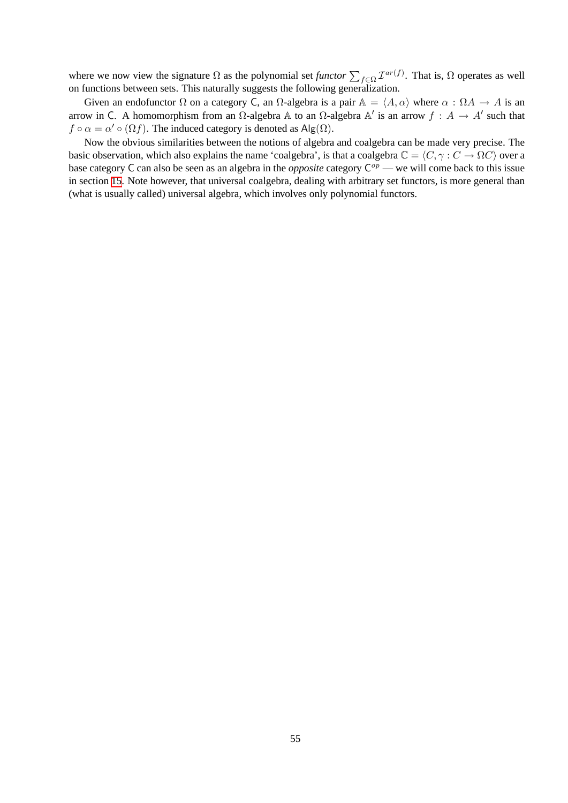where we now view the signature  $\Omega$  as the polynomial set *functor*  $\sum_{f \in \Omega} \mathcal{I}^{ar(f)}$ . That is,  $\Omega$  operates as well on functions between sets. This naturally suggests the following generalization.

Given an endofunctor  $\Omega$  on a category C, an  $\Omega$ -algebra is a pair  $\mathbb{A} = \langle A, \alpha \rangle$  where  $\alpha : \Omega A \to A$  is an arrow in C. A homomorphism from an  $\Omega$ -algebra A to an  $\Omega$ -algebra A' is an arrow  $f : A \to A'$  such that  $f \circ \alpha = \alpha' \circ (\Omega f)$ . The induced category is denoted as Alg( $\Omega$ ).

Now the obvious similarities between the notions of algebra and coalgebra can be made very precise. The basic observation, which also explains the name 'coalgebra', is that a coalgebra  $\mathbb{C} = \langle C, \gamma : C \to \Omega C \rangle$  over a base category C can also be seen as an algebra in the *opposite* category  $C^{op}$  — we will come back to this issue in section [15.](#page-75-0) Note however, that universal coalgebra, dealing with arbitrary set functors, is more general than (what is usually called) universal algebra, which involves only polynomial functors.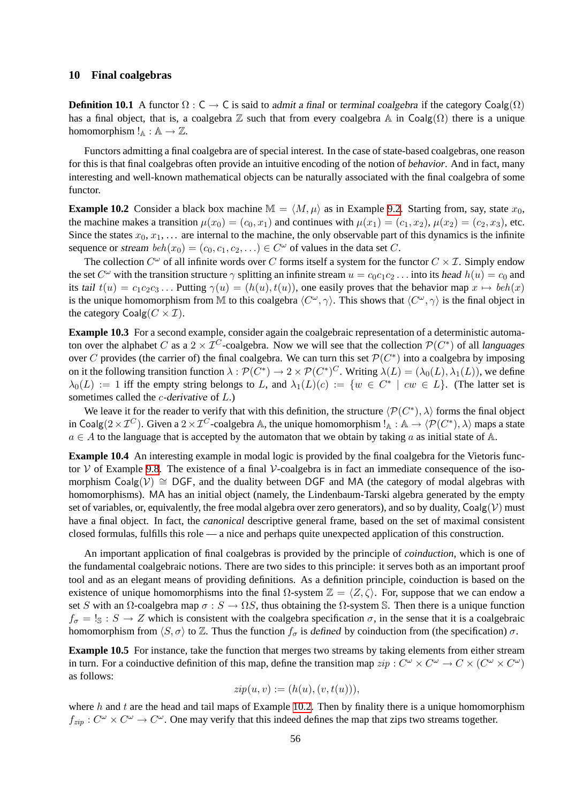## **10 Final coalgebras**

**Definition 10.1** A functor  $\Omega : \mathsf{C} \to \mathsf{C}$  is said to admit a final or terminal coalgebra if the category Coalg( $\Omega$ ) has a final object, that is, a coalgebra  $\mathbb Z$  such that from every coalgebra A in Coalg( $\Omega$ ) there is a unique homomorphism  $!_A : A \rightarrow \mathbb{Z}$ .

Functors admitting a final coalgebra are of special interest. In the case of state-based coalgebras, one reason for this is that final coalgebras often provide an intuitive encoding of the notion of *behavior*. And in fact, many interesting and well-known mathematical objects can be naturally associated with the final coalgebra of some functor.

<span id="page-55-0"></span>**Example 10.2** Consider a black box machine  $M = \langle M, \mu \rangle$  as in Example [9.2.](#page-51-0) Starting from, say, state  $x_0$ , the machine makes a transition  $\mu(x_0) = (c_0, x_1)$  and continues with  $\mu(x_1) = (c_1, x_2)$ ,  $\mu(x_2) = (c_2, x_3)$ , etc. Since the states  $x_0, x_1, \ldots$  are internal to the machine, the only observable part of this dynamics is the infinite sequence or stream  $beh(x_0) = (c_0, c_1, c_2, \ldots) \in C^{\omega}$  of values in the data set C.

The collection  $C^{\omega}$  of all infinite words over C forms itself a system for the functor  $C \times \mathcal{I}$ . Simply endow the set  $C^{\omega}$  with the transition structure  $\gamma$  splitting an infinite stream  $u = c_0c_1c_2 \dots$  into its head  $h(u) = c_0$  and its tail  $t(u) = c_1c_2c_3...$  Putting  $\gamma(u) = (h(u), t(u))$ , one easily proves that the behavior map  $x \mapsto beh(x)$ is the unique homomorphism from M to this coalgebra  $\langle C^{\omega}, \gamma \rangle$ . This shows that  $\langle C^{\omega}, \gamma \rangle$  is the final object in the category  $Coalg(C \times \mathcal{I}).$ 

<span id="page-55-1"></span>**Example 10.3** For a second example, consider again the coalgebraic representation of a deterministic automaton over the alphabet C as a  $2 \times \mathcal{I}^C$ -coalgebra. Now we will see that the collection  $\mathcal{P}(C^*)$  of all *languages* over C provides (the carrier of) the final coalgebra. We can turn this set  $\mathcal{P}(C^*)$  into a coalgebra by imposing on it the following transition function  $\lambda : \mathcal{P}(C^*) \to 2 \times \mathcal{P}(C^*)^C$ . Writing  $\lambda(L) = (\lambda_0(L), \lambda_1(L))$ , we define  $\lambda_0(L) := 1$  iff the empty string belongs to L, and  $\lambda_1(L)(c) := \{w \in C^* \mid cw \in L\}$ . (The latter set is sometimes called the  $c$ -derivative of  $L$ .)

We leave it for the reader to verify that with this definition, the structure  $\langle \mathcal{P}(C^*), \lambda \rangle$  forms the final object in Coalg $(2 \times \mathcal{I}^C)$ . Given a  $2 \times \mathcal{I}^C$ -coalgebra A, the unique homomorphism  $!_A : A \to \langle \mathcal{P}(C^*), \lambda \rangle$  maps a state  $a \in A$  to the language that is accepted by the automaton that we obtain by taking a as initial state of A.

**Example 10.4** An interesting example in modal logic is provided by the final coalgebra for the Vietoris functor  $V$  of Example [9.8.](#page-52-1) The existence of a final  $V$ -coalgebra is in fact an immediate consequence of the isomorphism Coalg(V)  $\cong$  DGF, and the duality between DGF and MA (the category of modal algebras with homomorphisms). MA has an initial object (namely, the Lindenbaum-Tarski algebra generated by the empty set of variables, or, equivalently, the free modal algebra over zero generators), and so by duality,  $Coalg(V)$  must have a final object. In fact, the *canonical* descriptive general frame, based on the set of maximal consistent closed formulas, fulfills this role — a nice and perhaps quite unexpected application of this construction.

An important application of final coalgebras is provided by the principle of *coinduction*, which is one of the fundamental coalgebraic notions. There are two sides to this principle: it serves both as an important proof tool and as an elegant means of providing definitions. As a definition principle, coinduction is based on the existence of unique homomorphisms into the final  $\Omega$ -system  $\mathbb{Z} = \langle Z, \zeta \rangle$ . For, suppose that we can endow a set S with an  $\Omega$ -coalgebra map  $\sigma : S \to \Omega S$ , thus obtaining the  $\Omega$ -system S. Then there is a unique function  $f_{\sigma} = \xi \colon S \to Z$  which is consistent with the coalgebra specification  $\sigma$ , in the sense that it is a coalgebraic homomorphism from  $\langle S, \sigma \rangle$  to Z. Thus the function  $f_{\sigma}$  is defined by coinduction from (the specification)  $\sigma$ .

**Example 10.5** For instance, take the function that merges two streams by taking elements from either stream in turn. For a coinductive definition of this map, define the transition map  $\sin : C^{\omega} \times C^{\omega} \to C \times (C^{\omega} \times C^{\omega})$ as follows:

$$
zip(u, v) := (h(u), (v, t(u))),
$$

where h and t are the head and tail maps of Example [10.2](#page-55-0). Then by finality there is a unique homomorphism  $f_{zip}: C^{\omega} \times C^{\omega} \to C^{\omega}$ . One may verify that this indeed defines the map that zips two streams together.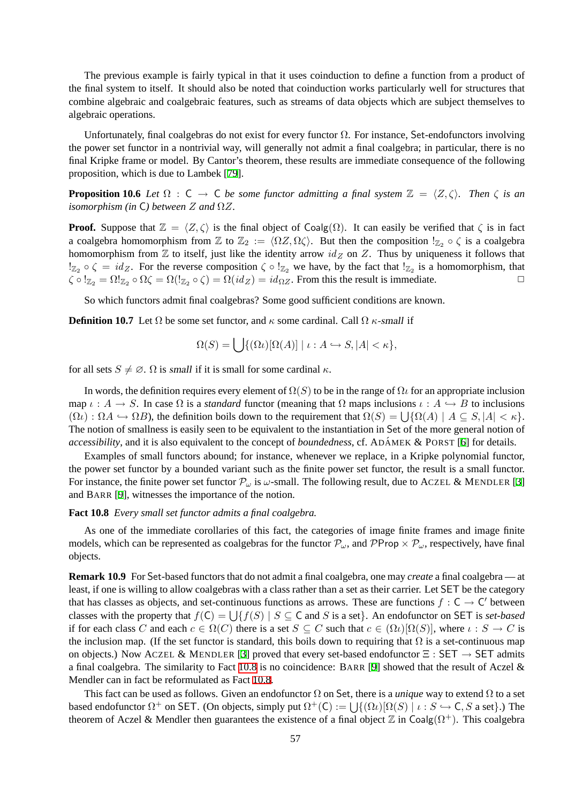The previous example is fairly typical in that it uses coinduction to define a function from a product of the final system to itself. It should also be noted that coinduction works particularly well for structures that combine algebraic and coalgebraic features, such as streams of data objects which are subject themselves to algebraic operations.

Unfortunately, final coalgebras do not exist for every functor  $\Omega$ . For instance, Set-endofunctors involving the power set functor in a nontrivial way, will generally not admit a final coalgebra; in particular, there is no final Kripke frame or model. By Cantor's theorem, these results are immediate consequence of the following proposition, which is due to Lambek [\[79](#page-84-14)].

<span id="page-56-2"></span>**Proposition 10.6** *Let*  $\Omega$  :  $C \to C$  *be some functor admitting a final system*  $\mathbb{Z} = \langle Z, \zeta \rangle$ *. Then*  $\zeta$  *is an isomorphism (in* C*) between* Z *and* ΩZ*.*

**Proof.** Suppose that  $\mathbb{Z} = \langle Z, \zeta \rangle$  is the final object of Coalg( $\Omega$ ). It can easily be verified that  $\zeta$  is in fact a coalgebra homomorphism from Z to  $\mathbb{Z}_2 := \langle \Omega Z, \Omega \zeta \rangle$ . But then the composition  $!_{\mathbb{Z}_2} \circ \zeta$  is a coalgebra homomorphism from  $\mathbb Z$  to itself, just like the identity arrow  $id_Z$  on  $Z$ . Thus by uniqueness it follows that  $!_{\mathbb{Z}_2} \circ \zeta = id_Z$ . For the reverse composition  $\zeta \circ !_{\mathbb{Z}_2}$  we have, by the fact that  $!_{\mathbb{Z}_2}$  is a homomorphism, that  $\zeta \circ \mathfrak{l}_{\mathbb{Z}_2} = \Omega \mathfrak{l}_{\mathbb{Z}_2} \circ \Omega \zeta = \Omega(\mathfrak{l}_{\mathbb{Z}_2} \circ \zeta) = \Omega(id_Z) = id_{\Omega Z}$ . From this the result is immediate.

So which functors admit final coalgebras? Some good sufficient conditions are known.

**Definition 10.7** Let  $\Omega$  be some set functor, and  $\kappa$  some cardinal. Call  $\Omega$   $\kappa$ -small if

$$
\Omega(S) = \bigcup \{ (\Omega \iota)[\Omega(A)] \mid \iota : A \hookrightarrow S, |A| < \kappa \},
$$

for all sets  $S \neq \emptyset$ .  $\Omega$  is small if it is small for some cardinal  $\kappa$ .

In words, the definition requires every element of  $\Omega(S)$  to be in the range of  $\Omega\iota$  for an appropriate inclusion map  $\iota: A \to S$ . In case  $\Omega$  is a *standard* functor (meaning that  $\Omega$  maps inclusions  $\iota: A \hookrightarrow B$  to inclusions  $(\Omega \iota) : \Omega A \hookrightarrow \Omega B$ ), the definition boils down to the requirement that  $\Omega(S) = \bigcup \{ \Omega(A) \mid A \subseteq S, |A| < \kappa \}.$ The notion of smallness is easily seen to be equivalent to the instantiation in Set of the more general notion of *accessibility*, and it is also equivalent to the concept of *boundedness*, cf. ADÁMEK & PORST [\[6\]](#page-82-7) for details.

Examples of small functors abound; for instance, whenever we replace, in a Kripke polynomial functor, the power set functor by a bounded variant such as the finite power set functor, the result is a small functor. For instance, the finite power set functor  $\mathcal{P}_{\omega}$  is  $\omega$ -small. The following result, due to ACZEL & MENDLER [\[3\]](#page-82-8) and BARR [[9](#page-82-9)], witnesses the importance of the notion.

<span id="page-56-0"></span>**Fact 10.8** *Every small set functor admits a final coalgebra.*

As one of the immediate corollaries of this fact, the categories of image finite frames and image finite models, which can be represented as coalgebras for the functor  $\mathcal{P}_{\omega}$ , and  $\mathcal{P}$ Prop  $\times \mathcal{P}_{\omega}$ , respectively, have final objects.

<span id="page-56-1"></span>**Remark 10.9** For Set-based functors that do not admit a final coalgebra, one may *create* a final coalgebra — at least, if one is willing to allow coalgebras with a class rather than a set as their carrier. Let SET be the category that has classes as objects, and set-continuous functions as arrows. These are functions  $f : C \to C'$  between classes with the property that  $f(C) = \bigcup \{ f(S) \mid S \subseteq C \text{ and } S \text{ is a set} \}.$  An endofunctor on SET is *set-based* if for each class C and each  $c \in \Omega(C)$  there is a set  $S \subseteq C$  such that  $c \in (\Omega \cup [\Omega(S)])$ , where  $\iota : S \to C$  is the inclusion map. (If the set functor is standard, this boils down to requiring that  $\Omega$  is a set-continuous map on objects.) Now ACZEL & MENDLER [[3](#page-82-8)] proved that every set-based endofunctor  $\Xi$  : SET  $\rightarrow$  SET admits a final coalgebra. The similarity to Fact [10.8](#page-56-0) is no coincidence: BARR [[9](#page-82-9)] showed that the result of Aczel & Mendler can in fact be reformulated as Fact [10.8](#page-56-0).

This fact can be used as follows. Given an endofunctor Ω on Set, there is a *unique* way to extend Ω to a set based endofunctor  $\Omega^+$  on SET. (On objects, simply put  $\Omega^+(C) := \bigcup \{(\Omega \iota) | \Omega(S) | \iota : S \hookrightarrow C, S \text{ a set}\}.$ ) The theorem of Aczel & Mendler then guarantees the existence of a final object  $\mathbb Z$  in Coalg( $\Omega^+$ ). This coalgebra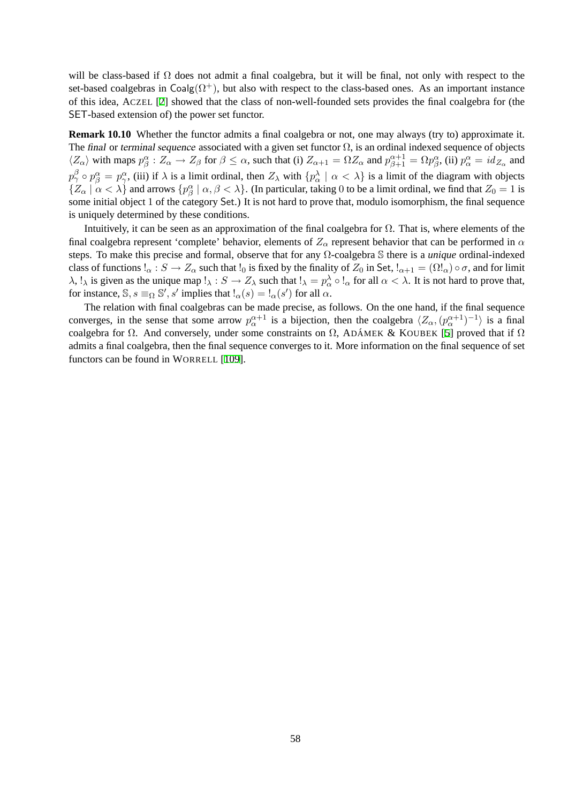will be class-based if  $\Omega$  does not admit a final coalgebra, but it will be final, not only with respect to the set-based coalgebras in Coalg( $\Omega^+$ ), but also with respect to the class-based ones. As an important instance of this idea, ACZEL [\[2\]](#page-82-4) showed that the class of non-well-founded sets provides the final coalgebra for (the SET-based extension of) the power set functor.

<span id="page-57-0"></span>**Remark 10.10** Whether the functor admits a final coalgebra or not, one may always (try to) approximate it. The final or terminal sequence associated with a given set functor  $\Omega$ , is an ordinal indexed sequence of objects  $\langle Z_{\alpha} \rangle$  with maps  $p^{\alpha}_{\beta} : Z_{\alpha} \to Z_{\beta}$  for  $\beta \leq \alpha$ , such that (i)  $Z_{\alpha+1} = \Omega Z_{\alpha}$  and  $p^{\alpha+1}_{\beta+1} = \Omega p^{\alpha}_{\beta}$ , (ii)  $p^{\alpha}_{\alpha} = id_{Z_{\alpha}}$  and  $p_{\gamma}^{\beta} \circ p_{\beta}^{\alpha} = p_{\gamma}^{\alpha}$ , (iii) if  $\lambda$  is a limit ordinal, then  $Z_{\lambda}$  with  $\{p_{\alpha}^{\lambda} \mid \alpha < \lambda\}$  is a limit of the diagram with objects  ${Z_\alpha \mid \alpha < \lambda}$  and arrows  ${p^\alpha_\beta \mid \alpha, \beta < \lambda}$ . (In particular, taking 0 to be a limit ordinal, we find that  $Z_0 = 1$  is some initial object 1 of the category Set.) It is not hard to prove that, modulo isomorphism, the final sequence is uniquely determined by these conditions.

Intuitively, it can be seen as an approximation of the final coalgebra for Ω. That is, where elements of the final coalgebra represent 'complete' behavior, elements of  $Z_\alpha$  represent behavior that can be performed in  $\alpha$ steps. To make this precise and formal, observe that for any Ω-coalgebra S there is a *unique* ordinal-indexed class of functions  $!_{\alpha}: S \to Z_{\alpha}$  such that  $!_0$  is fixed by the finality of  $Z_0$  in Set,  $!_{\alpha+1} = (\Omega I_{\alpha}) \circ \sigma$ , and for limit  $\lambda$ ,  $!_{\lambda}$  is given as the unique map  $!_{\lambda}$  :  $S \to Z_{\lambda}$  such that  $!_{\lambda} = p_{\alpha}^{\lambda} \circ !_{\alpha}$  for all  $\alpha < \lambda$ . It is not hard to prove that, for instance,  $\mathbb{S}, s \equiv_{\Omega} \mathbb{S}', s'$  implies that  $\mathbb{I}_{\alpha}(s) = \mathbb{I}_{\alpha}(s')$  for all  $\alpha$ .

The relation with final coalgebras can be made precise, as follows. On the one hand, if the final sequence converges, in the sense that some arrow  $p_{\alpha}^{\alpha+1}$  is a bijection, then the coalgebra  $\langle Z_{\alpha}, (p_{\alpha}^{\alpha+1})^{-1} \rangle$  is a final coalgebra for  $\Omega$ . And conversely, under some constraints on  $\Omega$ , ADAMEK & KOUBEK [\[5\]](#page-82-10) proved that if  $\Omega$ admits a final coalgebra, then the final sequence converges to it. More information on the final sequence of set functors can be found in WORRELL [\[109](#page-85-8)].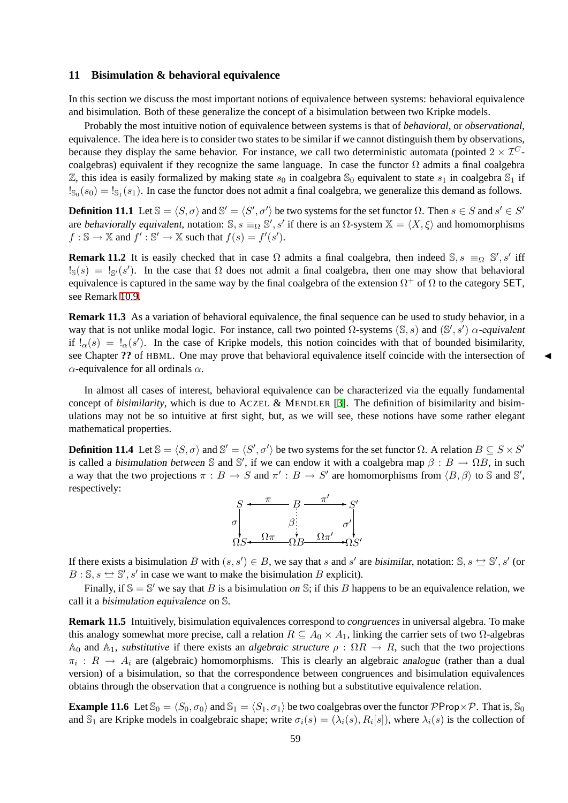## <span id="page-58-2"></span>**11 Bisimulation & behavioral equivalence**

In this section we discuss the most important notions of equivalence between systems: behavioral equivalence and bisimulation. Both of these generalize the concept of a bisimulation between two Kripke models.

Probably the most intuitive notion of equivalence between systems is that of *behavioral*, or *observational*, equivalence. The idea here is to consider two states to be similar if we cannot distinguish them by observations, because they display the same behavior. For instance, we call two deterministic automata (pointed  $2 \times \mathcal{I}^C$ coalgebras) equivalent if they recognize the same language. In case the functor  $\Omega$  admits a final coalgebra  $\mathbb Z$ , this idea is easily formalized by making state  $s_0$  in coalgebra  $\mathbb S_0$  equivalent to state  $s_1$  in coalgebra  $\mathbb S_1$  if  $!_{S_0}(s_0) = 1_{S_1}(s_1)$ . In case the functor does not admit a final coalgebra, we generalize this demand as follows.

**Definition 11.1** Let  $\mathbb{S} = \langle S, \sigma \rangle$  and  $\mathbb{S}' = \langle S', \sigma' \rangle$  be two systems for the set functor  $\Omega$ . Then  $s \in S$  and  $s' \in S'$ are behaviorally equivalent, notation: S,  $s \equiv_{\Omega} S', s'$  if there is an  $\Omega$ -system  $X = \langle X, \xi \rangle$  and homomorphisms  $f : \mathbb{S} \to \mathbb{X}$  and  $f' : \mathbb{S}' \to \mathbb{X}$  such that  $f(s) = f'(s')$ .

**Remark 11.2** It is easily checked that in case  $\Omega$  admits a final coalgebra, then indeed  $\mathbb{S}, s \equiv_{\Omega} \mathbb{S}', s'$  iff  $\lg(s) = \lg(s')$ . In the case that  $\Omega$  does not admit a final coalgebra, then one may show that behavioral equivalence is captured in the same way by the final coalgebra of the extension  $\Omega^+$  of  $\Omega$  to the category SET, see Remark [10.9](#page-56-1).

**Remark 11.3** As a variation of behavioral equivalence, the final sequence can be used to study behavior, in a way that is not unlike modal logic. For instance, call two pointed  $\Omega$ -systems (S, s) and (S', s')  $\alpha$ -equivalent if  $\ell_{\alpha}(s) = \ell_{\alpha}(s')$ . In the case of Kripke models, this notion coincides with that of bounded bisimilarity, see Chapter **??** of HBML. One may prove that behavioral equivalence itself coincide with the intersection of  $\alpha$ -equivalence for all ordinals  $\alpha$ .

In almost all cases of interest, behavioral equivalence can be characterized via the equally fundamental concept of *bisimilarity*, which is due to ACZEL & MENDLER [[3](#page-82-8)]. The definition of bisimilarity and bisimulations may not be so intuitive at first sight, but, as we will see, these notions have some rather elegant mathematical properties.

<span id="page-58-1"></span>**Definition 11.4** Let  $\mathbb{S} = \langle S, \sigma \rangle$  and  $\mathbb{S}' = \langle S', \sigma' \rangle$  be two systems for the set functor  $\Omega$ . A relation  $B \subseteq S \times S'$ is called a bisimulation between S and S', if we can endow it with a coalgebra map  $\beta : B \to \Omega B$ , in such a way that the two projections  $\pi : B \to S$  and  $\pi' : B \to S'$  are homomorphisms from  $\langle B, \beta \rangle$  to S and S', respectively:

| $\mathbf{C}$ |             |         | $\varsigma'$ |
|--------------|-------------|---------|--------------|
|              |             |         |              |
|              |             |         |              |
| $\Omega S$   | $\Omega\pi$ | $2\pi'$ | $C^{\prime}$ |

If there exists a bisimulation B with  $(s, s') \in B$ , we say that s and s' are bisimilar, notation: S,  $s \Leftrightarrow S'$ , s' (or  $B : \mathbb{S}, s \hookrightarrow \mathbb{S}', s'$  in case we want to make the bisimulation B explicit).

Finally, if  $\mathbb{S} = \mathbb{S}'$  we say that B is a bisimulation on  $\mathbb{S}$ ; if this B happens to be an equivalence relation, we call it a bisimulation equivalence on S.

**Remark 11.5** Intuitively, bisimulation equivalences correspond to *congruences* in universal algebra. To make this analogy somewhat more precise, call a relation  $R \subseteq A_0 \times A_1$ , linking the carrier sets of two  $\Omega$ -algebras A<sub>0</sub> and A<sub>1</sub>, substitutive if there exists an *algebraic structure*  $\rho : \Omega R \to R$ , such that the two projections  $\pi_i: R \to A_i$  are (algebraic) homomorphisms. This is clearly an algebraic analogue (rather than a dual version) of a bisimulation, so that the correspondence between congruences and bisimulation equivalences obtains through the observation that a congruence is nothing but a substitutive equivalence relation.

<span id="page-58-0"></span>**Example 11.6** Let  $\mathbb{S}_0 = \langle S_0, \sigma_0 \rangle$  and  $\mathbb{S}_1 = \langle S_1, \sigma_1 \rangle$  be two coalgebras over the functor PProp×P. That is,  $\mathbb{S}_0$ and  $\mathbb{S}_1$  are Kripke models in coalgebraic shape; write  $\sigma_i(s) = (\lambda_i(s), R_i[s])$ , where  $\lambda_i(s)$  is the collection of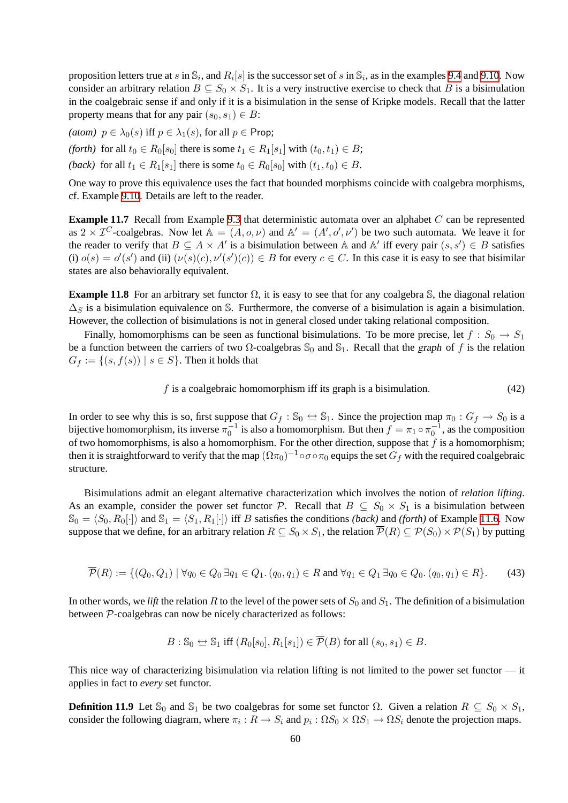proposition letters true at s in  $\mathbb{S}_i$ , and  $R_i[s]$  is the successor set of s in  $\mathbb{S}_i$ , as in the examples [9.4](#page-51-2) and [9.10](#page-53-1). Now consider an arbitrary relation  $B \subseteq S_0 \times S_1$ . It is a very instructive exercise to check that B is a bisimulation in the coalgebraic sense if and only if it is a bisimulation in the sense of Kripke models. Recall that the latter property means that for any pair  $(s_0, s_1) \in B$ :

*(atom)*  $p \in \lambda_0(s)$  iff  $p \in \lambda_1(s)$ , for all  $p \in \text{Prop}$ ;

*(forth)* for all  $t_0 \in R_0[s_0]$  there is some  $t_1 \in R_1[s_1]$  with  $(t_0, t_1) \in B$ ;

*(back)* for all  $t_1 \in R_1[s_1]$  there is some  $t_0 \in R_0[s_0]$  with  $(t_1, t_0) \in B$ .

One way to prove this equivalence uses the fact that bounded morphisms coincide with coalgebra morphisms, cf. Example [9.10.](#page-53-1) Details are left to the reader.

**Example 11.7** Recall from Example [9.3](#page-51-1) that deterministic automata over an alphabet C can be represented as  $2 \times \mathcal{I}^C$ -coalgebras. Now let  $\mathbb{A} = (A, o, \nu)$  and  $\mathbb{A}' = (A', o', \nu')$  be two such automata. We leave it for the reader to verify that  $B \subseteq A \times A'$  is a bisimulation between A and A' iff every pair  $(s, s') \in B$  satisfies (i)  $o(s) = o'(s')$  and (ii)  $(v(s)(c), v'(s')(c)) \in B$  for every  $c \in C$ . In this case it is easy to see that bisimilar states are also behaviorally equivalent.

**Example 11.8** For an arbitrary set functor  $\Omega$ , it is easy to see that for any coalgebra S, the diagonal relation  $\Delta_S$  is a bisimulation equivalence on S. Furthermore, the converse of a bisimulation is again a bisimulation. However, the collection of bisimulations is not in general closed under taking relational composition.

Finally, homomorphisms can be seen as functional bisimulations. To be more precise, let  $f : S_0 \to S_1$ be a function between the carriers of two  $\Omega$ -coalgebras  $\mathcal{S}_0$  and  $\mathcal{S}_1$ . Recall that the graph of f is the relation  $G_f := \{(s, f(s)) \mid s \in S\}$ . Then it holds that

<span id="page-59-0"></span>
$$
f \text{ is a coalgebraic homomorphism iff its graph is a bisimulation.} \tag{42}
$$

In order to see why this is so, first suppose that  $G_f : \mathbb{S}_0 \hookrightarrow \mathbb{S}_1$ . Since the projection map  $\pi_0 : G_f \to S_0$  is a bijective homomorphism, its inverse  $\pi_0^{-1}$  is also a homomorphism. But then  $f = \pi_1 \circ \pi_0^{-1}$ , as the composition of two homomorphisms, is also a homomorphism. For the other direction, suppose that  $f$  is a homomorphism; then it is straightforward to verify that the map  $(\Omega \pi_0)^{-1} \circ \sigma \circ \pi_0$  equips the set  $G_f$  with the required coalgebraic structure.

Bisimulations admit an elegant alternative characterization which involves the notion of *relation lifting*. As an example, consider the power set functor P. Recall that  $B \subseteq S_0 \times S_1$  is a bisimulation between  $\mathbb{S}_0 = \langle S_0, R_0[\cdot] \rangle$  and  $\mathbb{S}_1 = \langle S_1, R_1[\cdot] \rangle$  iff B satisfies the conditions *(back)* and *(forth)* of Example [11.6.](#page-58-0) Now suppose that we define, for an arbitrary relation  $R \subseteq S_0 \times S_1$ , the relation  $\overline{\mathcal{P}}(R) \subseteq \mathcal{P}(S_0) \times \mathcal{P}(S_1)$  by putting

<span id="page-59-1"></span>
$$
\overline{\mathcal{P}}(R) := \{ (Q_0, Q_1) \mid \forall q_0 \in Q_0 \, \exists q_1 \in Q_1. (q_0, q_1) \in R \text{ and } \forall q_1 \in Q_1 \, \exists q_0 \in Q_0. (q_0, q_1) \in R \}. \tag{43}
$$

In other words, we *lift* the relation R to the level of the power sets of  $S_0$  and  $S_1$ . The definition of a bisimulation between P-coalgebras can now be nicely characterized as follows:

$$
B: \mathbb{S}_0 \Leftrightarrow \mathbb{S}_1 \text{ iff } (R_0[s_0], R_1[s_1]) \in \overline{\mathcal{P}}(B) \text{ for all } (s_0, s_1) \in B.
$$

This nice way of characterizing bisimulation via relation lifting is not limited to the power set functor — it applies in fact to *every* set functor.

**Definition 11.9** Let  $\mathbb{S}_0$  and  $\mathbb{S}_1$  be two coalgebras for some set functor  $\Omega$ . Given a relation  $R \subseteq S_0 \times S_1$ , consider the following diagram, where  $\pi_i: R \to S_i$  and  $p_i: \Omega S_0 \times \Omega S_1 \to \Omega S_i$  denote the projection maps.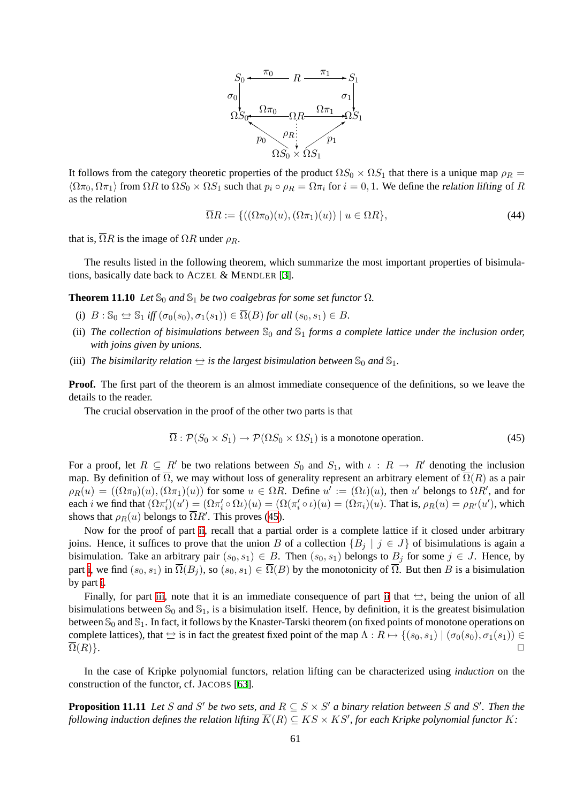

It follows from the category theoretic properties of the product  $\Omega S_0 \times \Omega S_1$  that there is a unique map  $\rho_R =$  $\langle \Omega \pi_0, \Omega \pi_1 \rangle$  from  $\Omega R$  to  $\Omega S_0 \times \Omega S_1$  such that  $p_i \circ \rho_R = \Omega \pi_i$  for  $i = 0, 1$ . We define the relation lifting of R as the relation

$$
\overline{\Omega}R := \{((\Omega \pi_0)(u), (\Omega \pi_1)(u)) \mid u \in \Omega R\},\tag{44}
$$

that is,  $\overline{\Omega}R$  is the image of  $\Omega R$  under  $\rho_R$ .

The results listed in the following theorem, which summarize the most important properties of bisimulations, basically date back to ACZEL & MENDLER [\[3\]](#page-82-8).

<span id="page-60-4"></span>**Theorem 11.10** *Let*  $\mathbb{S}_0$  *and*  $\mathbb{S}_1$  *be two coalgebras for some set functor*  $\Omega$ *.* 

- <span id="page-60-2"></span>(i)  $B: \mathbb{S}_0 \hookrightarrow \mathbb{S}_1$  *iff*  $(\sigma_0(s_0), \sigma_1(s_1)) \in \overline{\Omega}(B)$  *for all*  $(s_0, s_1) \in B$ *.*
- <span id="page-60-1"></span>(ii) *The collection of bisimulations between*  $\mathbb{S}_0$  *and*  $\mathbb{S}_1$  *forms a complete lattice under the inclusion order, with joins given by unions.*
- <span id="page-60-3"></span>(iii) *The bisimilarity relation*  $\hookrightarrow$  *is the largest bisimulation between*  $\mathbb{S}_0$  *and*  $\mathbb{S}_1$ *.*

**Proof.** The first part of the theorem is an almost immediate consequence of the definitions, so we leave the details to the reader.

The crucial observation in the proof of the other two parts is that

<span id="page-60-0"></span>
$$
\overline{\Omega}: \mathcal{P}(S_0 \times S_1) \to \mathcal{P}(\Omega S_0 \times \Omega S_1) \text{ is a monotone operation.}
$$
 (45)

For a proof, let  $R \subseteq R'$  be two relations between  $S_0$  and  $S_1$ , with  $\iota : R \to R'$  denoting the inclusion map. By definition of  $\overline{\Omega}$ , we may without loss of generality represent an arbitrary element of  $\overline{\Omega}(R)$  as a pair  $\rho_R(u) = ((\Omega \pi_0)(u), (\Omega \pi_1)(u))$  for some  $u \in \Omega R$ . Define  $u' := (\Omega u)(u)$ , then u' belongs to  $\Omega R'$ , and for each i we find that  $(\Omega \pi)$  $\chi'_i(a') = (\Omega \pi'_i)$  $\mathcal{L}'_i \circ \Omega \iota$ ) $(u) = (\Omega(\pi'_i))$  $i_i' \circ \iota_i(u) = (\Omega \pi_i)(u)$ . That is,  $\rho_R(u) = \rho_{R'}(u')$ , which shows that  $\rho_R(u)$  belongs to  $\overline{\Omega}R'$ . This proves [\(45](#page-60-0)).

Now for the proof of part [ii](#page-60-1), recall that a partial order is a complete lattice if it closed under arbitrary joins. Hence, it suffices to prove that the union B of a collection  ${B_i | j \in J}$  of bisimulations is again a bisimulation. Take an arbitrary pair  $(s_0, s_1) \in B$ . Then  $(s_0, s_1)$  belongs to  $B_j$  for some  $j \in J$ . Hence, by part [i,](#page-60-2) we find  $(s_0, s_1)$  in  $\overline{\Omega}(B_i)$ , so  $(s_0, s_1) \in \overline{\Omega}(B)$  by the monotonicity of  $\overline{\Omega}$ . But then B is a bisimulation by part [i](#page-60-2).

Finally, for part [iii,](#page-60-3) note that it is an immediate consequence of part [ii](#page-60-1) that  $\Rightarrow$ , being the union of all bisimulations between  $\mathbb{S}_0$  and  $\mathbb{S}_1$ , is a bisimulation itself. Hence, by definition, it is the greatest bisimulation between  $\mathcal{S}_0$  and  $\mathcal{S}_1$ . In fact, it follows by the Knaster-Tarski theorem (on fixed points of monotone operations on complete lattices), that  $\hookrightarrow$  is in fact the greatest fixed point of the map  $\Lambda : R \mapsto \{(s_0, s_1) | (\sigma_0(s_0), \sigma_1(s_1)) \in$  $\overline{\Omega}(R)\}.$ 

In the case of Kripke polynomial functors, relation lifting can be characterized using *induction* on the construction of the functor, cf. JACOBS [[63\]](#page-84-15).

**Proposition 11.11** Let S and S' be two sets, and  $R \subseteq S \times S'$  a binary relation between S and S'. Then the  $f$ ollowing induction defines the relation lifting  $\overline{K}(R)\subseteq KS\times KS'$ , for each Kripke polynomial functor  $K$ :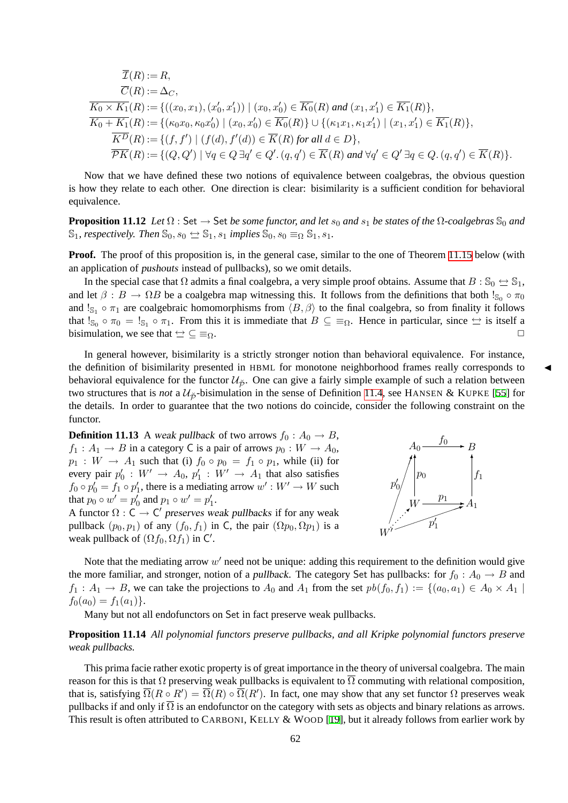$$
\overline{\mathcal{I}}(R) := R,
$$
\n
$$
\overline{C}(R) := \Delta_C,
$$
\n
$$
\overline{K_0 \times K_1}(R) := \{((x_0, x_1), (x'_0, x'_1)) \mid (x_0, x'_0) \in \overline{K_0}(R) \text{ and } (x_1, x'_1) \in \overline{K_1}(R)\},
$$
\n
$$
\overline{K_0 + K_1}(R) := \{(\kappa_0 x_0, \kappa_0 x'_0) \mid (x_0, x'_0) \in \overline{K_0}(R)\} \cup \{(\kappa_1 x_1, \kappa_1 x'_1) \mid (x_1, x'_1) \in \overline{K_1}(R)\},
$$
\n
$$
\overline{K^D}(R) := \{(\mathbf{f}, \mathbf{f}') \mid (\mathbf{f}(d), \mathbf{f}'(d)) \in \overline{K}(R) \text{ for all } d \in D\},
$$
\n
$$
\overline{\mathcal{P}K}(R) := \{(\mathbf{Q}, \mathbf{Q}') \mid \forall q \in Q \exists q' \in Q'. (q, q') \in \overline{K}(R) \text{ and } \forall q' \in Q' \exists q \in Q. (q, q') \in \overline{K}(R)\}.
$$

Now that we have defined these two notions of equivalence between coalgebras, the obvious question is how they relate to each other. One direction is clear: bisimilarity is a sufficient condition for behavioral equivalence.

<span id="page-61-0"></span>**Proposition 11.12** *Let*  $\Omega$  : Set  $\to$  Set *be some functor, and let*  $s_0$  *and*  $s_1$  *be states of the*  $\Omega$ *-coalgebras*  $S_0$  *and*  $\mathbb{S}_1$ *, respectively. Then*  $\mathbb{S}_0$ *, s*<sub>0</sub>  $\hookrightarrow$   $\mathbb{S}_1$ *, s*<sub>1</sub> *implies*  $\mathbb{S}_0$ *, s*<sub>0</sub>  $\equiv$ <sub>Ω</sub>  $\mathbb{S}_1$ *, s*<sub>1</sub>*.* 

Proof. The proof of this proposition is, in the general case, similar to the one of Theorem [11.15](#page-62-0) below (with an application of pushouts instead of pullbacks), so we omit details.

In the special case that  $\Omega$  admits a final coalgebra, a very simple proof obtains. Assume that  $B : \mathbb{S}_0 \hookrightarrow \mathbb{S}_1$ , and let  $\beta: B \to \Omega B$  be a coalgebra map witnessing this. It follows from the definitions that both  $!_{\mathbb{S}_0} \circ \pi_0$ and  $!_{S_1} \circ \pi_1$  are coalgebraic homomorphisms from  $\langle B, \beta \rangle$  to the final coalgebra, so from finality it follows that  $!_{S_0} \circ \pi_0 =!_{S_1} \circ \pi_1$ . From this it is immediate that  $B \subseteq \equiv_{\Omega}$ . Hence in particular, since  $\hookrightarrow$  is itself a bisimulation, we see that  $\leq \subseteq \subseteq \Omega$ .

In general however, bisimilarity is a strictly stronger notion than behavioral equivalence. For instance, the definition of bisimilarity presented in HBML for monotone neighborhood frames really corresponds to J behavioral equivalence for the functor  $\mathcal{U}_{\phi}$ . One can give a fairly simple example of such a relation between two structures that is *not* a  $\mathcal{U}_{\phi}$ -bisimulation in the sense of Definition [11.4](#page-58-1), see HANSEN & KUPKE [[55\]](#page-83-9) for the details. In order to guarantee that the two notions do coincide, consider the following constraint on the functor.

**Definition 11.13** A weak pullback of two arrows  $f_0: A_0 \rightarrow B$ ,  $f_1: A_1 \rightarrow B$  in a category C is a pair of arrows  $p_0: W \rightarrow A_0$ ,  $p_1: W \to A_1$  such that (i)  $f_0 \circ p_0 = f_1 \circ p_1$ , while (ii) for every pair  $p_0$  $\delta_0^{'}\,:\,W'\,\to\,A_0,\,p'_1$  $\chi'_1$  :  $W' \rightarrow A_1$  that also satisfies  $f_0 \circ p'_0 = f_1 \circ p'_1$  $U_1$ , there is a mediating arrow  $w': W' \to W$  such that  $p_0 \circ w' = p'_0$  $v'_0$  and  $p_1 \circ w' = p'_1$  $\frac{1}{1}$ 

A functor  $\Omega : \widetilde{C} \to C'$  preserves weak pullbacks if for any weak pullback  $(p_0, p_1)$  of any  $(f_0, f_1)$  in C, the pair  $(\Omega p_0, \Omega p_1)$  is a weak pullback of  $(\Omega f_0, \Omega f_1)$  in C'.



Note that the mediating arrow  $w'$  need not be unique: adding this requirement to the definition would give the more familiar, and stronger, notion of a pullback. The category Set has pullbacks: for  $f_0: A_0 \rightarrow B$  and  $f_1: A_1 \to B$ , we can take the projections to  $A_0$  and  $A_1$  from the set  $pb(f_0, f_1) := \{(a_0, a_1) \in A_0 \times A_1 \mid$  $f_0(a_0) = f_1(a_1)$ .

Many but not all endofunctors on Set in fact preserve weak pullbacks.

# **Proposition 11.14** *All polynomial functors preserve pullbacks, and all Kripke polynomial functors preserve weak pullbacks.*

This prima facie rather exotic property is of great importance in the theory of universal coalgebra. The main reason for this is that  $\Omega$  preserving weak pullbacks is equivalent to  $\overline{\Omega}$  commuting with relational composition, that is, satisfying  $\overline{\Omega}(R \circ R') = \overline{\Omega}(R) \circ \overline{\Omega}(R')$ . In fact, one may show that any set functor  $\Omega$  preserves weak pullbacks if and only if  $\overline{\Omega}$  is an endofunctor on the category with sets as objects and binary relations as arrows. This result is often attributed to CARBONI, KELLY & WOOD [\[19](#page-82-11)], but it already follows from earlier work by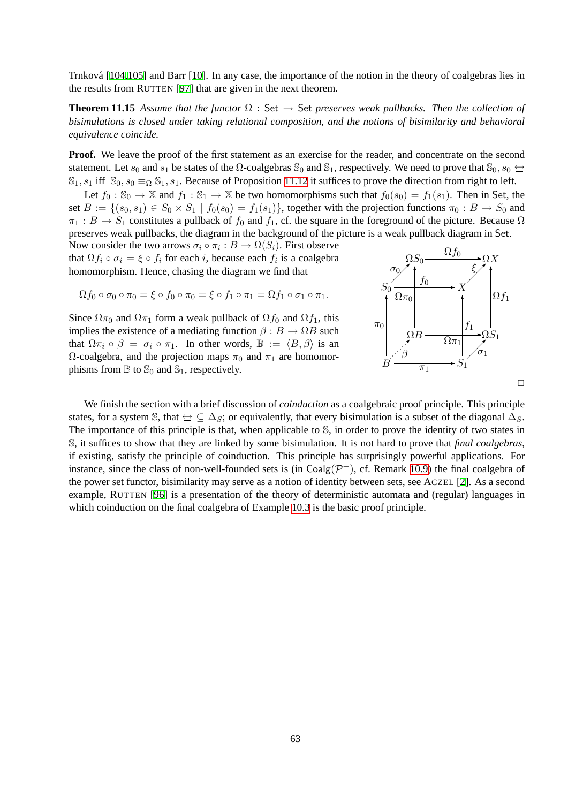Trnková [[104](#page-85-9),[105](#page-85-10)] and Barr [\[10](#page-82-12)]. In any case, the importance of the notion in the theory of coalgebras lies in the results from RUTTEN [\[97](#page-85-3)] that are given in the next theorem.

<span id="page-62-0"></span>**Theorem 11.15** *Assume that the functor*  $\Omega$  : Set  $\rightarrow$  Set *preserves weak pullbacks. Then the collection of bisimulations is closed under taking relational composition, and the notions of bisimilarity and behavioral equivalence coincide.*

**Proof.** We leave the proof of the first statement as an exercise for the reader, and concentrate on the second statement. Let  $s_0$  and  $s_1$  be states of the  $\Omega$ -coalgebras  $\mathbb{S}_0$  and  $\mathbb{S}_1$ , respectively. We need to prove that  $\mathbb{S}_0$ ,  $s_0 \leftrightarrow$  $\mathbb{S}_1$ ,  $s_1$  iff  $\mathbb{S}_0$ ,  $s_0 \equiv_{\Omega} \mathbb{S}_1$ ,  $s_1$ . Because of Proposition [11.12](#page-61-0) it suffices to prove the direction from right to left.

Let  $f_0 : \mathbb{S}_0 \to \mathbb{X}$  and  $f_1 : \mathbb{S}_1 \to \mathbb{X}$  be two homomorphisms such that  $f_0(s_0) = f_1(s_1)$ . Then in Set, the set  $B := \{(s_0, s_1) \in S_0 \times S_1 \mid f_0(s_0) = f_1(s_1)\}\$ , together with the projection functions  $\pi_0 : B \to S_0$  and  $\pi_1 : B \to S_1$  constitutes a pullback of  $f_0$  and  $f_1$ , cf. the square in the foreground of the picture. Because  $\Omega$ preserves weak pullbacks, the diagram in the background of the picture is a weak pullback diagram in Set. Now consider the two arrows  $\sigma_i \circ \pi_i : B \to \Omega(S_i)$ . First observe

that  $\Omega f_i \circ \sigma_i = \xi \circ f_i$  for each *i*, because each  $f_i$  is a coalgebra homomorphism. Hence, chasing the diagram we find that

$$
\Omega f_0 \circ \sigma_0 \circ \pi_0 = \xi \circ f_0 \circ \pi_0 = \xi \circ f_1 \circ \pi_1 = \Omega f_1 \circ \sigma_1 \circ \pi_1.
$$

Since  $\Omega \pi_0$  and  $\Omega \pi_1$  form a weak pullback of  $\Omega f_0$  and  $\Omega f_1$ , this implies the existence of a mediating function  $\beta : B \to \Omega B$  such that  $\Omega \pi_i \circ \beta = \sigma_i \circ \pi_1$ . In other words,  $\mathbb{B} := \langle B, \beta \rangle$  is an Ω-coalgebra, and the projection maps  $\pi_0$  and  $\pi_1$  are homomorphisms from  $\mathbb B$  to  $\mathbb S_0$  and  $\mathbb S_1$ , respectively.



 $\Box$ 

We finish the section with a brief discussion of *coinduction* as a coalgebraic proof principle. This principle states, for a system S, that  $\Rightarrow \subseteq \Delta_S$ ; or equivalently, that every bisimulation is a subset of the diagonal  $\Delta_S$ . The importance of this principle is that, when applicable to S, in order to prove the identity of two states in S, it suffices to show that they are linked by some bisimulation. It is not hard to prove that *final coalgebras*, if existing, satisfy the principle of coinduction. This principle has surprisingly powerful applications. For instance, since the class of non-well-founded sets is (in  $Coalg(\mathcal{P}^+)$ , cf. Remark [10.9\)](#page-56-1) the final coalgebra of the power set functor, bisimilarity may serve as a notion of identity between sets, see ACZEL [\[2\]](#page-82-4). As a second example, RUTTEN [\[96](#page-85-1)] is a presentation of the theory of deterministic automata and (regular) languages in which coinduction on the final coalgebra of Example [10.3](#page-55-1) is the basic proof principle.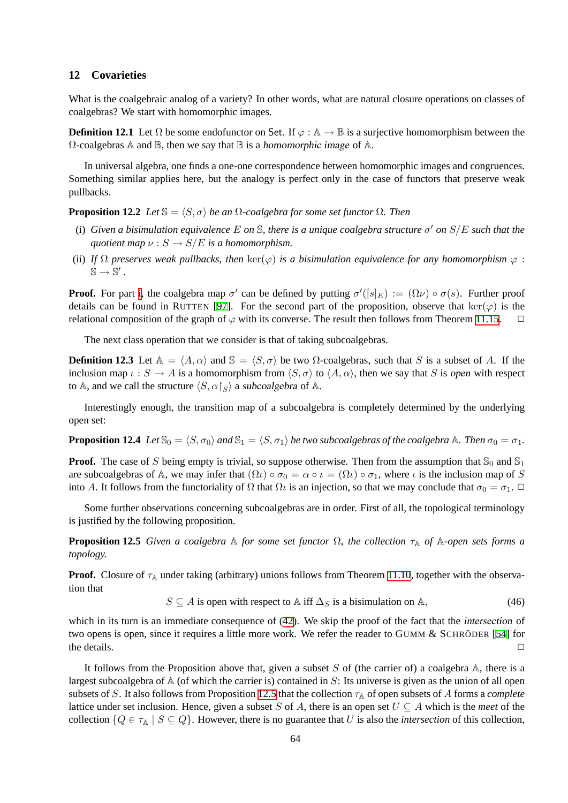## **12 Covarieties**

What is the coalgebraic analog of a variety? In other words, what are natural closure operations on classes of coalgebras? We start with homomorphic images.

**Definition 12.1** Let  $\Omega$  be some endofunctor on Set. If  $\varphi : \mathbb{A} \to \mathbb{B}$  is a surjective homomorphism between the  $\Omega$ -coalgebras A and  $\mathbb{B}$ , then we say that  $\mathbb{B}$  is a homomorphic image of A.

In universal algebra, one finds a one-one correspondence between homomorphic images and congruences. Something similar applies here, but the analogy is perfect only in the case of functors that preserve weak pullbacks.

**Proposition 12.2** *Let*  $\mathbb{S} = \langle S, \sigma \rangle$  *be an*  $\Omega$ *-coalgebra for some set functor*  $\Omega$ *. Then* 

- <span id="page-63-0"></span>(i) *Given a bisimulation equivalence* E *on* S*, there is a unique coalgebra structure* σ <sup>0</sup> *on* S/E *such that the quotient map*  $\nu : S \to S/E$  *is a homomorphism.*
- (ii) If  $\Omega$  preserves weak pullbacks, then  $\ker(\varphi)$  is a bisimulation equivalence for any homomorphism  $\varphi$ :  $\mathbb{S} \to \mathbb{S}'$ .

**Proof.** For part [i](#page-63-0), the coalgebra map  $\sigma'$  can be defined by putting  $\sigma'([s]_E) := (\Omega \nu) \circ \sigma(s)$ . Further proof details can be found in RUTTEN [\[97](#page-85-3)]. For the second part of the proposition, observe that ker( $\varphi$ ) is the relational composition of the graph of  $\varphi$  with its converse. The result then follows from Theorem [11.15](#page-62-0).  $\Box$ 

The next class operation that we consider is that of taking subcoalgebras.

<span id="page-63-2"></span>**Definition 12.3** Let  $A = \langle A, \alpha \rangle$  and  $\mathbb{S} = \langle S, \sigma \rangle$  be two  $\Omega$ -coalgebras, such that S is a subset of A. If the inclusion map  $\iota : S \to A$  is a homomorphism from  $\langle S, \sigma \rangle$  to  $\langle A, \alpha \rangle$ , then we say that S is open with respect to A, and we call the structure  $\langle S, \alpha \rceil_S \rangle$  a subcoalgebra of A.

Interestingly enough, the transition map of a subcoalgebra is completely determined by the underlying open set:

**Proposition 12.4** *Let*  $\mathbb{S}_0 = \langle S, \sigma_0 \rangle$  *and*  $\mathbb{S}_1 = \langle S, \sigma_1 \rangle$  *be two subcoalgebras of the coalgebra* A*. Then*  $\sigma_0 = \sigma_1$ *.* 

**Proof.** The case of S being empty is trivial, so suppose otherwise. Then from the assumption that  $\mathbb{S}_0$  and  $\mathbb{S}_1$ are subcoalgebras of A, we may infer that  $(\Omega_{\ell}) \circ \sigma_0 = \alpha \circ \iota = (\Omega_{\ell}) \circ \sigma_1$ , where  $\iota$  is the inclusion map of S into A. It follows from the functoriality of  $\Omega$  that  $\Omega$ *i* is an injection, so that we may conclude that  $\sigma_0 = \sigma_1$ .  $\Box$ 

Some further observations concerning subcoalgebras are in order. First of all, the topological terminology is justified by the following proposition.

<span id="page-63-1"></span>**Proposition 12.5** *Given a coalgebra* A *for some set functor*  $\Omega$ *, the collection*  $\tau$ <sub>A</sub> *of* A-*open sets forms a topology.*

**Proof.** Closure of  $\tau_A$  under taking (arbitrary) unions follows from Theorem [11.10,](#page-60-4) together with the observation that

 $S \subseteq A$  is open with respect to A iff  $\Delta_S$  is a bisimulation on A, (46)

which in its turn is an immediate consequence of ([42](#page-59-0)). We skip the proof of the fact that the *intersection* of two opens is open, since it requires a little more work. We refer the reader to GUMM  $\&$  SCHRÖDER [[54\]](#page-83-10) for the details.  $\Box$ 

It follows from the Proposition above that, given a subset S of (the carrier of) a coalgebra  $\mathbb A$ , there is a largest subcoalgebra of  $A$  (of which the carrier is) contained in S: Its universe is given as the union of all open subsets of S. It also follows from Proposition [12.5](#page-63-1) that the collection  $\tau_A$  of open subsets of A forms a *complete* lattice under set inclusion. Hence, given a subset S of A, there is an open set  $U \subseteq A$  which is the *meet* of the collection  $\{Q \in \tau_A \mid S \subseteq Q\}$ . However, there is no guarantee that U is also the *intersection* of this collection,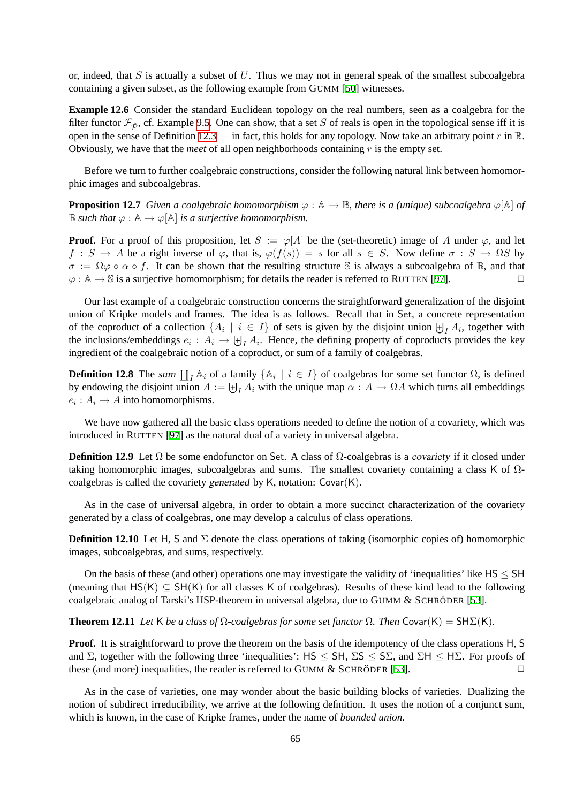or, indeed, that  $S$  is actually a subset of  $U$ . Thus we may not in general speak of the smallest subcoalgebra containing a given subset, as the following example from GUMM [\[50\]](#page-83-8) witnesses.

<span id="page-64-0"></span>**Example 12.6** Consider the standard Euclidean topology on the real numbers, seen as a coalgebra for the filter functor  $\mathcal{F}_{\phi}$ , cf. Example [9.5.](#page-51-3) One can show, that a set S of reals is open in the topological sense iff it is open in the sense of Definition [12.3](#page-63-2) — in fact, this holds for any topology. Now take an arbitrary point r in  $\mathbb{R}$ . Obviously, we have that the *meet* of all open neighborhoods containing r is the empty set.

Before we turn to further coalgebraic constructions, consider the following natural link between homomorphic images and subcoalgebras.

**Proposition 12.7** *Given a coalgebraic homomorphism*  $\varphi : \mathbb{A} \to \mathbb{B}$ *, there is a (unique) subcoalgebra*  $\varphi[\mathbb{A}]$  *of*  $\mathbb B$  *such that*  $\varphi : \mathbb A \to \varphi[\mathbb A]$  *is a surjective homomorphism.* 

**Proof.** For a proof of this proposition, let  $S := \varphi[A]$  be the (set-theoretic) image of A under  $\varphi$ , and let  $f : S \to A$  be a right inverse of  $\varphi$ , that is,  $\varphi(f(s)) = s$  for all  $s \in S$ . Now define  $\sigma : S \to \Omega S$  by  $\sigma := \Omega \varphi \circ \alpha \circ f$ . It can be shown that the resulting structure S is always a subcoalgebra of B, and that  $\varphi : \mathbb{A} \to \mathbb{S}$  is a surjective homomorphism; for details the reader is referred to RUTTEN [\[97](#page-85-3)].

Our last example of a coalgebraic construction concerns the straightforward generalization of the disjoint union of Kripke models and frames. The idea is as follows. Recall that in Set, a concrete representation of the coproduct of a collection  $\{A_i \mid i \in I\}$  of sets is given by the disjoint union  $\biguplus_i A_i$ , together with the inclusions/embeddings  $e_i$ :  $A_i \rightarrow \biguplus_I A_i$ . Hence, the defining property of coproducts provides the key ingredient of the coalgebraic notion of a coproduct, or sum of a family of coalgebras.

**Definition 12.8** The sum  $\prod_I \mathbb{A}_i$  of a family  $\{\mathbb{A}_i \mid i \in I\}$  of coalgebras for some set functor  $\Omega$ , is defined by endowing the disjoint union  $A := \biguplus_I A_i$  with the unique map  $\alpha : A \to \Omega A$  which turns all embeddings  $e_i: A_i \to A$  into homomorphisms.

We have now gathered all the basic class operations needed to define the notion of a covariety, which was introduced in RUTTEN [[97\]](#page-85-3) as the natural dual of a variety in universal algebra.

**Definition 12.9** Let  $\Omega$  be some endofunctor on Set. A class of  $\Omega$ -coalgebras is a covariety if it closed under taking homomorphic images, subcoalgebras and sums. The smallest covariety containing a class K of  $Ω$ coalgebras is called the covariety generated by  $K$ , notation:  $Covar(K)$ .

As in the case of universal algebra, in order to obtain a more succinct characterization of the covariety generated by a class of coalgebras, one may develop a calculus of class operations.

**Definition 12.10** Let H, S and  $\Sigma$  denote the class operations of taking (isomorphic copies of) homomorphic images, subcoalgebras, and sums, respectively.

On the basis of these (and other) operations one may investigate the validity of 'inequalities' like  $HS \leq SH$ (meaning that  $HS(K) \subseteq SH(K)$  for all classes K of coalgebras). Results of these kind lead to the following coalgebraic analog of Tarski's HSP-theorem in universal algebra, due to GUMM  $&$  SCHRÖDER [\[53](#page-83-11)].

**Theorem 12.11** *Let* K *be a class of*  $\Omega$ -coalgebras for some set functor  $\Omega$ . Then Covar(K) = SH $\Sigma$ (K).

Proof. It is straightforward to prove the theorem on the basis of the idempotency of the class operations H, S and  $\Sigma$ , together with the following three 'inequalities': HS  $\le$  SH,  $\Sigma$ S  $\le$  S $\Sigma$ , and  $\Sigma$ H  $\le$  H $\Sigma$ . For proofs of these (and more) inequalities, the reader is referred to GUMM & SCHRÖDER [\[53\]](#page-83-11).

As in the case of varieties, one may wonder about the basic building blocks of varieties. Dualizing the notion of subdirect irreducibility, we arrive at the following definition. It uses the notion of a conjunct sum, which is known, in the case of Kripke frames, under the name of *bounded union*.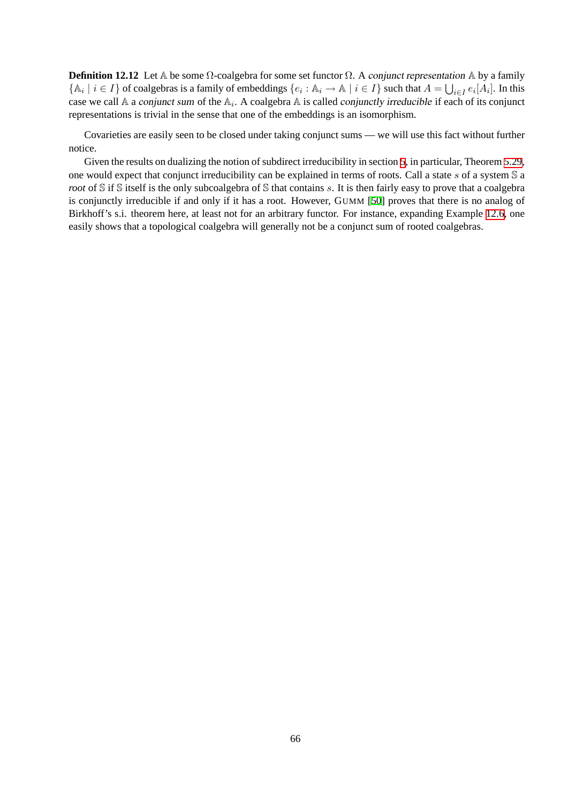**Definition 12.12** Let A be some  $\Omega$ -coalgebra for some set functor  $\Omega$ . A conjunct representation A by a family  $\{A_i \mid i \in I\}$  of coalgebras is a family of embeddings  $\{e_i : A_i \to A \mid i \in I\}$  such that  $A = \bigcup_{i \in I} e_i[A_i]$ . In this case we call A a conjunct sum of the  $A_i$ . A coalgebra A is called conjunctly irreducible if each of its conjunct representations is trivial in the sense that one of the embeddings is an isomorphism.

Covarieties are easily seen to be closed under taking conjunct sums — we will use this fact without further notice.

Given the results on dualizing the notion of subdirect irreducibility in section [5](#page-15-0), in particular, Theorem [5.29](#page-22-1), one would expect that conjunct irreducibility can be explained in terms of roots. Call a state s of a system S a *root* of S if S itself is the only subcoalgebra of S that contains s. It is then fairly easy to prove that a coalgebra is conjunctly irreducible if and only if it has a root. However, GUMM [\[50](#page-83-8)] proves that there is no analog of Birkhoff's s.i. theorem here, at least not for an arbitrary functor. For instance, expanding Example [12.6,](#page-64-0) one easily shows that a topological coalgebra will generally not be a conjunct sum of rooted coalgebras.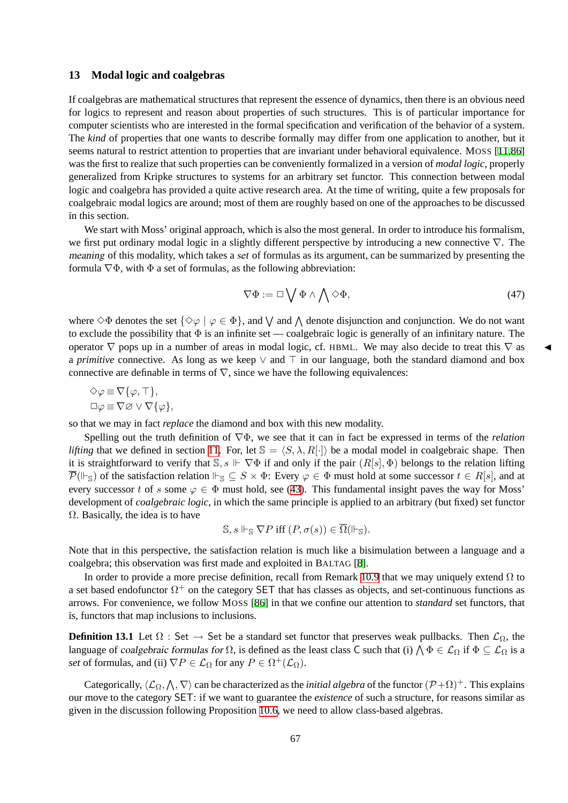## **13 Modal logic and coalgebras**

If coalgebras are mathematical structures that represent the essence of dynamics, then there is an obvious need for logics to represent and reason about properties of such structures. This is of particular importance for computer scientists who are interested in the formal specification and verification of the behavior of a system. The *kind* of properties that one wants to describe formally may differ from one application to another, but it seems natural to restrict attention to properties that are invariant under behavioral equivalence. MOSS [\[11,](#page-82-5)[86\]](#page-84-8) was the first to realize that such properties can be conveniently formalized in a version of *modal logic*, properly generalized from Kripke structures to systems for an arbitrary set functor. This connection between modal logic and coalgebra has provided a quite active research area. At the time of writing, quite a few proposals for coalgebraic modal logics are around; most of them are roughly based on one of the approaches to be discussed in this section.

We start with Moss' original approach, which is also the most general. In order to introduce his formalism, we first put ordinary modal logic in a slightly different perspective by introducing a new connective ∇. The meaning of this modality, which takes a set of formulas as its argument, can be summarized by presenting the formula  $\nabla \Phi$ , with  $\Phi$  a set of formulas, as the following abbreviation:

<span id="page-66-0"></span>
$$
\nabla \Phi := \Box \bigvee \Phi \wedge \bigwedge \Diamond \Phi,\tag{47}
$$

where  $\Diamond \Phi$  denotes the set  $\{\Diamond \varphi \mid \varphi \in \Phi\}$ , and  $\Diamond$  and  $\Diamond$  denote disjunction and conjunction. We do not want to exclude the possibility that  $\Phi$  is an infinite set — coalgebraic logic is generally of an infinitary nature. The operator  $\nabla$  pops up in a number of areas in modal logic, cf. HBML. We may also decide to treat this  $\nabla$  as a *primitive* connective. As long as we keep  $\vee$  and  $\top$  in our language, both the standard diamond and box connective are definable in terms of  $\nabla$ , since we have the following equivalences:

$$
\diamond \varphi \equiv \nabla {\varphi, \top},
$$
  
\n
$$
\Box \varphi \equiv \nabla \varnothing \vee \nabla {\varphi},
$$

so that we may in fact *replace* the diamond and box with this new modality.

Spelling out the truth definition of ∇Φ, we see that it can in fact be expressed in terms of the *relation lifting* that we defined in section [11](#page-58-2). For, let  $\mathcal{S} = \langle S, \lambda, R[\cdot] \rangle$  be a modal model in coalgebraic shape. Then it is straightforward to verify that  $\mathbb{S}, s \Vdash \nabla \Phi$  if and only if the pair  $(R[s], \Phi)$  belongs to the relation lifting  $\overline{\mathcal{P}}(\Vdash_{\mathcal{S}})$  of the satisfaction relation  $\Vdash_{\mathcal{S}} \subseteq S \times \Phi$ : Every  $\varphi \in \Phi$  must hold at some successor  $t \in R[s]$ , and at every successor t of s some  $\varphi \in \Phi$  must hold, see [\(43](#page-59-1)). This fundamental insight paves the way for Moss' development of *coalgebraic logic*, in which the same principle is applied to an arbitrary (but fixed) set functor  $\Omega$ . Basically, the idea is to have

$$
\mathbb{S}, s \Vdash_{\mathbb{S}} \nabla P \text{ iff } (P, \sigma(s)) \in \overline{\Omega}(\Vdash_{\mathbb{S}}).
$$

Note that in this perspective, the satisfaction relation is much like a bisimulation between a language and a coalgebra; this observation was first made and exploited in BALTAG [[8](#page-82-13)].

In order to provide a more precise definition, recall from Remark [10.9](#page-56-1) that we may uniquely extend  $\Omega$  to a set based endofunctor  $\Omega^+$  on the category SET that has classes as objects, and set-continuous functions as arrows. For convenience, we follow MOSS [[86\]](#page-84-8) in that we confine our attention to *standard* set functors, that is, functors that map inclusions to inclusions.

**Definition 13.1** Let  $\Omega$  : Set  $\rightarrow$  Set be a standard set functor that preserves weak pullbacks. Then  $\mathcal{L}_{\Omega}$ , the language of coalgebraic formulas for  $\Omega$ , is defined as the least class C such that (i)  $\overline{\bigwedge} \Phi \in \mathcal{L}_{\Omega}$  if  $\Phi \subseteq \mathcal{L}_{\Omega}$  is a *set* of formulas, and (ii)  $\nabla P \in \mathcal{L}_{\Omega}$  for any  $P \in \Omega^+(\mathcal{L}_{\Omega})$ .

Categorically,  $\langle L_{\Omega}, \Lambda, \nabla \rangle$  can be characterized as the *initial algebra* of the functor  $(P+\Omega)^+$ . This explains our move to the category SET: if we want to guarantee the *existence* of such a structure, for reasons similar as given in the discussion following Proposition [10.6,](#page-56-2) we need to allow class-based algebras.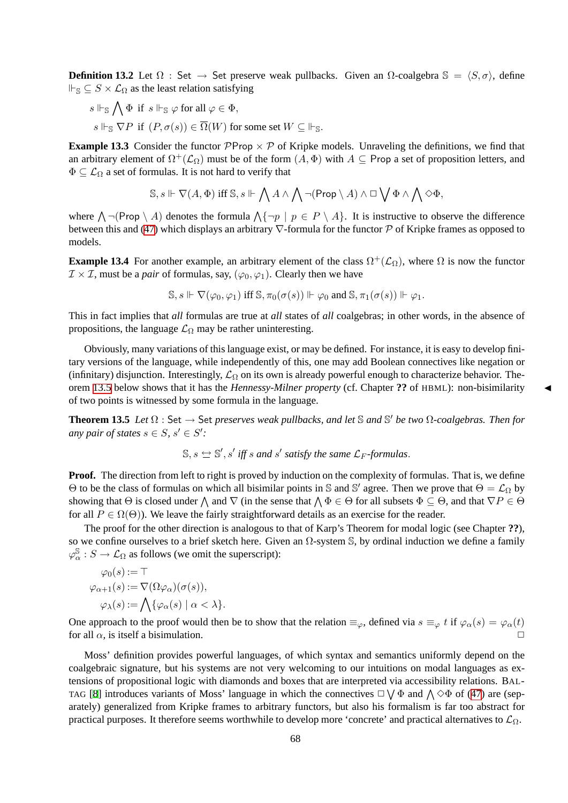**Definition 13.2** Let  $\Omega$  : Set  $\rightarrow$  Set preserve weak pullbacks. Given an  $\Omega$ -coalgebra  $\mathbb{S} = \langle S, \sigma \rangle$ , define  $\Vdash_{\mathbb{S}} \subseteq S \times \mathcal{L}_{\Omega}$  as the least relation satisfying

$$
s \Vdash_{\mathbb{S}} \bigwedge \Phi \text{ if } s \Vdash_{\mathbb{S}} \varphi \text{ for all } \varphi \in \Phi,
$$
  

$$
s \Vdash_{\mathbb{S}} \nabla P \text{ if } (P, \sigma(s)) \in \overline{\Omega}(W) \text{ for some set } W \subseteq \Vdash_{\mathbb{S}}.
$$

**Example 13.3** Consider the functor  $\mathcal{P}$ Prop  $\times \mathcal{P}$  of Kripke models. Unraveling the definitions, we find that an arbitrary element of  $\Omega^+(\mathcal{L}_{\Omega})$  must be of the form  $(A, \Phi)$  with  $A \subseteq$  Prop a set of proposition letters, and  $\Phi \subseteq \mathcal{L}_{\Omega}$  a set of formulas. It is not hard to verify that

$$
\mathbb{S}, s \Vdash \nabla(A, \Phi) \text{ iff } \mathbb{S}, s \Vdash \bigwedge A \land \bigwedge \neg (\mathsf{Prop} \setminus A) \land \Box \bigvee \Phi \land \bigwedge \Diamond \Phi,
$$

where  $\bigwedge \neg (Prop \setminus A)$  denotes the formula  $\bigwedge \{\neg p \mid p \in P \setminus A\}$ . It is instructive to observe the difference between this and [\(47](#page-66-0)) which displays an arbitrary ∇-formula for the functor P of Kripke frames as opposed to models.

**Example 13.4** For another example, an arbitrary element of the class  $\Omega^+(\mathcal{L}_{\Omega})$ , where  $\Omega$  is now the functor  $\mathcal{I} \times \mathcal{I}$ , must be a *pair* of formulas, say,  $(\varphi_0, \varphi_1)$ . Clearly then we have

$$
\mathbb{S}, s \Vdash \nabla(\varphi_0, \varphi_1) \text{ iff } \mathbb{S}, \pi_0(\sigma(s)) \Vdash \varphi_0 \text{ and } \mathbb{S}, \pi_1(\sigma(s)) \Vdash \varphi_1.
$$

This in fact implies that *all* formulas are true at *all* states of *all* coalgebras; in other words, in the absence of propositions, the language  $\mathcal{L}_{\Omega}$  may be rather uninteresting.

Obviously, many variations of this language exist, or may be defined. For instance, it is easy to develop finitary versions of the language, while independently of this, one may add Boolean connectives like negation or (infinitary) disjunction. Interestingly,  $\mathcal{L}_{\Omega}$  on its own is already powerful enough to characterize behavior. Theorem [13.5](#page-67-0) below shows that it has the *Hennessy-Milner property* (cf. Chapter **??** of HBML): non-bisimilarity J of two points is witnessed by some formula in the language.

<span id="page-67-0"></span>**Theorem 13.5** *Let* Ω : Set → Set *preserves weak pullbacks, and let* S *and* S <sup>0</sup> *be two* Ω*-coalgebras. Then for* any pair of states  $s \in S$ ,  $s' \in S'$ :

 $\mathbb{S}, s \hookrightarrow \mathbb{S}', s'$  iff s and s' satisfy the same  $\mathcal{L}_F$ -formulas.

**Proof.** The direction from left to right is proved by induction on the complexity of formulas. That is, we define  $\Theta$  to be the class of formulas on which all bisimilar points in S and S' agree. Then we prove that  $\Theta = \mathcal{L}_{\Omega}$  by showing that  $\Theta$  is closed under  $\Lambda$  and  $\nabla$  (in the sense that  $\Lambda \Phi \in \Theta$  for all subsets  $\Phi \subseteq \Theta$ , and that  $\nabla P \in \Theta$ for all  $P \in \Omega(\Theta)$ ). We leave the fairly straightforward details as an exercise for the reader.

The proof for the other direction is analogous to that of Karp's Theorem for modal logic (see Chapter **??**), so we confine ourselves to a brief sketch here. Given an  $\Omega$ -system S, by ordinal induction we define a family  $\varphi_{\alpha}^{\mathbb{S}} : S \to \mathcal{L}_{\Omega}$  as follows (we omit the superscript):

$$
\varphi_0(s) := \top
$$
  
\n
$$
\varphi_{\alpha+1}(s) := \nabla(\Omega \varphi_\alpha)(\sigma(s)),
$$
  
\n
$$
\varphi_\lambda(s) := \bigwedge \{ \varphi_\alpha(s) \mid \alpha < \lambda \}.
$$

One approach to the proof would then be to show that the relation  $\equiv_{\varphi}$ , defined via  $s \equiv_{\varphi} t$  if  $\varphi_{\alpha}(s) = \varphi_{\alpha}(t)$ for all  $\alpha$ , is itself a bisimulation.

Moss' definition provides powerful languages, of which syntax and semantics uniformly depend on the coalgebraic signature, but his systems are not very welcoming to our intuitions on modal languages as extensions of propositional logic with diamonds and boxes that are interpreted via accessibility relations. BAL-TAG [\[8\]](#page-82-13) introduces variants of Moss' language in which the connectives  $\Box \bigvee \Phi$  and  $\Lambda \Diamond \Phi$  of ([47\)](#page-66-0) are (separately) generalized from Kripke frames to arbitrary functors, but also his formalism is far too abstract for practical purposes. It therefore seems worthwhile to develop more 'concrete' and practical alternatives to  $\mathcal{L}_{\Omega}$ .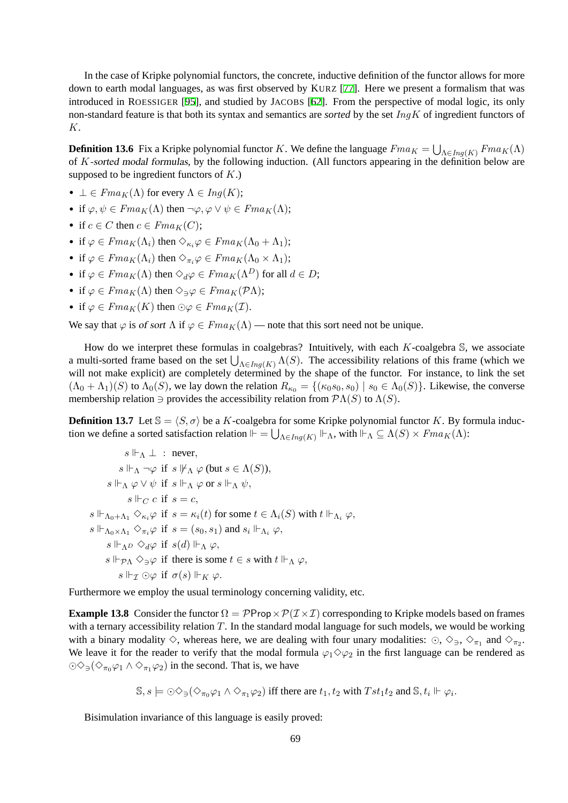In the case of Kripke polynomial functors, the concrete, inductive definition of the functor allows for more down to earth modal languages, as was first observed by KURZ [\[77\]](#page-84-11). Here we present a formalism that was introduced in ROESSIGER [\[95\]](#page-85-7), and studied by JACOBS [\[62](#page-84-9)]. From the perspective of modal logic, its only non-standard feature is that both its syntax and semantics are *sorted* by the set IngK of ingredient functors of K.

<span id="page-68-0"></span>**Definition 13.6** Fix a Kripke polynomial functor K. We define the language  $Fma_K = \bigcup_{\Lambda \in Ing(K)} Fma_K(\Lambda)$ of K-sorted modal formulas, by the following induction. (All functors appearing in the definition below are supposed to be ingredient functors of  $K$ .)

- $\bot \in Fma_K(\Lambda)$  for every  $\Lambda \in Inq(K);$
- if  $\varphi, \psi \in Fma_K(\Lambda)$  then  $\neg \varphi, \varphi \lor \psi \in Fma_K(\Lambda)$ ;
- if  $c \in C$  then  $c \in Fma<sub>K</sub>(C)$ ;
- if  $\varphi \in Fma_K(\Lambda_i)$  then  $\diamondsuit_{\kappa_i} \varphi \in Fma_K(\Lambda_0 + \Lambda_1);$
- if  $\varphi \in Fma_K(\Lambda_i)$  then  $\Diamond_{\pi_i} \varphi \in Fma_K(\Lambda_0 \times \Lambda_1);$
- if  $\varphi \in Fma_K(\Lambda)$  then  $\Diamond_d \varphi \in Fma_K(\Lambda^D)$  for all  $d \in D$ ;
- if  $\varphi \in Fma_K(\Lambda)$  then  $\Diamond_{\exists} \varphi \in Fma_K(\mathcal{P}\Lambda)$ ;
- if  $\varphi \in Fma_K(K)$  then  $\odot \varphi \in Fma_K(\mathcal{I})$ .

We say that  $\varphi$  is of sort  $\Lambda$  if  $\varphi \in Fma_K(\Lambda)$  — note that this sort need not be unique.

How do we interpret these formulas in coalgebras? Intuitively, with each K-coalgebra S, we associate a multi-sorted frame based on the set  $\bigcup_{\Lambda \in Ing(K)} \Lambda(S)$ . The accessibility relations of this frame (which we will not make explicit) are completely determined by the shape of the functor. For instance, to link the set  $(\Lambda_0 + \Lambda_1)(S)$  to  $\Lambda_0(S)$ , we lay down the relation  $R_{\kappa_0} = \{(\kappa_0 s_0, s_0) \mid s_0 \in \Lambda_0(S)\}\.$  Likewise, the converse membership relation  $\Rightarrow$  provides the accessibility relation from  $\mathcal{P}\Lambda(S)$  to  $\Lambda(S)$ .

<span id="page-68-1"></span>**Definition 13.7** Let  $\mathbb{S} = \langle S, \sigma \rangle$  be a K-coalgebra for some Kripke polynomial functor K. By formula induction we define a sorted satisfaction relation  $\Vdash = \bigcup_{\Lambda \in \text{Ing}(K)} \Vdash_{\Lambda}$ , with  $\Vdash_{\Lambda} \subseteq \Lambda(S) \times \text{Fma}_K(\Lambda)$ :

$$
s \Vdash_{\Lambda} \bot : \text{ never},
$$
  
\n
$$
s \Vdash_{\Lambda} \neg \varphi \text{ if } s \Vdash_{\Lambda} \varphi \text{ (but } s \in \Lambda(S)),
$$
  
\n
$$
s \Vdash_{\Lambda} \varphi \lor \psi \text{ if } s \Vdash_{\Lambda} \varphi \text{ or } s \Vdash_{\Lambda} \psi,
$$
  
\n
$$
s \Vdash_{\Lambda_0 + \Lambda_1} \Diamond_{\kappa_i} \varphi \text{ if } s = \kappa_i(t) \text{ for some } t \in \Lambda_i(S) \text{ with } t \Vdash_{\Lambda_i} \varphi,
$$
  
\n
$$
s \Vdash_{\Lambda_0 \times \Lambda_1} \Diamond_{\pi_i} \varphi \text{ if } s = (s_0, s_1) \text{ and } s_i \Vdash_{\Lambda_i} \varphi,
$$
  
\n
$$
s \Vdash_{\Lambda^D} \Diamond_d \varphi \text{ if } s(d) \Vdash_{\Lambda} \varphi,
$$
  
\n
$$
s \Vdash_{\mathcal{P}\Lambda} \Diamond_{\ni} \varphi \text{ if there is some } t \in s \text{ with } t \Vdash_{\Lambda} \varphi,
$$
  
\n
$$
s \Vdash_{\mathcal{P}} \Diamond \varphi \text{ if } \sigma(s) \Vdash_{K} \varphi.
$$

Furthermore we employ the usual terminology concerning validity, etc.

**Example 13.8** Consider the functor  $\Omega = \mathcal{P}$ Prop $\times \mathcal{P}(\mathcal{I} \times \mathcal{I})$  corresponding to Kripke models based on frames with a ternary accessibility relation  $T$ . In the standard modal language for such models, we would be working with a binary modality  $\Diamond$ , whereas here, we are dealing with four unary modalities:  $\Diamond$ ,  $\Diamond$ <sub>7</sub>,  $\Diamond$ <sub>π1</sub> and  $\Diamond$ <sub>π2</sub>. We leave it for the reader to verify that the modal formula  $\varphi_1 \Diamond \varphi_2$  in the first language can be rendered as  $\odot \odot_3(\odot_{\pi_0}\varphi_1 \wedge \odot_{\pi_1}\varphi_2)$  in the second. That is, we have

 $\mathbb{S}, s \models \odot \Diamond_{\exists} (\Diamond_{\pi_0} \varphi_1 \land \Diamond_{\pi_1} \varphi_2)$  iff there are  $t_1, t_2$  with  $Tst_1t_2$  and  $\mathbb{S}, t_i \Vdash \varphi_i$ .

Bisimulation invariance of this language is easily proved: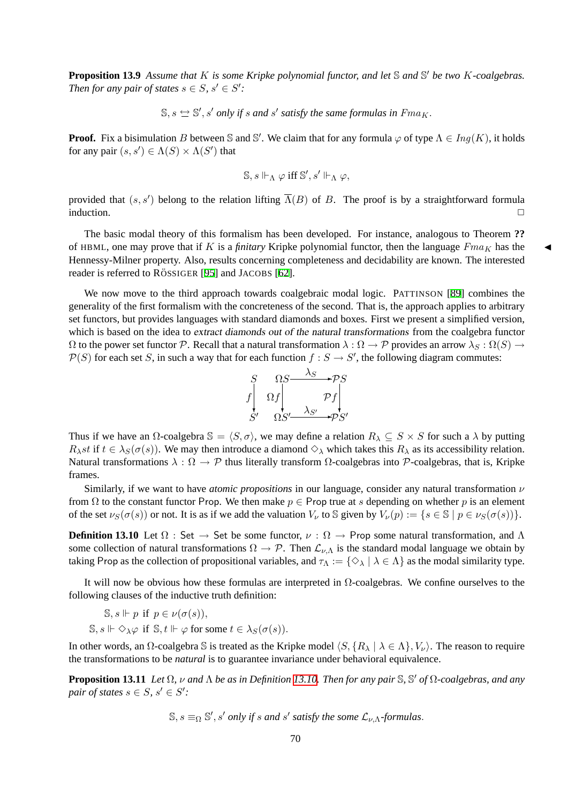**Proposition 13.9** *Assume that* K *is some Kripke polynomial functor, and let* S *and* S <sup>0</sup> *be two* K*-coalgebras. Then for any pair of states*  $s \in S$ ,  $s' \in S'$ :

 $\mathbb{S}, s \hookrightarrow \mathbb{S}', s'$  only if s and s' satisfy the same formulas in  $Fma_K$ .

**Proof.** Fix a bisimulation B between S and S'. We claim that for any formula  $\varphi$  of type  $\Lambda \in \text{Ing}(K)$ , it holds for any pair  $(s, s') \in \Lambda(S) \times \Lambda(S')$  that

$$
\mathbb{S}, s \Vdash_{\Lambda} \varphi \text{ iff } \mathbb{S}', s' \Vdash_{\Lambda} \varphi,
$$

provided that  $(s, s')$  belong to the relation lifting  $\overline{\Lambda}(B)$  of B. The proof is by a straightforward formula  $induction.$ 

The basic modal theory of this formalism has been developed. For instance, analogous to Theorem **??** of HBML, one may prove that if K is a *finitary* Kripke polynomial functor, then the language  $Fma_K$  has the Hennessy-Milner property. Also, results concerning completeness and decidability are known. The interested reader is referred to RÖSSIGER [\[95](#page-85-7)] and JACOBS [[62\]](#page-84-9).

We now move to the third approach towards coalgebraic modal logic. PATTINSON [\[89](#page-85-6)] combines the generality of the first formalism with the concreteness of the second. That is, the approach applies to arbitrary set functors, but provides languages with standard diamonds and boxes. First we present a simplified version, which is based on the idea to extract diamonds out of the natural transformations from the coalgebra functor  $\Omega$  to the power set functor P. Recall that a natural transformation  $\lambda : \Omega \to \mathcal{P}$  provides an arrow  $\lambda_S : \Omega(S) \to$  $P(S)$  for each set S, in such a way that for each function  $f : S \to S'$ , the following diagram commutes:



Thus if we have an  $\Omega$ -coalgebra  $\mathbb{S} = \langle S, \sigma \rangle$ , we may define a relation  $R_\lambda \subseteq S \times S$  for such a  $\lambda$  by putting  $R_\lambda$ st if  $t \in \lambda_S(\sigma(s))$ . We may then introduce a diamond  $\diamondsuit_\lambda$  which takes this  $R_\lambda$  as its accessibility relation. Natural transformations  $\lambda : \Omega \to \mathcal{P}$  thus literally transform Ω-coalgebras into P-coalgebras, that is, Kripke frames.

Similarly, if we want to have *atomic propositions* in our language, consider any natural transformation ν from  $\Omega$  to the constant functor Prop. We then make  $p \in$  Prop true at s depending on whether p is an element of the set  $\nu_S(\sigma(s))$  or not. It is as if we add the valuation  $V_\nu$  to S given by  $V_\nu(p) := \{s \in \mathbb{S} \mid p \in \nu_S(\sigma(s))\}.$ 

<span id="page-69-0"></span>**Definition 13.10** Let  $\Omega$  : Set  $\rightarrow$  Set be some functor,  $\nu$  :  $\Omega$   $\rightarrow$  Prop some natural transformation, and  $\Lambda$ some collection of natural transformations  $\Omega \to \mathcal{P}$ . Then  $\mathcal{L}_{\nu,\Lambda}$  is the standard modal language we obtain by taking Prop as the collection of propositional variables, and  $\tau_{\Lambda} := \{ \diamond_{\lambda} \mid \lambda \in \Lambda \}$  as the modal similarity type.

It will now be obvious how these formulas are interpreted in Ω-coalgebras. We confine ourselves to the following clauses of the inductive truth definition:

$$
\mathbb{S}, s \Vdash p \text{ if } p \in \nu(\sigma(s)),
$$
  

$$
\mathbb{S}, s \Vdash \Diamond_{\lambda} \varphi \text{ if } \mathbb{S}, t \Vdash \varphi \text{ for some } t \in \lambda_S(\sigma(s)).
$$

In other words, an  $\Omega$ -coalgebra S is treated as the Kripke model  $\langle S, \{R_{\lambda} | \lambda \in \Lambda\}, V_{\nu}\rangle$ . The reason to require the transformations to be *natural* is to guarantee invariance under behavioral equivalence.

**Proposition 13.11** *Let* Ω*,* ν *and* Λ *be as in Definition [13.10](#page-69-0). Then for any pair* S*,* S <sup>0</sup> *of* Ω*-coalgebras, and any*  $pair \space of \space states \space s \in S, \space s' \in S'.$ 

$$
\mathbb{S}, s \equiv_{\Omega} \mathbb{S}', s'
$$
 only if s and s' satisfy the some  $\mathcal{L}_{\nu,\Lambda}$ -formulas.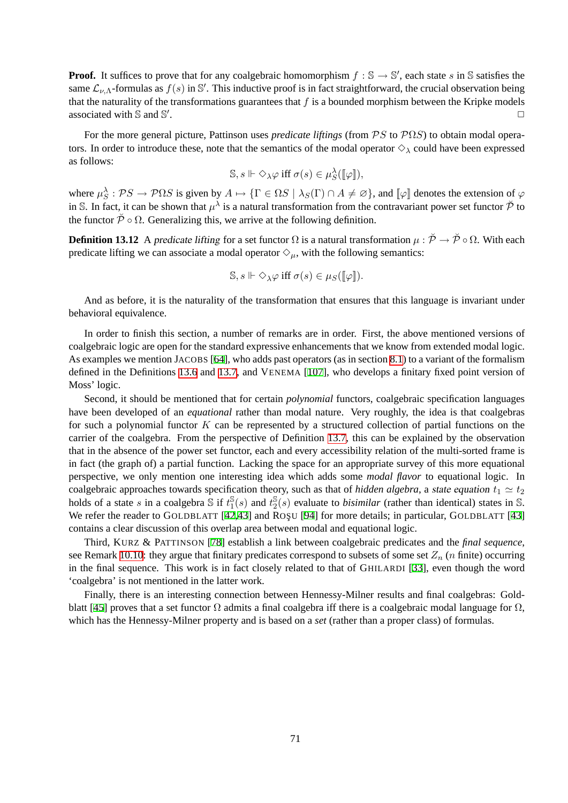**Proof.** It suffices to prove that for any coalgebraic homomorphism  $f : \mathbb{S} \to \mathbb{S}'$ , each state s in  $\mathbb{S}$  satisfies the same  $\mathcal{L}_{\nu,\Lambda}$ -formulas as  $f(s)$  in S'. This inductive proof is in fact straightforward, the crucial observation being that the naturality of the transformations guarantees that  $f$  is a bounded morphism between the Kripke models associated with S and S' .  $\Box$ 

For the more general picture, Pattinson uses *predicate liftings* (from PS to PΩS) to obtain modal operators. In order to introduce these, note that the semantics of the modal operator  $\diamondsuit_\lambda$  could have been expressed as follows:

$$
\mathbb{S}, s \Vdash \diamondsuit_{\lambda} \varphi \text{ iff } \sigma(s) \in \mu_S^{\lambda}(\llbracket \varphi \rrbracket),
$$

where  $\mu_S^{\lambda} : \mathcal{P} S \to \mathcal{P} \Omega S$  is given by  $A \mapsto {\{\Gamma \in \Omega S \mid \lambda_S(\Gamma) \cap A \neq \emptyset\}}$ , and  $[\![\varphi]\!]$  denotes the extension of  $\varphi$ in S. In fact, it can be shown that  $\mu^{\lambda}$  is a natural transformation from the contravariant power set functor  $\check{\mathcal{P}}$  to the functor  $\tilde{\mathcal{P}} \circ \Omega$ . Generalizing this, we arrive at the following definition.

**Definition 13.12** A predicate lifting for a set functor  $\Omega$  is a natural transformation  $\mu : \check{\mathcal{P}} \to \check{\mathcal{P}} \circ \Omega$ . With each predicate lifting we can associate a modal operator  $\diamond_{\mu}$ , with the following semantics:

$$
\mathbb{S}, s \Vdash \Diamond_{\lambda} \varphi \text{ iff } \sigma(s) \in \mu_{S}(\llbracket \varphi \rrbracket).
$$

And as before, it is the naturality of the transformation that ensures that this language is invariant under behavioral equivalence.

In order to finish this section, a number of remarks are in order. First, the above mentioned versions of coalgebraic logic are open for the standard expressive enhancements that we know from extended modal logic. As examples we mention JACOBS [\[64](#page-84-10)], who adds past operators (as in section [8.1](#page-46-3)) to a variant of the formalism defined in the Definitions [13.6](#page-68-0) and [13.7](#page-68-1), and VENEMA [\[107\]](#page-85-11), who develops a finitary fixed point version of Moss' logic.

Second, it should be mentioned that for certain *polynomial* functors, coalgebraic specification languages have been developed of an *equational* rather than modal nature. Very roughly, the idea is that coalgebras for such a polynomial functor  $K$  can be represented by a structured collection of partial functions on the carrier of the coalgebra. From the perspective of Definition [13.7,](#page-68-1) this can be explained by the observation that in the absence of the power set functor, each and every accessibility relation of the multi-sorted frame is in fact (the graph of) a partial function. Lacking the space for an appropriate survey of this more equational perspective, we only mention one interesting idea which adds some *modal flavor* to equational logic. In coalgebraic approaches towards specification theory, such as that of *hidden algebra*, a state equation  $t_1 \simeq t_2$ holds of a state s in a coalgebra S if  $t_1^{\mathbb{S}}(s)$  and  $t_2^{\mathbb{S}}(s)$  evaluate to *bisimilar* (rather than identical) states in S. We refer the reader to GOLDBLATT [[42,](#page-83-12)[43](#page-83-13)] and ROŞU [[94\]](#page-85-12) for more details; in particular, GOLDBLATT [[43\]](#page-83-13) contains a clear discussion of this overlap area between modal and equational logic.

Third, KURZ & PATTINSON [\[78](#page-84-16)] establish a link between coalgebraic predicates and the *final sequence*, see Remark [10.10](#page-57-0): they argue that finitary predicates correspond to subsets of some set  $Z_n$  (*n* finite) occurring in the final sequence. This work is in fact closely related to that of GHILARDI [\[33](#page-83-14)], even though the word 'coalgebra' is not mentioned in the latter work.

Finally, there is an interesting connection between Hennessy-Milner results and final coalgebras: Gold-blatt [[45\]](#page-83-15) proves that a set functor  $\Omega$  admits a final coalgebra iff there is a coalgebraic modal language for  $\Omega$ , which has the Hennessy-Milner property and is based on a *set* (rather than a proper class) of formulas.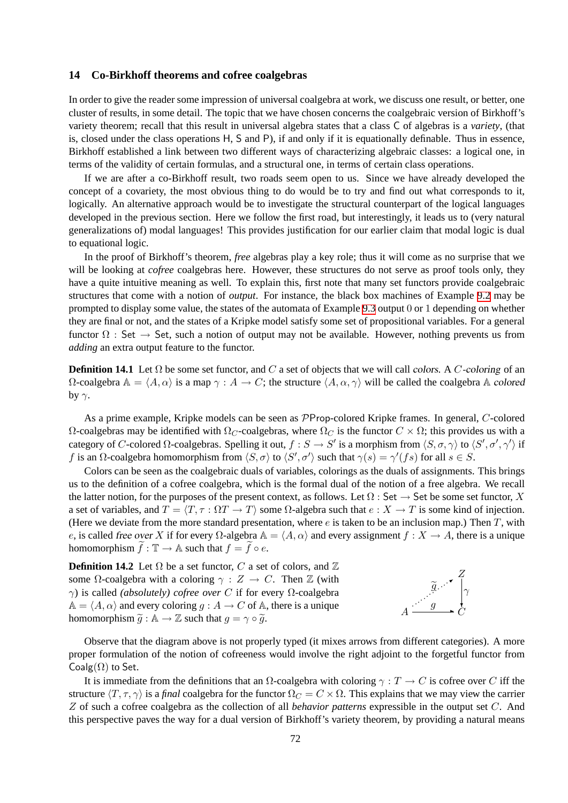# **14 Co-Birkhoff theorems and cofree coalgebras**

In order to give the reader some impression of universal coalgebra at work, we discuss one result, or better, one cluster of results, in some detail. The topic that we have chosen concerns the coalgebraic version of Birkhoff's variety theorem; recall that this result in universal algebra states that a class C of algebras is a *variety*, (that is, closed under the class operations H, S and P), if and only if it is equationally definable. Thus in essence, Birkhoff established a link between two different ways of characterizing algebraic classes: a logical one, in terms of the validity of certain formulas, and a structural one, in terms of certain class operations.

If we are after a co-Birkhoff result, two roads seem open to us. Since we have already developed the concept of a covariety, the most obvious thing to do would be to try and find out what corresponds to it, logically. An alternative approach would be to investigate the structural counterpart of the logical languages developed in the previous section. Here we follow the first road, but interestingly, it leads us to (very natural generalizations of) modal languages! This provides justification for our earlier claim that modal logic is dual to equational logic.

In the proof of Birkhoff's theorem, *free* algebras play a key role; thus it will come as no surprise that we will be looking at *cofree* coalgebras here. However, these structures do not serve as proof tools only, they have a quite intuitive meaning as well. To explain this, first note that many set functors provide coalgebraic structures that come with a notion of *output*. For instance, the black box machines of Example [9.2](#page-51-0) may be prompted to display some value, the states of the automata of Example [9.3](#page-51-1) output 0 or 1 depending on whether they are final or not, and the states of a Kripke model satisfy some set of propositional variables. For a general functor  $\Omega$  : Set  $\rightarrow$  Set, such a notion of output may not be available. However, nothing prevents us from *adding* an extra output feature to the functor.

**Definition 14.1** Let  $\Omega$  be some set functor, and C a set of objects that we will call colors. A C-coloring of an  $\Omega$ -coalgebra  $\mathbb{A} = \langle A, \alpha \rangle$  is a map  $\gamma : A \to C$ ; the structure  $\langle A, \alpha, \gamma \rangle$  will be called the coalgebra  $\mathbb A$  colored by  $\gamma$ .

As a prime example, Kripke models can be seen as PProp-colored Kripke frames. In general, C-colored  $Ω$ -coalgebras may be identified with  $Ω<sub>C</sub>$ -coalgebras, where  $Ω<sub>C</sub>$  is the functor  $C \times Ω$ ; this provides us with a category of C-colored  $\Omega$ -coalgebras. Spelling it out,  $f : S \to S'$  is a morphism from  $\langle S, \sigma, \gamma \rangle$  to  $\langle S', \sigma', \gamma' \rangle$  if f is an  $\Omega$ -coalgebra homomorphism from  $\langle S, \sigma \rangle$  to  $\langle S', \sigma' \rangle$  such that  $\gamma(s) = \gamma'(fs)$  for all  $s \in S$ .

Colors can be seen as the coalgebraic duals of variables, colorings as the duals of assignments. This brings us to the definition of a cofree coalgebra, which is the formal dual of the notion of a free algebra. We recall the latter notion, for the purposes of the present context, as follows. Let  $\Omega$  : Set  $\rightarrow$  Set be some set functor, X a set of variables, and  $T = \langle T, \tau : \Omega T \to T \rangle$  some  $\Omega$ -algebra such that  $e : X \to T$  is some kind of injection. (Here we deviate from the more standard presentation, where  $e$  is taken to be an inclusion map.) Then  $T$ , with e, is called free over X if for every  $\Omega$ -algebra  $\mathbb{A} = \langle A, \alpha \rangle$  and every assignment  $f : X \to A$ , there is a unique homomorphism  $\hat{f}: \mathbb{T} \to \mathbb{A}$  such that  $f = \hat{f} \circ e$ .

**Definition 14.2** Let  $\Omega$  be a set functor, C a set of colors, and  $\mathbb{Z}$ some  $\Omega$ -coalgebra with a coloring  $\gamma : Z \to C$ . Then  $\mathbb Z$  (with γ) is called *(absolutely) cofree over* C if for every Ω-coalgebra  $A = \langle A, \alpha \rangle$  and every coloring  $g : A \to C$  of A, there is a unique homomorphism  $\widetilde{g} : \mathbb{A} \to \mathbb{Z}$  such that  $g = \gamma \circ \widetilde{g}$ .



Observe that the diagram above is not properly typed (it mixes arrows from different categories). A more proper formulation of the notion of cofreeness would involve the right adjoint to the forgetful functor from Coalg( $\Omega$ ) to Set.

It is immediate from the definitions that an  $\Omega$ -coalgebra with coloring  $\gamma : T \to C$  is cofree over C iff the structure  $\langle T, \tau, \gamma \rangle$  is a *final* coalgebra for the functor  $\Omega_C = C \times \Omega$ . This explains that we may view the carrier Z of such a cofree coalgebra as the collection of all *behavior patterns* expressible in the output set C. And this perspective paves the way for a dual version of Birkhoff's variety theorem, by providing a natural means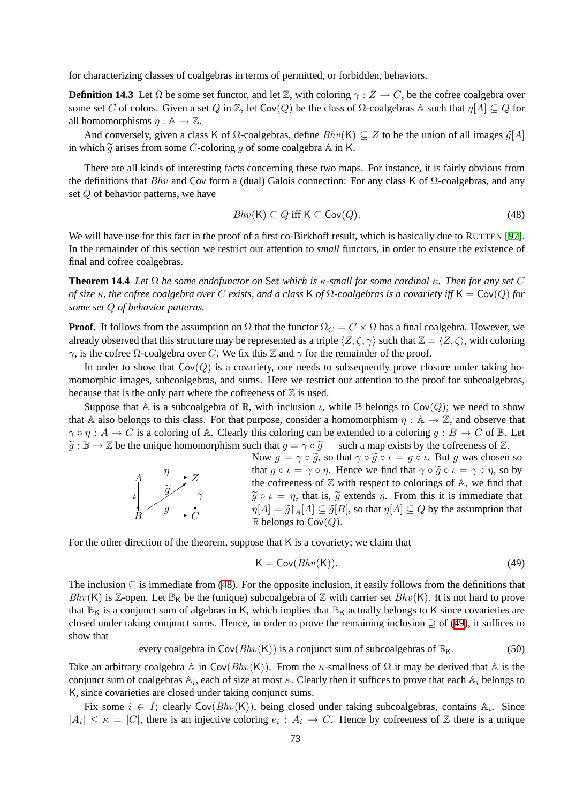for characterizing classes of coalgebras in terms of permitted, or forbidden, behaviors.

**Definition 14.3** Let  $\Omega$  be some set functor, and let Z, with coloring  $\gamma : Z \to C$ , be the cofree coalgebra over some set C of colors. Given a set Q in Z, let Cov(Q) be the class of  $\Omega$ -coalgebras A such that  $\eta[A] \subseteq Q$  for all homomorphisms  $\eta : \mathbb{A} \to \mathbb{Z}$ .

And conversely, given a class K of  $\Omega$ -coalgebras, define  $Bhv(K) \subseteq Z$  to be the union of all images  $\tilde{g}[A]$ in which  $\tilde{q}$  arises from some C-coloring q of some coalgebra A in K.

There are all kinds of interesting facts concerning these two maps. For instance, it is fairly obvious from the definitions that Bhv and Cov form a (dual) Galois connection: For any class K of  $\Omega$ -coalgebras, and any set Q of behavior patterns, we have

<span id="page-72-0"></span>
$$
Bhv(\mathsf{K}) \subseteq Q \text{ iff } \mathsf{K} \subseteq \mathsf{Cov}(Q). \tag{48}
$$

We will have use for this fact in the proof of a first co-Birkhoff result, which is basically due to RUTTEN [[97\]](#page-85-0). In the remainder of this section we restrict our attention to *small* functors, in order to ensure the existence of final and cofree coalgebras.

<span id="page-72-2"></span>**Theorem 14.4** *Let* Ω *be some endofunctor on* Set *which is* κ*-small for some cardinal* κ*. Then for any set* C *of size*  $\kappa$ , the cofree coalgebra over C exists, and a class K of  $\Omega$ -coalgebras is a covariety iff K = Cov(Q) for *some set* Q *of behavior patterns.*

**Proof.** It follows from the assumption on  $\Omega$  that the functor  $\Omega_C = C \times \Omega$  has a final coalgebra. However, we already observed that this structure may be represented as a triple  $\langle Z, \zeta, \gamma \rangle$  such that  $\mathbb{Z} = \langle Z, \zeta \rangle$ , with coloring  $γ$ , is the cofree Ω-coalgebra over C. We fix this  $\mathbb Z$  and  $γ$  for the remainder of the proof.

In order to show that  $\text{Cov}(Q)$  is a covariety, one needs to subsequently prove closure under taking homomorphic images, subcoalgebras, and sums. Here we restrict our attention to the proof for subcoalgebras, because that is the only part where the cofreeness of  $\mathbb Z$  is used.

Suppose that A is a subcoalgebra of B, with inclusion  $\iota$ , while B belongs to Cov(Q); we need to show that A also belongs to this class. For that purpose, consider a homomorphism  $\eta : A \to \mathbb{Z}$ , and observe that  $\gamma \circ \eta : A \to C$  is a coloring of A. Clearly this coloring can be extended to a coloring  $g : B \to C$  of  $\mathbb{B}$ . Let  $\tilde{g} : \mathbb{B} \to \mathbb{Z}$  be the unique homomorphism such that  $g = \gamma \circ \tilde{g}$  — such a map exists by the cofreeness of  $\mathbb{Z}$ .

> B  $A \longrightarrow Z$  $\mathcal{C}_{0}^{(n)}$  $\int_{a}^{a}$  $\frac{1}{2}$  /  $g \frac{1}{2}$  $\ddot{\phantom{a}}$  $\begin{bmatrix} \frac{\widetilde{g}}{\sqrt{2}} \\ \frac{\widetilde{g}}{\sqrt{2}} \end{bmatrix}$ g η Now  $g = \gamma \circ \tilde{g}$ , so that  $\gamma \circ \tilde{g} \circ \iota = g \circ \iota$ . But g was chosen so that  $g \circ \iota = \gamma \circ \eta$ . Hence we find that  $\gamma \circ \tilde{g} \circ \iota = \gamma \circ \eta$ , so by the cofreeness of  $Z$  with respect to colorings of  $A$ , we find that  $\tilde{q} \circ \iota = \eta$ , that is,  $\tilde{q}$  extends  $\eta$ . From this it is immediate that  $\eta[A] = \tilde{g} \upharpoonright_A [A] \subseteq \tilde{g}[B]$ , so that  $\eta[A] \subseteq Q$  by the assumption that  $\mathbb B$  belongs to  $\mathsf{Cov}(Q)$ .

For the other direction of the theorem, suppose that K is a covariety; we claim that

<span id="page-72-1"></span>
$$
K = Cov(Bhv(K)).\t\t(49)
$$

The inclusion  $\subset$  is immediate from [\(48](#page-72-0)). For the opposite inclusion, it easily follows from the definitions that Bhv(K) is Z-open. Let  $\mathbb{B}_K$  be the (unique) subcoalgebra of Z with carrier set  $Bhv(K)$ . It is not hard to prove that  $\mathbb{B}_K$  is a conjunct sum of algebras in K, which implies that  $\mathbb{B}_K$  actually belongs to K since covarieties are closed under taking conjunct sums. Hence, in order to prove the remaining inclusion  $\supset$  of [\(49\)](#page-72-1), it suffices to show that

every coalgebra in 
$$
\text{Cov}(Bhv(K))
$$
 is a conjunct sum of subcoalgebras of  $\mathbb{B}_K$ . (50)

Take an arbitrary coalgebra  $\mathbb A$  in Cov( $Bhv(K)$ ). From the  $\kappa$ -smallness of  $\Omega$  it may be derived that  $\mathbb A$  is the conjunct sum of coalgebras  $A_i$ , each of size at most  $\kappa$ . Clearly then it suffices to prove that each  $A_i$  belongs to K, since covarieties are closed under taking conjunct sums.

Fix some  $i \in I$ ; clearly  $\text{Cov}(Bhv(\mathsf{K}))$ , being closed under taking subcoalgebras, contains  $\mathbb{A}_i$ . Since  $|A_i| \leq \kappa = |C|$ , there is an injective coloring  $e_i : A_i \to C$ . Hence by cofreeness of Z there is a unique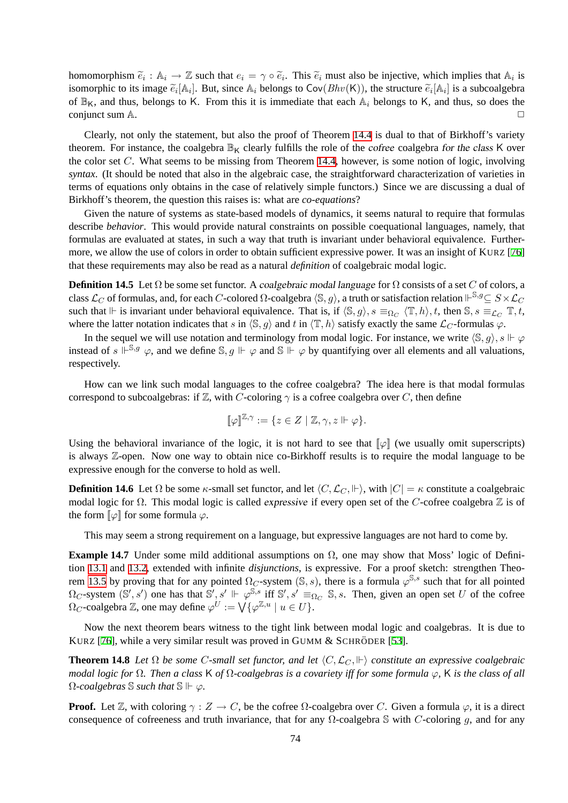<span id="page-73-2"></span>homomorphism  $\tilde{e}_i : \mathbb{A}_i \to \mathbb{Z}$  such that  $e_i = \gamma \circ \tilde{e}_i$ . This  $\tilde{e}_i$  must also be injective, which implies that  $\mathbb{A}_i$  is<br>isomorphic to its image  $\tilde{e}_i[\mathbb{A}_i]$ . But since  $\mathbb{A}_i$  belongs to  $Cov(Bhu(K))$  isomorphic to its image  $\tilde{e}_i[\mathbb{A}_i]$ . But, since  $\mathbb{A}_i$  belongs to  $\text{Cov}(Bhv(\mathsf{K}))$ , the structure  $\tilde{e}_i[\mathbb{A}_i]$  is a subcoalgebra<br>of  $\mathbb{R}_k$  and thus, belongs to K. From this it is immediate that each  $\mathbb{$ of  $\mathbb{B}_{K}$ , and thus, belongs to K. From this it is immediate that each  $\mathbb{A}_{i}$  belongs to K, and thus, so does the conjunct sum  $\mathbb A$ .  $\Box$ 

Clearly, not only the statement, but also the proof of Theorem [14.4](#page-72-2) is dual to that of Birkhoff's variety theorem. For instance, the coalgebra  $\mathbb{B}_{\mathsf{K}}$  clearly fulfills the role of the cofree coalgebra for the class K over the color set C. What seems to be missing from Theorem [14.4,](#page-72-2) however, is some notion of logic, involving *syntax*. (It should be noted that also in the algebraic case, the straightforward characterization of varieties in terms of equations only obtains in the case of relatively simple functors.) Since we are discussing a dual of Birkhoff's theorem, the question this raises is: what are *co-equations*?

Given the nature of systems as state-based models of dynamics, it seems natural to require that formulas describe *behavior*. This would provide natural constraints on possible coequational languages, namely, that formulas are evaluated at states, in such a way that truth is invariant under behavioral equivalence. Furthermore, we allow the use of colors in order to obtain sufficient expressive power. It was an insight of KURZ [[76\]](#page-84-0) that these requirements may also be read as a natural *definition* of coalgebraic modal logic.

**Definition 14.5** Let  $\Omega$  be some set functor. A coalgebraic modal language for  $\Omega$  consists of a set C of colors, a class  $\mathcal{L}_C$  of formulas, and, for each  $C$ -colored  $\Omega$ -coalgebra  $\langle\mathbb{S},g\rangle$ , a truth or satisfaction relation  $\Vdash^{\mathbb{S},g}\subseteq S\times\mathcal{L}_C$ such that  $\Vdash$  is invariant under behavioral equivalence. That is, if  $\langle \mathbb{S}, g \rangle$ ,  $s \equiv_{\Omega_C} \langle \mathbb{T}, h \rangle$ , t, then  $\mathbb{S}, s \equiv_{\mathcal{L}_C} \mathbb{T}, t$ , where the latter notation indicates that s in  $\langle \mathbb{S}, g \rangle$  and t in  $\langle \mathbb{T}, h \rangle$  satisfy exactly the same  $\mathcal{L}_C$ -formulas  $\varphi$ .

In the sequel we will use notation and terminology from modal logic. For instance, we write  $\langle \mathbb{S}, g \rangle$ ,  $s \Vdash \varphi$ instead of  $s \Vdash^{\mathcal{S},g} \varphi$ , and we define  $\mathcal{S}, g \Vdash \varphi$  and  $\mathcal{S} \Vdash \varphi$  by quantifying over all elements and all valuations, respectively.

How can we link such modal languages to the cofree coalgebra? The idea here is that modal formulas correspond to subcoalgebras: if  $\mathbb{Z}$ , with C-coloring  $\gamma$  is a cofree coalgebra over C, then define

$$
[\![\varphi]\!]^{\mathbb{Z},\gamma}:=\{z\in Z\mid \mathbb{Z}, \gamma, z\Vdash \varphi\}.
$$

Using the behavioral invariance of the logic, it is not hard to see that  $\llbracket \varphi \rrbracket$  (we usually omit superscripts) is always Z-open. Now one way to obtain nice co-Birkhoff results is to require the modal language to be expressive enough for the converse to hold as well.

**Definition 14.6** Let  $\Omega$  be some  $\kappa$ -small set functor, and let  $\langle C, \mathcal{L}_C, \|\cdot\|$ , with  $|C| = \kappa$  constitute a coalgebraic modal logic for  $\Omega$ . This modal logic is called expressive if every open set of the C-cofree coalgebra  $\mathbb Z$  is of the form  $\llbracket \varphi \rrbracket$  for some formula  $\varphi$ .

This may seem a strong requirement on a language, but expressive languages are not hard to come by.

<span id="page-73-0"></span>**Example 14.7** Under some mild additional assumptions on  $\Omega$ , one may show that Moss' logic of Definition [13.1](#page-66-0) and [13.2,](#page-66-1) extended with infinite *disjunctions*, is expressive. For a proof sketch: strengthen Theo-rem [13.5](#page-67-0) by proving that for any pointed  $\Omega_C$ -system (S, s), there is a formula  $\varphi^{\mathbb{S},s}$  such that for all pointed  $\Omega_C$ -system  $(S', s')$  one has that  $S', s' \Vdash \varphi^{S,s}$  iff  $S', s' \equiv_{\Omega_C} S, s$ . Then, given an open set U of the cofree  $\Omega_C$ -coalgebra Z, one may define  $\varphi^U := \bigvee \{ \varphi^{\mathbb{Z},u} \mid u \in U \}.$ 

Now the next theorem bears witness to the tight link between modal logic and coalgebras. It is due to KURZ [[76\]](#page-84-0), while a very similar result was proved in GUMM & SCHRÖDER [[53\]](#page-83-0).

<span id="page-73-1"></span>**Theorem 14.8** *Let*  $\Omega$  *be some* C-small set functor, and let  $\langle C, \mathcal{L}_C, \Vdash \rangle$  constitute an expressive coalgebraic *modal logic for* Ω*. Then a class* K *of* Ω*-coalgebras is a covariety iff for some formula* ϕ*,* K *is the class of all*  $\Omega$ -coalgebras  $\mathcal S$  *such that*  $\mathcal S \Vdash \varphi$ .

**Proof.** Let Z, with coloring  $\gamma : Z \to C$ , be the cofree  $\Omega$ -coalgebra over C. Given a formula  $\varphi$ , it is a direct consequence of cofreeness and truth invariance, that for any  $\Omega$ -coalgebra S with C-coloring q, and for any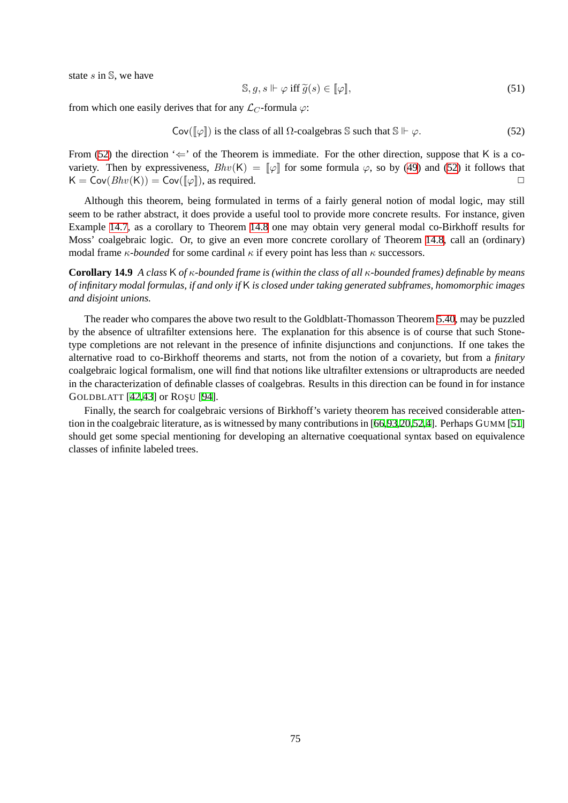state  $s$  in  $\mathbb{S}$ , we have

<span id="page-74-0"></span>
$$
\mathbb{S}, g, s \Vdash \varphi \text{ iff } \widetilde{g}(s) \in [\varphi], \tag{51}
$$

from which one easily derives that for any  $\mathcal{L}_C$ -formula  $\varphi$ :

Cov( $\llbracket \varphi \rrbracket$ ) is the class of all  $\Omega$ -coalgebras  $\mathbb S$  such that  $\mathbb S \Vdash \varphi$ . (52)

From ([52\)](#page-74-0) the direction ' $\Leftarrow$ ' of the Theorem is immediate. For the other direction, suppose that K is a covariety. Then by expressiveness,  $Bhv(K) = \llbracket \varphi \rrbracket$  for some formula  $\varphi$ , so by ([49\)](#page-72-1) and ([52\)](#page-74-0) it follows that  $K = Cov(Bhv(K)) = Cov([\n\varphi\n$ , as required.

Although this theorem, being formulated in terms of a fairly general notion of modal logic, may still seem to be rather abstract, it does provide a useful tool to provide more concrete results. For instance, given Example [14.7,](#page-73-0) as a corollary to Theorem [14.8](#page-73-1) one may obtain very general modal co-Birkhoff results for Moss' coalgebraic logic. Or, to give an even more concrete corollary of Theorem [14.8](#page-73-1), call an (ordinary) modal frame  $\kappa$ -*bounded* for some cardinal  $\kappa$  if every point has less than  $\kappa$  successors.

**Corollary 14.9** *A class* K *of* κ*-bounded frame is (within the class of all* κ*-bounded frames) definable by means of infinitary modal formulas, if and only if* K *is closed under taking generated subframes, homomorphic images and disjoint unions.*

The reader who compares the above two result to the Goldblatt-Thomasson Theorem [5.40](#page-25-0), may be puzzled by the absence of ultrafilter extensions here. The explanation for this absence is of course that such Stonetype completions are not relevant in the presence of infinite disjunctions and conjunctions. If one takes the alternative road to co-Birkhoff theorems and starts, not from the notion of a covariety, but from a *finitary* coalgebraic logical formalism, one will find that notions like ultrafilter extensions or ultraproducts are needed in the characterization of definable classes of coalgebras. Results in this direction can be found in for instance GOLDBLATT [\[42](#page-83-1),[43\]](#page-83-2) or ROSU [[94\]](#page-85-1).

Finally, the search for coalgebraic versions of Birkhoff's variety theorem has received considerable attention in the coalgebraic literature, as is witnessed by many contributions in [\[66,](#page-84-1)[93,](#page-85-2)[20](#page-82-0),[52,](#page-83-3)[4](#page-82-1)]. Perhaps GUMM [[51\]](#page-83-4) should get some special mentioning for developing an alternative coequational syntax based on equivalence classes of infinite labeled trees.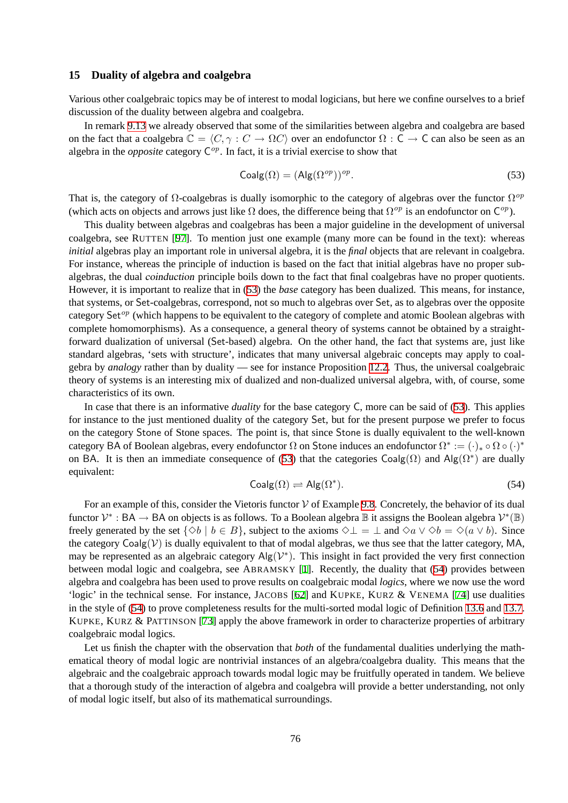## **15 Duality of algebra and coalgebra**

Various other coalgebraic topics may be of interest to modal logicians, but here we confine ourselves to a brief discussion of the duality between algebra and coalgebra.

In remark [9.13](#page-53-0) we already observed that some of the similarities between algebra and coalgebra are based on the fact that a coalgebra  $\mathbb{C} = \langle C, \gamma : C \to \Omega C \rangle$  over an endofunctor  $\Omega : C \to C$  can also be seen as an algebra in the *opposite* category  $C^{op}$ . In fact, it is a trivial exercise to show that

<span id="page-75-0"></span>
$$
Coalg(\Omega) = (Alg(\Omega^{op}))^{op}.
$$
 (53)

That is, the category of  $\Omega$ -coalgebras is dually isomorphic to the category of algebras over the functor  $\Omega^{op}$ (which acts on objects and arrows just like  $\Omega$  does, the difference being that  $\Omega^{op}$  is an endofunctor on  $\mathsf{C}^{op}$ ).

This duality between algebras and coalgebras has been a major guideline in the development of universal coalgebra, see RUTTEN [\[97\]](#page-85-0). To mention just one example (many more can be found in the text): whereas *initial* algebras play an important role in universal algebra, it is the *final* objects that are relevant in coalgebra. For instance, whereas the principle of induction is based on the fact that initial algebras have no proper subalgebras, the dual coinduction principle boils down to the fact that final coalgebras have no proper quotients. However, it is important to realize that in ([53\)](#page-75-0) the *base* category has been dualized. This means, for instance, that systems, or Set-coalgebras, correspond, not so much to algebras over Set, as to algebras over the opposite category Set<sup>op</sup> (which happens to be equivalent to the category of complete and atomic Boolean algebras with complete homomorphisms). As a consequence, a general theory of systems cannot be obtained by a straightforward dualization of universal (Set-based) algebra. On the other hand, the fact that systems are, just like standard algebras, 'sets with structure', indicates that many universal algebraic concepts may apply to coalgebra by *analogy* rather than by duality — see for instance Proposition [12.2](#page-63-0). Thus, the universal coalgebraic theory of systems is an interesting mix of dualized and non-dualized universal algebra, with, of course, some characteristics of its own.

In case that there is an informative *duality* for the base category C, more can be said of ([53\)](#page-75-0). This applies for instance to the just mentioned duality of the category Set, but for the present purpose we prefer to focus on the category Stone of Stone spaces. The point is, that since Stone is dually equivalent to the well-known category BA of Boolean algebras, every endofunctor  $\Omega$  on Stone induces an endofunctor  $\Omega^* := (\cdot)_* \circ \Omega \circ (\cdot)^*$ on BA. It is then an immediate consequence of ([53\)](#page-75-0) that the categories Coalg( $\Omega$ ) and Alg( $\Omega^*$ ) are dually equivalent:

$$
Coalg(\Omega) \rightleftharpoons Alg(\Omega^*). \tag{54}
$$

<span id="page-75-1"></span>For an example of this, consider the Vietoris functor  $V$  of Example [9.8.](#page-52-0) Concretely, the behavior of its dual functor  $V^*$ : BA  $\rightarrow$  BA on objects is as follows. To a Boolean algebra  $\mathbb B$  it assigns the Boolean algebra  $V^*(\mathbb B)$ freely generated by the set  $\{\Diamond b \mid b \in B\}$ , subject to the axioms  $\Diamond \bot = \bot$  and  $\Diamond a \lor \Diamond b = \Diamond (a \lor b)$ . Since the category  $Coalg(V)$  is dually equivalent to that of modal algebras, we thus see that the latter category, MA, may be represented as an algebraic category  $\text{Alg}(\mathcal{V}^*)$ . This insight in fact provided the very first connection between modal logic and coalgebra, see ABRAMSKY [\[1\]](#page-82-2). Recently, the duality that ([54](#page-75-1)) provides between algebra and coalgebra has been used to prove results on coalgebraic modal *logics*, where we now use the word 'logic' in the technical sense. For instance, JACOBS [[62\]](#page-84-2) and KUPKE, KURZ & VENEMA [[74\]](#page-84-3) use dualities in the style of [\(54](#page-75-1)) to prove completeness results for the multi-sorted modal logic of Definition [13.6](#page-68-0) and [13.7](#page-68-1). KUPKE, KURZ & PATTINSON [\[73](#page-84-4)] apply the above framework in order to characterize properties of arbitrary coalgebraic modal logics.

Let us finish the chapter with the observation that *both* of the fundamental dualities underlying the mathematical theory of modal logic are nontrivial instances of an algebra/coalgebra duality. This means that the algebraic and the coalgebraic approach towards modal logic may be fruitfully operated in tandem. We believe that a thorough study of the interaction of algebra and coalgebra will provide a better understanding, not only of modal logic itself, but also of its mathematical surroundings.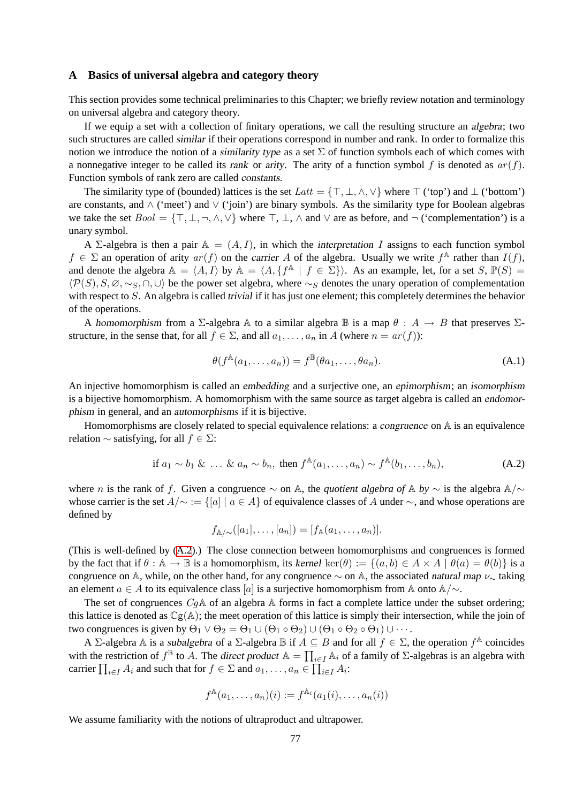## **A Basics of universal algebra and category theory**

This section provides some technical preliminaries to this Chapter; we briefly review notation and terminology on universal algebra and category theory.

If we equip a set with a collection of finitary operations, we call the resulting structure an algebra; two such structures are called *similar* if their operations correspond in number and rank. In order to formalize this notion we introduce the notion of a similarity type as a set  $\Sigma$  of function symbols each of which comes with a nonnegative integer to be called its rank or arity. The arity of a function symbol f is denoted as  $ar(f)$ . Function symbols of rank zero are called constants.

The similarity type of (bounded) lattices is the set Latt =  $\{\top, \bot, \wedge, \vee\}$  where  $\top$  ('top') and  $\bot$  ('bottom') are constants, and ∧ ('meet') and ∨ ('join') are binary symbols. As the similarity type for Boolean algebras we take the set  $Bool = \{\top, \bot, \neg, \wedge, \vee\}$  where  $\top, \bot, \wedge$  and  $\vee$  are as before, and  $\neg$  ('complementation') is a unary symbol.

A Σ-algebra is then a pair  $A = (A, I)$ , in which the interpretation I assigns to each function symbol  $f \in \Sigma$  an operation of arity  $ar(f)$  on the carrier A of the algebra. Usually we write  $f^{\mathbb{A}}$  rather than  $I(f)$ , and denote the algebra  $A = \langle A, I \rangle$  by  $A = \langle A, \{f^A | f \in \Sigma\} \rangle$ . As an example, let, for a set S,  $\mathbb{P}(S) =$  $\langle \mathcal{P}(S), S, \emptyset, \sim_S, \cap, \cup \rangle$  be the power set algebra, where  $\sim_S$  denotes the unary operation of complementation with respect to S. An algebra is called *trivial* if it has just one element; this completely determines the behavior of the operations.

A homomorphism from a  $\Sigma$ -algebra A to a similar algebra B is a map  $\theta : A \to B$  that preserves  $\Sigma$ structure, in the sense that, for all  $f \in \Sigma$ , and all  $a_1, \ldots, a_n$  in A (where  $n = ar(f)$ ):

<span id="page-76-1"></span>
$$
\theta(f^{\mathbb{A}}(a_1,\ldots,a_n)) = f^{\mathbb{B}}(\theta a_1,\ldots,\theta a_n). \tag{A.1}
$$

An injective homomorphism is called an embedding and a surjective one, an epimorphism; an isomorphism is a bijective homomorphism. A homomorphism with the same source as target algebra is called an endomorphism in general, and an automorphisms if it is bijective.

Homomorphisms are closely related to special equivalence relations: a congruence on A is an equivalence relation  $\sim$  satisfying, for all  $f \in \Sigma$ :

<span id="page-76-0"></span>if 
$$
a_1 \sim b_1
$$
 & ... &  $a_n \sim b_n$ , then  $f^{\mathbb{A}}(a_1, ..., a_n) \sim f^{\mathbb{A}}(b_1, ..., b_n)$ , (A.2)

where *n* is the rank of f. Given a congruence  $\sim$  on A, the *quotient algebra of* A *by*  $\sim$  is the algebra A/ $\sim$ whose carrier is the set  $A/\sim$  := {[a] |  $a \in A$ } of equivalence classes of A under  $\sim$ , and whose operations are defined by

$$
f_{\mathbb{A}/\sim}([a_1],\ldots,[a_n])=[f_{\mathbb{A}}(a_1,\ldots,a_n)].
$$

(This is well-defined by [\(A.2](#page-76-0)).) The close connection between homomorphisms and congruences is formed by the fact that if  $\theta : A \to \mathbb{B}$  is a homomorphism, its kernel ker $(\theta) := \{(a, b) \in A \times A \mid \theta(a) = \theta(b)\}\$ is a congruence on A, while, on the other hand, for any congruence  $\sim$  on A, the associated natural map  $\nu_{\sim}$  taking an element  $a \in A$  to its equivalence class [a] is a surjective homomorphism from A onto A/ $\sim$ .

The set of congruences  $C_q$  and algebra  $\mathbb A$  forms in fact a complete lattice under the subset ordering; this lattice is denoted as  $\mathbb{C}g(\mathbb{A})$ ; the meet operation of this lattice is simply their intersection, while the join of two congruences is given by  $\Theta_1 \vee \Theta_2 = \Theta_1 \cup (\Theta_1 \circ \Theta_2) \cup (\Theta_1 \circ \Theta_2 \circ \Theta_1) \cup \cdots$ .

A Σ-algebra A is a subalgebra of a Σ-algebra  $\mathbb B$  if  $A \subseteq B$  and for all  $f \in \Sigma$ , the operation  $f^{\mathbb A}$  coincides with the restriction of  $f^{\mathbb{B}}$  to A. The direct product  $\mathbb{A} = \prod_{i \in I} \mathbb{A}_i$  of a family of  $\Sigma$ -algebras is an algebra with carrier  $\prod_{i\in I} A_i$  and such that for  $f \in \Sigma$  and  $a_1, \ldots, a_n \in \prod_{i\in I} A_i$ :

$$
f^{\mathbb{A}}(a_1,\ldots,a_n)(i) := f^{\mathbb{A}_i}(a_1(i),\ldots,a_n(i))
$$

We assume familiarity with the notions of ultraproduct and ultrapower.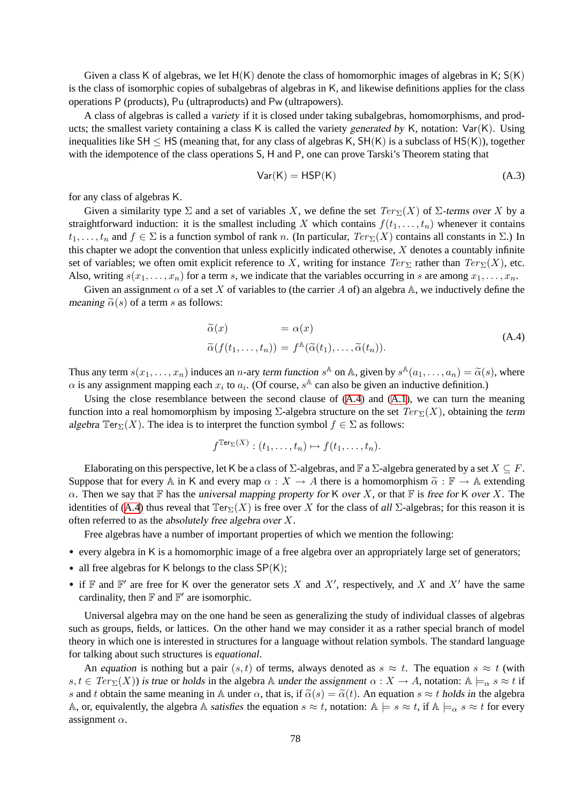Given a class K of algebras, we let  $H(K)$  denote the class of homomorphic images of algebras in K;  $S(K)$ is the class of isomorphic copies of subalgebras of algebras in K, and likewise definitions applies for the class operations P (products), Pu (ultraproducts) and Pw (ultrapowers).

A class of algebras is called a variety if it is closed under taking subalgebras, homomorphisms, and products; the smallest variety containing a class K is called the variety generated by K, notation:  $Var(K)$ . Using inequalities like  $SH < HS$  (meaning that, for any class of algebras K,  $SH(K)$  is a subclass of  $HS(K)$ ), together with the idempotence of the class operations S, H and P, one can prove Tarski's Theorem stating that

$$
Var(K) = HSP(K)
$$
 (A.3)

for any class of algebras K.

Given a similarity type  $\Sigma$  and a set of variables X, we define the set  $Ter_{\Sigma}(X)$  of  $\Sigma$ -terms over X by a straightforward induction: it is the smallest including X which contains  $f(t_1, \ldots, t_n)$  whenever it contains  $t_1, \ldots, t_n$  and  $f \in \Sigma$  is a function symbol of rank n. (In particular,  $Ter_{\Sigma}(X)$  contains all constants in  $\Sigma$ .) In this chapter we adopt the convention that unless explicitly indicated otherwise,  $X$  denotes a countably infinite set of variables; we often omit explicit reference to X, writing for instance  $Ter_{\Sigma}$  rather than  $Ter_{\Sigma}(X)$ , etc. Also, writing  $s(x_1, \ldots, x_n)$  for a term s, we indicate that the variables occurring in s are among  $x_1, \ldots, x_n$ .

Given an assignment  $\alpha$  of a set X of variables to (the carrier A of) an algebra A, we inductively define the meaning  $\tilde{\alpha}(s)$  of a term s as follows:

<span id="page-77-0"></span>
$$
\widetilde{\alpha}(x) = \alpha(x) \n\widetilde{\alpha}(f(t_1, \ldots, t_n)) = f^{\mathbb{A}}(\widetilde{\alpha}(t_1), \ldots, \widetilde{\alpha}(t_n)).
$$
\n(A.4)

Thus any term  $s(x_1, \ldots, x_n)$  induces an *n*-ary term function  $s^{\mathbb{A}}$  on  $\mathbb{A}$ , given by  $s^{\mathbb{A}}(a_1, \ldots, a_n) = \tilde{\alpha}(s)$ , where  $\alpha$  is any assignment manning each  $x_i$  to  $a_j$ . (Of course,  $s^{\mathbb{A}}$  can also be gi  $\alpha$  is any assignment mapping each  $x_i$  to  $a_i$ . (Of course,  $s^{\mathbb{A}}$  can also be given an inductive definition.)

Using the close resemblance between the second clause of  $(A.4)$  $(A.4)$  and  $(A.1)$  $(A.1)$ , we can turn the meaning function into a real homomorphism by imposing  $\Sigma$ -algebra structure on the set  $Ter_{\Sigma}(X)$ , obtaining the term algebra  $Ter_{\Sigma}(X)$ . The idea is to interpret the function symbol  $f \in \Sigma$  as follows:

$$
f^{\mathbb{T}\text{er}_{\Sigma}(X)} : (t_1, \ldots, t_n) \mapsto f(t_1, \ldots, t_n).
$$

Elaborating on this perspective, let K be a class of  $\Sigma$ -algebras, and  $\mathbb{F}$  a  $\Sigma$ -algebra generated by a set  $X \subseteq F$ . Suppose that for every A in K and every map  $\alpha : X \to A$  there is a homomorphism  $\tilde{\alpha} : \mathbb{F} \to A$  extending  $\alpha$ . Then we say that F has the universal mapping property for K over X, or that F is free for K over X. The identities of ([A.4\)](#page-77-0) thus reveal that  $Ter_{\Sigma}(X)$  is free over X for the class of *all* Σ-algebras; for this reason it is often referred to as the absolutely free algebra over X.

Free algebras have a number of important properties of which we mention the following:

- every algebra in K is a homomorphic image of a free algebra over an appropriately large set of generators;
- all free algebras for K belongs to the class  $SP(K);$
- if  $\mathbb F$  and  $\mathbb F'$  are free for K over the generator sets X and X', respectively, and X and X' have the same cardinality, then  $\mathbb F$  and  $\mathbb F'$  are isomorphic.

Universal algebra may on the one hand be seen as generalizing the study of individual classes of algebras such as groups, fields, or lattices. On the other hand we may consider it as a rather special branch of model theory in which one is interested in structures for a language without relation symbols. The standard language for talking about such structures is *equational*.

An equation is nothing but a pair  $(s, t)$  of terms, always denoted as  $s \approx t$ . The equation  $s \approx t$  (with  $s, t \in \mathit{Ter}_\Sigma(X)$ ) is true or holds in the algebra A under the assignment  $\alpha: X \to A$ , notation:  $A \models_{\alpha} s \approx t$  if s and t obtain the same meaning in A under  $\alpha$ , that is, if  $\tilde{\alpha}(s) = \tilde{\alpha}(t)$ . An equation  $s \approx t$  holds in the algebra A, or, equivalently, the algebra A satisfies the equation  $s \approx t$ , notation:  $A \models s \approx t$ , if  $A \models_{\alpha} s \approx t$  for every assignment  $\alpha$ .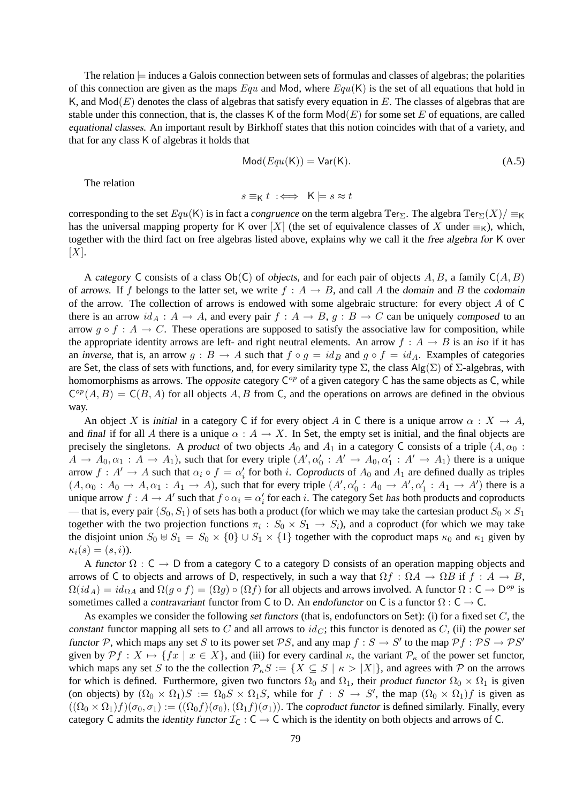The relation  $\equiv$  induces a Galois connection between sets of formulas and classes of algebras; the polarities of this connection are given as the maps  $Equ$  and Mod, where  $Equ(K)$  is the set of all equations that hold in K, and  $Mod(E)$  denotes the class of algebras that satisfy every equation in E. The classes of algebras that are stable under this connection, that is, the classes K of the form  $Mod(E)$  for some set E of equations, are called equational classes. An important result by Birkhoff states that this notion coincides with that of a variety, and that for any class K of algebras it holds that

$$
Mod(Equ(K)) = Var(K).
$$
 (A.5)

The relation

$$
s \equiv_K t \iff \mathsf{K} \models s \approx t
$$

corresponding to the set  $Equ(K)$  is in fact a *congruence* on the term algebra  $Ter_{\Sigma}$ . The algebra  $Ter_{\Sigma}(X)/ \equiv_{K}$ has the universal mapping property for K over [X] (the set of equivalence classes of X under  $\equiv_K$ ), which, together with the third fact on free algebras listed above, explains why we call it the free algebra for K over  $[X]$ .

A category C consists of a class  $Ob(C)$  of objects, and for each pair of objects A, B, a family  $C(A, B)$ of arrows. If f belongs to the latter set, we write  $f : A \rightarrow B$ , and call A the domain and B the codomain of the arrow. The collection of arrows is endowed with some algebraic structure: for every object  $A$  of  $C$ there is an arrow  $id_A : A \to A$ , and every pair  $f : A \to B$ ,  $g : B \to C$  can be uniquely composed to an arrow  $g \circ f : A \to C$ . These operations are supposed to satisfy the associative law for composition, while the appropriate identity arrows are left- and right neutral elements. An arrow  $f : A \rightarrow B$  is an iso if it has an inverse, that is, an arrow  $g : B \to A$  such that  $f \circ g = id_B$  and  $g \circ f = id_A$ . Examples of categories are Set, the class of sets with functions, and, for every similarity type  $\Sigma$ , the class Alg( $\Sigma$ ) of  $\Sigma$ -algebras, with homomorphisms as arrows. The *opposite* category  $C^{op}$  of a given category C has the same objects as C, while  $C^{op}(A, B) = C(B, A)$  for all objects A, B from C, and the operations on arrows are defined in the obvious way.

An object X is initial in a category C if for every object A in C there is a unique arrow  $\alpha : X \to A$ , and final if for all A there is a unique  $\alpha : A \to X$ . In Set, the empty set is initial, and the final objects are precisely the singletons. A product of two objects  $A_0$  and  $A_1$  in a category C consists of a triple  $(A, \alpha_0)$ :  $A \to A_0, \alpha_1 : A \to A_1$ , such that for every triple  $(A', \alpha'_0 : A' \to A_0, \alpha'_1 : A' \to A_1)$  there is a unique arrow  $f : A' \to A$  such that  $\alpha_i \circ f = \alpha'_i$  $i<sub>i</sub>$  for both *i*. *Coproducts* of  $A<sub>0</sub>$  and  $A<sub>1</sub>$  are defined dually as triples  $(A, \alpha_0 : A_0 \to A, \alpha_1 : A_1 \to A)$ , such that for every triple  $(A', \alpha'_0 : A_0 \to A', \alpha'_1 : A_1 \to A')$  there is a unique arrow  $f : A \to A'$  such that  $f \circ \alpha_i = \alpha'_i$  $i_i'$  for each i. The category Set has both products and coproducts — that is, every pair  $(S_0, S_1)$  of sets has both a product (for which we may take the cartesian product  $S_0 \times S_1$ together with the two projection functions  $\pi_i : S_0 \times S_1 \to S_i$ ), and a coproduct (for which we may take the disjoint union  $S_0 \oplus S_1 = S_0 \times \{0\} \cup S_1 \times \{1\}$  together with the coproduct maps  $\kappa_0$  and  $\kappa_1$  given by  $\kappa_i(s) = (s, i)$ ).

A functor  $\Omega : \mathsf{C} \to \mathsf{D}$  from a category C to a category D consists of an operation mapping objects and arrows of C to objects and arrows of D, respectively, in such a way that  $\Omega f : \Omega A \to \Omega B$  if  $f : A \to B$ ,  $\Omega(id_A) = id_{\Omega A}$  and  $\Omega(g \circ f) = (\Omega g) \circ (\Omega f)$  for all objects and arrows involved. A functor  $\Omega : \mathsf{C} \to \mathsf{D}^{op}$  is sometimes called a *contravariant* functor from C to D. An endofunctor on C is a functor  $\Omega : C \to C$ .

As examples we consider the following set functors (that is, endofunctors on Set): (i) for a fixed set  $C$ , the constant functor mapping all sets to C and all arrows to  $id_C$ ; this functor is denoted as C, (ii) the power set functor P, which maps any set S to its power set PS, and any map  $f : S \to S'$  to the map  $Pf : PS \to PS'$ given by  $\mathcal{P}f : X \mapsto \{fx \mid x \in X\}$ , and (iii) for every cardinal  $\kappa$ , the variant  $\mathcal{P}_\kappa$  of the power set functor, which maps any set S to the the collection  $\mathcal{P}_{\kappa}S := \{X \subseteq S \mid \kappa > |X|\}$ , and agrees with P on the arrows for which is defined. Furthermore, given two functors  $\Omega_0$  and  $\Omega_1$ , their product functor  $\Omega_0 \times \Omega_1$  is given (on objects) by  $(\Omega_0 \times \Omega_1)S := \Omega_0 S \times \Omega_1 S$ , while for  $f : S \to S'$ , the map  $(\Omega_0 \times \Omega_1) f$  is given as  $((\Omega_0 \times \Omega_1)f)(\sigma_0, \sigma_1) := ((\Omega_0 f)(\sigma_0), (\Omega_1 f)(\sigma_1))$ . The coproduct functor is defined similarly. Finally, every category C admits the *identity functor*  $\mathcal{I}_C$ :  $C \rightarrow C$  which is the identity on both objects and arrows of C.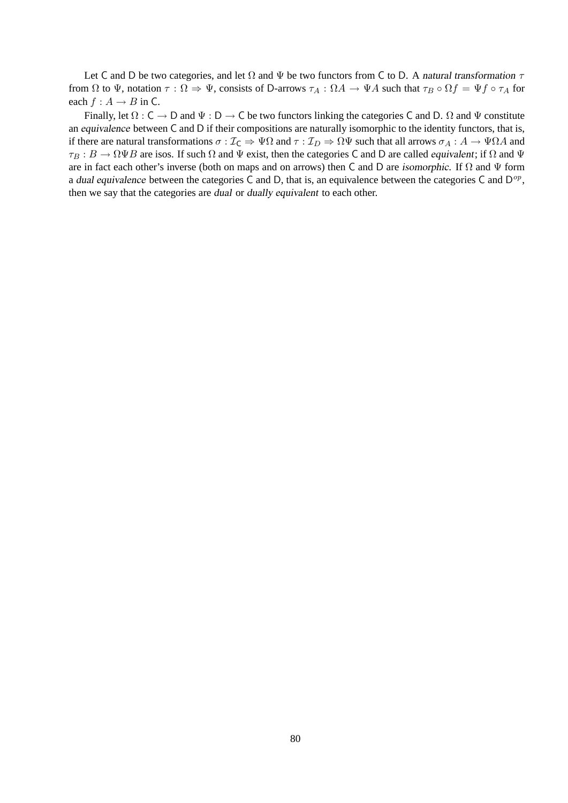Let C and D be two categories, and let  $\Omega$  and  $\Psi$  be two functors from C to D. A natural transformation  $\tau$ from  $\Omega$  to  $\Psi$ , notation  $\tau : \Omega \Rightarrow \Psi$ , consists of D-arrows  $\tau_A : \Omega A \to \Psi A$  such that  $\tau_B \circ \Omega f = \Psi f \circ \tau_A$  for each  $f : A \rightarrow B$  in C.

Finally, let  $\Omega : \mathsf{C} \to \mathsf{D}$  and  $\Psi : \mathsf{D} \to \mathsf{C}$  be two functors linking the categories C and D.  $\Omega$  and  $\Psi$  constitute an equivalence between C and D if their compositions are naturally isomorphic to the identity functors, that is, if there are natural transformations  $\sigma : \mathcal{I}_C \Rightarrow \Psi\Omega$  and  $\tau : \mathcal{I}_D \Rightarrow \Omega\Psi$  such that all arrows  $\sigma_A : A \to \Psi\Omega A$  and  $\tau_B : B \to \Omega \Psi B$  are isos. If such  $\Omega$  and  $\Psi$  exist, then the categories C and D are called equivalent; if  $\Omega$  and  $\Psi$ are in fact each other's inverse (both on maps and on arrows) then C and D are isomorphic. If  $\Omega$  and  $\Psi$  form a dual equivalence between the categories C and D, that is, an equivalence between the categories C and  $D^{op}$ , then we say that the categories are dual or dually equivalent to each other.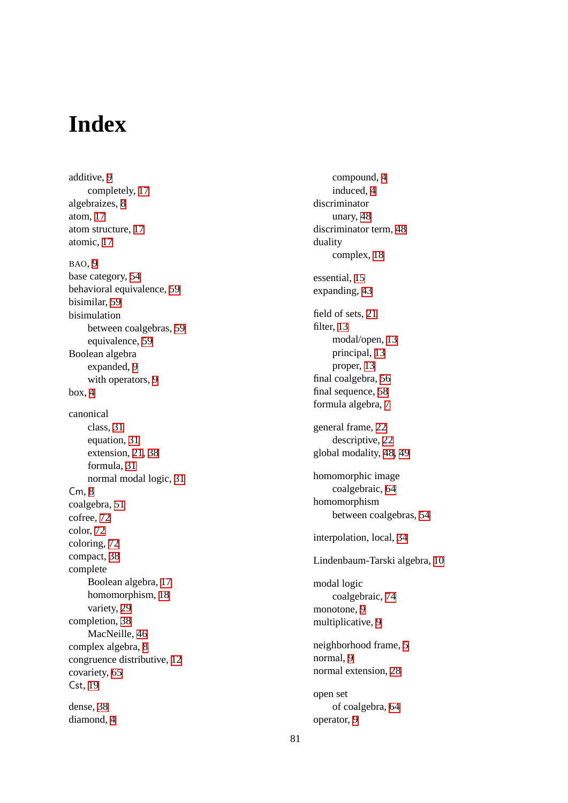## **Index**

additive, [9](#page-8-0) completely, [17](#page-16-0) algebraizes, [8](#page-7-0) atom, [17](#page-16-0) atom structure, [17](#page-16-0) atomic, [17](#page-16-0) BAO, [9](#page-8-0) base category, [54](#page-53-1) behavioral equivalence, [59](#page-58-0) bisimilar, [59](#page-58-0) bisimulation between coalgebras, [59](#page-58-0) equivalence, [59](#page-58-0) Boolean algebra expanded, [9](#page-8-0) with operators, [9](#page-8-0) box, [4](#page-3-0) canonical class, [31](#page-30-0) equation, [31](#page-30-0) extension, [21,](#page-20-0) [38](#page-37-0) formula, [31](#page-30-0) normal modal logic, [31](#page-30-0) Cm, [8](#page-7-0) coalgebra, [51](#page-50-0) cofree, [72](#page-71-0) color, [72](#page-71-0) coloring, [72](#page-71-0) compact, [38](#page-37-0) complete Boolean algebra, [17](#page-16-0) homomorphism, [18](#page-17-0) variety, [29](#page-28-0) completion, [38](#page-37-0) MacNeille, [46](#page-45-0) complex algebra, [8](#page-7-0) congruence distributive, [12](#page-11-0) covariety, [65](#page-64-0) Cst, [19](#page-18-0) dense, [38](#page-37-0) diamond, [4](#page-3-0)

compound, [4](#page-3-0) induced, [4](#page-3-0) discriminator unary, [48](#page-47-0) discriminator term, [48](#page-47-0) duality complex, [18](#page-17-0) essential, [15](#page-14-0) expanding, [43](#page-42-0) field of sets, [21](#page-20-0) filter, [13](#page-12-0) modal/open, [13](#page-12-0) principal, [13](#page-12-0) proper, [13](#page-12-0) final coalgebra, [56](#page-55-0) final sequence, [58](#page-57-0) formula algebra, [7](#page-6-0) general frame, [22](#page-21-0) descriptive, [22](#page-21-0) global modality, [48,](#page-47-0) [49](#page-48-0) homomorphic image coalgebraic, [64](#page-63-1) homomorphism between coalgebras, [54](#page-53-1) interpolation, local, [34](#page-33-0) Lindenbaum-Tarski algebra, [10](#page-9-0) modal logic coalgebraic, [74](#page-73-2) monotone, [9](#page-8-0) multiplicative, [9](#page-8-0) neighborhood frame, [5](#page-4-0) normal, [9](#page-8-0) normal extension, [28](#page-27-0) open set of coalgebra, [64](#page-63-1) operator, [9](#page-8-0)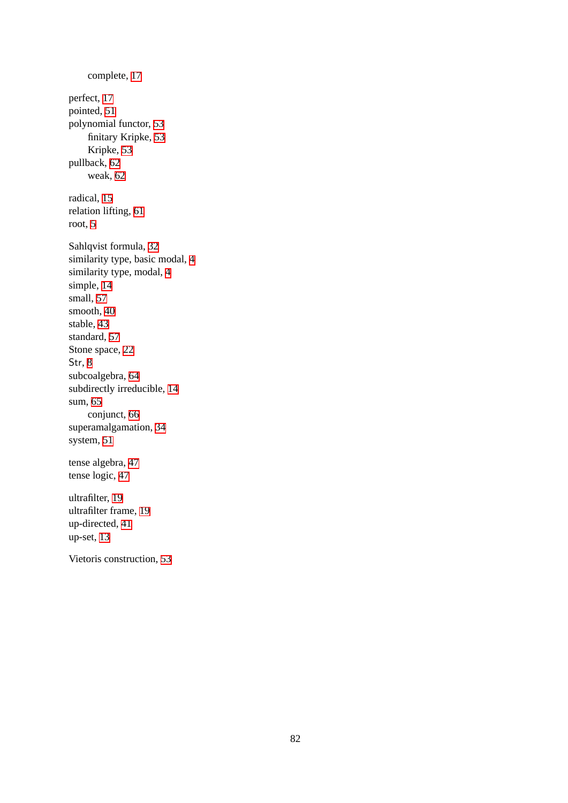complete, [17](#page-16-0) perfect, [17](#page-16-0) pointed, [51](#page-50-0) polynomial functor, [53](#page-52-1) finitary Kripke, [53](#page-52-1) Kripke, [53](#page-52-1) pullback, [62](#page-61-0) weak, [62](#page-61-0) radical, [15](#page-14-0) relation lifting, [61](#page-60-0) root, [5](#page-4-0) Sahlqvist formula, [32](#page-31-0) similarity type, basic modal, [4](#page-3-0) similarity type, modal, [4](#page-3-0) simple, [14](#page-13-0) small, [57](#page-56-0) smooth, [40](#page-39-0) stable, [43](#page-42-0) standard, [57](#page-56-0) Stone space, [22](#page-21-0) Str, [8](#page-7-0) subcoalgebra, [64](#page-63-1) subdirectly irreducible, [14](#page-13-0) sum, [65](#page-64-0) conjunct, [66](#page-65-0) superamalgamation, [34](#page-33-0) system, [51](#page-50-0) tense algebra, [47](#page-46-0) tense logic, [47](#page-46-0) ultrafilter, [19](#page-18-0) ultrafilter frame, [19](#page-18-0) up-directed, [41](#page-40-0) up-set, [13](#page-12-0)

Vietoris construction, [53](#page-52-1)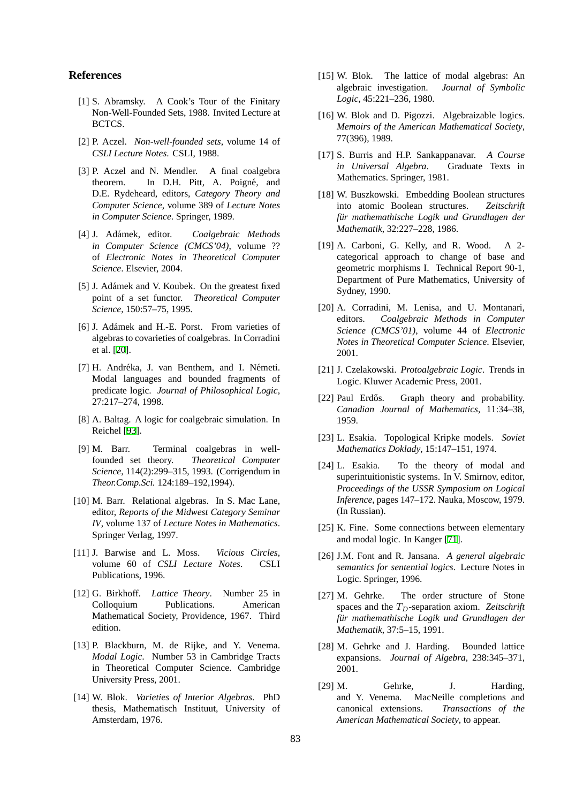## **References**

- <span id="page-82-2"></span>[1] S. Abramsky. A Cook's Tour of the Finitary Non-Well-Founded Sets, 1988. Invited Lecture at BCTCS.
- [2] P. Aczel. *Non-well-founded sets*, volume 14 of *CSLI Lecture Notes*. CSLI, 1988.
- [3] P. Aczel and N. Mendler. A final coalgebra theorem. In D.H. Pitt, A. Poigné, and D.E. Rydeheard, editors, *Category Theory and Computer Science*, volume 389 of *Lecture Notes in Computer Science*. Springer, 1989.
- <span id="page-82-1"></span>[4] J. Adamek, editor. ´ *Coalgebraic Methods in Computer Science (CMCS'04)*, volume ?? of *Electronic Notes in Theoretical Computer Science*. Elsevier, 2004.
- [5] J. Adámek and V. Koubek. On the greatest fixed point of a set functor. *Theoretical Computer Science*, 150:57–75, 1995.
- [6] J. Adámek and H.-E. Porst. From varieties of algebras to covarieties of coalgebras. In Corradini et al. [[20\]](#page-82-0).
- [7] H. Andréka, J. van Benthem, and I. Németi. Modal languages and bounded fragments of predicate logic. *Journal of Philosophical Logic*, 27:217–274, 1998.
- [8] A. Baltag. A logic for coalgebraic simulation. In Reichel [[93\]](#page-85-2).
- [9] M. Barr. Terminal coalgebras in wellfounded set theory. *Theoretical Computer Science*, 114(2):299–315, 1993. (Corrigendum in *Theor.Comp.Sci.* 124:189–192,1994).
- [10] M. Barr. Relational algebras. In S. Mac Lane, editor, *Reports of the Midwest Category Seminar IV*, volume 137 of *Lecture Notes in Mathematics*. Springer Verlag, 1997.
- [11] J. Barwise and L. Moss. *Vicious Circles*, volume 60 of *CSLI Lecture Notes*. CSLI Publications, 1996.
- [12] G. Birkhoff. *Lattice Theory*. Number 25 in Colloquium Publications. American Mathematical Society, Providence, 1967. Third edition.
- [13] P. Blackburn, M. de Rijke, and Y. Venema. *Modal Logic*. Number 53 in Cambridge Tracts in Theoretical Computer Science. Cambridge University Press, 2001.
- [14] W. Blok. *Varieties of Interior Algebras*. PhD thesis, Mathematisch Instituut, University of Amsterdam, 1976.
- [15] W. Blok. The lattice of modal algebras: An algebraic investigation. *Journal of Symbolic Logic*, 45:221–236, 1980.
- [16] W. Blok and D. Pigozzi. Algebraizable logics. *Memoirs of the American Mathematical Society*, 77(396), 1989.
- [17] S. Burris and H.P. Sankappanavar. *A Course in Universal Algebra*. Graduate Texts in Mathematics. Springer, 1981.
- [18] W. Buszkowski. Embedding Boolean structures into atomic Boolean structures. *Zeitschrift für mathemathische Logik und Grundlagen der Mathematik*, 32:227–228, 1986.
- [19] A. Carboni, G. Kelly, and R. Wood. A 2 categorical approach to change of base and geometric morphisms I. Technical Report 90-1, Department of Pure Mathematics, University of Sydney, 1990.
- <span id="page-82-0"></span>[20] A. Corradini, M. Lenisa, and U. Montanari, editors. *Coalgebraic Methods in Computer Science (CMCS'01)*, volume 44 of *Electronic Notes in Theoretical Computer Science*. Elsevier, 2001.
- [21] J. Czelakowski. *Protoalgebraic Logic*. Trends in Logic. Kluwer Academic Press, 2001.
- [22] Paul Erdős. Graph theory and probability. *Canadian Journal of Mathematics*, 11:34–38, 1959.
- [23] L. Esakia. Topological Kripke models. *Soviet Mathematics Doklady*, 15:147–151, 1974.
- [24] L. Esakia. To the theory of modal and superintuitionistic systems. In V. Smirnov, editor, *Proceedings of the USSR Symposium on Logical Inference*, pages 147–172. Nauka, Moscow, 1979. (In Russian).
- [25] K. Fine. Some connections between elementary and modal logic. In Kanger [\[71](#page-84-5)].
- [26] J.M. Font and R. Jansana. *A general algebraic semantics for sentential logics*. Lecture Notes in Logic. Springer, 1996.
- [27] M. Gehrke. The order structure of Stone spaces and the  $T<sub>D</sub>$ -separation axiom. Zeitschrift *für mathemathische Logik und Grundlagen der Mathematik*, 37:5–15, 1991.
- [28] M. Gehrke and J. Harding. Bounded lattice expansions. *Journal of Algebra*, 238:345–371, 2001.
- [29] M. Gehrke, J. Harding, and Y. Venema. MacNeille completions and canonical extensions. *Transactions of the American Mathematical Society*, to appear.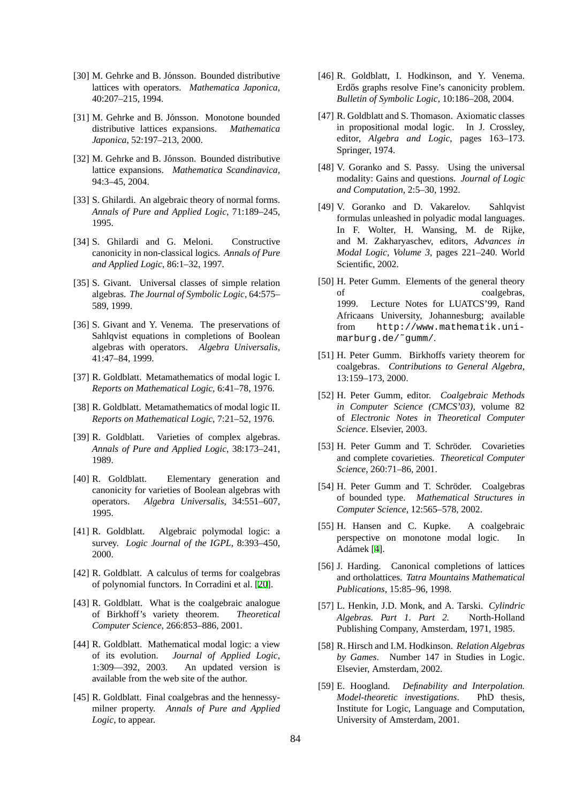- [30] M. Gehrke and B. Jónsson. Bounded distributive lattices with operators. *Mathematica Japonica*, 40:207–215, 1994.
- [31] M. Gehrke and B. Jónsson. Monotone bounded distributive lattices expansions. *Mathematica Japonica*, 52:197–213, 2000.
- [32] M. Gehrke and B. Jónsson. Bounded distributive lattice expansions. *Mathematica Scandinavica*, 94:3–45, 2004.
- [33] S. Ghilardi. An algebraic theory of normal forms. *Annals of Pure and Applied Logic*, 71:189–245, 1995.
- [34] S. Ghilardi and G. Meloni. Constructive canonicity in non-classical logics. *Annals of Pure and Applied Logic*, 86:1–32, 1997.
- [35] S. Givant. Universal classes of simple relation algebras. *The Journal of Symbolic Logic*, 64:575– 589, 1999.
- [36] S. Givant and Y. Venema. The preservations of Sahlqvist equations in completions of Boolean algebras with operators. *Algebra Universalis*, 41:47–84, 1999.
- [37] R. Goldblatt. Metamathematics of modal logic I. *Reports on Mathematical Logic*, 6:41–78, 1976.
- [38] R. Goldblatt. Metamathematics of modal logic II. *Reports on Mathematical Logic*, 7:21–52, 1976.
- [39] R. Goldblatt. Varieties of complex algebras. *Annals of Pure and Applied Logic*, 38:173–241, 1989.
- [40] R. Goldblatt. Elementary generation and canonicity for varieties of Boolean algebras with operators. *Algebra Universalis*, 34:551–607, 1995.
- [41] R. Goldblatt. Algebraic polymodal logic: a survey. *Logic Journal of the IGPL*, 8:393–450, 2000.
- <span id="page-83-1"></span>[42] R. Goldblatt. A calculus of terms for coalgebras of polynomial functors. In Corradini et al. [[20\]](#page-82-0).
- <span id="page-83-2"></span>[43] R. Goldblatt. What is the coalgebraic analogue of Birkhoff's variety theorem. *Theoretical Computer Science*, 266:853–886, 2001.
- [44] R. Goldblatt. Mathematical modal logic: a view of its evolution. *Journal of Applied Logic*, 1:309—392, 2003. An updated version is available from the web site of the author.
- [45] R. Goldblatt. Final coalgebras and the hennessymilner property. *Annals of Pure and Applied Logic*, to appear.
- [46] R. Goldblatt, I. Hodkinson, and Y. Venema. Erdős graphs resolve Fine's canonicity problem. *Bulletin of Symbolic Logic*, 10:186–208, 2004.
- [47] R. Goldblatt and S. Thomason. Axiomatic classes in propositional modal logic. In J. Crossley, editor, *Algebra and Logic*, pages 163–173. Springer, 1974.
- [48] V. Goranko and S. Passy. Using the universal modality: Gains and questions. *Journal of Logic and Computation*, 2:5–30, 1992.
- [49] V. Goranko and D. Vakarelov. Sahlqvist formulas unleashed in polyadic modal languages. In F. Wolter, H. Wansing, M. de Rijke, and M. Zakharyaschev, editors, *Advances in Modal Logic, Volume 3*, pages 221–240. World Scientific, 2002.
- [50] H. Peter Gumm. Elements of the general theory of coalgebras, 1999. Lecture Notes for LUATCS'99, Rand Africaans University, Johannesburg; available from http://www.mathematik.unimarburg.de/˜gumm/.
- <span id="page-83-4"></span>[51] H. Peter Gumm. Birkhoffs variety theorem for coalgebras. *Contributions to General Algebra*, 13:159–173, 2000.
- <span id="page-83-3"></span>[52] H. Peter Gumm, editor. *Coalgebraic Methods in Computer Science (CMCS'03)*, volume 82 of *Electronic Notes in Theoretical Computer Science*. Elsevier, 2003.
- <span id="page-83-0"></span>[53] H. Peter Gumm and T. Schröder. Covarieties and complete covarieties. *Theoretical Computer Science*, 260:71–86, 2001.
- [54] H. Peter Gumm and T. Schröder. Coalgebras of bounded type. *Mathematical Structures in Computer Science*, 12:565–578, 2002.
- [55] H. Hansen and C. Kupke. A coalgebraic perspective on monotone modal logic. In Adámek [[4\]](#page-82-1).
- [56] J. Harding. Canonical completions of lattices and ortholattices. *Tatra Mountains Mathematical Publications*, 15:85–96, 1998.
- [57] L. Henkin, J.D. Monk, and A. Tarski. *Cylindric Algebras. Part 1. Part 2.* North-Holland Publishing Company, Amsterdam, 1971, 1985.
- [58] R. Hirsch and I.M. Hodkinson. *Relation Algebras by Games*. Number 147 in Studies in Logic. Elsevier, Amsterdam, 2002.
- [59] E. Hoogland. *Definability and Interpolation. Model-theoretic investigations*. PhD thesis, Institute for Logic, Language and Computation, University of Amsterdam, 2001.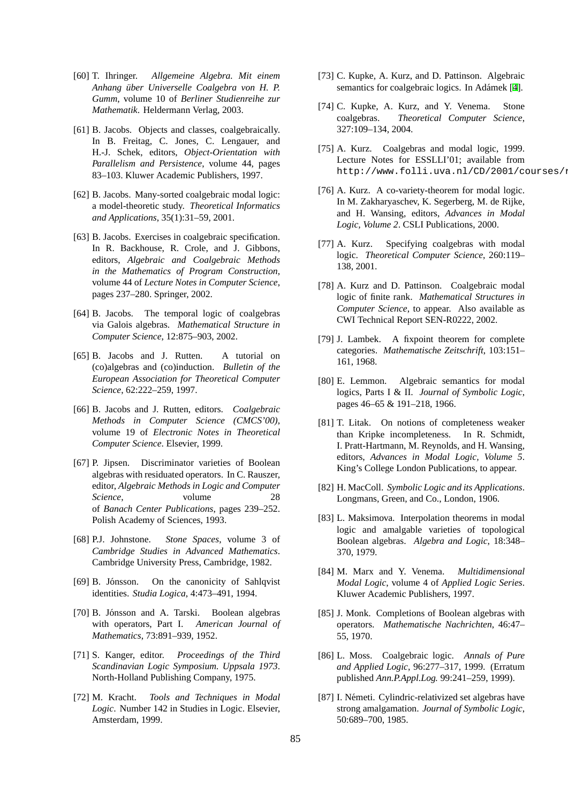- [60] T. Ihringer. *Allgemeine Algebra. Mit einem Anhang uber Universelle Coalgebra von H. P. ¨ Gumm*, volume 10 of *Berliner Studienreihe zur Mathematik*. Heldermann Verlag, 2003.
- [61] B. Jacobs. Objects and classes, coalgebraically. In B. Freitag, C. Jones, C. Lengauer, and H.-J. Schek, editors, *Object-Orientation with Parallelism and Persistence*, volume 44, pages 83–103. Kluwer Academic Publishers, 1997.
- <span id="page-84-2"></span>[62] B. Jacobs. Many-sorted coalgebraic modal logic: a model-theoretic study. *Theoretical Informatics and Applications*, 35(1):31–59, 2001.
- [63] B. Jacobs. Exercises in coalgebraic specification. In R. Backhouse, R. Crole, and J. Gibbons, editors, *Algebraic and Coalgebraic Methods in the Mathematics of Program Construction*, volume 44 of *Lecture Notes in Computer Science*, pages 237–280. Springer, 2002.
- [64] B. Jacobs. The temporal logic of coalgebras via Galois algebras. *Mathematical Structure in Computer Science*, 12:875–903, 2002.
- [65] B. Jacobs and J. Rutten. A tutorial on (co)algebras and (co)induction. *Bulletin of the European Association for Theoretical Computer Science*, 62:222–259, 1997.
- <span id="page-84-1"></span>[66] B. Jacobs and J. Rutten, editors. *Coalgebraic Methods in Computer Science (CMCS'00)*, volume 19 of *Electronic Notes in Theoretical Computer Science*. Elsevier, 1999.
- [67] P. Jipsen. Discriminator varieties of Boolean algebras with residuated operators. In C. Rauszer, editor, *Algebraic Methods in Logic and Computer Science*, volume 28 of *Banach Center Publications*, pages 239–252. Polish Academy of Sciences, 1993.
- [68] P.J. Johnstone. *Stone Spaces*, volume 3 of *Cambridge Studies in Advanced Mathematics*. Cambridge University Press, Cambridge, 1982.
- [69] B. Jónsson. On the canonicity of Sahlqvist identities. *Studia Logica*, 4:473–491, 1994.
- [70] B. Jónsson and A. Tarski. Boolean algebras with operators, Part I. *American Journal of Mathematics*, 73:891–939, 1952.
- <span id="page-84-5"></span>[71] S. Kanger, editor. *Proceedings of the Third Scandinavian Logic Symposium. Uppsala 1973*. North-Holland Publishing Company, 1975.
- [72] M. Kracht. *Tools and Techniques in Modal Logic*. Number 142 in Studies in Logic. Elsevier, Amsterdam, 1999.
- <span id="page-84-4"></span>[73] C. Kupke, A. Kurz, and D. Pattinson. Algebraic semantics for coalgebraic logics. In Adámek [[4\]](#page-82-1).
- <span id="page-84-3"></span>[74] C. Kupke, A. Kurz, and Y. Venema. Stone coalgebras. *Theoretical Computer Science*, 327:109–134, 2004.
- [75] A. Kurz. Coalgebras and modal logic, 1999. Lecture Notes for ESSLLI'01; available from http://www.folli.uva.nl/CD/2001/courses/
- <span id="page-84-0"></span>[76] A. Kurz. A co-variety-theorem for modal logic. In M. Zakharyaschev, K. Segerberg, M. de Rijke, and H. Wansing, editors, *Advances in Modal Logic, Volume 2*. CSLI Publications, 2000.
- [77] A. Kurz. Specifying coalgebras with modal logic. *Theoretical Computer Science*, 260:119– 138, 2001.
- [78] A. Kurz and D. Pattinson. Coalgebraic modal logic of finite rank. *Mathematical Structures in Computer Science*, to appear. Also available as CWI Technical Report SEN-R0222, 2002.
- [79] J. Lambek. A fixpoint theorem for complete categories. *Mathematische Zeitschrift*, 103:151– 161, 1968.
- [80] E. Lemmon. Algebraic semantics for modal logics, Parts I & II. *Journal of Symbolic Logic*, pages 46–65 & 191–218, 1966.
- [81] T. Litak. On notions of completeness weaker than Kripke incompleteness. In R. Schmidt, I. Pratt-Hartmann, M. Reynolds, and H. Wansing, editors, *Advances in Modal Logic, Volume 5*. King's College London Publications, to appear.
- [82] H. MacColl. *Symbolic Logic and its Applications*. Longmans, Green, and Co., London, 1906.
- [83] L. Maksimova. Interpolation theorems in modal logic and amalgable varieties of topological Boolean algebras. *Algebra and Logic*, 18:348– 370, 1979.
- [84] M. Marx and Y. Venema. *Multidimensional Modal Logic*, volume 4 of *Applied Logic Series*. Kluwer Academic Publishers, 1997.
- [85] J. Monk. Completions of Boolean algebras with operators. *Mathematische Nachrichten*, 46:47– 55, 1970.
- [86] L. Moss. Coalgebraic logic. *Annals of Pure and Applied Logic*, 96:277–317, 1999. (Erratum published *Ann.P.Appl.Log.* 99:241–259, 1999).
- [87] I. Németi. Cylindric-relativized set algebras have strong amalgamation. *Journal of Symbolic Logic*, 50:689–700, 1985.